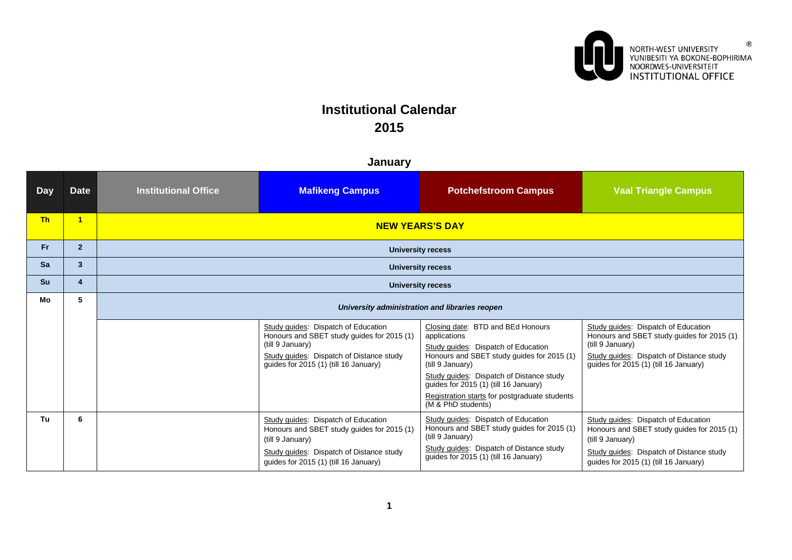

 $^\circledR$ 

# **Institutional Calendar 2015**

| <b>Day</b> | <b>Date</b>    | <b>Institutional Office</b>                    | <b>Mafikeng Campus</b>                                                                                                                                                                     | <b>Potchefstroom Campus</b>                                                                                                                                                                                                                                                                                            | <b>Vaal Triangle Campus</b>                                                                                                                                                                |  |  |
|------------|----------------|------------------------------------------------|--------------------------------------------------------------------------------------------------------------------------------------------------------------------------------------------|------------------------------------------------------------------------------------------------------------------------------------------------------------------------------------------------------------------------------------------------------------------------------------------------------------------------|--------------------------------------------------------------------------------------------------------------------------------------------------------------------------------------------|--|--|
| <b>Th</b>  | $\blacksquare$ | <b>NEW YEARS'S DAY</b>                         |                                                                                                                                                                                            |                                                                                                                                                                                                                                                                                                                        |                                                                                                                                                                                            |  |  |
| Fr.        | $\overline{2}$ | <b>University recess</b>                       |                                                                                                                                                                                            |                                                                                                                                                                                                                                                                                                                        |                                                                                                                                                                                            |  |  |
| <b>Sa</b>  | 3              |                                                |                                                                                                                                                                                            | <b>University recess</b>                                                                                                                                                                                                                                                                                               |                                                                                                                                                                                            |  |  |
| <b>Su</b>  | 4              |                                                |                                                                                                                                                                                            | <b>University recess</b>                                                                                                                                                                                                                                                                                               |                                                                                                                                                                                            |  |  |
| Mo         | 5              | University administration and libraries reopen |                                                                                                                                                                                            |                                                                                                                                                                                                                                                                                                                        |                                                                                                                                                                                            |  |  |
|            |                |                                                | Study guides: Dispatch of Education<br>Honours and SBET study guides for 2015 (1)<br>(till 9 January)<br>Study quides: Dispatch of Distance study<br>guides for 2015 (1) (till 16 January) | Closing date: BTD and BEd Honours<br>applications<br>Study guides: Dispatch of Education<br>Honours and SBET study guides for 2015 (1)<br>(till 9 January)<br>Study guides: Dispatch of Distance study<br>guides for 2015 (1) (till 16 January)<br>Registration starts for postgraduate students<br>(M & PhD students) | Study guides: Dispatch of Education<br>Honours and SBET study guides for 2015 (1)<br>(till 9 January)<br>Study guides: Dispatch of Distance study<br>guides for 2015 (1) (till 16 January) |  |  |
| Tu         | 6              |                                                | Study guides: Dispatch of Education<br>Honours and SBET study guides for 2015 (1)<br>(till 9 January)<br>Study guides: Dispatch of Distance study<br>quides for 2015 (1) (till 16 January) | Study guides: Dispatch of Education<br>Honours and SBET study guides for 2015 (1)<br>(till 9 January)<br>Study guides: Dispatch of Distance study<br>quides for 2015 (1) (till 16 January)                                                                                                                             | Study guides: Dispatch of Education<br>Honours and SBET study guides for 2015 (1)<br>(till 9 January)<br>Study quides: Dispatch of Distance study<br>quides for 2015 (1) (till 16 January) |  |  |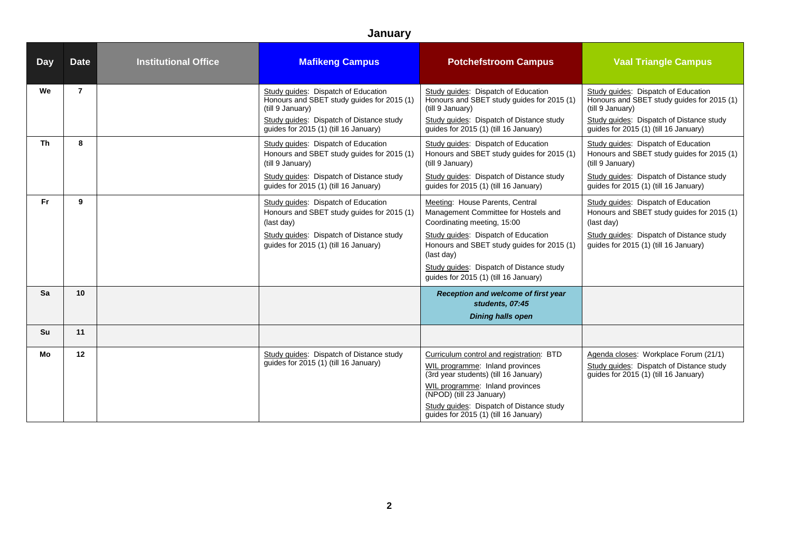| <b>Day</b> | <b>Date</b>    | <b>Institutional Office</b> | <b>Mafikeng Campus</b>                                                                                                                                                                     | <b>Potchefstroom Campus</b>                                                                                                                                                                                                                                                                    | <b>Vaal Triangle Campus</b>                                                                                                                                                                |
|------------|----------------|-----------------------------|--------------------------------------------------------------------------------------------------------------------------------------------------------------------------------------------|------------------------------------------------------------------------------------------------------------------------------------------------------------------------------------------------------------------------------------------------------------------------------------------------|--------------------------------------------------------------------------------------------------------------------------------------------------------------------------------------------|
| We         | $\overline{7}$ |                             | Study guides: Dispatch of Education<br>Honours and SBET study guides for 2015 (1)<br>(till 9 January)<br>Study quides: Dispatch of Distance study<br>guides for 2015 (1) (till 16 January) | Study guides: Dispatch of Education<br>Honours and SBET study guides for 2015 (1)<br>(till 9 January)<br>Study quides: Dispatch of Distance study<br>guides for 2015 (1) (till 16 January)                                                                                                     | Study guides: Dispatch of Education<br>Honours and SBET study guides for 2015 (1)<br>(till 9 January)<br>Study guides: Dispatch of Distance study<br>guides for 2015 (1) (till 16 January) |
| <b>Th</b>  | 8              |                             | Study guides: Dispatch of Education<br>Honours and SBET study guides for 2015 (1)<br>(till 9 January)<br>Study guides: Dispatch of Distance study<br>quides for 2015 (1) (till 16 January) | Study guides: Dispatch of Education<br>Honours and SBET study guides for 2015 (1)<br>(till 9 January)<br>Study guides: Dispatch of Distance study<br>quides for 2015 (1) (till 16 January)                                                                                                     | Study guides: Dispatch of Education<br>Honours and SBET study guides for 2015 (1)<br>(till 9 January)<br>Study guides: Dispatch of Distance study<br>quides for 2015 (1) (till 16 January) |
| Fr.        | 9              |                             | Study guides: Dispatch of Education<br>Honours and SBET study guides for 2015 (1)<br>(last day)<br>Study guides: Dispatch of Distance study<br>quides for 2015 (1) (till 16 January)       | Meeting: House Parents, Central<br>Management Committee for Hostels and<br>Coordinating meeting, 15:00<br>Study guides: Dispatch of Education<br>Honours and SBET study guides for 2015 (1)<br>(last day)<br>Study guides: Dispatch of Distance study<br>quides for 2015 (1) (till 16 January) | Study guides: Dispatch of Education<br>Honours and SBET study guides for 2015 (1)<br>(last day)<br>Study guides: Dispatch of Distance study<br>guides for 2015 (1) (till 16 January)       |
| Sa         | 10             |                             |                                                                                                                                                                                            | Reception and welcome of first year<br>students, 07:45<br><b>Dining halls open</b>                                                                                                                                                                                                             |                                                                                                                                                                                            |
| Su         | 11             |                             |                                                                                                                                                                                            |                                                                                                                                                                                                                                                                                                |                                                                                                                                                                                            |
| Mo         | 12             |                             | Study guides: Dispatch of Distance study<br>quides for 2015 (1) (till 16 January)                                                                                                          | Curriculum control and registration: BTD<br>WIL programme: Inland provinces<br>(3rd year students) (till 16 January)<br>WIL programme: Inland provinces<br>(NPOD) (till 23 January)<br>Study guides: Dispatch of Distance study<br>guides for 2015 (1) (till 16 January)                       | Agenda closes: Workplace Forum (21/1)<br>Study guides: Dispatch of Distance study<br>guides for 2015 (1) (till 16 January)                                                                 |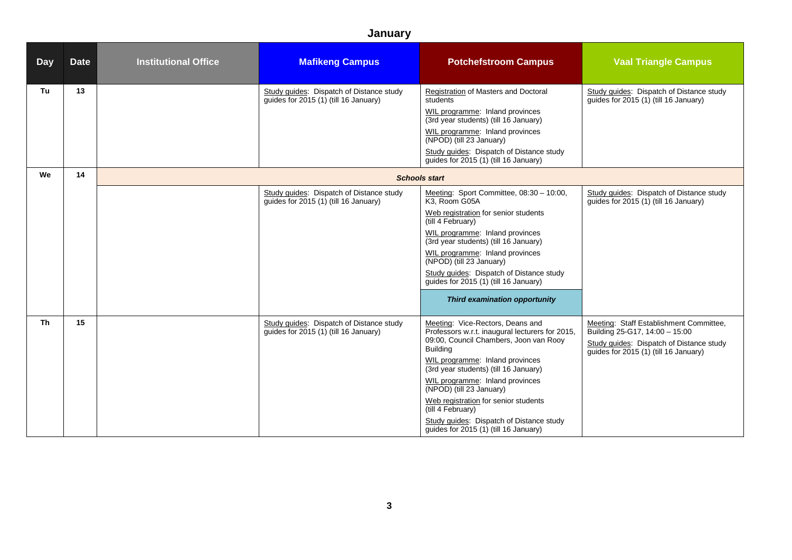| Day       | <b>Date</b> | <b>Institutional Office</b> | <b>Mafikeng Campus</b>                                                             | <b>Potchefstroom Campus</b>                                                                                                                                                                                                                                                                                                                                                                                                                   | <b>Vaal Triangle Campus</b>                                                                                                                                    |
|-----------|-------------|-----------------------------|------------------------------------------------------------------------------------|-----------------------------------------------------------------------------------------------------------------------------------------------------------------------------------------------------------------------------------------------------------------------------------------------------------------------------------------------------------------------------------------------------------------------------------------------|----------------------------------------------------------------------------------------------------------------------------------------------------------------|
| Tu        | 13          |                             | Study guides: Dispatch of Distance study<br>guides for $2015(1)$ (till 16 January) | Registration of Masters and Doctoral<br>students<br>WIL programme: Inland provinces<br>(3rd year students) (till 16 January)<br>WIL programme: Inland provinces<br>(NPOD) (till 23 January)<br>Study guides: Dispatch of Distance study<br>quides for 2015 (1) (till 16 January)                                                                                                                                                              | Study guides: Dispatch of Distance study<br>guides for $2015(1)$ (till 16 January)                                                                             |
| We        | 14          |                             |                                                                                    | <b>Schools start</b>                                                                                                                                                                                                                                                                                                                                                                                                                          |                                                                                                                                                                |
|           |             |                             | Study guides: Dispatch of Distance study<br>guides for 2015 (1) (till 16 January)  | Meeting: Sport Committee, 08:30 - 10:00,<br>K3, Room G05A<br>Web registration for senior students<br>(till 4 February)<br>WIL programme: Inland provinces<br>(3rd year students) (till 16 January)<br>WIL programme: Inland provinces<br>(NPOD) (till 23 January)<br>Study guides: Dispatch of Distance study<br>guides for 2015 (1) (till 16 January)<br>Third examination opportunity                                                       | Study guides: Dispatch of Distance study<br>guides for 2015 (1) (till 16 January)                                                                              |
| <b>Th</b> | 15          |                             | Study guides: Dispatch of Distance study<br>quides for 2015 (1) (till 16 January)  | Meeting: Vice-Rectors, Deans and<br>Professors w.r.t. inaugural lecturers for 2015,<br>09:00, Council Chambers, Joon van Rooy<br><b>Building</b><br>WIL programme: Inland provinces<br>(3rd year students) (till 16 January)<br>WIL programme: Inland provinces<br>(NPOD) (till 23 January)<br>Web registration for senior students<br>(till 4 February)<br>Study guides: Dispatch of Distance study<br>guides for 2015 (1) (till 16 January) | Meeting: Staff Establishment Committee,<br>Building 25-G17, 14:00 - 15:00<br>Study guides: Dispatch of Distance study<br>quides for 2015 (1) (till 16 January) |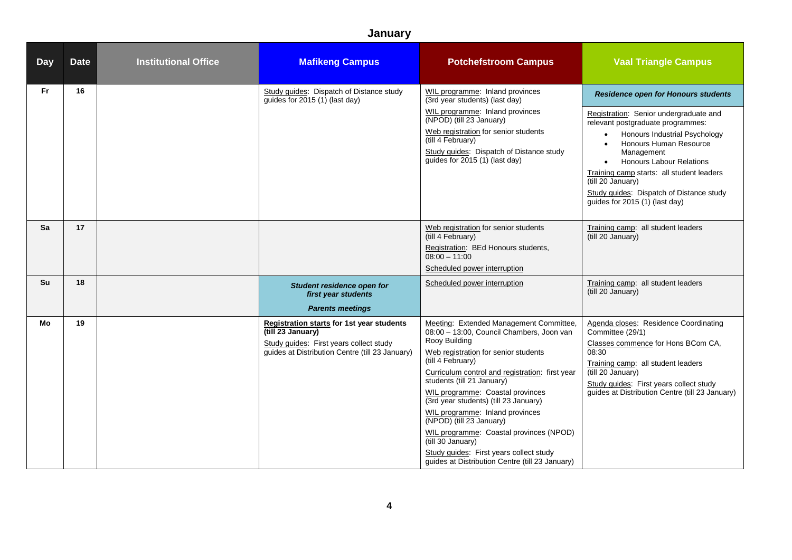| <b>Day</b> | <b>Date</b> | <b>Institutional Office</b> | <b>Mafikeng Campus</b>                                                                                                                                              | <b>Potchefstroom Campus</b>                                                                                                                                                                                                                                                                                                                                                                                                                                                                                                                                   | <b>Vaal Triangle Campus</b>                                                                                                                                                                                                                                                                                                                                                                                                  |
|------------|-------------|-----------------------------|---------------------------------------------------------------------------------------------------------------------------------------------------------------------|---------------------------------------------------------------------------------------------------------------------------------------------------------------------------------------------------------------------------------------------------------------------------------------------------------------------------------------------------------------------------------------------------------------------------------------------------------------------------------------------------------------------------------------------------------------|------------------------------------------------------------------------------------------------------------------------------------------------------------------------------------------------------------------------------------------------------------------------------------------------------------------------------------------------------------------------------------------------------------------------------|
| Fr.        | 16          |                             | Study guides: Dispatch of Distance study<br>guides for 2015 (1) (last day)                                                                                          | WIL programme: Inland provinces<br>(3rd year students) (last day)<br>WIL programme: Inland provinces<br>(NPOD) (till 23 January)<br>Web registration for senior students<br>(till 4 February)<br>Study guides: Dispatch of Distance study<br>guides for 2015 (1) (last day)                                                                                                                                                                                                                                                                                   | <b>Residence open for Honours students</b><br>Registration: Senior undergraduate and<br>relevant postgraduate programmes:<br>Honours Industrial Psychology<br>$\bullet$<br>Honours Human Resource<br>$\bullet$<br>Management<br><b>Honours Labour Relations</b><br>$\bullet$<br>Training camp starts: all student leaders<br>(till 20 January)<br>Study guides: Dispatch of Distance study<br>guides for 2015 (1) (last day) |
| Sa<br>Su   | 17<br>18    |                             | Student residence open for<br>first year students<br><b>Parents meetings</b>                                                                                        | Web registration for senior students<br>(till 4 February)<br>Registration: BEd Honours students,<br>$08:00 - 11:00$<br>Scheduled power interruption<br>Scheduled power interruption                                                                                                                                                                                                                                                                                                                                                                           | Training camp: all student leaders<br>(till 20 January)<br>Training camp: all student leaders<br>(till 20 January)                                                                                                                                                                                                                                                                                                           |
| Mo         | 19          |                             | <b>Registration starts for 1st year students</b><br>(till 23 January)<br>Study guides: First years collect study<br>guides at Distribution Centre (till 23 January) | Meeting: Extended Management Committee,<br>08:00 - 13:00, Council Chambers, Joon van<br>Rooy Building<br>Web registration for senior students<br>(till 4 February)<br>Curriculum control and registration: first year<br>students (till 21 January)<br>WIL programme: Coastal provinces<br>(3rd year students) (till 23 January)<br>WIL programme: Inland provinces<br>(NPOD) (till 23 January)<br>WIL programme: Coastal provinces (NPOD)<br>(till 30 January)<br>Study guides: First years collect study<br>guides at Distribution Centre (till 23 January) | Agenda closes: Residence Coordinating<br>Committee (29/1)<br>Classes commence for Hons BCom CA,<br>08:30<br>Training camp: all student leaders<br>(till 20 January)<br>Study guides: First years collect study<br>guides at Distribution Centre (till 23 January)                                                                                                                                                            |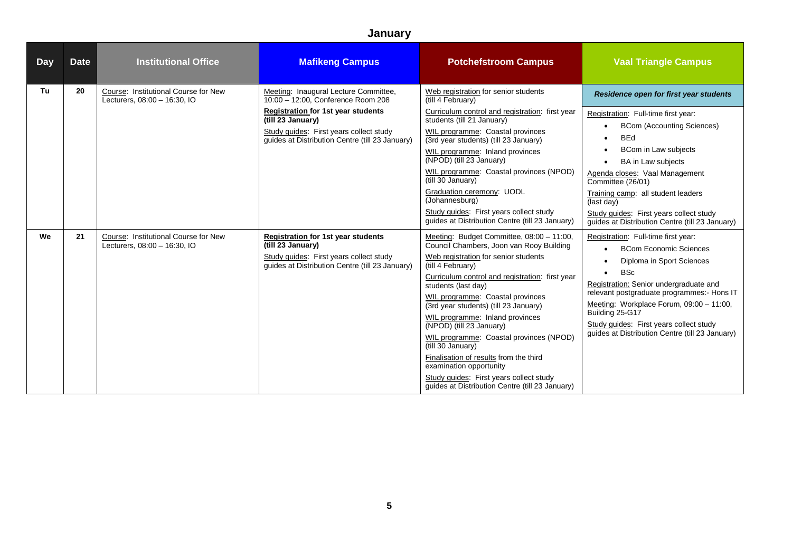| <b>Day</b> | <b>Date</b> | <b>Institutional Office</b>                                          | <b>Mafikeng Campus</b>                                                                                                                                                                                                                      | <b>Potchefstroom Campus</b>                                                                                                                                                                                                                                                                                                                                                                                                                                                                                                                                                                                 | <b>Vaal Triangle Campus</b>                                                                                                                                                                                                                                                                                                                                                                                                                        |
|------------|-------------|----------------------------------------------------------------------|---------------------------------------------------------------------------------------------------------------------------------------------------------------------------------------------------------------------------------------------|-------------------------------------------------------------------------------------------------------------------------------------------------------------------------------------------------------------------------------------------------------------------------------------------------------------------------------------------------------------------------------------------------------------------------------------------------------------------------------------------------------------------------------------------------------------------------------------------------------------|----------------------------------------------------------------------------------------------------------------------------------------------------------------------------------------------------------------------------------------------------------------------------------------------------------------------------------------------------------------------------------------------------------------------------------------------------|
| Tu         | 20          | Course: Institutional Course for New<br>Lecturers, 08:00 - 16:30, IO | Meeting: Inaugural Lecture Committee,<br>10:00 - 12:00. Conference Room 208<br><b>Registration for 1st year students</b><br>(till 23 January)<br>Study quides: First years collect study<br>quides at Distribution Centre (till 23 January) | Web registration for senior students<br>(till 4 February)<br>Curriculum control and registration: first year<br>students (till 21 January)<br>WIL programme: Coastal provinces<br>(3rd year students) (till 23 January)<br>WIL programme: Inland provinces<br>(NPOD) (till 23 January)<br>WIL programme: Coastal provinces (NPOD)<br>(till 30 January)<br>Graduation ceremony: UODL<br>(Johannesburg)<br>Study quides: First years collect study<br>quides at Distribution Centre (till 23 January)                                                                                                         | Residence open for first year students<br>Registration: Full-time first year:<br><b>BCom (Accounting Sciences)</b><br>$\bullet$<br><b>BEd</b><br>$\bullet$<br>BCom in Law subjects<br>$\bullet$<br><b>BA</b> in Law subjects<br>$\bullet$<br>Agenda closes: Vaal Management<br>Committee (26/01)<br>Training camp: all student leaders<br>(last day)<br>Study quides: First years collect study<br>quides at Distribution Centre (till 23 January) |
| We         | 21          | Course: Institutional Course for New<br>Lecturers, 08:00 - 16:30, IO | <b>Registration for 1st year students</b><br>(till 23 January)<br>Study quides: First years collect study<br>quides at Distribution Centre (till 23 January)                                                                                | Meeting: Budget Committee, 08:00 - 11:00,<br>Council Chambers, Joon van Rooy Building<br>Web registration for senior students<br>(till 4 February)<br>Curriculum control and registration: first year<br>students (last day)<br>WIL programme: Coastal provinces<br>(3rd year students) (till 23 January)<br>WIL programme: Inland provinces<br>(NPOD) (till 23 January)<br>WIL programme: Coastal provinces (NPOD)<br>(till 30 January)<br>Finalisation of results from the third<br>examination opportunity<br>Study quides: First years collect study<br>quides at Distribution Centre (till 23 January) | Registration: Full-time first year:<br><b>BCom Economic Sciences</b><br>$\bullet$<br>Diploma in Sport Sciences<br>$\bullet$<br><b>BSc</b><br>$\bullet$<br>Registration: Senior undergraduate and<br>relevant postgraduate programmes:- Hons IT<br>Meeting: Workplace Forum, 09:00 - 11:00,<br>Building 25-G17<br>Study guides: First years collect study<br>guides at Distribution Centre (till 23 January)                                        |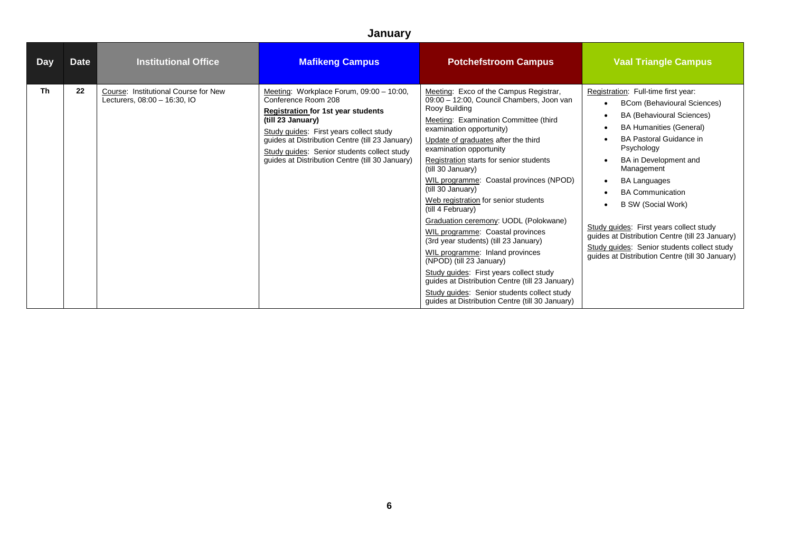| <b>Day</b> | Date | <b>Institutional Office</b>                                          | <b>Mafikeng Campus</b>                                                                                                                                                                                                                                                                                                            | <b>Potchefstroom Campus</b>                                                                                                                                                                                                                                                                                                                                                                                                                                                                                                                                                                                                                                                                                                                                                                                                   | <b>Vaal Triangle Campus</b>                                                                                                                                                                                                                                                                                                                                                                                                                                                                                                        |
|------------|------|----------------------------------------------------------------------|-----------------------------------------------------------------------------------------------------------------------------------------------------------------------------------------------------------------------------------------------------------------------------------------------------------------------------------|-------------------------------------------------------------------------------------------------------------------------------------------------------------------------------------------------------------------------------------------------------------------------------------------------------------------------------------------------------------------------------------------------------------------------------------------------------------------------------------------------------------------------------------------------------------------------------------------------------------------------------------------------------------------------------------------------------------------------------------------------------------------------------------------------------------------------------|------------------------------------------------------------------------------------------------------------------------------------------------------------------------------------------------------------------------------------------------------------------------------------------------------------------------------------------------------------------------------------------------------------------------------------------------------------------------------------------------------------------------------------|
| <b>Th</b>  | 22   | Course: Institutional Course for New<br>Lecturers, 08:00 - 16:30, IO | Meeting: Workplace Forum, 09:00 - 10:00,<br>Conference Room 208<br><b>Registration for 1st year students</b><br>(till 23 January)<br>Study guides: First years collect study<br>guides at Distribution Centre (till 23 January)<br>Study guides: Senior students collect study<br>guides at Distribution Centre (till 30 January) | Meeting: Exco of the Campus Registrar,<br>09:00 - 12:00, Council Chambers, Joon van<br>Rooy Building<br>Meeting: Examination Committee (third<br>examination opportunity)<br>Update of graduates after the third<br>examination opportunity<br>Registration starts for senior students<br>(till 30 January)<br>WIL programme: Coastal provinces (NPOD)<br>(till 30 January)<br>Web registration for senior students<br>(till 4 February)<br>Graduation ceremony: UODL (Polokwane)<br>WIL programme: Coastal provinces<br>(3rd year students) (till 23 January)<br>WIL programme: Inland provinces<br>(NPOD) (till 23 January)<br>Study guides: First years collect study<br>guides at Distribution Centre (till 23 January)<br>Study guides: Senior students collect study<br>guides at Distribution Centre (till 30 January) | Registration: Full-time first year:<br><b>BCom (Behavioural Sciences)</b><br>$\bullet$<br><b>BA (Behavioural Sciences)</b><br><b>BA Humanities (General)</b><br><b>BA Pastoral Guidance in</b><br>Psychology<br>BA in Development and<br>Management<br><b>BA Languages</b><br><b>BA Communication</b><br><b>B SW (Social Work)</b><br>Study guides: First years collect study<br>guides at Distribution Centre (till 23 January)<br>Study guides: Senior students collect study<br>guides at Distribution Centre (till 30 January) |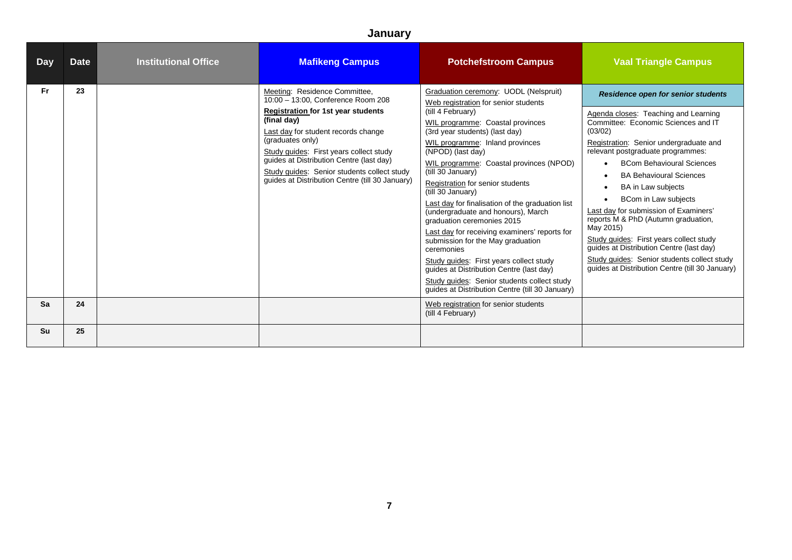| <b>Day</b> | <b>Date</b> | <b>Institutional Office</b> | <b>Mafikeng Campus</b>                                                                                                                                                                                                                                                                                                                                                              | <b>Potchefstroom Campus</b>                                                                                                                                                                                                                                                                                                                                                                                                                                                                                                                                                                                                                                                                                                                                                    | <b>Vaal Triangle Campus</b>                                                                                                                                                                                                                                                                                                                                                                                                                                                                                                                                                                                                                                         |
|------------|-------------|-----------------------------|-------------------------------------------------------------------------------------------------------------------------------------------------------------------------------------------------------------------------------------------------------------------------------------------------------------------------------------------------------------------------------------|--------------------------------------------------------------------------------------------------------------------------------------------------------------------------------------------------------------------------------------------------------------------------------------------------------------------------------------------------------------------------------------------------------------------------------------------------------------------------------------------------------------------------------------------------------------------------------------------------------------------------------------------------------------------------------------------------------------------------------------------------------------------------------|---------------------------------------------------------------------------------------------------------------------------------------------------------------------------------------------------------------------------------------------------------------------------------------------------------------------------------------------------------------------------------------------------------------------------------------------------------------------------------------------------------------------------------------------------------------------------------------------------------------------------------------------------------------------|
| Fr.        | 23          |                             | Meeting: Residence Committee,<br>10:00 - 13:00, Conference Room 208<br><b>Registration for 1st year students</b><br>(final day)<br>Last day for student records change<br>(graduates only)<br>Study quides: First years collect study<br>guides at Distribution Centre (last day)<br>Study quides: Senior students collect study<br>quides at Distribution Centre (till 30 January) | Graduation ceremony: UODL (Nelspruit)<br>Web registration for senior students<br>(till 4 February)<br>WIL programme: Coastal provinces<br>(3rd year students) (last day)<br>WIL programme: Inland provinces<br>(NPOD) (last day)<br>WIL programme: Coastal provinces (NPOD)<br>(till 30 January)<br>Registration for senior students<br>(till 30 January)<br>Last day for finalisation of the graduation list<br>(undergraduate and honours), March<br>graduation ceremonies 2015<br>Last day for receiving examiners' reports for<br>submission for the May graduation<br>ceremonies<br>Study quides: First years collect study<br>quides at Distribution Centre (last day)<br>Study quides: Senior students collect study<br>guides at Distribution Centre (till 30 January) | <b>Residence open for senior students</b><br>Agenda closes: Teaching and Learning<br>Committee: Economic Sciences and IT<br>(03/02)<br>Registration: Senior undergraduate and<br>relevant postgraduate programmes:<br><b>BCom Behavioural Sciences</b><br>$\bullet$<br><b>BA Behavioural Sciences</b><br>$\bullet$<br>BA in Law subjects<br>$\bullet$<br>BCom in Law subjects<br>Last day for submission of Examiners'<br>reports M & PhD (Autumn graduation,<br>May 2015)<br>Study quides: First years collect study<br>quides at Distribution Centre (last day)<br>Study guides: Senior students collect study<br>guides at Distribution Centre (till 30 January) |
| Sa         | 24          |                             |                                                                                                                                                                                                                                                                                                                                                                                     | Web registration for senior students<br>(till 4 February)                                                                                                                                                                                                                                                                                                                                                                                                                                                                                                                                                                                                                                                                                                                      |                                                                                                                                                                                                                                                                                                                                                                                                                                                                                                                                                                                                                                                                     |
| Su         | 25          |                             |                                                                                                                                                                                                                                                                                                                                                                                     |                                                                                                                                                                                                                                                                                                                                                                                                                                                                                                                                                                                                                                                                                                                                                                                |                                                                                                                                                                                                                                                                                                                                                                                                                                                                                                                                                                                                                                                                     |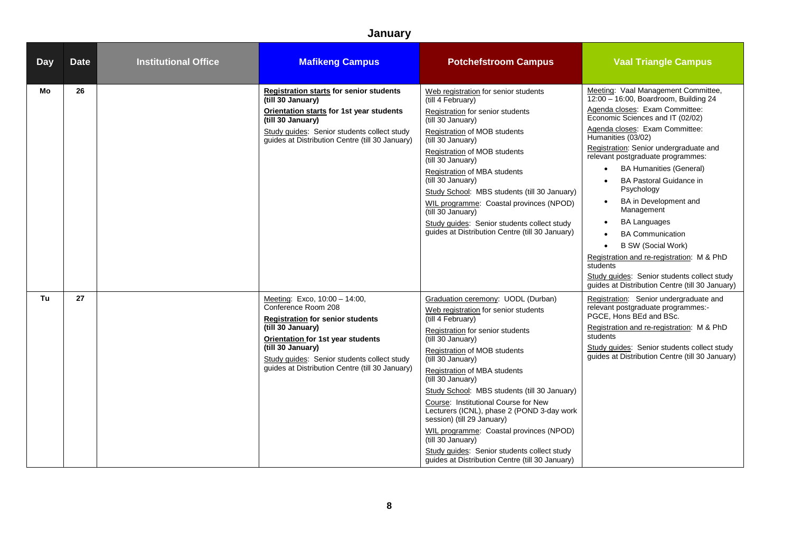| <b>Day</b> | <b>Date</b> | <b>Institutional Office</b> | <b>Mafikeng Campus</b>                                                                                                                                                                                                                                                                  | <b>Potchefstroom Campus</b>                                                                                                                                                                                                                                                                                                                                                                                                                                                                                                                                                                              | <b>Vaal Triangle Campus</b>                                                                                                                                                                                                                                                                                                                                                                                                                                                                                                                                                                                                                                                                         |
|------------|-------------|-----------------------------|-----------------------------------------------------------------------------------------------------------------------------------------------------------------------------------------------------------------------------------------------------------------------------------------|----------------------------------------------------------------------------------------------------------------------------------------------------------------------------------------------------------------------------------------------------------------------------------------------------------------------------------------------------------------------------------------------------------------------------------------------------------------------------------------------------------------------------------------------------------------------------------------------------------|-----------------------------------------------------------------------------------------------------------------------------------------------------------------------------------------------------------------------------------------------------------------------------------------------------------------------------------------------------------------------------------------------------------------------------------------------------------------------------------------------------------------------------------------------------------------------------------------------------------------------------------------------------------------------------------------------------|
| Mo         | 26          |                             | <b>Registration starts for senior students</b><br>(till 30 January)<br>Orientation starts for 1st year students<br>(till 30 January)<br>Study guides: Senior students collect study<br>guides at Distribution Centre (till 30 January)                                                  | Web registration for senior students<br>(till 4 February)<br>Registration for senior students<br>(till 30 January)<br>Registration of MOB students<br>(till 30 January)<br>Registration of MOB students<br>(till 30 January)<br>Registration of MBA students<br>(till 30 January)<br>Study School: MBS students (till 30 January)<br>WIL programme: Coastal provinces (NPOD)<br>(till 30 January)<br>Study quides: Senior students collect study<br>guides at Distribution Centre (till 30 January)                                                                                                      | Meeting: Vaal Management Committee,<br>12:00 - 16:00, Boardroom, Building 24<br>Agenda closes: Exam Committee:<br>Economic Sciences and IT (02/02)<br>Agenda closes: Exam Committee:<br>Humanities (03/02)<br>Registration: Senior undergraduate and<br>relevant postgraduate programmes:<br><b>BA Humanities (General)</b><br>$\bullet$<br><b>BA Pastoral Guidance in</b><br>Psychology<br>BA in Development and<br>$\bullet$<br>Management<br><b>BA Languages</b><br>$\bullet$<br><b>BA Communication</b><br><b>B SW (Social Work)</b><br>Registration and re-registration: M & PhD<br>students<br>Study guides: Senior students collect study<br>guides at Distribution Centre (till 30 January) |
| Tu         | 27          |                             | Meeting: Exco, 10:00 - 14:00,<br>Conference Room 208<br><b>Registration for senior students</b><br>(till 30 January)<br><b>Orientation for 1st year students</b><br>(till 30 January)<br>Study quides: Senior students collect study<br>guides at Distribution Centre (till 30 January) | Graduation ceremony: UODL (Durban)<br>Web registration for senior students<br>(till 4 February)<br>Registration for senior students<br>(till 30 January)<br>Registration of MOB students<br>(till 30 January)<br>Registration of MBA students<br>(till 30 January)<br>Study School: MBS students (till 30 January)<br>Course: Institutional Course for New<br>Lecturers (ICNL), phase 2 (POND 3-day work<br>session) (till 29 January)<br>WIL programme: Coastal provinces (NPOD)<br>(till 30 January)<br>Study quides: Senior students collect study<br>guides at Distribution Centre (till 30 January) | Registration: Senior undergraduate and<br>relevant postgraduate programmes:-<br>PGCE, Hons BEd and BSc.<br>Registration and re-registration: M & PhD<br>students<br>Study quides: Senior students collect study<br>guides at Distribution Centre (till 30 January)                                                                                                                                                                                                                                                                                                                                                                                                                                  |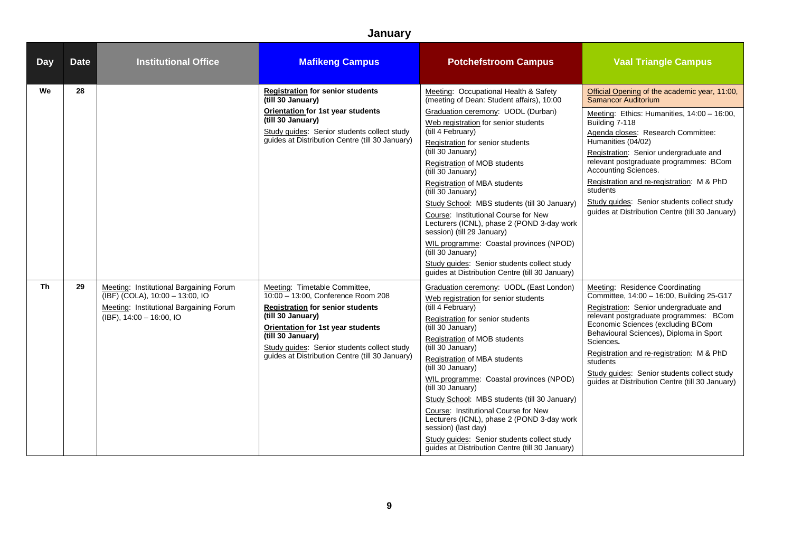| <b>Day</b> | <b>Date</b> | <b>Institutional Office</b>                                                                                                                       | <b>Mafikeng Campus</b>                                                                                                                                                                                                                                                                                 | <b>Potchefstroom Campus</b>                                                                                                                                                                                                                                                                                                                                                                                                                                                                                                                                                                                                                                                                    | <b>Vaal Triangle Campus</b>                                                                                                                                                                                                                                                                                                                                                                                                                                              |
|------------|-------------|---------------------------------------------------------------------------------------------------------------------------------------------------|--------------------------------------------------------------------------------------------------------------------------------------------------------------------------------------------------------------------------------------------------------------------------------------------------------|------------------------------------------------------------------------------------------------------------------------------------------------------------------------------------------------------------------------------------------------------------------------------------------------------------------------------------------------------------------------------------------------------------------------------------------------------------------------------------------------------------------------------------------------------------------------------------------------------------------------------------------------------------------------------------------------|--------------------------------------------------------------------------------------------------------------------------------------------------------------------------------------------------------------------------------------------------------------------------------------------------------------------------------------------------------------------------------------------------------------------------------------------------------------------------|
| We         | 28          |                                                                                                                                                   | <b>Registration for senior students</b><br>(till 30 January)<br>Orientation for 1st year students<br>(till 30 January)<br>Study guides: Senior students collect study<br>guides at Distribution Centre (till 30 January)                                                                               | Meeting: Occupational Health & Safety<br>(meeting of Dean: Student affairs), 10:00<br>Graduation ceremony: UODL (Durban)<br>Web registration for senior students<br>(till 4 February)<br>Registration for senior students<br>(till 30 January)<br>Registration of MOB students<br>(till 30 January)<br>Registration of MBA students<br>(till 30 January)<br>Study School: MBS students (till 30 January)<br>Course: Institutional Course for New<br>Lecturers (ICNL), phase 2 (POND 3-day work<br>session) (till 29 January)<br>WIL programme: Coastal provinces (NPOD)<br>(till 30 January)<br>Study quides: Senior students collect study<br>guides at Distribution Centre (till 30 January) | Official Opening of the academic year, 11:00,<br>Samancor Auditorium<br>Meeting: Ethics: Humanities, 14:00 - 16:00,<br>Building 7-118<br>Agenda closes: Research Committee:<br>Humanities (04/02)<br>Registration: Senior undergraduate and<br>relevant postgraduate programmes: BCom<br>Accounting Sciences.<br>Registration and re-registration: M & PhD<br>students<br>Study guides: Senior students collect study<br>quides at Distribution Centre (till 30 January) |
| Th         | 29          | Meeting: Institutional Bargaining Forum<br>(IBF) (COLA), 10:00 - 13:00, IO<br>Meeting: Institutional Bargaining Forum<br>(IBF), 14:00 - 16:00, IO | Meeting: Timetable Committee,<br>10:00 - 13:00, Conference Room 208<br><b>Registration for senior students</b><br>(till 30 January)<br><b>Orientation for 1st year students</b><br>(till 30 January)<br>Study guides: Senior students collect study<br>quides at Distribution Centre (till 30 January) | Graduation ceremony: UODL (East London)<br>Web registration for senior students<br>(till 4 February)<br>Registration for senior students<br>(till 30 January)<br>Registration of MOB students<br>(till 30 January)<br>Registration of MBA students<br>(till 30 January)<br>WIL programme: Coastal provinces (NPOD)<br>(till 30 January)<br>Study School: MBS students (till 30 January)<br>Course: Institutional Course for New<br>Lecturers (ICNL), phase 2 (POND 3-day work<br>session) (last day)<br>Study guides: Senior students collect study<br>guides at Distribution Centre (till 30 January)                                                                                         | Meeting: Residence Coordinating<br>Committee, 14:00 - 16:00, Building 25-G17<br>Registration: Senior undergraduate and<br>relevant postgraduate programmes: BCom<br>Economic Sciences (excluding BCom<br>Behavioural Sciences), Diploma in Sport<br>Sciences.<br>Registration and re-registration: M & PhD<br>students<br>Study quides: Senior students collect study<br>guides at Distribution Centre (till 30 January)                                                 |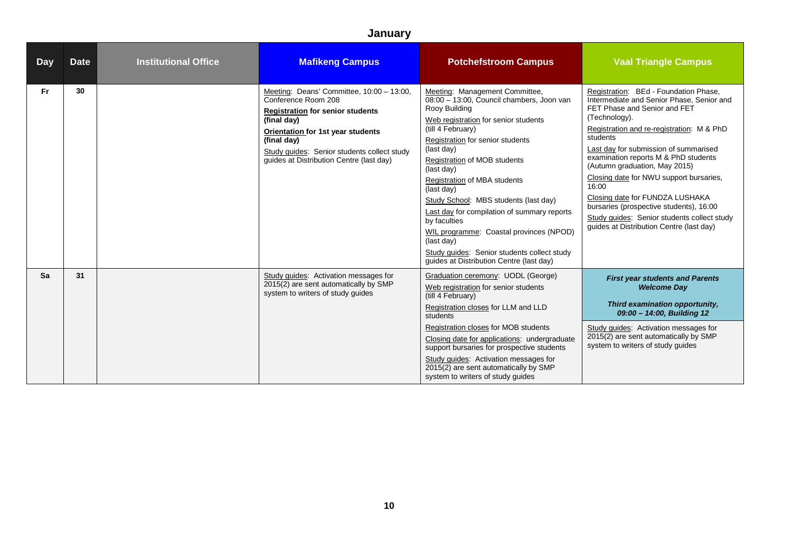| <b>Day</b> | <b>Date</b> | <b>Institutional Office</b> | <b>Mafikeng Campus</b>                                                                                                                                                                                                                                                    | <b>Potchefstroom Campus</b>                                                                                                                                                                                                                                                                                                                                                                                                                                                                                                                                                | <b>Vaal Triangle Campus</b>                                                                                                                                                                                                                                                                                                                                                                                                                                                                                                                 |
|------------|-------------|-----------------------------|---------------------------------------------------------------------------------------------------------------------------------------------------------------------------------------------------------------------------------------------------------------------------|----------------------------------------------------------------------------------------------------------------------------------------------------------------------------------------------------------------------------------------------------------------------------------------------------------------------------------------------------------------------------------------------------------------------------------------------------------------------------------------------------------------------------------------------------------------------------|---------------------------------------------------------------------------------------------------------------------------------------------------------------------------------------------------------------------------------------------------------------------------------------------------------------------------------------------------------------------------------------------------------------------------------------------------------------------------------------------------------------------------------------------|
| <b>Fr</b>  | 30          |                             | Meeting: Deans' Committee, 10:00 - 13:00,<br>Conference Room 208<br><b>Registration for senior students</b><br>(final day)<br>Orientation for 1st year students<br>(final day)<br>Study quides: Senior students collect study<br>quides at Distribution Centre (last day) | Meeting: Management Committee,<br>08:00 - 13:00, Council chambers, Joon van<br>Rooy Building<br>Web registration for senior students<br>(till 4 February)<br>Registration for senior students<br>(last day)<br>Registration of MOB students<br>(last day)<br><b>Registration of MBA students</b><br>(last day)<br>Study School: MBS students (last day)<br>Last day for compilation of summary reports<br>by faculties<br>WIL programme: Coastal provinces (NPOD)<br>(last day)<br>Study quides: Senior students collect study<br>quides at Distribution Centre (last day) | Registration: BEd - Foundation Phase.<br>Intermediate and Senior Phase, Senior and<br>FET Phase and Senior and FET<br>(Technology).<br>Registration and re-registration: M & PhD<br>students<br>Last day for submission of summarised<br>examination reports M & PhD students<br>(Autumn graduation, May 2015)<br>Closing date for NWU support bursaries,<br>16:00<br>Closing date for FUNDZA LUSHAKA<br>bursaries (prospective students), 16:00<br>Study quides: Senior students collect study<br>quides at Distribution Centre (last day) |
| Sa         | 31          |                             | Study guides: Activation messages for<br>2015(2) are sent automatically by SMP<br>system to writers of study quides                                                                                                                                                       | Graduation ceremony: UODL (George)<br>Web registration for senior students<br>(till 4 February)<br>Registration closes for LLM and LLD<br>students<br>Registration closes for MOB students<br>Closing date for applications: undergraduate<br>support bursaries for prospective students<br>Study quides: Activation messages for<br>2015(2) are sent automatically by SMP<br>system to writers of study guides                                                                                                                                                            | <b>First year students and Parents</b><br><b>Welcome Day</b><br>Third examination opportunity,<br>09:00 - 14:00, Building 12<br>Study guides: Activation messages for<br>2015(2) are sent automatically by SMP<br>system to writers of study guides                                                                                                                                                                                                                                                                                         |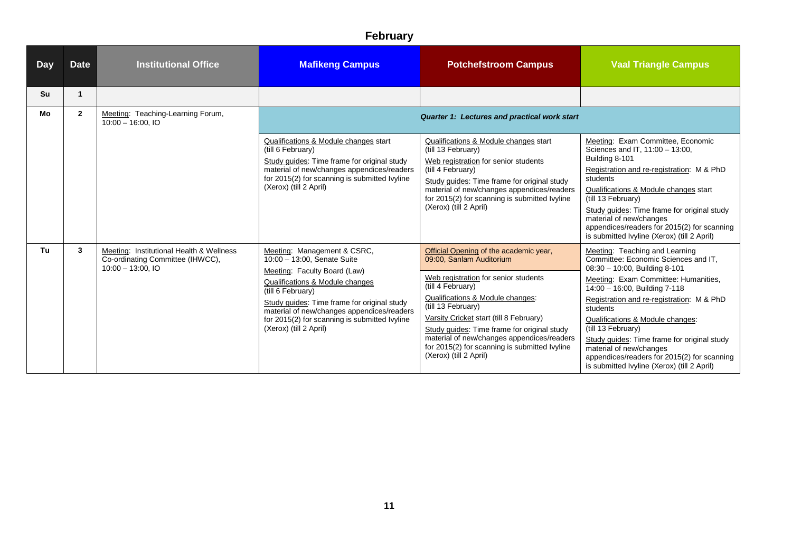| <b>Day</b> | <b>Date</b>  | <b>Institutional Office</b>                                                                        | <b>Mafikeng Campus</b>                                                                                                                                                                                                                                                                                                     | <b>Potchefstroom Campus</b>                                                                                                                                                                                                                                                                                                                                                                                  | <b>Vaal Triangle Campus</b>                                                                                                                                                                                                                                                                                                                                                                                                                                                 |
|------------|--------------|----------------------------------------------------------------------------------------------------|----------------------------------------------------------------------------------------------------------------------------------------------------------------------------------------------------------------------------------------------------------------------------------------------------------------------------|--------------------------------------------------------------------------------------------------------------------------------------------------------------------------------------------------------------------------------------------------------------------------------------------------------------------------------------------------------------------------------------------------------------|-----------------------------------------------------------------------------------------------------------------------------------------------------------------------------------------------------------------------------------------------------------------------------------------------------------------------------------------------------------------------------------------------------------------------------------------------------------------------------|
| Su         | -1           |                                                                                                    |                                                                                                                                                                                                                                                                                                                            |                                                                                                                                                                                                                                                                                                                                                                                                              |                                                                                                                                                                                                                                                                                                                                                                                                                                                                             |
| Mo         | $\mathbf{2}$ | Meeting: Teaching-Learning Forum,<br>$10:00 - 16:00$ , IO                                          |                                                                                                                                                                                                                                                                                                                            | Quarter 1: Lectures and practical work start                                                                                                                                                                                                                                                                                                                                                                 |                                                                                                                                                                                                                                                                                                                                                                                                                                                                             |
|            |              |                                                                                                    | Qualifications & Module changes start<br>(till 6 February)<br>Study guides: Time frame for original study<br>material of new/changes appendices/readers<br>for 2015(2) for scanning is submitted lyyline<br>(Xerox) (till 2 April)                                                                                         | Qualifications & Module changes start<br>(till 13 February)<br>Web registration for senior students<br>(till 4 February)<br>Study guides: Time frame for original study<br>material of new/changes appendices/readers<br>for 2015(2) for scanning is submitted Ivyline<br>(Xerox) (till 2 April)                                                                                                             | Meeting: Exam Committee, Economic<br>Sciences and IT, 11:00 - 13:00,<br>Building 8-101<br>Registration and re-registration: M & PhD<br>students<br>Qualifications & Module changes start<br>(till 13 February)<br>Study quides: Time frame for original study<br>material of new/changes<br>appendices/readers for 2015(2) for scanning<br>is submitted Ivyline (Xerox) (till 2 April)                                                                                      |
| Tu         | 3            | Meeting: Institutional Health & Wellness<br>Co-ordinating Committee (IHWCC),<br>$10:00 - 13:00.10$ | Meeting: Management & CSRC,<br>10:00 - 13:00, Senate Suite<br>Meeting: Faculty Board (Law)<br>Qualifications & Module changes<br>(till 6 February)<br>Study guides: Time frame for original study<br>material of new/changes appendices/readers<br>for 2015(2) for scanning is submitted Ivyline<br>(Xerox) (till 2 April) | Official Opening of the academic year,<br>09:00, Sanlam Auditorium<br>Web registration for senior students<br>(till 4 February)<br>Qualifications & Module changes:<br>(till 13 February)<br>Varsity Cricket start (till 8 February)<br>Study guides: Time frame for original study<br>material of new/changes appendices/readers<br>for 2015(2) for scanning is submitted Ivyline<br>(Xerox) (till 2 April) | Meeting: Teaching and Learning<br>Committee: Economic Sciences and IT,<br>08:30 - 10:00, Building 8-101<br>Meeting: Exam Committee: Humanities,<br>14:00 - 16:00, Building 7-118<br>Registration and re-registration: M & PhD<br>students<br>Qualifications & Module changes:<br>(till 13 February)<br>Study guides: Time frame for original study<br>material of new/changes<br>appendices/readers for 2015(2) for scanning<br>is submitted Ivyline (Xerox) (till 2 April) |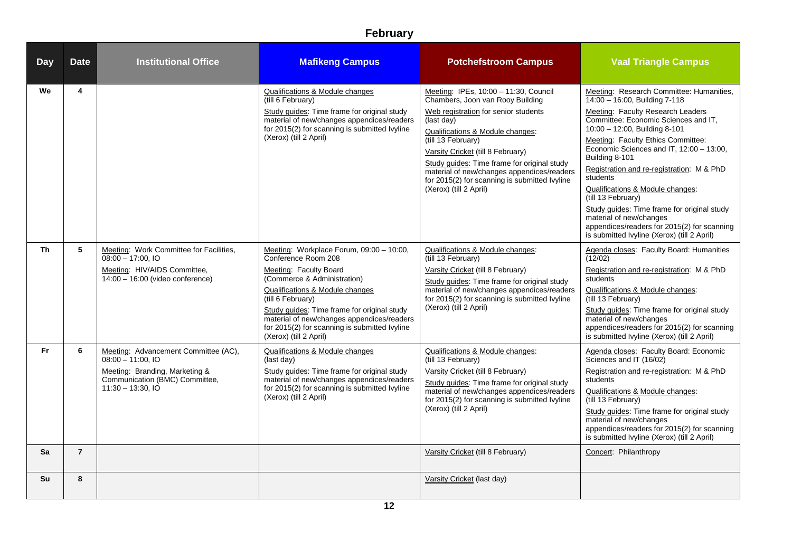| <b>Day</b> | <b>Date</b>    | <b>Institutional Office</b>                                                                                                                          | <b>Mafikeng Campus</b>                                                                                                                                                                                                                                                                                                                                   | <b>Potchefstroom Campus</b>                                                                                                                                                                                                                                                                                                                                                                            | <b>Vaal Triangle Campus</b>                                                                                                                                                                                                                                                                                                                                                                                                                                                                                                                                                            |
|------------|----------------|------------------------------------------------------------------------------------------------------------------------------------------------------|----------------------------------------------------------------------------------------------------------------------------------------------------------------------------------------------------------------------------------------------------------------------------------------------------------------------------------------------------------|--------------------------------------------------------------------------------------------------------------------------------------------------------------------------------------------------------------------------------------------------------------------------------------------------------------------------------------------------------------------------------------------------------|----------------------------------------------------------------------------------------------------------------------------------------------------------------------------------------------------------------------------------------------------------------------------------------------------------------------------------------------------------------------------------------------------------------------------------------------------------------------------------------------------------------------------------------------------------------------------------------|
| We         | 4              |                                                                                                                                                      | Qualifications & Module changes<br>(till 6 February)<br>Study guides: Time frame for original study<br>material of new/changes appendices/readers<br>for 2015(2) for scanning is submitted lyyline<br>(Xerox) (till 2 April)                                                                                                                             | Meeting: IPEs, 10:00 - 11:30, Council<br>Chambers, Joon van Rooy Building<br>Web registration for senior students<br>(last day)<br>Qualifications & Module changes:<br>(till 13 February)<br>Varsity Cricket (till 8 February)<br>Study guides: Time frame for original study<br>material of new/changes appendices/readers<br>for 2015(2) for scanning is submitted Ivyline<br>(Xerox) (till 2 April) | Meeting: Research Committee: Humanities,<br>14:00 - 16:00, Building 7-118<br>Meeting: Faculty Research Leaders<br>Committee: Economic Sciences and IT,<br>10:00 - 12:00, Building 8-101<br>Meeting: Faculty Ethics Committee:<br>Economic Sciences and IT, 12:00 - 13:00,<br>Building 8-101<br>Registration and re-registration: M & PhD<br>students<br>Qualifications & Module changes:<br>(till 13 February)<br>Study guides: Time frame for original study<br>material of new/changes<br>appendices/readers for 2015(2) for scanning<br>is submitted Ivyline (Xerox) (till 2 April) |
| <b>Th</b>  | 5              | Meeting: Work Committee for Facilities,<br>$08:00 - 17:00.10$<br>Meeting: HIV/AIDS Committee,<br>$14:00 - 16:00$ (video conference)                  | Meeting: Workplace Forum, 09:00 - 10:00,<br>Conference Room 208<br>Meeting: Faculty Board<br>(Commerce & Administration)<br>Qualifications & Module changes<br>(till 6 February)<br>Study quides: Time frame for original study<br>material of new/changes appendices/readers<br>for 2015(2) for scanning is submitted Ivyline<br>(Xerox) (till 2 April) | Qualifications & Module changes:<br>(till 13 February)<br>Varsity Cricket (till 8 February)<br>Study guides: Time frame for original study<br>material of new/changes appendices/readers<br>for 2015(2) for scanning is submitted lvyline<br>(Xerox) (till 2 April)                                                                                                                                    | Agenda closes: Faculty Board: Humanities<br>(12/02)<br>Registration and re-registration: M & PhD<br>students<br>Qualifications & Module changes:<br>(till 13 February)<br>Study guides: Time frame for original study<br>material of new/changes<br>appendices/readers for 2015(2) for scanning<br>is submitted Ivyline (Xerox) (till 2 April)                                                                                                                                                                                                                                         |
| <b>Fr</b>  | 6              | Meeting: Advancement Committee (AC),<br>$08:00 - 11:00.10$<br>Meeting: Branding, Marketing &<br>Communication (BMC) Committee,<br>$11:30 - 13:30,10$ | <b>Qualifications &amp; Module changes</b><br>(last day)<br>Study quides: Time frame for original study<br>material of new/changes appendices/readers<br>for 2015(2) for scanning is submitted Ivyline<br>(Xerox) (till 2 April)                                                                                                                         | Qualifications & Module changes:<br>(till 13 February)<br>Varsity Cricket (till 8 February)<br>Study guides: Time frame for original study<br>material of new/changes appendices/readers<br>for 2015(2) for scanning is submitted lvyline<br>(Xerox) (till 2 April)                                                                                                                                    | Agenda closes: Faculty Board: Economic<br>Sciences and IT (16/02)<br>Registration and re-registration: M & PhD<br>students<br>Qualifications & Module changes:<br>(till 13 February)<br>Study guides: Time frame for original study<br>material of new/changes<br>appendices/readers for 2015(2) for scanning<br>is submitted Ivyline (Xerox) (till 2 April)                                                                                                                                                                                                                           |
| Sa         | $\overline{7}$ |                                                                                                                                                      |                                                                                                                                                                                                                                                                                                                                                          | Varsity Cricket (till 8 February)                                                                                                                                                                                                                                                                                                                                                                      | Concert: Philanthropy                                                                                                                                                                                                                                                                                                                                                                                                                                                                                                                                                                  |
| Su         | 8              |                                                                                                                                                      |                                                                                                                                                                                                                                                                                                                                                          | Varsity Cricket (last day)                                                                                                                                                                                                                                                                                                                                                                             |                                                                                                                                                                                                                                                                                                                                                                                                                                                                                                                                                                                        |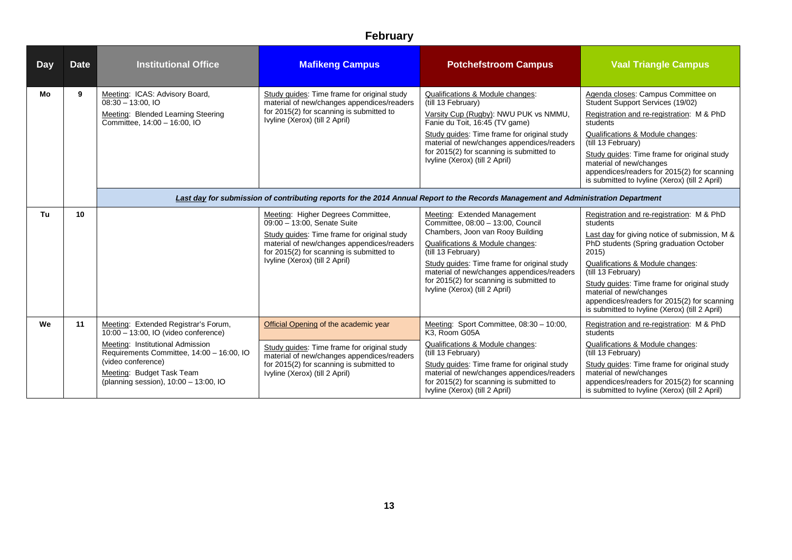| Day | <b>Date</b> | <b>Institutional Office</b>                                                                                                                                                                                                                               | <b>Mafikeng Campus</b>                                                                                                                                                                                                                       | <b>Potchefstroom Campus</b>                                                                                                                                                                                                                                                                                                                | <b>Vaal Triangle Campus</b>                                                                                                                                                                                                                                                                                                                                                                    |
|-----|-------------|-----------------------------------------------------------------------------------------------------------------------------------------------------------------------------------------------------------------------------------------------------------|----------------------------------------------------------------------------------------------------------------------------------------------------------------------------------------------------------------------------------------------|--------------------------------------------------------------------------------------------------------------------------------------------------------------------------------------------------------------------------------------------------------------------------------------------------------------------------------------------|------------------------------------------------------------------------------------------------------------------------------------------------------------------------------------------------------------------------------------------------------------------------------------------------------------------------------------------------------------------------------------------------|
| Mo  | 9           | Meeting: ICAS: Advisory Board,<br>$08:30 - 13:00.10$<br>Meeting: Blended Learning Steering<br>Committee, 14:00 - 16:00, IO                                                                                                                                | Study guides: Time frame for original study<br>material of new/changes appendices/readers<br>for 2015(2) for scanning is submitted to<br>Ivyline (Xerox) (till 2 April)                                                                      | Qualifications & Module changes:<br>(till 13 February)<br>Varsity Cup (Rugby): NWU PUK vs NMMU.<br>Fanie du Toit, 16:45 (TV game)<br>Study guides: Time frame for original study<br>material of new/changes appendices/readers<br>for 2015(2) for scanning is submitted to<br>Ivyline (Xerox) (till 2 April)                               | Agenda closes: Campus Committee on<br>Student Support Services (19/02)<br>Registration and re-registration: M & PhD<br>students<br>Qualifications & Module changes:<br>(till 13 February)<br>Study guides: Time frame for original study<br>material of new/changes<br>appendices/readers for 2015(2) for scanning<br>is submitted to Ivyline (Xerox) (till 2 April)                           |
|     |             |                                                                                                                                                                                                                                                           | Last day for submission of contributing reports for the 2014 Annual Report to the Records Management and Administration Department                                                                                                           |                                                                                                                                                                                                                                                                                                                                            |                                                                                                                                                                                                                                                                                                                                                                                                |
| Tu  | 10          |                                                                                                                                                                                                                                                           | Meeting: Higher Degrees Committee,<br>09:00 - 13:00, Senate Suite<br>Study guides: Time frame for original study<br>material of new/changes appendices/readers<br>for 2015(2) for scanning is submitted to<br>Ivyline (Xerox) (till 2 April) | Meeting: Extended Management<br>Committee, 08:00 - 13:00, Council<br>Chambers, Joon van Rooy Building<br>Qualifications & Module changes:<br>(till 13 February)<br>Study guides: Time frame for original study<br>material of new/changes appendices/readers<br>for 2015(2) for scanning is submitted to<br>Ivyline (Xerox) (till 2 April) | Registration and re-registration: M & PhD<br>students<br>Last day for giving notice of submission, M &<br>PhD students (Spring graduation October<br>2015<br>Qualifications & Module changes:<br>(till 13 February)<br>Study guides: Time frame for original study<br>material of new/changes<br>appendices/readers for 2015(2) for scanning<br>is submitted to Ivyline (Xerox) (till 2 April) |
| We  | 11          | Meeting: Extended Registrar's Forum,<br>10:00 - 13:00, IO (video conference)<br>Meeting: Institutional Admission<br>Requirements Committee, 14:00 - 16:00, IO<br>(video conference)<br>Meeting: Budget Task Team<br>(planning session), 10:00 - 13:00, IO | Official Opening of the academic year<br>Study guides: Time frame for original study<br>material of new/changes appendices/readers<br>for 2015(2) for scanning is submitted to<br>Ivyline (Xerox) (till 2 April)                             | Meeting: Sport Committee, 08:30 - 10:00,<br>K3. Room G05A<br>Qualifications & Module changes:<br>(till 13 February)<br>Study quides: Time frame for original study<br>material of new/changes appendices/readers<br>for 2015(2) for scanning is submitted to<br>Ivyline (Xerox) (till 2 April)                                             | Registration and re-registration: M & PhD<br>students<br>Qualifications & Module changes:<br>(till 13 February)<br>Study guides: Time frame for original study<br>material of new/changes<br>appendices/readers for 2015(2) for scanning<br>is submitted to Ivyline (Xerox) (till 2 April)                                                                                                     |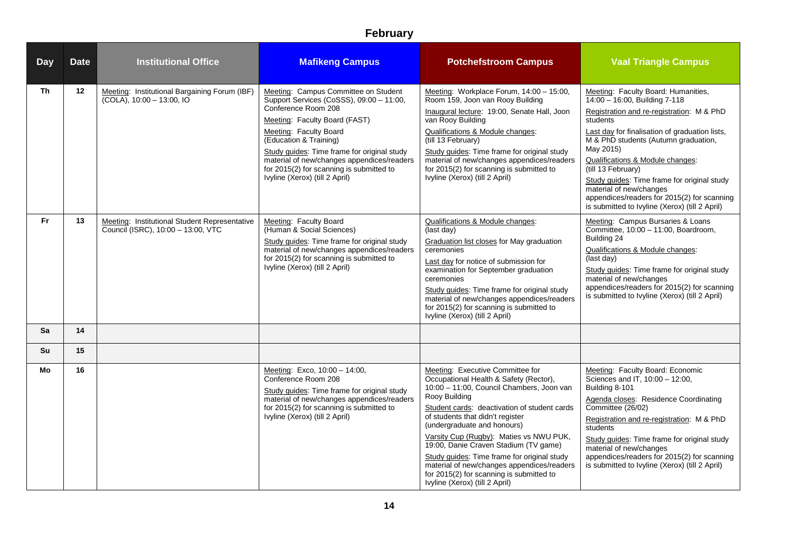| <b>Day</b> | <b>Date</b> | <b>Institutional Office</b>                                                         | <b>Mafikeng Campus</b>                                                                                                                                                                                                                                                                                                                                                  | <b>Potchefstroom Campus</b>                                                                                                                                                                                                                                                                                                                                                                                                                                                                                                | <b>Vaal Triangle Campus</b>                                                                                                                                                                                                                                                                                                                                                                                                                                               |
|------------|-------------|-------------------------------------------------------------------------------------|-------------------------------------------------------------------------------------------------------------------------------------------------------------------------------------------------------------------------------------------------------------------------------------------------------------------------------------------------------------------------|----------------------------------------------------------------------------------------------------------------------------------------------------------------------------------------------------------------------------------------------------------------------------------------------------------------------------------------------------------------------------------------------------------------------------------------------------------------------------------------------------------------------------|---------------------------------------------------------------------------------------------------------------------------------------------------------------------------------------------------------------------------------------------------------------------------------------------------------------------------------------------------------------------------------------------------------------------------------------------------------------------------|
| <b>Th</b>  | $12 \,$     | Meeting: Institutional Bargaining Forum (IBF)<br>$(COLA)$ , 10:00 - 13:00, IO       | Meeting: Campus Committee on Student<br>Support Services (CoSSS), 09:00 - 11:00,<br>Conference Room 208<br>Meeting: Faculty Board (FAST)<br>Meeting: Faculty Board<br>(Education & Training)<br>Study guides: Time frame for original study<br>material of new/changes appendices/readers<br>for 2015(2) for scanning is submitted to<br>Ivyline (Xerox) (till 2 April) | Meeting: Workplace Forum, 14:00 - 15:00,<br>Room 159, Joon van Rooy Building<br>Inaugural lecture: 19:00, Senate Hall, Joon<br>van Rooy Building<br>Qualifications & Module changes:<br>(till 13 February)<br>Study guides: Time frame for original study<br>material of new/changes appendices/readers<br>for 2015(2) for scanning is submitted to<br>Ivyline (Xerox) (till 2 April)                                                                                                                                      | Meeting: Faculty Board: Humanities,<br>14:00 - 16:00, Building 7-118<br>Registration and re-registration: M & PhD<br>students<br>Last day for finalisation of graduation lists,<br>M & PhD students (Autumn graduation,<br>May 2015)<br>Qualifications & Module changes:<br>(till 13 February)<br>Study guides: Time frame for original study<br>material of new/changes<br>appendices/readers for 2015(2) for scanning<br>is submitted to Ivyline (Xerox) (till 2 April) |
| Fr.        | 13          | Meeting: Institutional Student Representative<br>Council (ISRC), 10:00 - 13:00, VTC | Meeting: Faculty Board<br>(Human & Social Sciences)<br>Study guides: Time frame for original study<br>material of new/changes appendices/readers<br>for 2015(2) for scanning is submitted to<br>Ivyline (Xerox) (till 2 April)                                                                                                                                          | Qualifications & Module changes:<br>(last day)<br><b>Graduation list closes for May graduation</b><br>ceremonies<br>Last day for notice of submission for<br>examination for September graduation<br>ceremonies<br>Study guides: Time frame for original study<br>material of new/changes appendices/readers<br>for 2015(2) for scanning is submitted to<br>Ivyline (Xerox) (till 2 April)                                                                                                                                 | Meeting: Campus Bursaries & Loans<br>Committee, 10:00 - 11:00, Boardroom,<br>Building 24<br>Qualifications & Module changes:<br>(last day)<br>Study guides: Time frame for original study<br>material of new/changes<br>appendices/readers for 2015(2) for scanning<br>is submitted to Ivyline (Xerox) (till 2 April)                                                                                                                                                     |
| Sa         | 14          |                                                                                     |                                                                                                                                                                                                                                                                                                                                                                         |                                                                                                                                                                                                                                                                                                                                                                                                                                                                                                                            |                                                                                                                                                                                                                                                                                                                                                                                                                                                                           |
| Su         | 15          |                                                                                     |                                                                                                                                                                                                                                                                                                                                                                         |                                                                                                                                                                                                                                                                                                                                                                                                                                                                                                                            |                                                                                                                                                                                                                                                                                                                                                                                                                                                                           |
| Mo         | 16          |                                                                                     | Meeting: Exco, 10:00 - 14:00,<br>Conference Room 208<br>Study guides: Time frame for original study<br>material of new/changes appendices/readers<br>for 2015(2) for scanning is submitted to<br>Ivyline (Xerox) (till 2 April)                                                                                                                                         | Meeting: Executive Committee for<br>Occupational Health & Safety (Rector),<br>10:00 - 11:00, Council Chambers, Joon van<br>Rooy Building<br>Student cards: deactivation of student cards<br>of students that didn't register<br>(undergraduate and honours)<br>Varsity Cup (Rugby): Maties vs NWU PUK,<br>19:00, Danie Craven Stadium (TV game)<br>Study guides: Time frame for original study<br>material of new/changes appendices/readers<br>for 2015(2) for scanning is submitted to<br>Ivyline (Xerox) (till 2 April) | Meeting: Faculty Board: Economic<br>Sciences and IT, 10:00 - 12:00,<br>Building 8-101<br>Agenda closes: Residence Coordinating<br>Committee (26/02)<br>Registration and re-registration: M & PhD<br>students<br>Study guides: Time frame for original study<br>material of new/changes<br>appendices/readers for 2015(2) for scanning<br>is submitted to Ivyline (Xerox) (till 2 April)                                                                                   |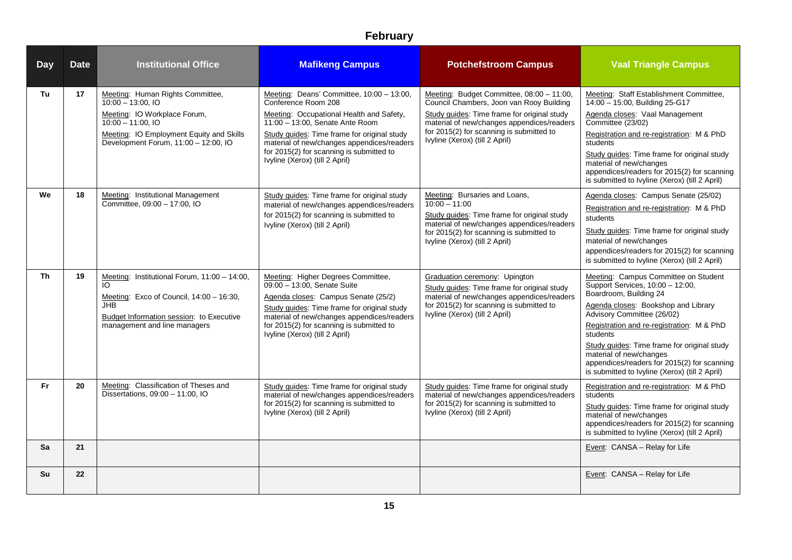| <b>Day</b> | <b>Date</b> | <b>Institutional Office</b>                                                                                                                                                                         | <b>Mafikeng Campus</b>                                                                                                                                                                                                                                                                                                     | <b>Potchefstroom Campus</b>                                                                                                                                                                                                                                      | <b>Vaal Triangle Campus</b>                                                                                                                                                                                                                                                                                                                                                                                 |
|------------|-------------|-----------------------------------------------------------------------------------------------------------------------------------------------------------------------------------------------------|----------------------------------------------------------------------------------------------------------------------------------------------------------------------------------------------------------------------------------------------------------------------------------------------------------------------------|------------------------------------------------------------------------------------------------------------------------------------------------------------------------------------------------------------------------------------------------------------------|-------------------------------------------------------------------------------------------------------------------------------------------------------------------------------------------------------------------------------------------------------------------------------------------------------------------------------------------------------------------------------------------------------------|
| Tu         | 17          | Meeting: Human Rights Committee,<br>$10:00 - 13:00.$ IO<br>Meeting: IO Workplace Forum,<br>$10:00 - 11:00$ , IO<br>Meeting: IO Employment Equity and Skills<br>Development Forum, 11:00 - 12:00, IO | Meeting: Deans' Committee, 10:00 - 13:00,<br>Conference Room 208<br>Meeting: Occupational Health and Safety,<br>11:00 - 13:00, Senate Ante Room<br>Study guides: Time frame for original study<br>material of new/changes appendices/readers<br>for 2015(2) for scanning is submitted to<br>Ivyline (Xerox) (till 2 April) | Meeting: Budget Committee, 08:00 - 11:00,<br>Council Chambers, Joon van Rooy Building<br>Study guides: Time frame for original study<br>material of new/changes appendices/readers<br>for 2015(2) for scanning is submitted to<br>Ivyline (Xerox) (till 2 April) | Meeting: Staff Establishment Committee,<br>14:00 - 15:00, Building 25-G17<br>Agenda closes: Vaal Management<br>Committee (23/02)<br>Registration and re-registration: M & PhD<br>students<br>Study guides: Time frame for original study<br>material of new/changes<br>appendices/readers for 2015(2) for scanning<br>is submitted to Ivyline (Xerox) (till 2 April)                                        |
| We         | 18          | Meeting: Institutional Management<br>Committee, 09:00 - 17:00, IO                                                                                                                                   | Study quides: Time frame for original study<br>material of new/changes appendices/readers<br>for 2015(2) for scanning is submitted to<br>Ivyline (Xerox) (till 2 April)                                                                                                                                                    | Meeting: Bursaries and Loans,<br>$10:00 - 11:00$<br>Study guides: Time frame for original study<br>material of new/changes appendices/readers<br>for 2015(2) for scanning is submitted to<br>Ivyline (Xerox) (till 2 April)                                      | Agenda closes: Campus Senate (25/02)<br>Registration and re-registration: M & PhD<br>students<br>Study guides: Time frame for original study<br>material of new/changes<br>appendices/readers for 2015(2) for scanning<br>is submitted to Ivyline (Xerox) (till 2 April)                                                                                                                                    |
| Th         | 19          | Meeting: Institutional Forum, 11:00 - 14:00,<br>IO.<br>Meeting: Exco of Council, 14:00 - 16:30,<br>JHB.<br><b>Budget Information session:</b> to Executive<br>management and line managers          | Meeting: Higher Degrees Committee,<br>09:00 - 13:00, Senate Suite<br>Agenda closes: Campus Senate (25/2)<br>Study guides: Time frame for original study<br>material of new/changes appendices/readers<br>for 2015(2) for scanning is submitted to<br>Ivyline (Xerox) (till 2 April)                                        | Graduation ceremony: Upington<br>Study guides: Time frame for original study<br>material of new/changes appendices/readers<br>for 2015(2) for scanning is submitted to<br>Ivyline (Xerox) (till 2 April)                                                         | Meeting: Campus Committee on Student<br>Support Services, 10:00 - 12:00,<br>Boardroom, Building 24<br>Agenda closes: Bookshop and Library<br>Advisory Committee (26/02)<br>Registration and re-registration: M & PhD<br>students<br>Study guides: Time frame for original study<br>material of new/changes<br>appendices/readers for 2015(2) for scanning<br>is submitted to Ivyline (Xerox) (till 2 April) |
| Fr         | 20          | Meeting: Classification of Theses and<br>Dissertations, 09:00 - 11:00, IO                                                                                                                           | Study guides: Time frame for original study<br>material of new/changes appendices/readers<br>for 2015(2) for scanning is submitted to<br>Ivyline (Xerox) (till 2 April)                                                                                                                                                    | Study guides: Time frame for original study<br>material of new/changes appendices/readers<br>for 2015(2) for scanning is submitted to<br>Ivyline (Xerox) (till 2 April)                                                                                          | Registration and re-registration: M & PhD<br>students<br>Study guides: Time frame for original study<br>material of new/changes<br>appendices/readers for 2015(2) for scanning<br>is submitted to Ivyline (Xerox) (till 2 April)                                                                                                                                                                            |
| <b>Sa</b>  | 21          |                                                                                                                                                                                                     |                                                                                                                                                                                                                                                                                                                            |                                                                                                                                                                                                                                                                  | Event: CANSA - Relay for Life                                                                                                                                                                                                                                                                                                                                                                               |
| Su         | 22          |                                                                                                                                                                                                     |                                                                                                                                                                                                                                                                                                                            |                                                                                                                                                                                                                                                                  | Event: CANSA - Relay for Life                                                                                                                                                                                                                                                                                                                                                                               |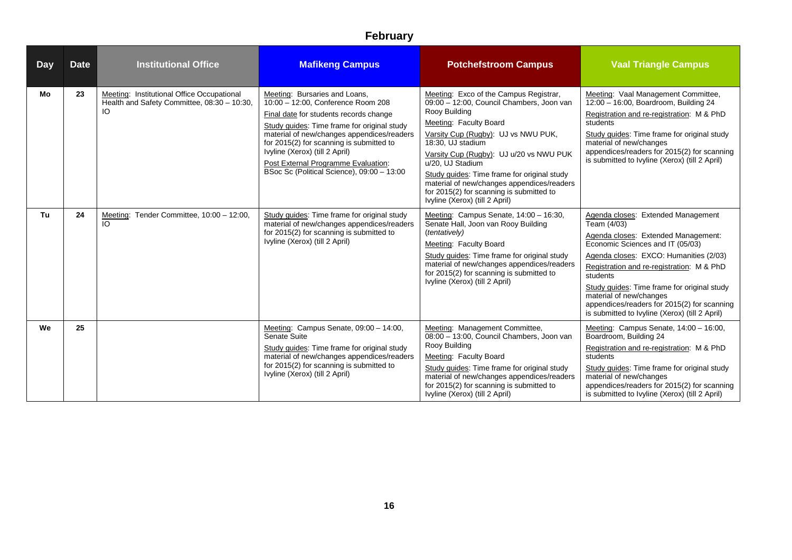| <b>Day</b> | <b>Date</b> | <b>Institutional Office</b>                                                                      | <b>Mafikeng Campus</b>                                                                                                                                                                                                                                                                                                                                                        | <b>Potchefstroom Campus</b>                                                                                                                                                                                                                                                                                                                                                                                                          | <b>Vaal Triangle Campus</b>                                                                                                                                                                                                                                                                                                                                                                                |
|------------|-------------|--------------------------------------------------------------------------------------------------|-------------------------------------------------------------------------------------------------------------------------------------------------------------------------------------------------------------------------------------------------------------------------------------------------------------------------------------------------------------------------------|--------------------------------------------------------------------------------------------------------------------------------------------------------------------------------------------------------------------------------------------------------------------------------------------------------------------------------------------------------------------------------------------------------------------------------------|------------------------------------------------------------------------------------------------------------------------------------------------------------------------------------------------------------------------------------------------------------------------------------------------------------------------------------------------------------------------------------------------------------|
| Mo         | 23          | Meeting: Institutional Office Occupational<br>Health and Safety Committee, 08:30 - 10:30,<br>IO. | Meeting: Bursaries and Loans.<br>10:00 - 12:00, Conference Room 208<br>Final date for students records change<br>Study quides: Time frame for original study<br>material of new/changes appendices/readers<br>for 2015(2) for scanning is submitted to<br>Ivyline (Xerox) (till 2 April)<br>Post External Programme Evaluation:<br>BSoc Sc (Political Science), 09:00 - 13:00 | Meeting: Exco of the Campus Registrar,<br>09:00 - 12:00, Council Chambers, Joon van<br>Rooy Building<br>Meeting: Faculty Board<br>Varsity Cup (Rugby): UJ vs NWU PUK,<br>18:30. UJ stadium<br>Varsity Cup (Rugby): UJ u/20 vs NWU PUK<br>u/20, UJ Stadium<br>Study quides: Time frame for original study<br>material of new/changes appendices/readers<br>for 2015(2) for scanning is submitted to<br>Ivyline (Xerox) (till 2 April) | Meeting: Vaal Management Committee,<br>12:00 - 16:00, Boardroom, Building 24<br>Registration and re-registration: M & PhD<br>students<br>Study guides: Time frame for original study<br>material of new/changes<br>appendices/readers for 2015(2) for scanning<br>is submitted to Ivyline (Xerox) (till 2 April)                                                                                           |
| Tu         | 24          | Meeting: Tender Committee, 10:00 - 12:00,<br>IO                                                  | Study guides: Time frame for original study<br>material of new/changes appendices/readers<br>for 2015(2) for scanning is submitted to<br>Ivyline (Xerox) (till 2 April)                                                                                                                                                                                                       | Meeting: Campus Senate, 14:00 - 16:30,<br>Senate Hall, Joon van Rooy Building<br>(tentatively)<br>Meeting: Faculty Board<br>Study guides: Time frame for original study<br>material of new/changes appendices/readers<br>for 2015(2) for scanning is submitted to<br>Ivyline (Xerox) (till 2 April)                                                                                                                                  | Agenda closes: Extended Management<br>Team (4/03)<br>Agenda closes: Extended Management:<br>Economic Sciences and IT (05/03)<br>Agenda closes: EXCO: Humanities (2/03)<br>Registration and re-registration: M & PhD<br>students<br>Study guides: Time frame for original study<br>material of new/changes<br>appendices/readers for 2015(2) for scanning<br>is submitted to Ivyline (Xerox) (till 2 April) |
| We         | 25          |                                                                                                  | Meeting: Campus Senate, 09:00 - 14:00,<br>Senate Suite<br>Study guides: Time frame for original study<br>material of new/changes appendices/readers<br>for 2015(2) for scanning is submitted to<br>Ivyline (Xerox) (till 2 April)                                                                                                                                             | Meeting: Management Committee,<br>08:00 - 13:00, Council Chambers, Joon van<br>Rooy Building<br>Meeting: Faculty Board<br>Study quides: Time frame for original study<br>material of new/changes appendices/readers<br>for 2015(2) for scanning is submitted to<br>Ivyline (Xerox) (till 2 April)                                                                                                                                    | Meeting: Campus Senate, 14:00 - 16:00,<br>Boardroom, Building 24<br>Registration and re-registration: M & PhD<br>students<br>Study guides: Time frame for original study<br>material of new/changes<br>appendices/readers for 2015(2) for scanning<br>is submitted to Ivyline (Xerox) (till 2 April)                                                                                                       |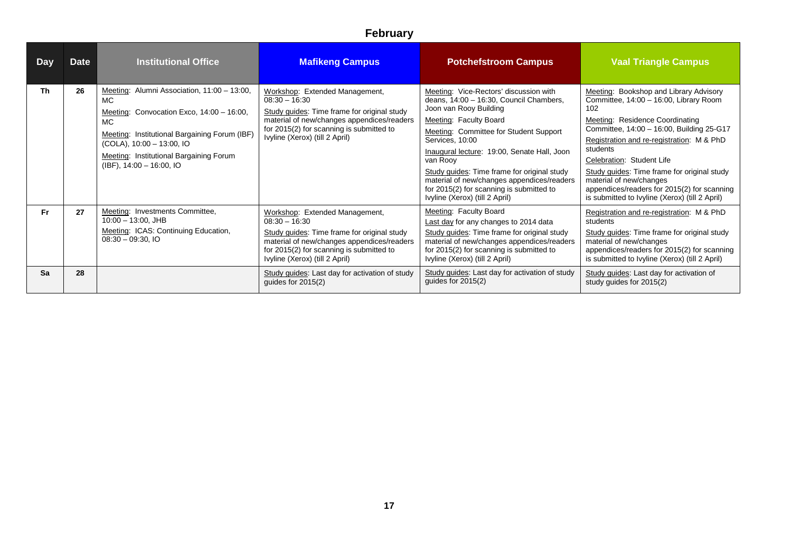| <b>Day</b> | <b>Date</b> | <b>Institutional Office</b>                                                                                                                                                                                                                                          | <b>Mafikeng Campus</b>                                                                                                                                                                                                       | <b>Potchefstroom Campus</b>                                                                                                                                                                                                                                                                                                                                                                                                              | <b>Vaal Triangle Campus</b>                                                                                                                                                                                                                                                                                                                                                                                                              |
|------------|-------------|----------------------------------------------------------------------------------------------------------------------------------------------------------------------------------------------------------------------------------------------------------------------|------------------------------------------------------------------------------------------------------------------------------------------------------------------------------------------------------------------------------|------------------------------------------------------------------------------------------------------------------------------------------------------------------------------------------------------------------------------------------------------------------------------------------------------------------------------------------------------------------------------------------------------------------------------------------|------------------------------------------------------------------------------------------------------------------------------------------------------------------------------------------------------------------------------------------------------------------------------------------------------------------------------------------------------------------------------------------------------------------------------------------|
| Th         | 26          | Meeting: Alumni Association, 11:00 - 13:00,<br>MC.<br>Meeting: Convocation Exco, 14:00 - 16:00,<br><b>MC</b><br>Meeting: Institutional Bargaining Forum (IBF)<br>(COLA), 10:00 - 13:00, IO<br>Meeting: Institutional Bargaining Forum<br>$(IBF)$ , 14:00 - 16:00, IO | Workshop: Extended Management,<br>$08:30 - 16:30$<br>Study guides: Time frame for original study<br>material of new/changes appendices/readers<br>for 2015(2) for scanning is submitted to<br>Ivyline (Xerox) (till 2 April) | Meeting: Vice-Rectors' discussion with<br>deans, 14:00 - 16:30, Council Chambers,<br>Joon van Rooy Building<br>Meeting: Faculty Board<br>Meeting: Committee for Student Support<br>Services, 10:00<br>Inaugural lecture: 19:00, Senate Hall, Joon<br>van Rooy<br>Study guides: Time frame for original study<br>material of new/changes appendices/readers<br>for 2015(2) for scanning is submitted to<br>Ivyline (Xerox) (till 2 April) | Meeting: Bookshop and Library Advisory<br>Committee, 14:00 - 16:00, Library Room<br>102<br>Meeting: Residence Coordinating<br>Committee, 14:00 - 16:00, Building 25-G17<br>Registration and re-registration: M & PhD<br>students<br>Celebration: Student Life<br>Study guides: Time frame for original study<br>material of new/changes<br>appendices/readers for 2015(2) for scanning<br>is submitted to Ivyline (Xerox) (till 2 April) |
| Fr.        | 27          | Meeting: Investments Committee,<br>$10:00 - 13:00$ , JHB<br>Meeting: ICAS: Continuing Education,<br>$08:30 - 09:30, 10$                                                                                                                                              | Workshop: Extended Management,<br>$08:30 - 16:30$<br>Study guides: Time frame for original study<br>material of new/changes appendices/readers<br>for 2015(2) for scanning is submitted to<br>Ivyline (Xerox) (till 2 April) | Meeting: Faculty Board<br>Last day for any changes to 2014 data<br>Study guides: Time frame for original study<br>material of new/changes appendices/readers<br>for 2015(2) for scanning is submitted to<br>Ivyline (Xerox) (till 2 April)                                                                                                                                                                                               | Registration and re-registration: M & PhD<br>students<br>Study guides: Time frame for original study<br>material of new/changes<br>appendices/readers for 2015(2) for scanning<br>is submitted to Ivyline (Xerox) (till 2 April)                                                                                                                                                                                                         |
| Sa         | 28          |                                                                                                                                                                                                                                                                      | Study guides: Last day for activation of study<br>guides for $2015(2)$                                                                                                                                                       | Study guides: Last day for activation of study<br>guides for $2015(2)$                                                                                                                                                                                                                                                                                                                                                                   | Study guides: Last day for activation of<br>study guides for 2015(2)                                                                                                                                                                                                                                                                                                                                                                     |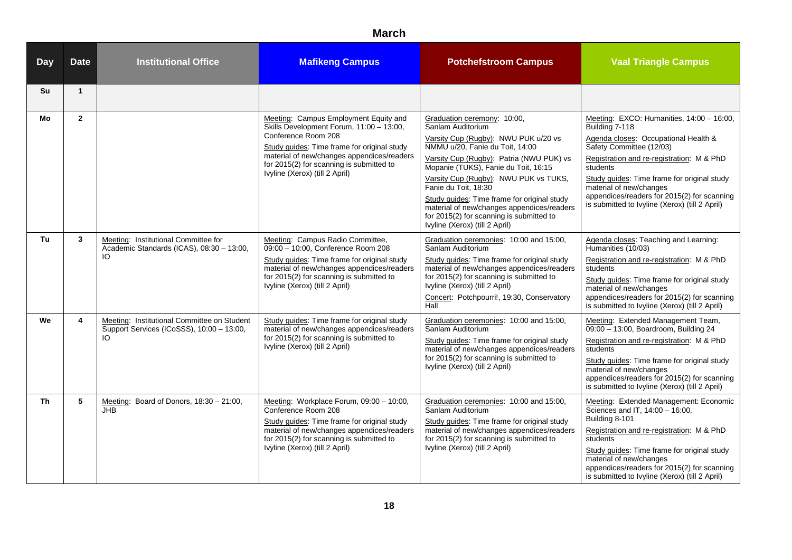| <b>Day</b> | <b>Date</b>    | <b>Institutional Office</b>                                                                     | <b>Mafikeng Campus</b>                                                                                                                                                                                                                                                              | <b>Potchefstroom Campus</b>                                                                                                                                                                                                                                                                                                                                                                                                                                 | <b>Vaal Triangle Campus</b>                                                                                                                                                                                                                                                                                                                                         |
|------------|----------------|-------------------------------------------------------------------------------------------------|-------------------------------------------------------------------------------------------------------------------------------------------------------------------------------------------------------------------------------------------------------------------------------------|-------------------------------------------------------------------------------------------------------------------------------------------------------------------------------------------------------------------------------------------------------------------------------------------------------------------------------------------------------------------------------------------------------------------------------------------------------------|---------------------------------------------------------------------------------------------------------------------------------------------------------------------------------------------------------------------------------------------------------------------------------------------------------------------------------------------------------------------|
| Su         | $\mathbf{1}$   |                                                                                                 |                                                                                                                                                                                                                                                                                     |                                                                                                                                                                                                                                                                                                                                                                                                                                                             |                                                                                                                                                                                                                                                                                                                                                                     |
| Mo         | $\overline{2}$ |                                                                                                 | Meeting: Campus Employment Equity and<br>Skills Development Forum, 11:00 - 13:00,<br>Conference Room 208<br>Study guides: Time frame for original study<br>material of new/changes appendices/readers<br>for 2015(2) for scanning is submitted to<br>Ivyline (Xerox) (till 2 April) | Graduation ceremony: 10:00,<br>Sanlam Auditorium<br>Varsity Cup (Rugby): NWU PUK u/20 vs<br>NMMU u/20, Fanie du Toit, 14:00<br>Varsity Cup (Rugby): Patria (NWU PUK) vs<br>Mopanie (TUKS), Fanie du Toit, 16:15<br>Varsity Cup (Rugby): NWU PUK vs TUKS,<br>Fanie du Toit, 18:30<br>Study guides: Time frame for original study<br>material of new/changes appendices/readers<br>for 2015(2) for scanning is submitted to<br>Ivyline (Xerox) (till 2 April) | Meeting: EXCO: Humanities, 14:00 - 16:00,<br>Building 7-118<br>Agenda closes: Occupational Health &<br>Safety Committee (12/03)<br>Registration and re-registration: M & PhD<br>students<br>Study guides: Time frame for original study<br>material of new/changes<br>appendices/readers for 2015(2) for scanning<br>is submitted to Ivyline (Xerox) (till 2 April) |
| Tu         | $\mathbf{3}$   | Meeting: Institutional Committee for<br>Academic Standards (ICAS), 08:30 - 13:00,<br>IO         | Meeting: Campus Radio Committee,<br>09:00 - 10:00, Conference Room 208<br>Study guides: Time frame for original study<br>material of new/changes appendices/readers<br>for 2015(2) for scanning is submitted to<br>Ivyline (Xerox) (till 2 April)                                   | Graduation ceremonies: 10:00 and 15:00,<br>Sanlam Auditorium<br>Study guides: Time frame for original study<br>material of new/changes appendices/readers<br>for 2015(2) for scanning is submitted to<br>Ivyline (Xerox) (till 2 April)<br>Concert: Potchpourri!, 19:30, Conservatory<br>Hall                                                                                                                                                               | Agenda closes: Teaching and Learning:<br>Humanities (10/03)<br>Registration and re-registration: M & PhD<br>students<br>Study guides: Time frame for original study<br>material of new/changes<br>appendices/readers for 2015(2) for scanning<br>is submitted to Ivyline (Xerox) (till 2 April)                                                                     |
| We         | 4              | Meeting: Institutional Committee on Student<br>Support Services (ICoSSS), 10:00 - 13:00,<br>IO. | Study guides: Time frame for original study<br>material of new/changes appendices/readers<br>for 2015(2) for scanning is submitted to<br>Ivyline (Xerox) (till 2 April)                                                                                                             | Graduation ceremonies: 10:00 and 15:00,<br>Sanlam Auditorium<br>Study guides: Time frame for original study<br>material of new/changes appendices/readers<br>for 2015(2) for scanning is submitted to<br>Ivyline (Xerox) (till 2 April)                                                                                                                                                                                                                     | Meeting: Extended Management Team,<br>09:00 - 13:00, Boardroom, Building 24<br>Registration and re-registration: M & PhD<br>students<br>Study guides: Time frame for original study<br>material of new/changes<br>appendices/readers for 2015(2) for scanning<br>is submitted to Ivyline (Xerox) (till 2 April)                                                     |
| <b>Th</b>  | 5              | Meeting: Board of Donors, 18:30 - 21:00,<br><b>JHB</b>                                          | Meeting: Workplace Forum, 09:00 - 10:00,<br>Conference Room 208<br>Study guides: Time frame for original study<br>material of new/changes appendices/readers<br>for 2015(2) for scanning is submitted to<br>Ivyline (Xerox) (till 2 April)                                          | Graduation ceremonies: 10:00 and 15:00,<br>Sanlam Auditorium<br>Study guides: Time frame for original study<br>material of new/changes appendices/readers<br>for 2015(2) for scanning is submitted to<br>Ivyline (Xerox) (till 2 April)                                                                                                                                                                                                                     | Meeting: Extended Management: Economic<br>Sciences and IT, 14:00 - 16:00,<br>Building 8-101<br>Registration and re-registration: M & PhD<br>students<br>Study guides: Time frame for original study<br>material of new/changes<br>appendices/readers for 2015(2) for scanning<br>is submitted to Ivyline (Xerox) (till 2 April)                                     |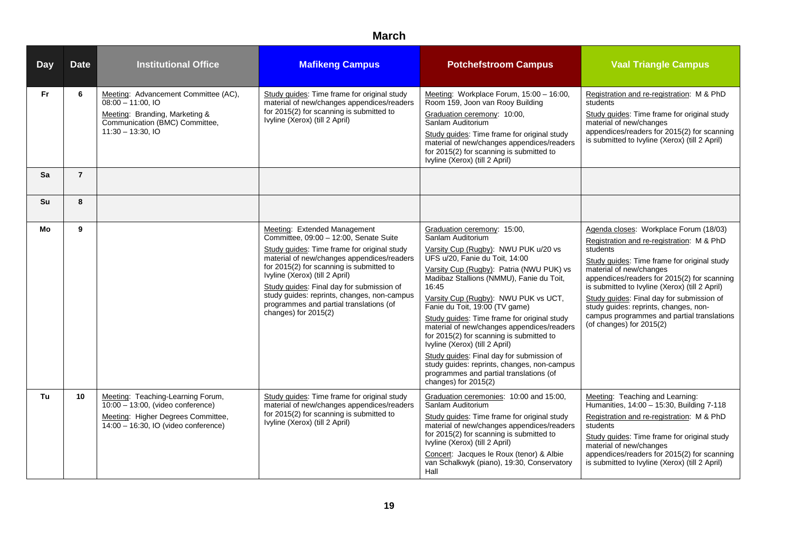| <b>Day</b> | <b>Date</b>    | <b>Institutional Office</b>                                                                                                                                          | <b>Mafikeng Campus</b>                                                                                                                                                                                                                                                                                                                                                                                             | <b>Potchefstroom Campus</b>                                                                                                                                                                                                                                                                                                                                                                                                                                                                                                                                                                                                                     | <b>Vaal Triangle Campus</b>                                                                                                                                                                                                                                                                                                                                                                                                                |
|------------|----------------|----------------------------------------------------------------------------------------------------------------------------------------------------------------------|--------------------------------------------------------------------------------------------------------------------------------------------------------------------------------------------------------------------------------------------------------------------------------------------------------------------------------------------------------------------------------------------------------------------|-------------------------------------------------------------------------------------------------------------------------------------------------------------------------------------------------------------------------------------------------------------------------------------------------------------------------------------------------------------------------------------------------------------------------------------------------------------------------------------------------------------------------------------------------------------------------------------------------------------------------------------------------|--------------------------------------------------------------------------------------------------------------------------------------------------------------------------------------------------------------------------------------------------------------------------------------------------------------------------------------------------------------------------------------------------------------------------------------------|
| Fr.        | 6              | Meeting: Advancement Committee (AC),<br>$08:00 - 11:00.10$<br>Meeting: Branding, Marketing &<br>Communication (BMC) Committee,<br>$11:30 - 13:30$ , IO               | Study guides: Time frame for original study<br>material of new/changes appendices/readers<br>for 2015(2) for scanning is submitted to<br>Ivyline (Xerox) (till 2 April)                                                                                                                                                                                                                                            | Meeting: Workplace Forum, 15:00 - 16:00,<br>Room 159, Joon van Rooy Building<br>Graduation ceremony: 10:00,<br>Sanlam Auditorium<br>Study guides: Time frame for original study<br>material of new/changes appendices/readers<br>for 2015(2) for scanning is submitted to<br>Ivyline (Xerox) (till 2 April)                                                                                                                                                                                                                                                                                                                                     | Registration and re-registration: M & PhD<br>students<br>Study guides: Time frame for original study<br>material of new/changes<br>appendices/readers for 2015(2) for scanning<br>is submitted to Ivyline (Xerox) (till 2 April)                                                                                                                                                                                                           |
| Sa         | $\overline{7}$ |                                                                                                                                                                      |                                                                                                                                                                                                                                                                                                                                                                                                                    |                                                                                                                                                                                                                                                                                                                                                                                                                                                                                                                                                                                                                                                 |                                                                                                                                                                                                                                                                                                                                                                                                                                            |
| Su         | 8              |                                                                                                                                                                      |                                                                                                                                                                                                                                                                                                                                                                                                                    |                                                                                                                                                                                                                                                                                                                                                                                                                                                                                                                                                                                                                                                 |                                                                                                                                                                                                                                                                                                                                                                                                                                            |
| Mo         | 9              |                                                                                                                                                                      | Meeting: Extended Management<br>Committee, 09:00 - 12:00, Senate Suite<br>Study guides: Time frame for original study<br>material of new/changes appendices/readers<br>for 2015(2) for scanning is submitted to<br>Ivyline (Xerox) (till 2 April)<br>Study quides: Final day for submission of<br>study guides: reprints, changes, non-campus<br>programmes and partial translations (of<br>changes) for $2015(2)$ | Graduation ceremony: 15:00,<br>Sanlam Auditorium<br>Varsity Cup (Rugby): NWU PUK u/20 vs<br>UFS u/20, Fanie du Toit, 14:00<br>Varsity Cup (Rugby): Patria (NWU PUK) vs<br>Madibaz Stallions (NMMU), Fanie du Toit,<br>16:45<br>Varsity Cup (Rugby): NWU PUK vs UCT,<br>Fanie du Toit, 19:00 (TV game)<br>Study quides: Time frame for original study<br>material of new/changes appendices/readers<br>for 2015(2) for scanning is submitted to<br>Ivyline (Xerox) (till 2 April)<br>Study guides: Final day for submission of<br>study guides: reprints, changes, non-campus<br>programmes and partial translations (of<br>changes) for 2015(2) | Agenda closes: Workplace Forum (18/03)<br>Registration and re-registration: M & PhD<br>students<br>Study guides: Time frame for original study<br>material of new/changes<br>appendices/readers for 2015(2) for scanning<br>is submitted to Ivyline (Xerox) (till 2 April)<br>Study guides: Final day for submission of<br>study guides: reprints, changes, non-<br>campus programmes and partial translations<br>(of changes) for 2015(2) |
| Tu         | 10             | Meeting: Teaching-Learning Forum,<br>$\overline{10.00}$ – 13.00, (video conference)<br>Meeting: Higher Degrees Committee,<br>$14:00 - 16:30$ , IO (video conference) | Study quides: Time frame for original study<br>material of new/changes appendices/readers<br>for 2015(2) for scanning is submitted to<br>Ivyline (Xerox) (till 2 April)                                                                                                                                                                                                                                            | Graduation ceremonies: 10:00 and 15:00,<br>Sanlam Auditorium<br>Study guides: Time frame for original study<br>material of new/changes appendices/readers<br>for 2015(2) for scanning is submitted to<br>Ivyline (Xerox) (till 2 April)<br>Concert: Jacques le Roux (tenor) & Albie<br>van Schalkwyk (piano), 19:30, Conservatory<br>Hall                                                                                                                                                                                                                                                                                                       | Meeting: Teaching and Learning:<br>Humanities, 14:00 - 15:30, Building 7-118<br>Registration and re-registration: M & PhD<br>students<br>Study guides: Time frame for original study<br>material of new/changes<br>appendices/readers for 2015(2) for scanning<br>is submitted to Ivyline (Xerox) (till 2 April)                                                                                                                           |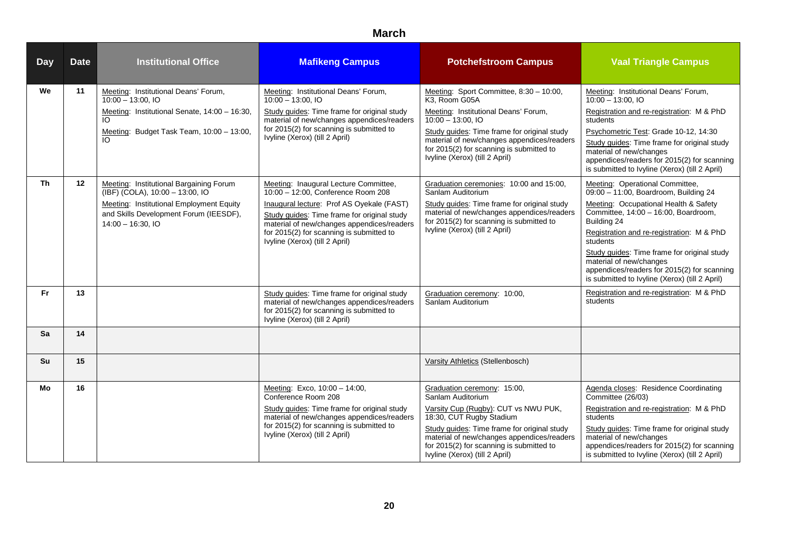| <b>Day</b> | <b>Date</b> | <b>Institutional Office</b>                                                                                                                                                                                                                 | <b>Mafikeng Campus</b>                                                                                                                                                                                                                                                                              | <b>Potchefstroom Campus</b>                                                                                                                                                                                                                                                                       | <b>Vaal Triangle Campus</b>                                                                                                                                                                                                                                                                                                                                                                                  |
|------------|-------------|---------------------------------------------------------------------------------------------------------------------------------------------------------------------------------------------------------------------------------------------|-----------------------------------------------------------------------------------------------------------------------------------------------------------------------------------------------------------------------------------------------------------------------------------------------------|---------------------------------------------------------------------------------------------------------------------------------------------------------------------------------------------------------------------------------------------------------------------------------------------------|--------------------------------------------------------------------------------------------------------------------------------------------------------------------------------------------------------------------------------------------------------------------------------------------------------------------------------------------------------------------------------------------------------------|
| We         | 11          | Meeting: Institutional Deans' Forum,<br>$10:00 - 13:00$ , IO<br>Meeting: Institutional Senate, 14:00 - 16:30,<br>Meeting: Budget Task Team, 10:00 - 13:00,                                                                                  | Meeting: Institutional Deans' Forum,<br>$10:00 - 13:00$ , IO<br>Study guides: Time frame for original study<br>material of new/changes appendices/readers<br>for 2015(2) for scanning is submitted to<br>Ivyline (Xerox) (till 2 April)                                                             | Meeting: Sport Committee, 8:30 - 10:00,<br>K3. Room G05A<br>Meeting: Institutional Deans' Forum,<br>$10:00 - 13:00.10$<br>Study guides: Time frame for original study<br>material of new/changes appendices/readers<br>for 2015(2) for scanning is submitted to<br>Ivyline (Xerox) (till 2 April) | Meeting: Institutional Deans' Forum,<br>$10:00 - 13:00.10$<br>Registration and re-registration: M & PhD<br>students<br>Psychometric Test: Grade 10-12, 14:30<br>Study guides: Time frame for original study<br>material of new/changes<br>appendices/readers for 2015(2) for scanning<br>is submitted to Ivyline (Xerox) (till 2 April)                                                                      |
| Th         | 12          | Meeting: Institutional Bargaining Forum<br>$\overline{(\overline{\mathsf{IBF}})(\overline{\mathsf{COLA}})}$ , 10:00 - 13:00, IO<br>Meeting: Institutional Employment Equity<br>and Skills Development Forum (IEESDF),<br>$14:00 - 16:30,10$ | Meeting: Inaugural Lecture Committee,<br>10:00 - 12:00, Conference Room 208<br>Inaugural lecture: Prof AS Oyekale (FAST)<br>Study guides: Time frame for original study<br>material of new/changes appendices/readers<br>for 2015(2) for scanning is submitted to<br>Ivyline (Xerox) (till 2 April) | Graduation ceremonies: 10:00 and 15:00,<br>Sanlam Auditorium<br>Study guides: Time frame for original study<br>material of new/changes appendices/readers<br>for 2015(2) for scanning is submitted to<br>Ivyline (Xerox) (till 2 April)                                                           | Meeting: Operational Committee,<br>09:00 - 11:00, Boardroom, Building 24<br>Meeting: Occupational Health & Safety<br>Committee, 14:00 - 16:00, Boardroom,<br>Building 24<br>Registration and re-registration: M & PhD<br>students<br>Study guides: Time frame for original study<br>material of new/changes<br>appendices/readers for 2015(2) for scanning<br>is submitted to Ivyline (Xerox) (till 2 April) |
| <b>Fr</b>  | 13          |                                                                                                                                                                                                                                             | Study guides: Time frame for original study<br>material of new/changes appendices/readers<br>for 2015(2) for scanning is submitted to<br>Ivyline (Xerox) (till 2 April)                                                                                                                             | Graduation ceremony: 10:00,<br>Sanlam Auditorium                                                                                                                                                                                                                                                  | Registration and re-registration: M & PhD<br>students                                                                                                                                                                                                                                                                                                                                                        |
| Sa         | 14          |                                                                                                                                                                                                                                             |                                                                                                                                                                                                                                                                                                     |                                                                                                                                                                                                                                                                                                   |                                                                                                                                                                                                                                                                                                                                                                                                              |
| Su         | 15          |                                                                                                                                                                                                                                             |                                                                                                                                                                                                                                                                                                     | Varsity Athletics (Stellenbosch)                                                                                                                                                                                                                                                                  |                                                                                                                                                                                                                                                                                                                                                                                                              |
| Mo         | 16          |                                                                                                                                                                                                                                             | Meeting: Exco, 10:00 - 14:00,<br>Conference Room 208<br>Study guides: Time frame for original study<br>material of new/changes appendices/readers<br>for 2015(2) for scanning is submitted to<br>Ivyline (Xerox) (till 2 April)                                                                     | Graduation ceremony: 15:00,<br>Sanlam Auditorium<br>Varsity Cup (Rugby): CUT vs NWU PUK,<br>18:30, CUT Rugby Stadium<br>Study guides: Time frame for original study<br>material of new/changes appendices/readers<br>for 2015(2) for scanning is submitted to<br>Ivyline (Xerox) (till 2 April)   | Agenda closes: Residence Coordinating<br>Committee (26/03)<br>Registration and re-registration: M & PhD<br>students<br>Study guides: Time frame for original study<br>material of new/changes<br>appendices/readers for 2015(2) for scanning<br>is submitted to Ivyline (Xerox) (till 2 April)                                                                                                               |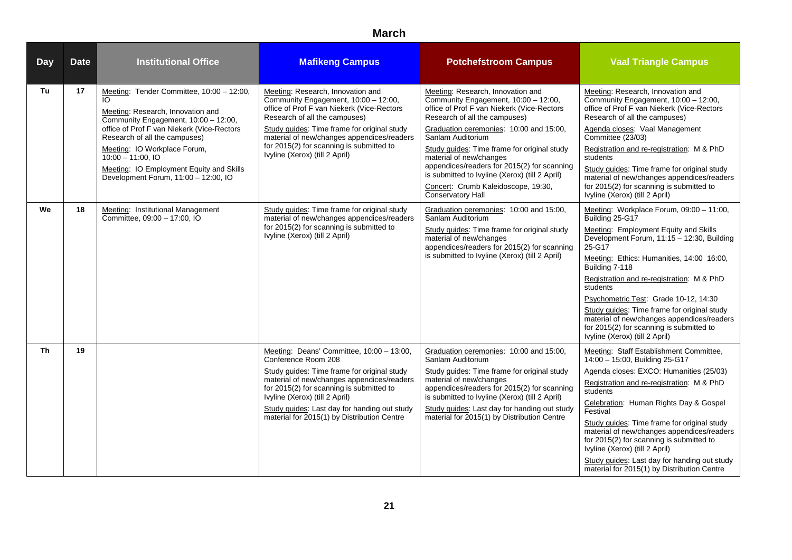| <b>Day</b> | <b>Date</b> | <b>Institutional Office</b>                                                                                                                                                                                                                                                                                                                     | <b>Mafikeng Campus</b>                                                                                                                                                                                                                                                                                                                     | <b>Potchefstroom Campus</b>                                                                                                                                                                                                                                                                                                                                                                                                                                            | <b>Vaal Triangle Campus</b>                                                                                                                                                                                                                                                                                                                                                                                                                                                                                   |
|------------|-------------|-------------------------------------------------------------------------------------------------------------------------------------------------------------------------------------------------------------------------------------------------------------------------------------------------------------------------------------------------|--------------------------------------------------------------------------------------------------------------------------------------------------------------------------------------------------------------------------------------------------------------------------------------------------------------------------------------------|------------------------------------------------------------------------------------------------------------------------------------------------------------------------------------------------------------------------------------------------------------------------------------------------------------------------------------------------------------------------------------------------------------------------------------------------------------------------|---------------------------------------------------------------------------------------------------------------------------------------------------------------------------------------------------------------------------------------------------------------------------------------------------------------------------------------------------------------------------------------------------------------------------------------------------------------------------------------------------------------|
| Tu         | 17          | Meeting: Tender Committee, 10:00 - 12:00,<br>Meeting: Research, Innovation and<br>Community Engagement, 10:00 - 12:00,<br>office of Prof F van Niekerk (Vice-Rectors<br>Research of all the campuses)<br>Meeting: IO Workplace Forum,<br>$10:00 - 11:00.10$<br>Meeting: IO Employment Equity and Skills<br>Development Forum, 11:00 - 12:00, IO | Meeting: Research, Innovation and<br>Community Engagement, 10:00 - 12:00,<br>office of Prof F van Niekerk (Vice-Rectors<br>Research of all the campuses)<br>Study guides: Time frame for original study<br>material of new/changes appendices/readers<br>for 2015(2) for scanning is submitted to<br>Ivyline (Xerox) (till 2 April)        | Meeting: Research, Innovation and<br>Community Engagement, 10:00 - 12:00,<br>office of Prof F van Niekerk (Vice-Rectors<br>Research of all the campuses)<br>Graduation ceremonies: 10:00 and 15:00,<br>Sanlam Auditorium<br>Study guides: Time frame for original study<br>material of new/changes<br>appendices/readers for 2015(2) for scanning<br>is submitted to Ivyline (Xerox) (till 2 April)<br>Concert: Crumb Kaleidoscope, 19:30,<br><b>Conservatory Hall</b> | Meeting: Research, Innovation and<br>Community Engagement, 10:00 - 12:00,<br>office of Prof F van Niekerk (Vice-Rectors<br>Research of all the campuses)<br>Agenda closes: Vaal Management<br>Committee (23/03)<br>Registration and re-registration: M & PhD<br>students<br>Study guides: Time frame for original study<br>material of new/changes appendices/readers<br>for 2015(2) for scanning is submitted to<br>Ivyline (Xerox) (till 2 April)                                                           |
| We         | 18          | Meeting: Institutional Management<br>Committee, 09:00 - 17:00, IO                                                                                                                                                                                                                                                                               | Study guides: Time frame for original study<br>material of new/changes appendices/readers<br>for 2015(2) for scanning is submitted to<br>Ivyline (Xerox) (till 2 April)                                                                                                                                                                    | Graduation ceremonies: 10:00 and 15:00,<br>Sanlam Auditorium<br>Study guides: Time frame for original study<br>material of new/changes<br>appendices/readers for 2015(2) for scanning<br>is submitted to Ivyline (Xerox) (till 2 April)                                                                                                                                                                                                                                | Meeting: Workplace Forum, 09:00 - 11:00,<br>Building 25-G17<br>Meeting: Employment Equity and Skills<br>Development Forum, 11:15 - 12:30, Building<br>25-G17<br>Meeting: Ethics: Humanities, 14:00 16:00,<br>Building 7-118<br>Registration and re-registration: M & PhD<br>students<br>Psychometric Test: Grade 10-12, 14:30<br>Study guides: Time frame for original study<br>material of new/changes appendices/readers<br>for 2015(2) for scanning is submitted to<br>Ivyline (Xerox) (till 2 April)      |
| <b>Th</b>  | 19          |                                                                                                                                                                                                                                                                                                                                                 | Meeting: Deans' Committee, 10:00 - 13:00,<br>Conference Room 208<br>Study guides: Time frame for original study<br>material of new/changes appendices/readers<br>for 2015(2) for scanning is submitted to<br>Ivyline (Xerox) (till 2 April)<br>Study guides: Last day for handing out study<br>material for 2015(1) by Distribution Centre | Graduation ceremonies: 10:00 and 15:00,<br>Sanlam Auditorium<br>Study guides: Time frame for original study<br>material of new/changes<br>appendices/readers for 2015(2) for scanning<br>is submitted to Ivyline (Xerox) (till 2 April)<br>Study guides: Last day for handing out study<br>material for 2015(1) by Distribution Centre                                                                                                                                 | Meeting: Staff Establishment Committee,<br>14:00 - 15:00, Building 25-G17<br>Agenda closes: EXCO: Humanities (25/03)<br>Registration and re-registration: M & PhD<br>students<br>Celebration: Human Rights Day & Gospel<br>Festival<br>Study guides: Time frame for original study<br>material of new/changes appendices/readers<br>for 2015(2) for scanning is submitted to<br>Ivyline (Xerox) (till 2 April)<br>Study guides: Last day for handing out study<br>material for 2015(1) by Distribution Centre |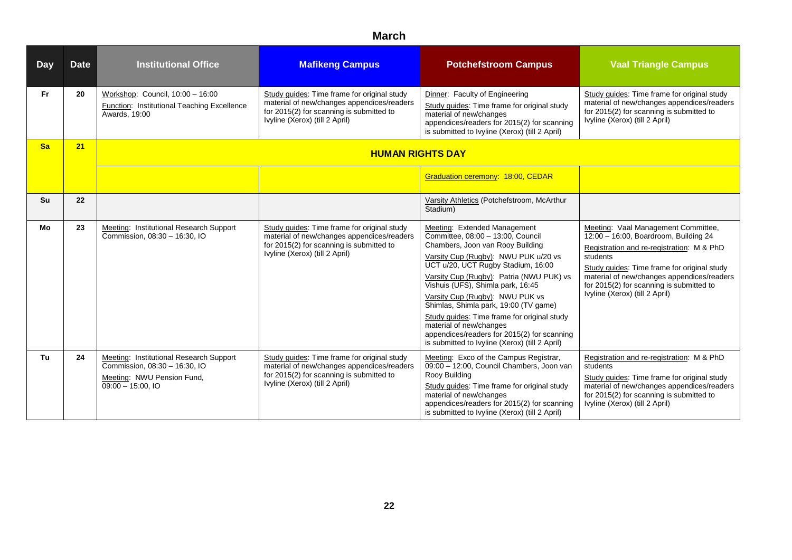| <b>Day</b> | <b>Date</b> | <b>Institutional Office</b>                                                                                                   | <b>Mafikeng Campus</b>                                                                                                                                                  | <b>Potchefstroom Campus</b>                                                                                                                                                                                                                                                                                                                                                                                                                                                                                                 | <b>Vaal Triangle Campus</b>                                                                                                                                                                                                                                                                                      |
|------------|-------------|-------------------------------------------------------------------------------------------------------------------------------|-------------------------------------------------------------------------------------------------------------------------------------------------------------------------|-----------------------------------------------------------------------------------------------------------------------------------------------------------------------------------------------------------------------------------------------------------------------------------------------------------------------------------------------------------------------------------------------------------------------------------------------------------------------------------------------------------------------------|------------------------------------------------------------------------------------------------------------------------------------------------------------------------------------------------------------------------------------------------------------------------------------------------------------------|
| Fr.        | 20          | Workshop: Council, 10:00 - 16:00<br>Function: Institutional Teaching Excellence<br>Awards, 19:00                              | Study guides: Time frame for original study<br>material of new/changes appendices/readers<br>for 2015(2) for scanning is submitted to<br>Ivyline (Xerox) (till 2 April) | Dinner: Faculty of Engineering<br>Study guides: Time frame for original study<br>material of new/changes<br>appendices/readers for 2015(2) for scanning<br>is submitted to Ivyline (Xerox) (till 2 April)                                                                                                                                                                                                                                                                                                                   | Study quides: Time frame for original study<br>material of new/changes appendices/readers<br>for 2015(2) for scanning is submitted to<br>Ivyline (Xerox) (till 2 April)                                                                                                                                          |
| <b>Sa</b>  | 21          |                                                                                                                               | <b>HUMAN RIGHTS DAY</b>                                                                                                                                                 |                                                                                                                                                                                                                                                                                                                                                                                                                                                                                                                             |                                                                                                                                                                                                                                                                                                                  |
|            |             |                                                                                                                               |                                                                                                                                                                         | Graduation ceremony: 18:00, CEDAR                                                                                                                                                                                                                                                                                                                                                                                                                                                                                           |                                                                                                                                                                                                                                                                                                                  |
| Su         | 22          |                                                                                                                               |                                                                                                                                                                         | Varsity Athletics (Potchefstroom, McArthur<br>Stadium)                                                                                                                                                                                                                                                                                                                                                                                                                                                                      |                                                                                                                                                                                                                                                                                                                  |
| Mo         | 23          | Meeting: Institutional Research Support<br>Commission, 08:30 - 16:30, IO                                                      | Study quides: Time frame for original study<br>material of new/changes appendices/readers<br>for 2015(2) for scanning is submitted to<br>Ivyline (Xerox) (till 2 April) | Meeting: Extended Management<br>Committee, 08:00 - 13:00, Council<br>Chambers, Joon van Rooy Building<br>Varsity Cup (Rugby): NWU PUK u/20 vs<br>UCT u/20, UCT Rugby Stadium, 16:00<br>Varsity Cup (Rugby): Patria (NWU PUK) vs<br>Vishuis (UFS), Shimla park, 16:45<br>Varsity Cup (Rugby): NWU PUK vs<br>Shimlas, Shimla park, 19:00 (TV game)<br>Study quides: Time frame for original study<br>material of new/changes<br>appendices/readers for 2015(2) for scanning<br>is submitted to Ivyline (Xerox) (till 2 April) | Meeting: Vaal Management Committee,<br>12:00 - 16:00, Boardroom, Building 24<br>Registration and re-registration: M & PhD<br>students<br>Study quides: Time frame for original study<br>material of new/changes appendices/readers<br>for 2015(2) for scanning is submitted to<br>Ivyline (Xerox) (till 2 April) |
| Tu         | 24          | Meeting: Institutional Research Support<br>Commission, 08:30 - 16:30, IO<br>Meeting: NWU Pension Fund,<br>$09:00 - 15:00.$ IO | Study quides: Time frame for original study<br>material of new/changes appendices/readers<br>for 2015(2) for scanning is submitted to<br>Ivyline (Xerox) (till 2 April) | Meeting: Exco of the Campus Registrar,<br>09:00 - 12:00, Council Chambers, Joon van<br>Rooy Building<br>Study guides: Time frame for original study<br>material of new/changes<br>appendices/readers for 2015(2) for scanning<br>is submitted to Ivyline (Xerox) (till 2 April)                                                                                                                                                                                                                                             | Registration and re-registration: M & PhD<br>students<br>Study guides: Time frame for original study<br>material of new/changes appendices/readers<br>for 2015(2) for scanning is submitted to<br>Ivyline (Xerox) (till 2 April)                                                                                 |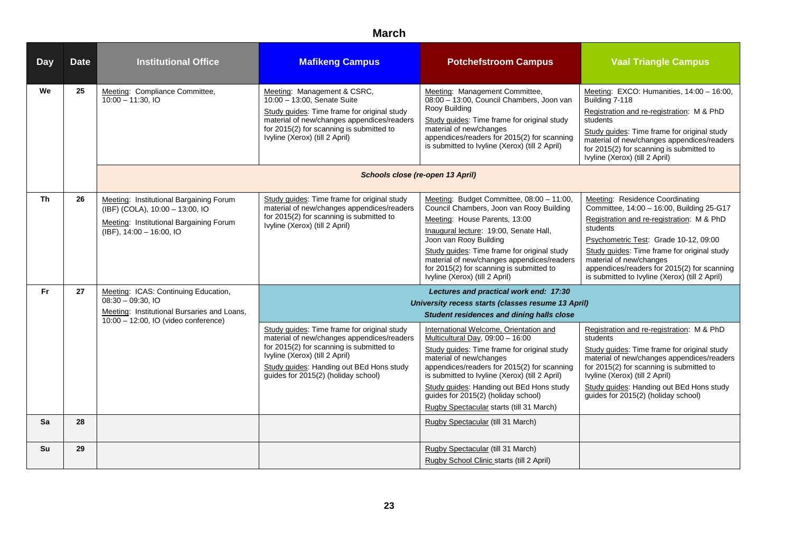| <b>Day</b> | <b>Date</b> | <b>Institutional Office</b>                                                                                                                       | <b>Mafikeng Campus</b>                                                                                                                                                                                                                                     | <b>Potchefstroom Campus</b>                                                                                                                                                                                                                                                                                                                                                          | <b>Vaal Triangle Campus</b>                                                                                                                                                                                                                                                                                                                                      |
|------------|-------------|---------------------------------------------------------------------------------------------------------------------------------------------------|------------------------------------------------------------------------------------------------------------------------------------------------------------------------------------------------------------------------------------------------------------|--------------------------------------------------------------------------------------------------------------------------------------------------------------------------------------------------------------------------------------------------------------------------------------------------------------------------------------------------------------------------------------|------------------------------------------------------------------------------------------------------------------------------------------------------------------------------------------------------------------------------------------------------------------------------------------------------------------------------------------------------------------|
| We         | 25          | Meeting: Compliance Committee,<br>$10:00 - 11:30$ , IO                                                                                            | Meeting: Management & CSRC,<br>10:00 - 13:00, Senate Suite<br>Study guides: Time frame for original study<br>material of new/changes appendices/readers<br>for 2015(2) for scanning is submitted to<br>Ivyline (Xerox) (till 2 April)                      | Meeting: Management Committee,<br>08:00 - 13:00, Council Chambers, Joon van<br>Rooy Building<br>Study guides: Time frame for original study<br>material of new/changes<br>appendices/readers for 2015(2) for scanning<br>is submitted to Ivyline (Xerox) (till 2 April)                                                                                                              | Meeting: EXCO: Humanities, 14:00 - 16:00,<br>Building 7-118<br>Registration and re-registration: M & PhD<br>students<br>Study guides: Time frame for original study<br>material of new/changes appendices/readers<br>for 2015(2) for scanning is submitted to<br>Ivyline (Xerox) (till 2 April)                                                                  |
|            |             |                                                                                                                                                   | Schools close (re-open 13 April)                                                                                                                                                                                                                           |                                                                                                                                                                                                                                                                                                                                                                                      |                                                                                                                                                                                                                                                                                                                                                                  |
| <b>Th</b>  | 26          | Meeting: Institutional Bargaining Forum<br>(IBF) (COLA), 10:00 - 13:00, IO<br>Meeting: Institutional Bargaining Forum<br>(IBF), 14:00 - 16:00, IO | Study guides: Time frame for original study<br>material of new/changes appendices/readers<br>for 2015(2) for scanning is submitted to<br>Ivyline (Xerox) (till 2 April)                                                                                    | Meeting: Budget Committee, 08:00 - 11:00,<br>Council Chambers, Joon van Rooy Building<br>Meeting: House Parents, 13:00<br>Inaugural lecture: 19:00, Senate Hall,<br>Joon van Rooy Building<br>Study guides: Time frame for original study<br>material of new/changes appendices/readers<br>for 2015(2) for scanning is submitted to<br>Ivyline (Xerox) (till 2 April)                | <b>Meeting: Residence Coordinating</b><br>Committee, 14:00 - 16:00, Building 25-G17<br>Registration and re-registration: M & PhD<br>students<br>Psychometric Test: Grade 10-12, 09:00<br>Study guides: Time frame for original study<br>material of new/changes<br>appendices/readers for 2015(2) for scanning<br>is submitted to Ivyline (Xerox) (till 2 April) |
| <b>Fr</b>  | 27          | Meeting: ICAS: Continuing Education,<br>$08:30 - 09:30.10$<br>Meeting: Institutional Bursaries and Loans,                                         |                                                                                                                                                                                                                                                            | Lectures and practical work end: 17:30<br>University recess starts (classes resume 13 April)<br><b>Student residences and dining halls close</b>                                                                                                                                                                                                                                     |                                                                                                                                                                                                                                                                                                                                                                  |
|            |             | 10:00 - 12:00, IO (video conference)                                                                                                              | Study guides: Time frame for original study<br>material of new/changes appendices/readers<br>for 2015(2) for scanning is submitted to<br>Ivyline (Xerox) (till 2 April)<br>Study guides: Handing out BEd Hons study<br>guides for 2015(2) (holiday school) | International Welcome, Orientation and<br>Multicultural Day, 09:00 - 16:00<br>Study guides: Time frame for original study<br>material of new/changes<br>appendices/readers for 2015(2) for scanning<br>is submitted to Ivyline (Xerox) (till 2 April)<br>Study guides: Handing out BEd Hons study<br>guides for 2015(2) (holiday school)<br>Rugby Spectacular starts (till 31 March) | Registration and re-registration: M & PhD<br>students<br>Study guides: Time frame for original study<br>material of new/changes appendices/readers<br>for 2015(2) for scanning is submitted to<br>Ivyline (Xerox) (till 2 April)<br>Study guides: Handing out BEd Hons study<br>guides for 2015(2) (holiday school)                                              |
| Sa         | 28          |                                                                                                                                                   |                                                                                                                                                                                                                                                            | Rugby Spectacular (till 31 March)                                                                                                                                                                                                                                                                                                                                                    |                                                                                                                                                                                                                                                                                                                                                                  |
| Su         | 29          |                                                                                                                                                   |                                                                                                                                                                                                                                                            | Rugby Spectacular (till 31 March)<br>Rugby School Clinic starts (till 2 April)                                                                                                                                                                                                                                                                                                       |                                                                                                                                                                                                                                                                                                                                                                  |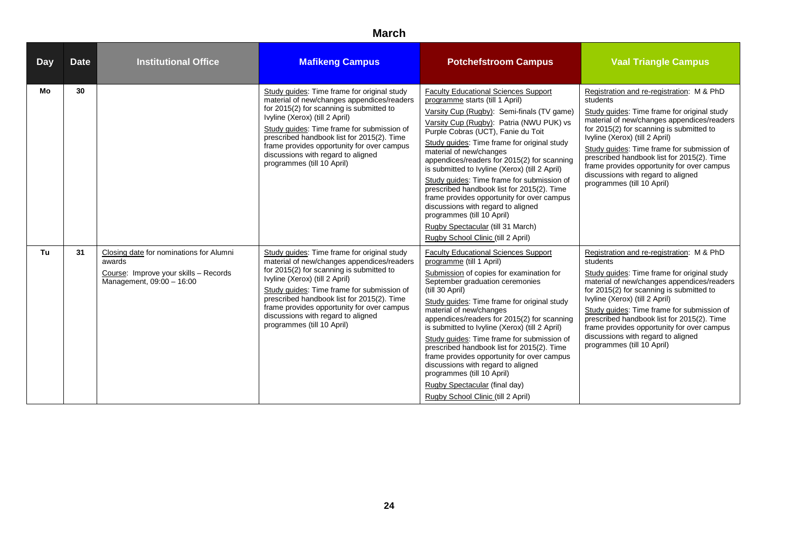| <b>Day</b> | <b>Date</b> | <b>Institutional Office</b>                                                                                             | <b>Mafikeng Campus</b>                                                                                                                                                                                                                                                                                                                                                                | <b>Potchefstroom Campus</b>                                                                                                                                                                                                                                                                                                                                                                                                                                                                                                                                                                                                                                                        | <b>Vaal Triangle Campus</b>                                                                                                                                                                                                                                                                                                                                                                                                                    |
|------------|-------------|-------------------------------------------------------------------------------------------------------------------------|---------------------------------------------------------------------------------------------------------------------------------------------------------------------------------------------------------------------------------------------------------------------------------------------------------------------------------------------------------------------------------------|------------------------------------------------------------------------------------------------------------------------------------------------------------------------------------------------------------------------------------------------------------------------------------------------------------------------------------------------------------------------------------------------------------------------------------------------------------------------------------------------------------------------------------------------------------------------------------------------------------------------------------------------------------------------------------|------------------------------------------------------------------------------------------------------------------------------------------------------------------------------------------------------------------------------------------------------------------------------------------------------------------------------------------------------------------------------------------------------------------------------------------------|
| Mo         | 30          |                                                                                                                         | Study guides: Time frame for original study<br>material of new/changes appendices/readers<br>for 2015(2) for scanning is submitted to<br>Ivyline (Xerox) (till 2 April)<br>Study quides: Time frame for submission of<br>prescribed handbook list for 2015(2). Time<br>frame provides opportunity for over campus<br>discussions with regard to aligned<br>programmes (till 10 April) | <b>Faculty Educational Sciences Support</b><br>programme starts (till 1 April)<br>Varsity Cup (Rugby): Semi-finals (TV game)<br>Varsity Cup (Rugby): Patria (NWU PUK) vs<br>Purple Cobras (UCT), Fanie du Toit<br>Study guides: Time frame for original study<br>material of new/changes<br>appendices/readers for 2015(2) for scanning<br>is submitted to Ivyline (Xerox) (till 2 April)<br>Study quides: Time frame for submission of<br>prescribed handbook list for 2015(2). Time<br>frame provides opportunity for over campus<br>discussions with regard to aligned<br>programmes (till 10 April)<br>Rugby Spectacular (till 31 March)<br>Rugby School Clinic (till 2 April) | Registration and re-registration: M & PhD<br>students<br>Study quides: Time frame for original study<br>material of new/changes appendices/readers<br>for 2015(2) for scanning is submitted to<br>Ivyline (Xerox) (till 2 April)<br>Study guides: Time frame for submission of<br>prescribed handbook list for 2015(2). Time<br>frame provides opportunity for over campus<br>discussions with regard to aligned<br>programmes (till 10 April) |
| Tu         | 31          | Closing date for nominations for Alumni<br>awards<br>Course: Improve your skills - Records<br>Management, 09:00 - 16:00 | Study guides: Time frame for original study<br>material of new/changes appendices/readers<br>for 2015(2) for scanning is submitted to<br>Ivyline (Xerox) (till 2 April)<br>Study quides: Time frame for submission of<br>prescribed handbook list for 2015(2). Time<br>frame provides opportunity for over campus<br>discussions with regard to aligned<br>programmes (till 10 April) | <b>Faculty Educational Sciences Support</b><br>programme (till 1 April)<br>Submission of copies for examination for<br>September graduation ceremonies<br>(till 30 April)<br>Study guides: Time frame for original study<br>material of new/changes<br>appendices/readers for 2015(2) for scanning<br>is submitted to Ivyline (Xerox) (till 2 April)<br>Study quides: Time frame for submission of<br>prescribed handbook list for 2015(2). Time<br>frame provides opportunity for over campus<br>discussions with regard to aligned<br>programmes (till 10 April)<br>Rugby Spectacular (final day)<br>Rugby School Clinic (till 2 April)                                          | Registration and re-registration: M & PhD<br>students<br>Study guides: Time frame for original study<br>material of new/changes appendices/readers<br>for 2015(2) for scanning is submitted to<br>Ivyline (Xerox) (till 2 April)<br>Study quides: Time frame for submission of<br>prescribed handbook list for 2015(2). Time<br>frame provides opportunity for over campus<br>discussions with regard to aligned<br>programmes (till 10 April) |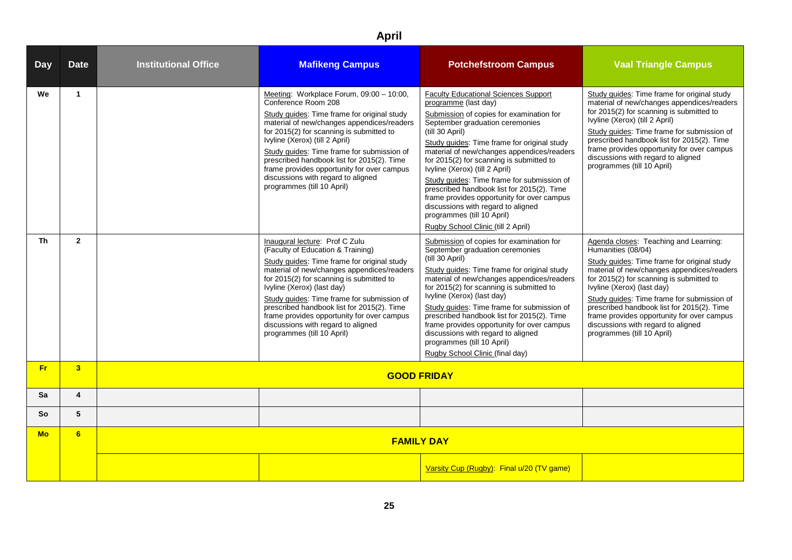| <b>Day</b> | <b>Date</b>          | <b>Institutional Office</b> | <b>Mafikeng Campus</b>                                                                                                                                                                                                                                                                                                                                                                                                                                   | <b>Potchefstroom Campus</b>                                                                                                                                                                                                                                                                                                                                                                                                                                                                                                                                                                          | <b>Vaal Triangle Campus</b>                                                                                                                                                                                                                                                                                                                                                                                                                      |
|------------|----------------------|-----------------------------|----------------------------------------------------------------------------------------------------------------------------------------------------------------------------------------------------------------------------------------------------------------------------------------------------------------------------------------------------------------------------------------------------------------------------------------------------------|------------------------------------------------------------------------------------------------------------------------------------------------------------------------------------------------------------------------------------------------------------------------------------------------------------------------------------------------------------------------------------------------------------------------------------------------------------------------------------------------------------------------------------------------------------------------------------------------------|--------------------------------------------------------------------------------------------------------------------------------------------------------------------------------------------------------------------------------------------------------------------------------------------------------------------------------------------------------------------------------------------------------------------------------------------------|
| We         | $\blacktriangleleft$ |                             | Meeting: Workplace Forum, 09:00 - 10:00,<br>Conference Room 208<br>Study guides: Time frame for original study<br>material of new/changes appendices/readers<br>for 2015(2) for scanning is submitted to<br>Ivyline (Xerox) (till 2 April)<br>Study guides: Time frame for submission of<br>prescribed handbook list for 2015(2). Time<br>frame provides opportunity for over campus<br>discussions with regard to aligned<br>programmes (till 10 April) | <b>Faculty Educational Sciences Support</b><br>programme (last day)<br>Submission of copies for examination for<br>September graduation ceremonies<br>(till 30 April)<br>Study guides: Time frame for original study<br>material of new/changes appendices/readers<br>for 2015(2) for scanning is submitted to<br>Ivyline (Xerox) (till 2 April)<br>Study quides: Time frame for submission of<br>prescribed handbook list for 2015(2). Time<br>frame provides opportunity for over campus<br>discussions with regard to aligned<br>programmes (till 10 April)<br>Rugby School Clinic (till 2 April) | Study guides: Time frame for original study<br>material of new/changes appendices/readers<br>for 2015(2) for scanning is submitted to<br>Ivyline (Xerox) (till 2 April)<br>Study quides: Time frame for submission of<br>prescribed handbook list for 2015(2). Time<br>frame provides opportunity for over campus<br>discussions with regard to aligned<br>programmes (till 10 April)                                                            |
| Th         | $\overline{2}$       |                             | Inaugural lecture: Prof C Zulu<br>(Faculty of Education & Training)<br>Study guides: Time frame for original study<br>material of new/changes appendices/readers<br>for 2015(2) for scanning is submitted to<br>Ivyline (Xerox) (last day)<br>Study guides: Time frame for submission of<br>prescribed handbook list for 2015(2). Time<br>frame provides opportunity for over campus<br>discussions with regard to aligned<br>programmes (till 10 April) | Submission of copies for examination for<br>September graduation ceremonies<br>(till 30 April)<br>Study guides: Time frame for original study<br>material of new/changes appendices/readers<br>for 2015(2) for scanning is submitted to<br>Ivyline (Xerox) (last day)<br>Study quides: Time frame for submission of<br>prescribed handbook list for 2015(2). Time<br>frame provides opportunity for over campus<br>discussions with regard to aligned<br>programmes (till 10 April)<br>Rugby School Clinic (final day)                                                                               | Agenda closes: Teaching and Learning:<br>Humanities (08/04)<br>Study guides: Time frame for original study<br>material of new/changes appendices/readers<br>for 2015(2) for scanning is submitted to<br>Ivyline (Xerox) (last day)<br>Study guides: Time frame for submission of<br>prescribed handbook list for 2015(2). Time<br>frame provides opportunity for over campus<br>discussions with regard to aligned<br>programmes (till 10 April) |
| Fr.        | 3 <sup>2</sup>       | <b>GOOD FRIDAY</b>          |                                                                                                                                                                                                                                                                                                                                                                                                                                                          |                                                                                                                                                                                                                                                                                                                                                                                                                                                                                                                                                                                                      |                                                                                                                                                                                                                                                                                                                                                                                                                                                  |
| Sa         | 4                    |                             |                                                                                                                                                                                                                                                                                                                                                                                                                                                          |                                                                                                                                                                                                                                                                                                                                                                                                                                                                                                                                                                                                      |                                                                                                                                                                                                                                                                                                                                                                                                                                                  |
| So         | 5                    |                             |                                                                                                                                                                                                                                                                                                                                                                                                                                                          |                                                                                                                                                                                                                                                                                                                                                                                                                                                                                                                                                                                                      |                                                                                                                                                                                                                                                                                                                                                                                                                                                  |
| <b>Mo</b>  | 6                    |                             |                                                                                                                                                                                                                                                                                                                                                                                                                                                          | <b>FAMILY DAY</b>                                                                                                                                                                                                                                                                                                                                                                                                                                                                                                                                                                                    |                                                                                                                                                                                                                                                                                                                                                                                                                                                  |
|            |                      |                             |                                                                                                                                                                                                                                                                                                                                                                                                                                                          | Varsity Cup (Rugby): Final u/20 (TV game)                                                                                                                                                                                                                                                                                                                                                                                                                                                                                                                                                            |                                                                                                                                                                                                                                                                                                                                                                                                                                                  |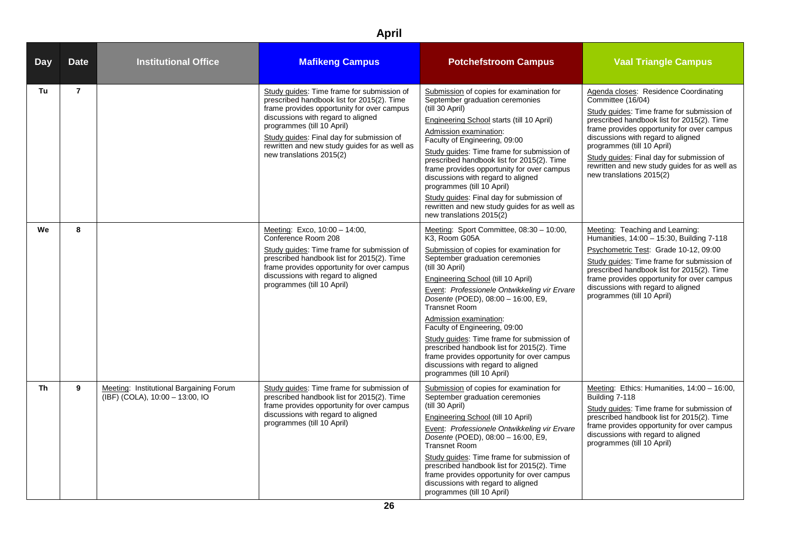| <b>Day</b> | <b>Date</b>    | <b>Institutional Office</b>                                                                             | <b>Mafikeng Campus</b>                                                                                                                                                                                                                                                                                                               | <b>Potchefstroom Campus</b>                                                                                                                                                                                                                                                                                                                                                                                                                                                                                                                                                              | <b>Vaal Triangle Campus</b>                                                                                                                                                                                                                                                                                                                                                                        |
|------------|----------------|---------------------------------------------------------------------------------------------------------|--------------------------------------------------------------------------------------------------------------------------------------------------------------------------------------------------------------------------------------------------------------------------------------------------------------------------------------|------------------------------------------------------------------------------------------------------------------------------------------------------------------------------------------------------------------------------------------------------------------------------------------------------------------------------------------------------------------------------------------------------------------------------------------------------------------------------------------------------------------------------------------------------------------------------------------|----------------------------------------------------------------------------------------------------------------------------------------------------------------------------------------------------------------------------------------------------------------------------------------------------------------------------------------------------------------------------------------------------|
| Tu         | $\overline{7}$ |                                                                                                         | Study guides: Time frame for submission of<br>prescribed handbook list for 2015(2). Time<br>frame provides opportunity for over campus<br>discussions with regard to aligned<br>programmes (till 10 April)<br>Study guides: Final day for submission of<br>rewritten and new study guides for as well as<br>new translations 2015(2) | Submission of copies for examination for<br>September graduation ceremonies<br>(till 30 April)<br>Engineering School starts (till 10 April)<br>Admission examination:<br>Faculty of Engineering, 09:00<br>Study guides: Time frame for submission of<br>prescribed handbook list for 2015(2). Time<br>frame provides opportunity for over campus<br>discussions with regard to aligned<br>programmes (till 10 April)<br>Study guides: Final day for submission of<br>rewritten and new study guides for as well as<br>new translations 2015(2)                                           | Agenda closes: Residence Coordinating<br>Committee (16/04)<br>Study guides: Time frame for submission of<br>prescribed handbook list for 2015(2). Time<br>frame provides opportunity for over campus<br>discussions with regard to aligned<br>programmes (till 10 April)<br>Study guides: Final day for submission of<br>rewritten and new study guides for as well as<br>new translations 2015(2) |
| We         | 8              |                                                                                                         | Meeting: Exco, 10:00 - 14:00,<br>Conference Room 208<br>Study guides: Time frame for submission of<br>prescribed handbook list for 2015(2). Time<br>frame provides opportunity for over campus<br>discussions with regard to aligned<br>programmes (till 10 April)                                                                   | Meeting: Sport Committee, 08:30 - 10:00,<br>K3, Room G05A<br>Submission of copies for examination for<br>September graduation ceremonies<br>(till 30 April)<br>Engineering School (till 10 April)<br>Event: Professionele Ontwikkeling vir Ervare<br>Dosente (POED), 08:00 - 16:00, E9,<br><b>Transnet Room</b><br>Admission examination:<br>Faculty of Engineering, 09:00<br>Study guides: Time frame for submission of<br>prescribed handbook list for 2015(2). Time<br>frame provides opportunity for over campus<br>discussions with regard to aligned<br>programmes (till 10 April) | Meeting: Teaching and Learning:<br>Humanities, 14:00 - 15:30, Building 7-118<br>Psychometric Test: Grade 10-12, 09:00<br>Study guides: Time frame for submission of<br>prescribed handbook list for 2015(2). Time<br>frame provides opportunity for over campus<br>discussions with regard to aligned<br>programmes (till 10 April)                                                                |
| <b>Th</b>  | 9              | Meeting: Institutional Bargaining Forum<br>$\overline{(\text{IBF}) \ (\text{COLA})}, 10:00 - 13:00, 10$ | Study guides: Time frame for submission of<br>prescribed handbook list for 2015(2). Time<br>frame provides opportunity for over campus<br>discussions with regard to aligned<br>programmes (till 10 April)                                                                                                                           | Submission of copies for examination for<br>September graduation ceremonies<br>(till 30 April)<br>Engineering School (till 10 April)<br>Event: Professionele Ontwikkeling vir Ervare<br>Dosente (POED), 08:00 - 16:00, E9,<br><b>Transnet Room</b><br>Study guides: Time frame for submission of<br>prescribed handbook list for 2015(2). Time<br>frame provides opportunity for over campus<br>discussions with regard to aligned<br>programmes (till 10 April)                                                                                                                         | Meeting: Ethics: Humanities, 14:00 - 16:00,<br>Building 7-118<br>Study guides: Time frame for submission of<br>prescribed handbook list for 2015(2). Time<br>frame provides opportunity for over campus<br>discussions with regard to aligned<br>programmes (till 10 April)                                                                                                                        |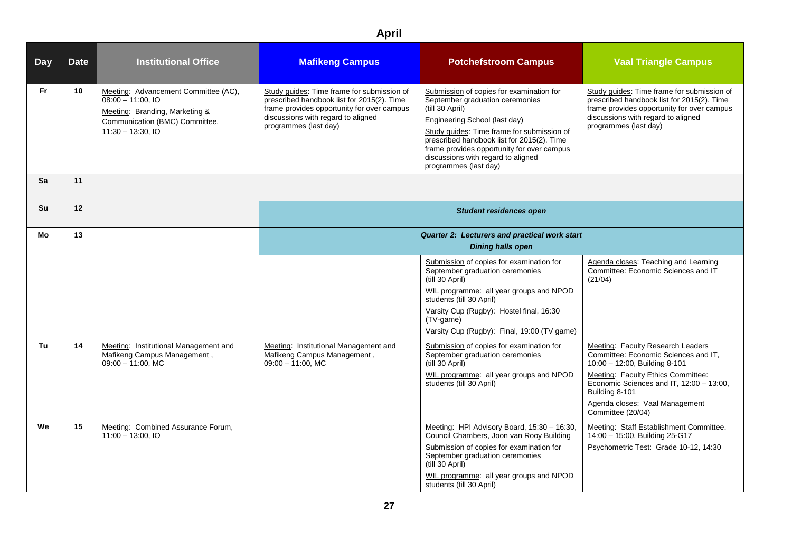| <b>Day</b> | <b>Date</b> | <b>Institutional Office</b>                                                                                                                             | <b>Mafikeng Campus</b>                                                                                                                                                                                | <b>Potchefstroom Campus</b>                                                                                                                                                                                                                                                                                                              | <b>Vaal Triangle Campus</b>                                                                                                                                                                                                                                           |  |
|------------|-------------|---------------------------------------------------------------------------------------------------------------------------------------------------------|-------------------------------------------------------------------------------------------------------------------------------------------------------------------------------------------------------|------------------------------------------------------------------------------------------------------------------------------------------------------------------------------------------------------------------------------------------------------------------------------------------------------------------------------------------|-----------------------------------------------------------------------------------------------------------------------------------------------------------------------------------------------------------------------------------------------------------------------|--|
| Fr.        | 10          | Meeting: Advancement Committee (AC),<br>$08:00 - 11:00$ , IO<br>Meeting: Branding, Marketing &<br>Communication (BMC) Committee,<br>$11:30 - 13:30.$ IO | Study guides: Time frame for submission of<br>prescribed handbook list for 2015(2). Time<br>frame provides opportunity for over campus<br>discussions with regard to aligned<br>programmes (last day) | Submission of copies for examination for<br>September graduation ceremonies<br>(till 30 April)<br>Engineering School (last day)<br>Study guides: Time frame for submission of<br>prescribed handbook list for 2015(2). Time<br>frame provides opportunity for over campus<br>discussions with regard to aligned<br>programmes (last day) | Study guides: Time frame for submission of<br>prescribed handbook list for 2015(2). Time<br>frame provides opportunity for over campus<br>discussions with regard to aligned<br>programmes (last day)                                                                 |  |
| Sa         | 11          |                                                                                                                                                         |                                                                                                                                                                                                       |                                                                                                                                                                                                                                                                                                                                          |                                                                                                                                                                                                                                                                       |  |
| <b>Su</b>  | 12          |                                                                                                                                                         | <b>Student residences open</b>                                                                                                                                                                        |                                                                                                                                                                                                                                                                                                                                          |                                                                                                                                                                                                                                                                       |  |
| Mo         | 13          |                                                                                                                                                         |                                                                                                                                                                                                       | Quarter 2: Lecturers and practical work start<br><b>Dining halls open</b>                                                                                                                                                                                                                                                                |                                                                                                                                                                                                                                                                       |  |
|            |             |                                                                                                                                                         |                                                                                                                                                                                                       | Submission of copies for examination for<br>September graduation ceremonies<br>(till 30 April)<br>WIL programme: all year groups and NPOD<br>students (till 30 April)<br>Varsity Cup (Rugby): Hostel final, 16:30<br>$(TV\text{-game})$<br>Varsity Cup (Rugby): Final, 19:00 (TV game)                                                   | Agenda closes: Teaching and Learning<br>Committee: Economic Sciences and IT<br>(21/04)                                                                                                                                                                                |  |
| Tu         | 14          | Meeting: Institutional Management and<br>Mafikeng Campus Management,<br>$09:00 - 11:00$ , MC                                                            | Meeting: Institutional Management and<br>Mafikeng Campus Management,<br>$09:00 - 11:00$ , MC                                                                                                          | Submission of copies for examination for<br>September graduation ceremonies<br>(till 30 April)<br>WIL programme: all year groups and NPOD<br>students (till 30 April)                                                                                                                                                                    | Meeting: Faculty Research Leaders<br>Committee: Economic Sciences and IT,<br>10:00 - 12:00, Building 8-101<br>Meeting: Faculty Ethics Committee:<br>Economic Sciences and IT, 12:00 - 13:00,<br>Building 8-101<br>Agenda closes: Vaal Management<br>Committee (20/04) |  |
| We         | 15          | Meeting: Combined Assurance Forum,<br>$11:00 - 13:00$ , IO                                                                                              |                                                                                                                                                                                                       | Meeting: HPI Advisory Board, 15:30 - 16:30,<br>Council Chambers, Joon van Rooy Building<br>Submission of copies for examination for<br>September graduation ceremonies<br>(till 30 April)<br>WIL programme: all year groups and NPOD<br>students (till 30 April)                                                                         | Meeting: Staff Establishment Committee.<br>14:00 - 15:00, Building 25-G17<br>Psychometric Test: Grade 10-12, 14:30                                                                                                                                                    |  |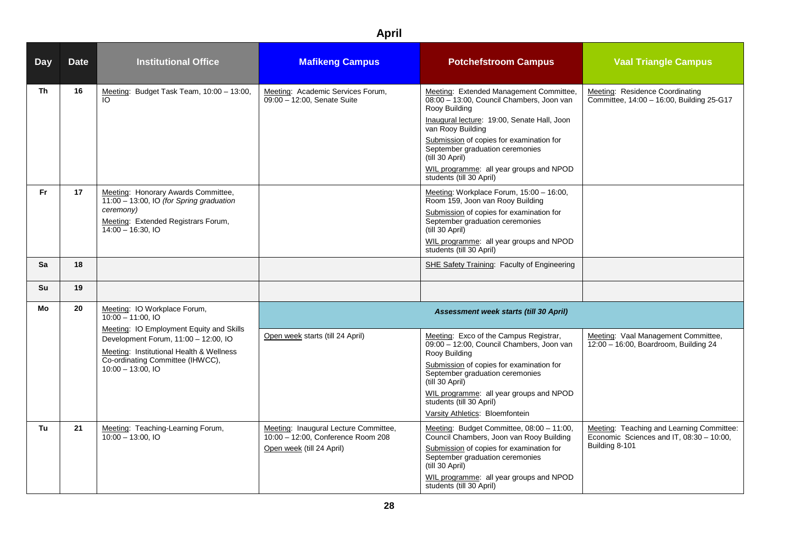| <b>Day</b> | <b>Date</b>                                                                                                                                                                              | <b>Institutional Office</b>                                                                                                                               | <b>Mafikeng Campus</b>                                                                                                                                                                                                                                                                                           | <b>Potchefstroom Campus</b>                                                                                                                                                                                                                                                                                                                        | <b>Vaal Triangle Campus</b>                                                                             |
|------------|------------------------------------------------------------------------------------------------------------------------------------------------------------------------------------------|-----------------------------------------------------------------------------------------------------------------------------------------------------------|------------------------------------------------------------------------------------------------------------------------------------------------------------------------------------------------------------------------------------------------------------------------------------------------------------------|----------------------------------------------------------------------------------------------------------------------------------------------------------------------------------------------------------------------------------------------------------------------------------------------------------------------------------------------------|---------------------------------------------------------------------------------------------------------|
| Th         | 16                                                                                                                                                                                       | Meeting: Budget Task Team, 10:00 - 13:00,<br>IO.                                                                                                          | Meeting: Academic Services Forum,<br>09:00 - 12:00. Senate Suite                                                                                                                                                                                                                                                 | Meeting: Extended Management Committee,<br>08:00 - 13:00, Council Chambers, Joon van<br>Rooy Building<br>Inaugural lecture: 19:00, Senate Hall, Joon<br>van Rooy Building<br>Submission of copies for examination for<br>September graduation ceremonies<br>(till 30 April)<br>WIL programme: all year groups and NPOD<br>students (till 30 April) | Meeting: Residence Coordinating<br>Committee, 14:00 - 16:00, Building 25-G17                            |
| <b>Fr</b>  | 17                                                                                                                                                                                       | Meeting: Honorary Awards Committee,<br>11:00 - 13:00, IO (for Spring graduation<br>ceremony)<br>Meeting: Extended Registrars Forum,<br>$14:00 - 16:30.10$ |                                                                                                                                                                                                                                                                                                                  | Meeting: Workplace Forum, 15:00 - 16:00,<br>Room 159, Joon van Rooy Building<br>Submission of copies for examination for<br>September graduation ceremonies<br>(till 30 April)<br>WIL programme: all year groups and NPOD<br>students (till 30 April)                                                                                              |                                                                                                         |
| Sa         | 18                                                                                                                                                                                       |                                                                                                                                                           |                                                                                                                                                                                                                                                                                                                  | SHE Safety Training: Faculty of Engineering                                                                                                                                                                                                                                                                                                        |                                                                                                         |
| Su         | 19                                                                                                                                                                                       |                                                                                                                                                           |                                                                                                                                                                                                                                                                                                                  |                                                                                                                                                                                                                                                                                                                                                    |                                                                                                         |
| Mo         | 20                                                                                                                                                                                       | Meeting: IO Workplace Forum,<br>$10:00 - 11:00.$ IO                                                                                                       |                                                                                                                                                                                                                                                                                                                  | Assessment week starts (till 30 April)                                                                                                                                                                                                                                                                                                             |                                                                                                         |
|            | Meeting: IO Employment Equity and Skills<br>Development Forum, 11:00 - 12:00, IO<br>Meeting: Institutional Health & Wellness<br>Co-ordinating Committee (IHWCC),<br>$10:00 - 13:00$ , IO | Open week starts (till 24 April)                                                                                                                          | Meeting: Exco of the Campus Registrar,<br>09:00 - 12:00, Council Chambers, Joon van<br>Rooy Building<br>Submission of copies for examination for<br>September graduation ceremonies<br>(till 30 April)<br>WIL programme: all year groups and NPOD<br>students (till 30 April)<br>Varsity Athletics: Bloemfontein | Meeting: Vaal Management Committee,<br>12:00 - 16:00, Boardroom, Building 24                                                                                                                                                                                                                                                                       |                                                                                                         |
| Τu         | 21                                                                                                                                                                                       | Meeting: Teaching-Learning Forum,<br>$10:00 - 13:00$ , IO                                                                                                 | Meeting: Inaugural Lecture Committee,<br>10:00 - 12:00, Conference Room 208<br>Open week (till 24 April)                                                                                                                                                                                                         | Meeting: Budget Committee, 08:00 - 11:00,<br>Council Chambers, Joon van Rooy Building<br>Submission of copies for examination for<br>September graduation ceremonies<br>(till 30 April)<br>WIL programme: all year groups and NPOD<br>students (till 30 April)                                                                                     | Meeting: Teaching and Learning Committee:<br>Economic Sciences and IT, 08:30 - 10:00,<br>Building 8-101 |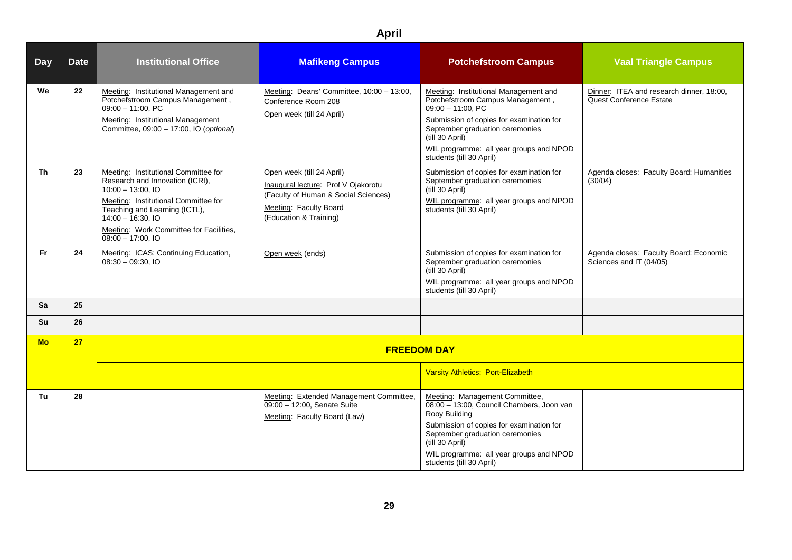| <b>Day</b> | <b>Date</b> | <b>Institutional Office</b>                                                                                                                                                                                                                                       | <b>Mafikeng Campus</b>                                                                                                                                       | <b>Potchefstroom Campus</b>                                                                                                                                                                                                                                                | <b>Vaal Triangle Campus</b>                                         |
|------------|-------------|-------------------------------------------------------------------------------------------------------------------------------------------------------------------------------------------------------------------------------------------------------------------|--------------------------------------------------------------------------------------------------------------------------------------------------------------|----------------------------------------------------------------------------------------------------------------------------------------------------------------------------------------------------------------------------------------------------------------------------|---------------------------------------------------------------------|
| We         | 22          | Meeting: Institutional Management and<br>Potchefstroom Campus Management,<br>$09:00 - 11:00$ , PC<br>Meeting: Institutional Management<br>Committee, 09:00 - 17:00, IO (optional)                                                                                 | Meeting: Deans' Committee, 10:00 - 13:00,<br>Conference Room 208<br>Open week (till 24 April)                                                                | Meeting: Institutional Management and<br>Potchefstroom Campus Management,<br>$09:00 - 11:00$ , PC<br>Submission of copies for examination for<br>September graduation ceremonies<br>(till 30 April)<br>WIL programme: all year groups and NPOD<br>students (till 30 April) | Dinner: ITEA and research dinner, 18:00,<br>Quest Conference Estate |
| Th         | 23          | Meeting: Institutional Committee for<br>Research and Innovation (ICRI),<br>$10:00 - 13:00$ , IO<br>Meeting: Institutional Committee for<br>Teaching and Learning (ICTL),<br>$14:00 - 16:30.10$<br>Meeting: Work Committee for Facilities,<br>$08:00 - 17:00$ , IO | Open week (till 24 April)<br>Inaugural lecture: Prof V Ojakorotu<br>(Faculty of Human & Social Sciences)<br>Meeting: Faculty Board<br>(Education & Training) | Submission of copies for examination for<br>September graduation ceremonies<br>(till 30 April)<br>WIL programme: all year groups and NPOD<br>students (till 30 April)                                                                                                      | Agenda closes: Faculty Board: Humanities<br>(30/04)                 |
| <b>Fr</b>  | 24          | Meeting: ICAS: Continuing Education,<br>$08:30 - 09:30$ , IO                                                                                                                                                                                                      | Open week (ends)                                                                                                                                             | Submission of copies for examination for<br>September graduation ceremonies<br>(till 30 April)<br>WIL programme: all year groups and NPOD<br>students (till 30 April)                                                                                                      | Agenda closes: Faculty Board: Economic<br>Sciences and IT (04/05)   |
| Sa         | 25          |                                                                                                                                                                                                                                                                   |                                                                                                                                                              |                                                                                                                                                                                                                                                                            |                                                                     |
| <b>Su</b>  | 26          |                                                                                                                                                                                                                                                                   |                                                                                                                                                              |                                                                                                                                                                                                                                                                            |                                                                     |
| <b>Mo</b>  | 27          |                                                                                                                                                                                                                                                                   |                                                                                                                                                              | <b>FREEDOM DAY</b>                                                                                                                                                                                                                                                         |                                                                     |
|            |             |                                                                                                                                                                                                                                                                   |                                                                                                                                                              | Varsity Athletics: Port-Elizabeth                                                                                                                                                                                                                                          |                                                                     |
| Tu         | 28          |                                                                                                                                                                                                                                                                   | Meeting: Extended Management Committee,<br>09:00 - 12:00, Senate Suite<br>Meeting: Faculty Board (Law)                                                       | Meeting: Management Committee,<br>08:00 - 13:00, Council Chambers, Joon van<br>Rooy Building<br>Submission of copies for examination for<br>September graduation ceremonies<br>(till 30 April)<br>WIL programme: all year groups and NPOD<br>students (till 30 April)      |                                                                     |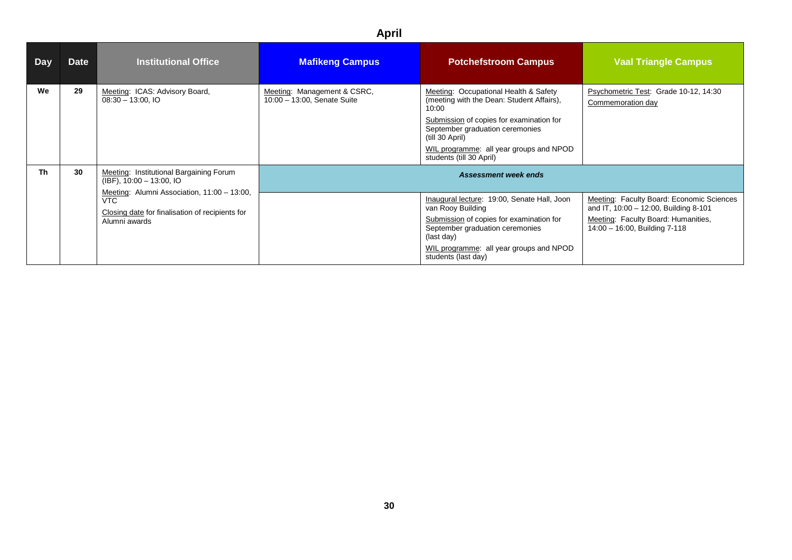| Day       | <b>Date</b> | <b>Institutional Office</b>                                                                                                   | <b>Mafikeng Campus</b>                                     | <b>Potchefstroom Campus</b>                                                                                                                                                                                                                                          | <b>Vaal Triangle Campus</b>                                                                                                                                |
|-----------|-------------|-------------------------------------------------------------------------------------------------------------------------------|------------------------------------------------------------|----------------------------------------------------------------------------------------------------------------------------------------------------------------------------------------------------------------------------------------------------------------------|------------------------------------------------------------------------------------------------------------------------------------------------------------|
| We        | 29          | Meeting: ICAS: Advisory Board,<br>$08:30 - 13:00$ , IO                                                                        | Meeting: Management & CSRC,<br>10:00 - 13:00, Senate Suite | Meeting: Occupational Health & Safety<br>(meeting with the Dean: Student Affairs),<br>10:00<br>Submission of copies for examination for<br>September graduation ceremonies<br>(till 30 April)<br>WIL programme: all year groups and NPOD<br>students (till 30 April) | Psychometric Test: Grade 10-12, 14:30<br>Commemoration day                                                                                                 |
| <b>Th</b> | 30          | Meeting: Institutional Bargaining Forum<br>$(IBF)$ , 10:00 - 13:00, IO                                                        |                                                            | <b>Assessment week ends</b>                                                                                                                                                                                                                                          |                                                                                                                                                            |
|           |             | Meeting: Alumni Association, 11:00 - 13:00,<br><b>VTC</b><br>Closing date for finalisation of recipients for<br>Alumni awards |                                                            | Inaugural lecture: 19:00, Senate Hall, Joon<br>van Rooy Building<br>Submission of copies for examination for<br>September graduation ceremonies<br>(last day)<br>WIL programme: all year groups and NPOD<br>students (last day)                                      | Meeting: Faculty Board: Economic Sciences<br>and IT, 10:00 - 12:00, Building 8-101<br>Meeting: Faculty Board: Humanities,<br>14:00 - 16:00, Building 7-118 |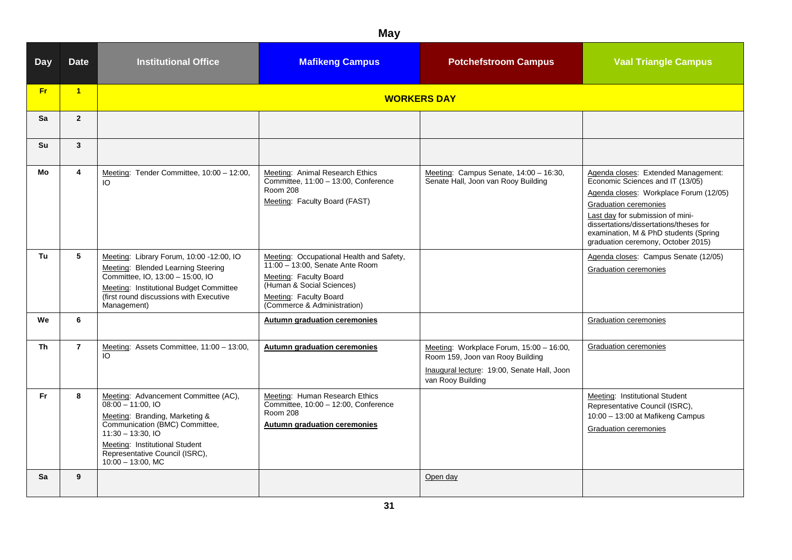| <b>Day</b> | <b>Date</b>    | <b>Institutional Office</b>                                                                                                                                                                                                                        | <b>Mafikeng Campus</b>                                                                                                                                                                      | <b>Potchefstroom Campus</b>                                                                                                                      | <b>Vaal Triangle Campus</b>                                                                                                                                                                                                                                                                                    |
|------------|----------------|----------------------------------------------------------------------------------------------------------------------------------------------------------------------------------------------------------------------------------------------------|---------------------------------------------------------------------------------------------------------------------------------------------------------------------------------------------|--------------------------------------------------------------------------------------------------------------------------------------------------|----------------------------------------------------------------------------------------------------------------------------------------------------------------------------------------------------------------------------------------------------------------------------------------------------------------|
| Fr:        | $\overline{1}$ |                                                                                                                                                                                                                                                    |                                                                                                                                                                                             | <b>WORKERS DAY</b>                                                                                                                               |                                                                                                                                                                                                                                                                                                                |
| Sa         | $\overline{2}$ |                                                                                                                                                                                                                                                    |                                                                                                                                                                                             |                                                                                                                                                  |                                                                                                                                                                                                                                                                                                                |
| Su         | $\mathbf{3}$   |                                                                                                                                                                                                                                                    |                                                                                                                                                                                             |                                                                                                                                                  |                                                                                                                                                                                                                                                                                                                |
| Mo         | 4              | Meeting: Tender Committee, 10:00 - 12:00,<br>IO                                                                                                                                                                                                    | Meeting: Animal Research Ethics<br>Committee, 11:00 - 13:00, Conference<br><b>Room 208</b><br>Meeting: Faculty Board (FAST)                                                                 | Meeting: Campus Senate, 14:00 - 16:30,<br>Senate Hall, Joon van Rooy Building                                                                    | Agenda closes: Extended Management:<br>Economic Sciences and IT (13/05)<br>Agenda closes: Workplace Forum (12/05)<br><b>Graduation ceremonies</b><br>Last day for submission of mini-<br>dissertations/dissertations/theses for<br>examination, M & PhD students (Spring<br>graduation ceremony, October 2015) |
| Tu         | 5              | Meeting: Library Forum, 10:00 -12:00, IO<br>Meeting: Blended Learning Steering<br>Committee, IO, 13:00 - 15:00, IO<br>Meeting: Institutional Budget Committee<br>(first round discussions with Executive<br>Management)                            | Meeting: Occupational Health and Safety,<br>11:00 - 13:00, Senate Ante Room<br>Meeting: Faculty Board<br>(Human & Social Sciences)<br>Meeting: Faculty Board<br>(Commerce & Administration) |                                                                                                                                                  | Agenda closes: Campus Senate (12/05)<br>Graduation ceremonies                                                                                                                                                                                                                                                  |
| We         | 6              |                                                                                                                                                                                                                                                    | Autumn graduation ceremonies                                                                                                                                                                |                                                                                                                                                  | <b>Graduation ceremonies</b>                                                                                                                                                                                                                                                                                   |
| Th         | $\overline{7}$ | Meeting: Assets Committee, 11:00 - 13:00,<br>IO.                                                                                                                                                                                                   | Autumn graduation ceremonies                                                                                                                                                                | Meeting: Workplace Forum, 15:00 - 16:00,<br>Room 159, Joon van Rooy Building<br>Inaugural lecture: 19:00, Senate Hall, Joon<br>van Rooy Building | Graduation ceremonies                                                                                                                                                                                                                                                                                          |
| Fr.        | 8              | Meeting: Advancement Committee (AC),<br>$08:00 - 11:00$ , IO<br>Meeting: Branding, Marketing &<br>Communication (BMC) Committee,<br>$11:30 - 13:30.10$<br>Meeting: Institutional Student<br>Representative Council (ISRC),<br>$10:00 - 13:00$ , MC | Meeting: Human Research Ethics<br>Committee, 10:00 - 12:00, Conference<br><b>Room 208</b><br><b>Autumn graduation ceremonies</b>                                                            |                                                                                                                                                  | Meeting: Institutional Student<br>Representative Council (ISRC),<br>10:00 - 13:00 at Mafikeng Campus<br>Graduation ceremonies                                                                                                                                                                                  |
| Sa         | 9              |                                                                                                                                                                                                                                                    |                                                                                                                                                                                             | Open day                                                                                                                                         |                                                                                                                                                                                                                                                                                                                |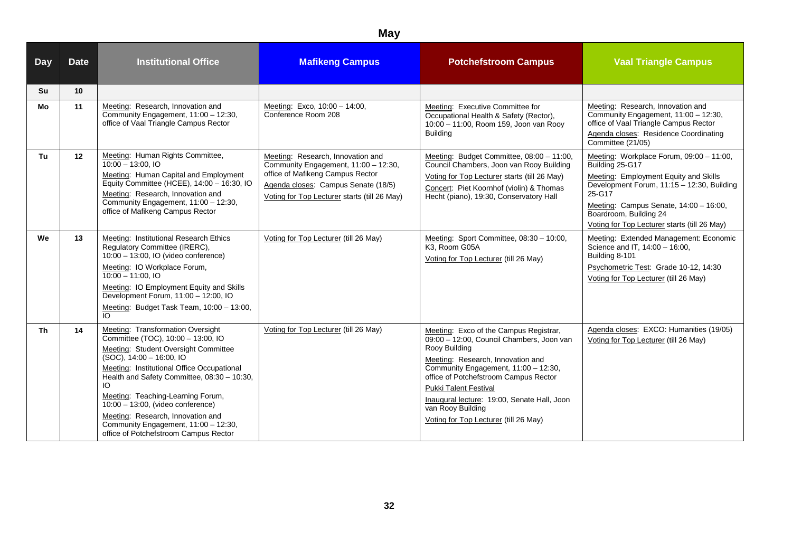| <b>Day</b> | <b>Date</b> | <b>Institutional Office</b>                                                                                                                                                                                                                                                                                                                                                                                                                       | <b>Mafikeng Campus</b>                                                                                                                                                                               | <b>Potchefstroom Campus</b>                                                                                                                                                                                                                                                                                                                                             | <b>Vaal Triangle Campus</b>                                                                                                                                                                                                                                                      |
|------------|-------------|---------------------------------------------------------------------------------------------------------------------------------------------------------------------------------------------------------------------------------------------------------------------------------------------------------------------------------------------------------------------------------------------------------------------------------------------------|------------------------------------------------------------------------------------------------------------------------------------------------------------------------------------------------------|-------------------------------------------------------------------------------------------------------------------------------------------------------------------------------------------------------------------------------------------------------------------------------------------------------------------------------------------------------------------------|----------------------------------------------------------------------------------------------------------------------------------------------------------------------------------------------------------------------------------------------------------------------------------|
| Su         | 10          |                                                                                                                                                                                                                                                                                                                                                                                                                                                   |                                                                                                                                                                                                      |                                                                                                                                                                                                                                                                                                                                                                         |                                                                                                                                                                                                                                                                                  |
| Mo         | 11          | Meeting: Research, Innovation and<br>Community Engagement, 11:00 - 12:30,<br>office of Vaal Triangle Campus Rector                                                                                                                                                                                                                                                                                                                                | Meeting: Exco, 10:00 - 14:00,<br>Conference Room 208                                                                                                                                                 | Meeting: Executive Committee for<br>Occupational Health & Safety (Rector),<br>10:00 - 11:00, Room 159, Joon van Rooy<br><b>Building</b>                                                                                                                                                                                                                                 | Meeting: Research, Innovation and<br>Community Engagement, 11:00 - 12:30,<br>office of Vaal Triangle Campus Rector<br>Agenda closes: Residence Coordinating<br>Committee (21/05)                                                                                                 |
| Tu         | 12          | Meeting: Human Rights Committee,<br>$10:00 - 13:00.$ IO<br>Meeting: Human Capital and Employment<br>Equity Committee (HCEE), 14:00 - 16:30, IO<br>Meeting: Research, Innovation and<br>Community Engagement, 11:00 - 12:30,<br>office of Mafikeng Campus Rector                                                                                                                                                                                   | Meeting: Research, Innovation and<br>Community Engagement, 11:00 - 12:30,<br>office of Mafikeng Campus Rector<br>Agenda closes: Campus Senate (18/5)<br>Voting for Top Lecturer starts (till 26 May) | Meeting: Budget Committee, 08:00 - 11:00,<br>Council Chambers, Joon van Rooy Building<br>Voting for Top Lecturer starts (till 26 May)<br>Concert: Piet Koornhof (violin) & Thomas<br>Hecht (piano), 19:30, Conservatory Hall                                                                                                                                            | Meeting: Workplace Forum, 09:00 - 11:00,<br>Building 25-G17<br>Meeting: Employment Equity and Skills<br>Development Forum, 11:15 - 12:30, Building<br>25-G17<br>Meeting: Campus Senate, 14:00 - 16:00,<br>Boardroom, Building 24<br>Voting for Top Lecturer starts (till 26 May) |
| We         | 13          | Meeting: Institutional Research Ethics<br>Regulatory Committee (IRERC),<br>10:00 - 13:00, IO (video conference)<br>Meeting: IO Workplace Forum,<br>$10:00 - 11:00.$ IO<br>Meeting: IO Employment Equity and Skills<br>Development Forum, 11:00 - 12:00, IO<br>Meeting: Budget Task Team, 10:00 - 13:00,<br>$\overline{O}$                                                                                                                         | Voting for Top Lecturer (till 26 May)                                                                                                                                                                | Meeting: Sport Committee, 08:30 - 10:00,<br>K3, Room G05A<br>Voting for Top Lecturer (till 26 May)                                                                                                                                                                                                                                                                      | Meeting: Extended Management: Economic<br>Science and IT, 14:00 - 16:00,<br>Building 8-101<br>Psychometric Test: Grade 10-12, 14:30<br>Voting for Top Lecturer (till 26 May)                                                                                                     |
| Th         | 14          | Meeting: Transformation Oversight<br>Committee (TOC), 10:00 - 13:00, IO<br>Meeting: Student Oversight Committee<br>$(SOC)$ , 14:00 - 16:00, IO<br>Meeting: Institutional Office Occupational<br>Health and Safety Committee, 08:30 - 10:30,<br>IO<br>Meeting: Teaching-Learning Forum,<br>10:00 - 13:00, (video conference)<br>Meeting: Research, Innovation and<br>Community Engagement, 11:00 - 12:30,<br>office of Potchefstroom Campus Rector | Voting for Top Lecturer (till 26 May)                                                                                                                                                                | Meeting: Exco of the Campus Registrar,<br>09:00 - 12:00, Council Chambers, Joon van<br>Rooy Building<br>Meeting: Research, Innovation and<br>Community Engagement, 11:00 - 12:30,<br>office of Potchefstroom Campus Rector<br><b>Pukki Talent Festival</b><br>Inaugural lecture: 19:00, Senate Hall, Joon<br>van Rooy Building<br>Voting for Top Lecturer (till 26 May) | Agenda closes: EXCO: Humanities (19/05)<br>Voting for Top Lecturer (till 26 May)                                                                                                                                                                                                 |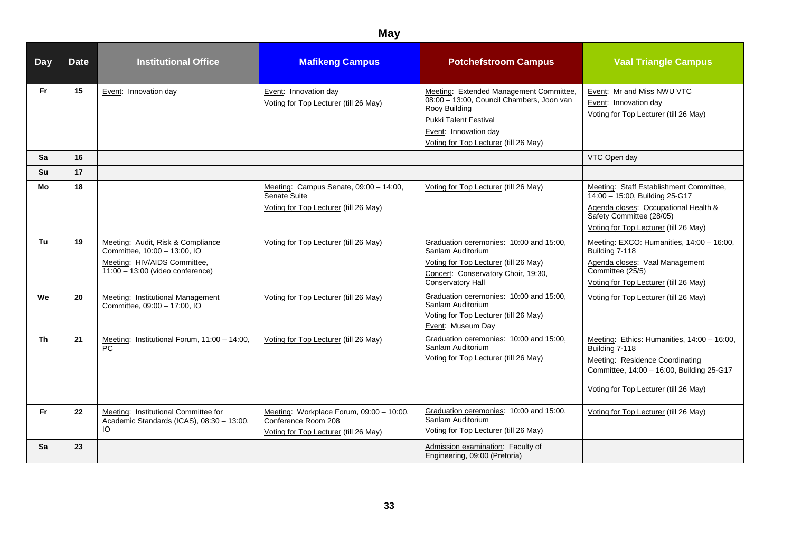| <b>Day</b> | <b>Date</b> | <b>Institutional Office</b>                                                                                                             | <b>Mafikeng Campus</b>                                                                                   | <b>Potchefstroom Campus</b>                                                                                                                                                                             | <b>Vaal Triangle Campus</b>                                                                                                                                                            |
|------------|-------------|-----------------------------------------------------------------------------------------------------------------------------------------|----------------------------------------------------------------------------------------------------------|---------------------------------------------------------------------------------------------------------------------------------------------------------------------------------------------------------|----------------------------------------------------------------------------------------------------------------------------------------------------------------------------------------|
| <b>Fr</b>  | 15          | Event: Innovation day                                                                                                                   | Event: Innovation day<br>Voting for Top Lecturer (till 26 May)                                           | Meeting: Extended Management Committee,<br>08:00 - 13:00, Council Chambers, Joon van<br>Rooy Building<br><b>Pukki Talent Festival</b><br>Event: Innovation day<br>Voting for Top Lecturer (till 26 May) | Event: Mr and Miss NWU VTC<br>Event: Innovation day<br>Voting for Top Lecturer (till 26 May)                                                                                           |
| Sa         | 16          |                                                                                                                                         |                                                                                                          |                                                                                                                                                                                                         | VTC Open day                                                                                                                                                                           |
| Su         | 17          |                                                                                                                                         |                                                                                                          |                                                                                                                                                                                                         |                                                                                                                                                                                        |
| Mo         | 18          |                                                                                                                                         | Meeting: Campus Senate, 09:00 - 14:00,<br>Senate Suite<br>Voting for Top Lecturer (till 26 May)          | Voting for Top Lecturer (till 26 May)                                                                                                                                                                   | Meeting: Staff Establishment Committee,<br>14:00 - 15:00, Building 25-G17<br>Agenda closes: Occupational Health &<br>Safety Committee (28/05)<br>Voting for Top Lecturer (till 26 May) |
| Tu         | 19          | Meeting: Audit, Risk & Compliance<br>Committee, 10:00 - 13:00, IO<br>Meeting: HIV/AIDS Committee,<br>$11:00 - 13:00$ (video conference) | Voting for Top Lecturer (till 26 May)                                                                    | Graduation ceremonies: 10:00 and 15:00,<br>Sanlam Auditorium<br>Voting for Top Lecturer (till 26 May)<br>Concert: Conservatory Choir, 19:30,<br>Conservatory Hall                                       | Meeting: EXCO: Humanities, 14:00 - 16:00,<br>Building 7-118<br>Agenda closes: Vaal Management<br>Committee (25/5)<br>Voting for Top Lecturer (till 26 May)                             |
| We         | 20          | Meeting: Institutional Management<br>Committee, 09:00 - 17:00, IO                                                                       | Voting for Top Lecturer (till 26 May)                                                                    | Graduation ceremonies: 10:00 and 15:00,<br>Sanlam Auditorium<br>Voting for Top Lecturer (till 26 May)<br>Event: Museum Day                                                                              | Voting for Top Lecturer (till 26 May)                                                                                                                                                  |
| Th         | 21          | Meeting: Institutional Forum, 11:00 - 14:00,<br>PC                                                                                      | Voting for Top Lecturer (till 26 May)                                                                    | Graduation ceremonies: 10:00 and 15:00,<br>Sanlam Auditorium<br>Voting for Top Lecturer (till 26 May)                                                                                                   | Meeting: Ethics: Humanities, 14:00 - 16:00,<br>Building 7-118<br>Meeting: Residence Coordinating<br>Committee, 14:00 - 16:00, Building 25-G17<br>Voting for Top Lecturer (till 26 May) |
| <b>Fr</b>  | 22          | Meeting: Institutional Committee for<br>Academic Standards (ICAS), 08:30 - 13:00,<br>IO                                                 | Meeting: Workplace Forum, 09:00 - 10:00,<br>Conference Room 208<br>Voting for Top Lecturer (till 26 May) | Graduation ceremonies: 10:00 and 15:00,<br>Sanlam Auditorium<br>Voting for Top Lecturer (till 26 May)                                                                                                   | Voting for Top Lecturer (till 26 May)                                                                                                                                                  |
| Sa         | 23          |                                                                                                                                         |                                                                                                          | Admission examination: Faculty of<br>Engineering, 09:00 (Pretoria)                                                                                                                                      |                                                                                                                                                                                        |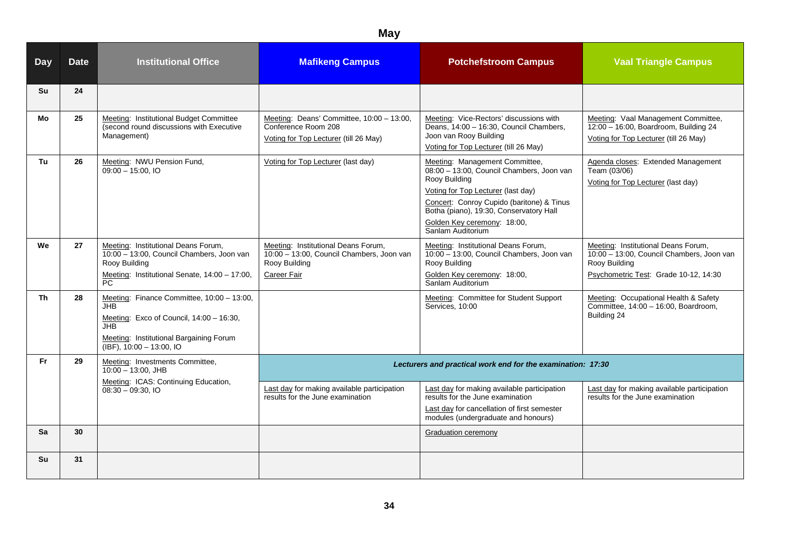| <b>Day</b> | <b>Date</b> | <b>Institutional Office</b>                                                                                                                                                                                   | <b>Mafikeng Campus</b>                                                                                           | <b>Potchefstroom Campus</b>                                                                                                                                                                                                                                                    | <b>Vaal Triangle Campus</b>                                                                                                                |
|------------|-------------|---------------------------------------------------------------------------------------------------------------------------------------------------------------------------------------------------------------|------------------------------------------------------------------------------------------------------------------|--------------------------------------------------------------------------------------------------------------------------------------------------------------------------------------------------------------------------------------------------------------------------------|--------------------------------------------------------------------------------------------------------------------------------------------|
| Su         | 24          |                                                                                                                                                                                                               |                                                                                                                  |                                                                                                                                                                                                                                                                                |                                                                                                                                            |
| Mo         | 25          | Meeting: Institutional Budget Committee<br>(second round discussions with Executive<br>Management)                                                                                                            | Meeting: Deans' Committee, 10:00 - 13:00,<br>Conference Room 208<br>Voting for Top Lecturer (till 26 May)        | Meeting: Vice-Rectors' discussions with<br>Deans, 14:00 - 16:30, Council Chambers,<br>Joon van Rooy Building<br>Voting for Top Lecturer (till 26 May)                                                                                                                          | Meeting: Vaal Management Committee,<br>$12:00 - 16:00$ , Boardroom, Building 24<br>Voting for Top Lecturer (till 26 May)                   |
| Tu         | 26          | Meeting: NWU Pension Fund,<br>$09:00 - 15:00$ , IO                                                                                                                                                            | Voting for Top Lecturer (last day)                                                                               | Meeting: Management Committee,<br>08:00 - 13:00, Council Chambers, Joon van<br>Rooy Building<br>Voting for Top Lecturer (last day)<br>Concert: Conroy Cupido (baritone) & Tinus<br>Botha (piano), 19:30, Conservatory Hall<br>Golden Key ceremony: 18:00,<br>Sanlam Auditorium | Agenda closes: Extended Management<br>Team (03/06)<br>Voting for Top Lecturer (last day)                                                   |
| We         | 27          | Meeting: Institutional Deans Forum,<br>10:00 - 13:00, Council Chambers, Joon van<br>Rooy Building<br>Meeting: Institutional Senate, 14:00 - 17:00,<br>PC.                                                     | Meeting: Institutional Deans Forum,<br>10:00 - 13:00, Council Chambers, Joon van<br>Rooy Building<br>Career Fair | Meeting: Institutional Deans Forum,<br>10:00 - 13:00, Council Chambers, Joon van<br>Rooy Building<br>Golden Key ceremony: 18:00,<br>Sanlam Auditorium                                                                                                                          | Meeting: Institutional Deans Forum,<br>10:00 - 13:00, Council Chambers, Joon van<br>Rooy Building<br>Psychometric Test: Grade 10-12, 14:30 |
| Th         | 28          | Meeting: Finance Committee, 10:00 - 13:00,<br>JHB.<br>Meeting: Exco of Council, 14:00 - 16:30,<br>JH <sub>B</sub><br>Meeting: Institutional Bargaining Forum<br>$\overline{(\text{IBF})}$ , 10:00 - 13:00, IO |                                                                                                                  | Meeting: Committee for Student Support<br>Services, 10:00                                                                                                                                                                                                                      | Meeting: Occupational Health & Safety<br>Committee, 14:00 - 16:00, Boardroom,<br>Building 24                                               |
| <b>Fr</b>  | 29          | Meeting: Investments Committee,<br>$10:00 - 13:00$ , JHB                                                                                                                                                      |                                                                                                                  | Lecturers and practical work end for the examination: 17:30                                                                                                                                                                                                                    |                                                                                                                                            |
|            |             | Meeting: ICAS: Continuing Education,<br>$08:30 - 09:30,10$                                                                                                                                                    | Last day for making available participation<br>results for the June examination                                  | Last day for making available participation<br>results for the June examination<br>Last day for cancellation of first semester<br>modules (undergraduate and honours)                                                                                                          | Last day for making available participation<br>results for the June examination                                                            |
| Sa         | 30          |                                                                                                                                                                                                               |                                                                                                                  | <b>Graduation ceremony</b>                                                                                                                                                                                                                                                     |                                                                                                                                            |
| <b>Su</b>  | 31          |                                                                                                                                                                                                               |                                                                                                                  |                                                                                                                                                                                                                                                                                |                                                                                                                                            |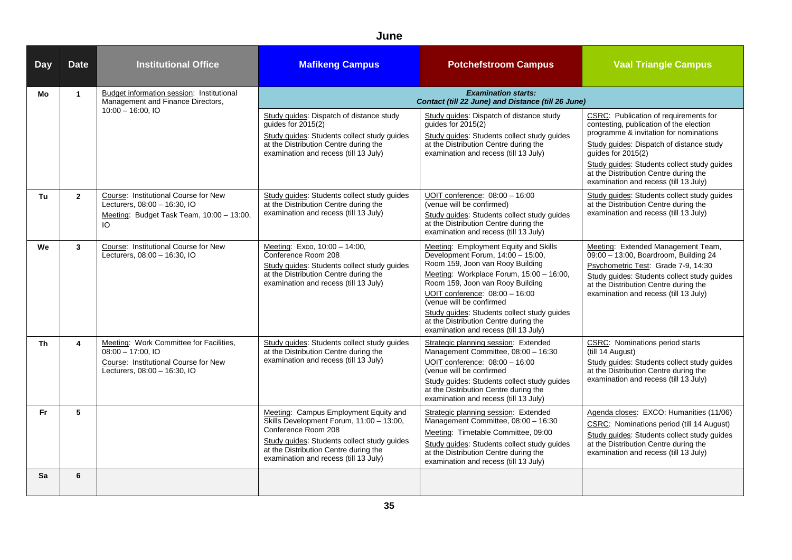#### **June**

| <b>Day</b> | <b>Date</b>             | <b>Institutional Office</b>                                                                                                             | <b>Mafikeng Campus</b>                                                                                                                                                                                                                    | <b>Potchefstroom Campus</b>                                                                                                                                                                                                                                                                                                                                                                   | <b>Vaal Triangle Campus</b>                                                                                                                                                                                                                                                                                                   |
|------------|-------------------------|-----------------------------------------------------------------------------------------------------------------------------------------|-------------------------------------------------------------------------------------------------------------------------------------------------------------------------------------------------------------------------------------------|-----------------------------------------------------------------------------------------------------------------------------------------------------------------------------------------------------------------------------------------------------------------------------------------------------------------------------------------------------------------------------------------------|-------------------------------------------------------------------------------------------------------------------------------------------------------------------------------------------------------------------------------------------------------------------------------------------------------------------------------|
| Mo         | $\mathbf{1}$            | Budget information session: Institutional<br>Management and Finance Directors,                                                          |                                                                                                                                                                                                                                           | <b>Examination starts:</b><br>Contact (till 22 June) and Distance (till 26 June)                                                                                                                                                                                                                                                                                                              |                                                                                                                                                                                                                                                                                                                               |
|            |                         | $10:00 - 16:00.10$                                                                                                                      | Study guides: Dispatch of distance study<br>quides for 2015(2)<br>Study guides: Students collect study guides<br>at the Distribution Centre during the<br>examination and recess (till 13 July)                                           | Study guides: Dispatch of distance study<br>guides for $2015(2)$<br>Study guides: Students collect study guides<br>at the Distribution Centre during the<br>examination and recess (till 13 July)                                                                                                                                                                                             | CSRC: Publication of requirements for<br>contesting, publication of the election<br>programme & invitation for nominations<br>Study guides: Dispatch of distance study<br>guides for 2015(2)<br>Study guides: Students collect study guides<br>at the Distribution Centre during the<br>examination and recess (till 13 July) |
| Tu         | $\overline{2}$          | Course: Institutional Course for New<br>Lecturers, 08:00 - 16:30, IO<br>Meeting: Budget Task Team, 10:00 - 13:00,<br>IO                 | Study guides: Students collect study guides<br>at the Distribution Centre during the<br>examination and recess (till 13 July)                                                                                                             | UOIT conference: 08:00 - 16:00<br>(venue will be confirmed)<br>Study guides: Students collect study guides<br>at the Distribution Centre during the<br>examination and recess (till 13 July)                                                                                                                                                                                                  | Study guides: Students collect study guides<br>at the Distribution Centre during the<br>examination and recess (till 13 July)                                                                                                                                                                                                 |
| We         | $\mathbf{3}$            | Course: Institutional Course for New<br>Lecturers, 08:00 - 16:30, IO                                                                    | Meeting: Exco, 10:00 - 14:00,<br>Conference Room 208<br>Study guides: Students collect study guides<br>at the Distribution Centre during the<br>examination and recess (till 13 July)                                                     | Meeting: Employment Equity and Skills<br>Development Forum, 14:00 - 15:00,<br>Room 159, Joon van Rooy Building<br>Meeting: Workplace Forum, 15:00 - 16:00,<br>Room 159, Joon van Rooy Building<br>UOIT conference: 08:00 - 16:00<br>(venue will be confirmed<br>Study guides: Students collect study guides<br>at the Distribution Centre during the<br>examination and recess (till 13 July) | Meeting: Extended Management Team,<br>09:00 - 13:00, Boardroom, Building 24<br>Psychometric Test: Grade 7-9, 14:30<br>Study guides: Students collect study guides<br>at the Distribution Centre during the<br>examination and recess (till 13 July)                                                                           |
| Th         | $\overline{\mathbf{4}}$ | Meeting: Work Committee for Facilities,<br>$08:00 - 17:00$ , IO<br>Course: Institutional Course for New<br>Lecturers, 08:00 - 16:30, IO | Study guides: Students collect study guides<br>at the Distribution Centre during the<br>examination and recess (till 13 July)                                                                                                             | Strategic planning session: Extended<br>Management Committee, 08:00 - 16:30<br>UOIT conference: 08:00 - 16:00<br>(venue will be confirmed<br>Study guides: Students collect study guides<br>at the Distribution Centre during the<br>examination and recess (till 13 July)                                                                                                                    | <b>CSRC:</b> Nominations period starts<br>(till 14 August)<br>Study guides: Students collect study guides<br>at the Distribution Centre during the<br>examination and recess (till 13 July)                                                                                                                                   |
| <b>Fr</b>  | 5                       |                                                                                                                                         | Meeting: Campus Employment Equity and<br>Skills Development Forum, 11:00 - 13:00,<br>Conference Room 208<br>Study guides: Students collect study guides<br>at the Distribution Centre during the<br>examination and recess (till 13 July) | Strategic planning session: Extended<br>Management Committee, 08:00 - 16:30<br>Meeting: Timetable Committee, 09:00<br>Study guides: Students collect study guides<br>at the Distribution Centre during the<br>examination and recess (till 13 July)                                                                                                                                           | Agenda closes: EXCO: Humanities (11/06)<br>CSRC: Nominations period (till 14 August)<br>Study guides: Students collect study guides<br>at the Distribution Centre during the<br>examination and recess (till 13 July)                                                                                                         |
| Sa         | 6                       |                                                                                                                                         |                                                                                                                                                                                                                                           |                                                                                                                                                                                                                                                                                                                                                                                               |                                                                                                                                                                                                                                                                                                                               |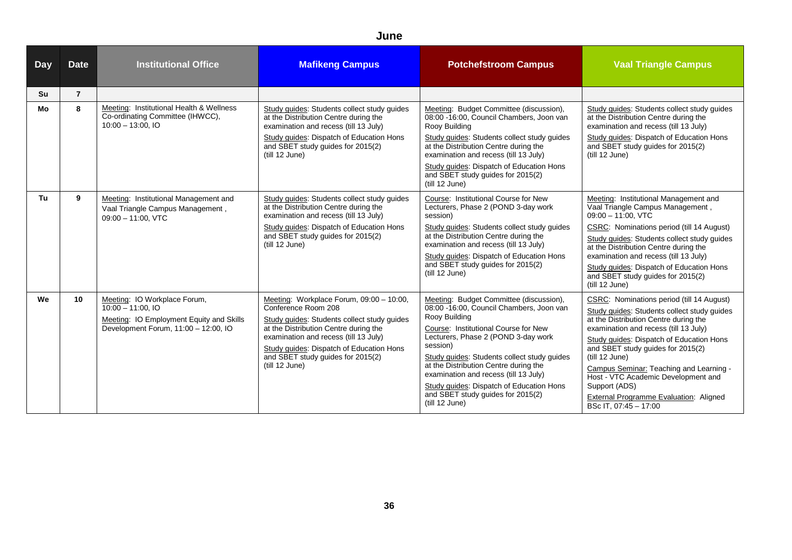#### **June**

| <b>Day</b> | <b>Date</b>    | <b>Institutional Office</b>                                                                                                              | <b>Mafikeng Campus</b>                                                                                                                                                                                                                                                                              | <b>Potchefstroom Campus</b>                                                                                                                                                                                                                                                                                                                                                                                                         | <b>Vaal Triangle Campus</b>                                                                                                                                                                                                                                                                                                                                                                                                                                |
|------------|----------------|------------------------------------------------------------------------------------------------------------------------------------------|-----------------------------------------------------------------------------------------------------------------------------------------------------------------------------------------------------------------------------------------------------------------------------------------------------|-------------------------------------------------------------------------------------------------------------------------------------------------------------------------------------------------------------------------------------------------------------------------------------------------------------------------------------------------------------------------------------------------------------------------------------|------------------------------------------------------------------------------------------------------------------------------------------------------------------------------------------------------------------------------------------------------------------------------------------------------------------------------------------------------------------------------------------------------------------------------------------------------------|
| Su         | $\overline{7}$ |                                                                                                                                          |                                                                                                                                                                                                                                                                                                     |                                                                                                                                                                                                                                                                                                                                                                                                                                     |                                                                                                                                                                                                                                                                                                                                                                                                                                                            |
| Mo         | 8              | Meeting: Institutional Health & Wellness<br>Co-ordinating Committee (IHWCC),<br>$10:00 - 13:00.10$                                       | Study quides: Students collect study quides<br>at the Distribution Centre during the<br>examination and recess (till 13 July)<br>Study guides: Dispatch of Education Hons<br>and SBET study guides for 2015(2)<br>(till 12 June)                                                                    | Meeting: Budget Committee (discussion),<br>08:00 -16:00, Council Chambers, Joon van<br>Rooy Building<br>Study guides: Students collect study guides<br>at the Distribution Centre during the<br>examination and recess (till 13 July)<br>Study guides: Dispatch of Education Hons<br>and SBET study guides for 2015(2)<br>(till 12 June)                                                                                            | Study quides: Students collect study quides<br>at the Distribution Centre during the<br>examination and recess (till 13 July)<br>Study guides: Dispatch of Education Hons<br>and SBET study guides for 2015(2)<br>(till 12 June)                                                                                                                                                                                                                           |
| Tu         | 9              | Meeting: Institutional Management and<br>Vaal Triangle Campus Management,<br>$09:00 - 11:00$ , VTC                                       | Study guides: Students collect study guides<br>at the Distribution Centre during the<br>examination and recess (till 13 July)<br>Study guides: Dispatch of Education Hons<br>and SBET study guides for 2015(2)<br>(till 12 June)                                                                    | Course: Institutional Course for New<br>Lecturers, Phase 2 (POND 3-day work<br>session)<br>Study guides: Students collect study guides<br>at the Distribution Centre during the<br>examination and recess (till 13 July)<br>Study guides: Dispatch of Education Hons<br>and SBET study guides for 2015(2)<br>(till 12 June)                                                                                                         | Meeting: Institutional Management and<br>Vaal Triangle Campus Management,<br>$09:00 - 11:00$ . VTC<br>CSRC: Nominations period (till 14 August)<br>Study guides: Students collect study guides<br>at the Distribution Centre during the<br>examination and recess (till 13 July)<br>Study guides: Dispatch of Education Hons<br>and SBET study guides for 2015(2)<br>(till 12 June)                                                                        |
| We         | 10             | Meeting: IO Workplace Forum,<br>$10:00 - 11:00$ , IO<br>Meeting: IO Employment Equity and Skills<br>Development Forum, 11:00 - 12:00, IO | Meeting: Workplace Forum, 09:00 - 10:00,<br>Conference Room 208<br>Study guides: Students collect study guides<br>at the Distribution Centre during the<br>examination and recess (till 13 July)<br>Study guides: Dispatch of Education Hons<br>and SBET study guides for 2015(2)<br>(till 12 June) | Meeting: Budget Committee (discussion),<br>08:00 -16:00, Council Chambers, Joon van<br>Rooy Building<br>Course: Institutional Course for New<br>Lecturers, Phase 2 (POND 3-day work<br>session)<br>Study guides: Students collect study guides<br>at the Distribution Centre during the<br>examination and recess (till 13 July)<br>Study guides: Dispatch of Education Hons<br>and SBET study guides for 2015(2)<br>(till 12 June) | CSRC: Nominations period (till 14 August)<br>Study quides: Students collect study quides<br>at the Distribution Centre during the<br>examination and recess (till 13 July)<br>Study guides: Dispatch of Education Hons<br>and SBET study guides for 2015(2)<br>(till 12 June)<br>Campus Seminar: Teaching and Learning -<br>Host - VTC Academic Development and<br>Support (ADS)<br><b>External Programme Evaluation: Aligned</b><br>BSc IT, 07:45 - 17:00 |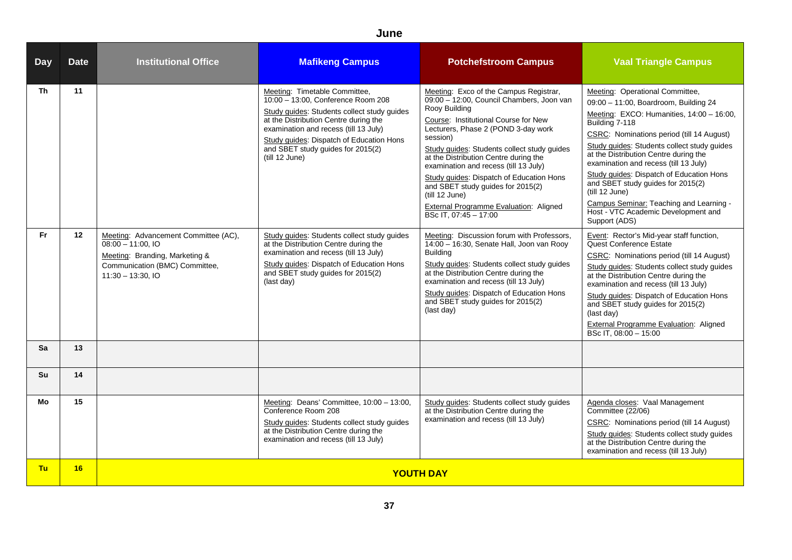| <b>Day</b>      | <b>Date</b> | <b>Institutional Office</b>                                                                                                                             | <b>Mafikeng Campus</b>                                                                                                                                                                                                                                                                                  | <b>Potchefstroom Campus</b>                                                                                                                                                                                                                                                                                                                                                                                                                                                                            | <b>Vaal Triangle Campus</b>                                                                                                                                                                                                                                                                                                                                                                                                                                                                                                 |
|-----------------|-------------|---------------------------------------------------------------------------------------------------------------------------------------------------------|---------------------------------------------------------------------------------------------------------------------------------------------------------------------------------------------------------------------------------------------------------------------------------------------------------|--------------------------------------------------------------------------------------------------------------------------------------------------------------------------------------------------------------------------------------------------------------------------------------------------------------------------------------------------------------------------------------------------------------------------------------------------------------------------------------------------------|-----------------------------------------------------------------------------------------------------------------------------------------------------------------------------------------------------------------------------------------------------------------------------------------------------------------------------------------------------------------------------------------------------------------------------------------------------------------------------------------------------------------------------|
| Th.             | 11          |                                                                                                                                                         | Meeting: Timetable Committee,<br>10:00 - 13:00, Conference Room 208<br>Study guides: Students collect study guides<br>at the Distribution Centre during the<br>examination and recess (till 13 July)<br>Study guides: Dispatch of Education Hons<br>and SBET study guides for 2015(2)<br>(till 12 June) | Meeting: Exco of the Campus Registrar,<br>09:00 - 12:00, Council Chambers, Joon van<br>Rooy Building<br>Course: Institutional Course for New<br>Lecturers, Phase 2 (POND 3-day work<br>session)<br>Study guides: Students collect study guides<br>at the Distribution Centre during the<br>examination and recess (till 13 July)<br>Study quides: Dispatch of Education Hons<br>and SBET study guides for 2015(2)<br>(till 12 June)<br>External Programme Evaluation: Aligned<br>BSc IT. 07:45 - 17:00 | Meeting: Operational Committee,<br>09:00 - 11:00, Boardroom, Building 24<br>Meeting: EXCO: Humanities, 14:00 - 16:00,<br>Building 7-118<br>CSRC: Nominations period (till 14 August)<br>Study guides: Students collect study guides<br>at the Distribution Centre during the<br>examination and recess (till 13 July)<br>Study guides: Dispatch of Education Hons<br>and SBET study guides for 2015(2)<br>(till 12 June)<br>Campus Seminar: Teaching and Learning -<br>Host - VTC Academic Development and<br>Support (ADS) |
| Fr.             | 12          | Meeting: Advancement Committee (AC),<br>$08:00 - 11:00$ , IO<br>Meeting: Branding, Marketing &<br>Communication (BMC) Committee,<br>$11:30 - 13:30, 10$ | Study guides: Students collect study guides<br>at the Distribution Centre during the<br>examination and recess (till 13 July)<br>Study guides: Dispatch of Education Hons<br>and SBET study guides for 2015(2)<br>(last day)                                                                            | Meeting: Discussion forum with Professors,<br>14:00 - 16:30, Senate Hall, Joon van Rooy<br><b>Building</b><br>Study guides: Students collect study guides<br>at the Distribution Centre during the<br>examination and recess (till 13 July)<br>Study guides: Dispatch of Education Hons<br>and SBET study guides for 2015(2)<br>(last day)                                                                                                                                                             | Event: Rector's Mid-year staff function,<br>Quest Conference Estate<br>CSRC: Nominations period (till 14 August)<br>Study quides: Students collect study quides<br>at the Distribution Centre during the<br>examination and recess (till 13 July)<br>Study guides: Dispatch of Education Hons<br>and SBET study guides for 2015(2)<br>(last day)<br><b>External Programme Evaluation: Aligned</b><br>BSc IT, 08:00 - 15:00                                                                                                  |
| <b>Sa</b>       | 13          |                                                                                                                                                         |                                                                                                                                                                                                                                                                                                         |                                                                                                                                                                                                                                                                                                                                                                                                                                                                                                        |                                                                                                                                                                                                                                                                                                                                                                                                                                                                                                                             |
| Su              | 14          |                                                                                                                                                         |                                                                                                                                                                                                                                                                                                         |                                                                                                                                                                                                                                                                                                                                                                                                                                                                                                        |                                                                                                                                                                                                                                                                                                                                                                                                                                                                                                                             |
| Mo<br><b>Tu</b> | 15<br>16    |                                                                                                                                                         | Meeting: Deans' Committee, 10:00 - 13:00,<br>Conference Room 208<br>Study guides: Students collect study guides<br>at the Distribution Centre during the<br>examination and recess (till 13 July)                                                                                                       | Study guides: Students collect study guides<br>at the Distribution Centre during the<br>examination and recess (till 13 July)                                                                                                                                                                                                                                                                                                                                                                          | Agenda closes: Vaal Management<br>Committee (22/06)<br>CSRC: Nominations period (till 14 August)<br>Study guides: Students collect study guides<br>at the Distribution Centre during the<br>examination and recess (till 13 July)                                                                                                                                                                                                                                                                                           |
|                 |             |                                                                                                                                                         |                                                                                                                                                                                                                                                                                                         | <b>YOUTH DAY</b>                                                                                                                                                                                                                                                                                                                                                                                                                                                                                       |                                                                                                                                                                                                                                                                                                                                                                                                                                                                                                                             |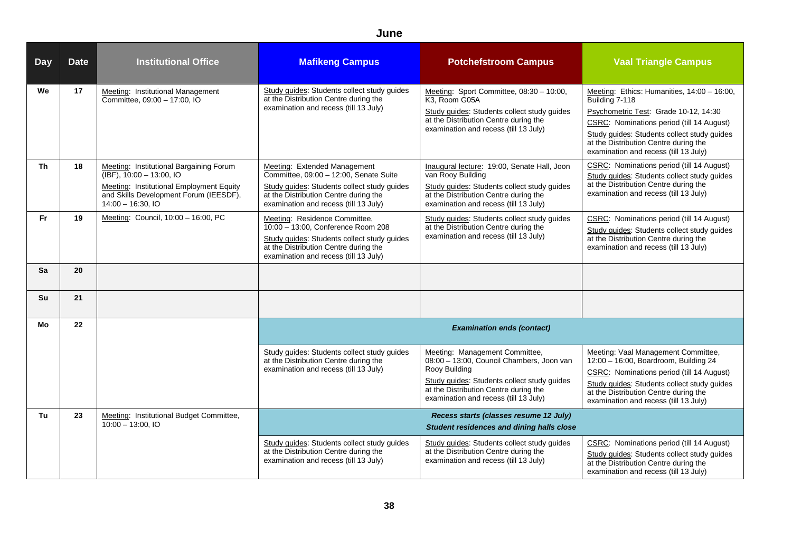| <b>Day</b> | <b>Date</b> | <b>Institutional Office</b>                                                                                                                                                         | <b>Mafikeng Campus</b>                                                                                                                                                                                  | <b>Potchefstroom Campus</b>                                                                                                                                                                                                   | <b>Vaal Triangle Campus</b>                                                                                                                                                                                                                                                          |
|------------|-------------|-------------------------------------------------------------------------------------------------------------------------------------------------------------------------------------|---------------------------------------------------------------------------------------------------------------------------------------------------------------------------------------------------------|-------------------------------------------------------------------------------------------------------------------------------------------------------------------------------------------------------------------------------|--------------------------------------------------------------------------------------------------------------------------------------------------------------------------------------------------------------------------------------------------------------------------------------|
| We         | 17          | Meeting: Institutional Management<br>Committee, 09:00 - 17:00, IO                                                                                                                   | Study guides: Students collect study guides<br>at the Distribution Centre during the<br>examination and recess (till 13 July)                                                                           | Meeting: Sport Committee, 08:30 - 10:00,<br>K3, Room G05A<br>Study guides: Students collect study guides<br>at the Distribution Centre during the<br>examination and recess (till 13 July)                                    | Meeting: Ethics: Humanities, 14:00 - 16:00,<br>Building 7-118<br>Psychometric Test: Grade 10-12, 14:30<br>CSRC: Nominations period (till 14 August)<br>Study quides: Students collect study quides<br>at the Distribution Centre during the<br>examination and recess (till 13 July) |
| <b>Th</b>  | 18          | Meeting: Institutional Bargaining Forum<br>$(IBF)$ , 10:00 - 13:00, IO<br>Meeting: Institutional Employment Equity<br>and Skills Development Forum (IEESDF),<br>$14:00 - 16:30.$ IO | Meeting: Extended Management<br>Committee, 09:00 - 12:00, Senate Suite<br>Study guides: Students collect study guides<br>at the Distribution Centre during the<br>examination and recess (till 13 July) | Inaugural lecture: 19:00, Senate Hall, Joon<br>van Rooy Building<br>Study guides: Students collect study guides<br>at the Distribution Centre during the<br>examination and recess (till 13 July)                             | CSRC: Nominations period (till 14 August)<br>Study guides: Students collect study guides<br>at the Distribution Centre during the<br>examination and recess (till 13 July)                                                                                                           |
| <b>Fr</b>  | 19          | Meeting: Council, 10:00 - 16:00, PC                                                                                                                                                 | Meeting: Residence Committee,<br>10:00 - 13:00, Conference Room 208<br>Study guides: Students collect study guides<br>at the Distribution Centre during the<br>examination and recess (till 13 July)    | Study guides: Students collect study guides<br>at the Distribution Centre during the<br>examination and recess (till 13 July)                                                                                                 | CSRC: Nominations period (till 14 August)<br>Study guides: Students collect study guides<br>at the Distribution Centre during the<br>examination and recess (till 13 July)                                                                                                           |
| Sa         | 20          |                                                                                                                                                                                     |                                                                                                                                                                                                         |                                                                                                                                                                                                                               |                                                                                                                                                                                                                                                                                      |
| Su         | 21          |                                                                                                                                                                                     |                                                                                                                                                                                                         |                                                                                                                                                                                                                               |                                                                                                                                                                                                                                                                                      |
| Mo         | 22          |                                                                                                                                                                                     |                                                                                                                                                                                                         | <b>Examination ends (contact)</b>                                                                                                                                                                                             |                                                                                                                                                                                                                                                                                      |
|            |             |                                                                                                                                                                                     | Study guides: Students collect study guides<br>at the Distribution Centre during the<br>examination and recess (till 13 July)                                                                           | Meeting: Management Committee,<br>08:00 - 13:00, Council Chambers, Joon van<br>Rooy Building<br>Study guides: Students collect study guides<br>at the Distribution Centre during the<br>examination and recess (till 13 July) | Meeting: Vaal Management Committee,<br>$12:00 - 16:00$ , Boardroom, Building 24<br>CSRC: Nominations period (till 14 August)<br>Study guides: Students collect study guides<br>at the Distribution Centre during the<br>examination and recess (till 13 July)                        |
| Tu         | 23          | Meeting: Institutional Budget Committee,<br>$10:00 - 13:00$ , IO                                                                                                                    |                                                                                                                                                                                                         | Recess starts (classes resume 12 July)<br><b>Student residences and dining halls close</b>                                                                                                                                    |                                                                                                                                                                                                                                                                                      |
|            |             |                                                                                                                                                                                     | Study guides: Students collect study guides<br>at the Distribution Centre during the<br>examination and recess (till 13 July)                                                                           | Study guides: Students collect study guides<br>at the Distribution Centre during the<br>examination and recess (till 13 July)                                                                                                 | CSRC: Nominations period (till 14 August)<br>Study guides: Students collect study guides<br>at the Distribution Centre during the<br>examination and recess (till 13 July)                                                                                                           |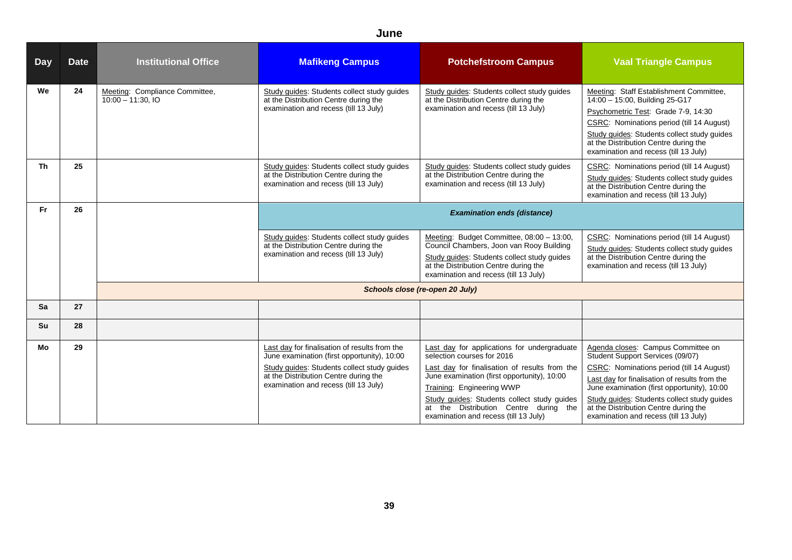| <b>Day</b> | <b>Date</b> | <b>Institutional Office</b>                          | <b>Mafikeng Campus</b>                                                                                                                                                                                                        | <b>Potchefstroom Campus</b>                                                                                                                                                                                                                                                                                                             | <b>Vaal Triangle Campus</b>                                                                                                                                                                                                                                                                                                                          |
|------------|-------------|------------------------------------------------------|-------------------------------------------------------------------------------------------------------------------------------------------------------------------------------------------------------------------------------|-----------------------------------------------------------------------------------------------------------------------------------------------------------------------------------------------------------------------------------------------------------------------------------------------------------------------------------------|------------------------------------------------------------------------------------------------------------------------------------------------------------------------------------------------------------------------------------------------------------------------------------------------------------------------------------------------------|
| We         | 24          | Meeting: Compliance Committee,<br>$10:00 - 11:30.10$ | Study guides: Students collect study guides<br>at the Distribution Centre during the<br>examination and recess (till 13 July)                                                                                                 | Study guides: Students collect study guides<br>at the Distribution Centre during the<br>examination and recess (till 13 July)                                                                                                                                                                                                           | Meeting: Staff Establishment Committee,<br>14:00 - 15:00, Building 25-G17<br>Psychometric Test: Grade 7-9, 14:30<br>CSRC: Nominations period (till 14 August)<br>Study guides: Students collect study guides<br>at the Distribution Centre during the<br>examination and recess (till 13 July)                                                       |
| <b>Th</b>  | 25          |                                                      | Study guides: Students collect study guides<br>at the Distribution Centre during the<br>examination and recess (till 13 July)                                                                                                 | Study guides: Students collect study guides<br>at the Distribution Centre during the<br>examination and recess (till 13 July)                                                                                                                                                                                                           | CSRC: Nominations period (till 14 August)<br>Study guides: Students collect study guides<br>at the Distribution Centre during the<br>examination and recess (till 13 July)                                                                                                                                                                           |
| <b>Fr</b>  | 26          |                                                      |                                                                                                                                                                                                                               | <b>Examination ends (distance)</b>                                                                                                                                                                                                                                                                                                      |                                                                                                                                                                                                                                                                                                                                                      |
|            |             |                                                      | Study guides: Students collect study guides<br>at the Distribution Centre during the<br>examination and recess (till 13 July)                                                                                                 | Meeting: Budget Committee, 08:00 - 13:00,<br>Council Chambers, Joon van Rooy Building<br>Study guides: Students collect study guides<br>at the Distribution Centre during the<br>examination and recess (till 13 July)                                                                                                                  | CSRC: Nominations period (till 14 August)<br>Study guides: Students collect study guides<br>at the Distribution Centre during the<br>examination and recess (till 13 July)                                                                                                                                                                           |
|            |             |                                                      |                                                                                                                                                                                                                               | Schools close (re-open 20 July)                                                                                                                                                                                                                                                                                                         |                                                                                                                                                                                                                                                                                                                                                      |
| Sa         | 27          |                                                      |                                                                                                                                                                                                                               |                                                                                                                                                                                                                                                                                                                                         |                                                                                                                                                                                                                                                                                                                                                      |
| Su         | 28          |                                                      |                                                                                                                                                                                                                               |                                                                                                                                                                                                                                                                                                                                         |                                                                                                                                                                                                                                                                                                                                                      |
| Mo         | 29          |                                                      | Last day for finalisation of results from the<br>June examination (first opportunity), 10:00<br>Study guides: Students collect study guides<br>at the Distribution Centre during the<br>examination and recess (till 13 July) | Last day for applications for undergraduate<br>selection courses for 2016<br>Last day for finalisation of results from the<br>June examination (first opportunity), 10:00<br>Training: Engineering WWP<br>Study guides: Students collect study guides<br>at the Distribution Centre during the<br>examination and recess (till 13 July) | Agenda closes: Campus Committee on<br>Student Support Services (09/07)<br>CSRC: Nominations period (till 14 August)<br>Last day for finalisation of results from the<br>June examination (first opportunity), 10:00<br>Study quides: Students collect study quides<br>at the Distribution Centre during the<br>examination and recess (till 13 July) |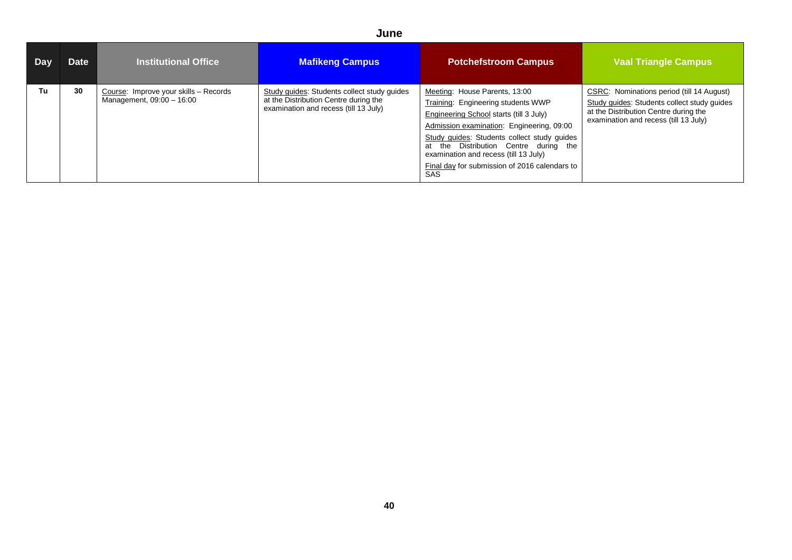| <b>Day</b> | <b>Date</b> | <b>Institutional Office</b>                                        | <b>Mafikeng Campus</b>                                                                                                        | <b>Potchefstroom Campus</b>                                                                                                                                                                                                                                                                                                                          | <b>Vaal Triangle Campus</b>                                                                                                                                                |
|------------|-------------|--------------------------------------------------------------------|-------------------------------------------------------------------------------------------------------------------------------|------------------------------------------------------------------------------------------------------------------------------------------------------------------------------------------------------------------------------------------------------------------------------------------------------------------------------------------------------|----------------------------------------------------------------------------------------------------------------------------------------------------------------------------|
| Tu         | 30          | Course: Improve your skills - Records<br>Management, 09:00 - 16:00 | Study guides: Students collect study guides<br>at the Distribution Centre during the<br>examination and recess (till 13 July) | Meeting: House Parents, 13:00<br>Training: Engineering students WWP<br>Engineering School starts (till 3 July)<br>Admission examination: Engineering, 09:00<br>Study guides: Students collect study guides<br>at the Distribution Centre during the<br>examination and recess (till 13 July)<br>Final day for submission of 2016 calendars to<br>SAS | CSRC: Nominations period (till 14 August)<br>Study guides: Students collect study guides<br>at the Distribution Centre during the<br>examination and recess (till 13 July) |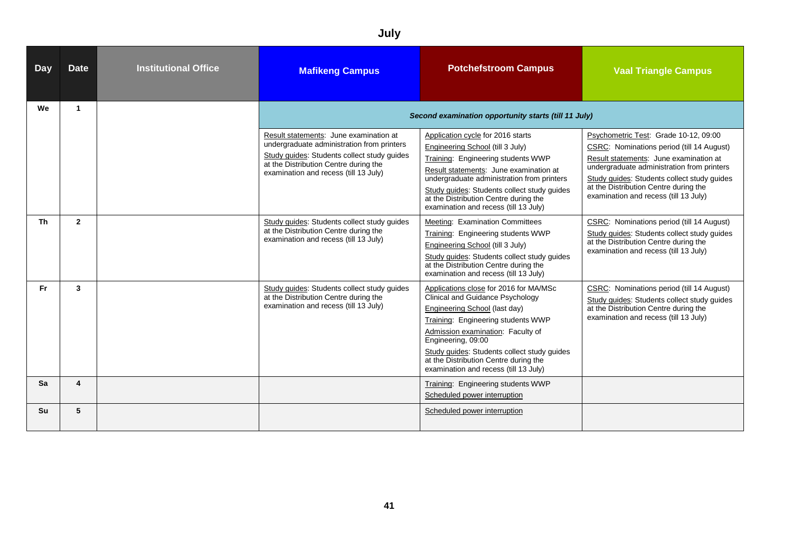|            | July                 |                             |                                                                                                                                                                                                                       |                                                                                                                                                                                                                                                                                                                                               |                                                                                                                                                                                                                                                                                                             |  |  |
|------------|----------------------|-----------------------------|-----------------------------------------------------------------------------------------------------------------------------------------------------------------------------------------------------------------------|-----------------------------------------------------------------------------------------------------------------------------------------------------------------------------------------------------------------------------------------------------------------------------------------------------------------------------------------------|-------------------------------------------------------------------------------------------------------------------------------------------------------------------------------------------------------------------------------------------------------------------------------------------------------------|--|--|
| <b>Day</b> | <b>Date</b>          | <b>Institutional Office</b> | <b>Mafikeng Campus</b>                                                                                                                                                                                                | <b>Potchefstroom Campus</b>                                                                                                                                                                                                                                                                                                                   | <b>Vaal Triangle Campus</b>                                                                                                                                                                                                                                                                                 |  |  |
| We         | $\blacktriangleleft$ |                             |                                                                                                                                                                                                                       | Second examination opportunity starts (till 11 July)                                                                                                                                                                                                                                                                                          |                                                                                                                                                                                                                                                                                                             |  |  |
|            |                      |                             | Result statements: June examination at<br>undergraduate administration from printers<br>Study guides: Students collect study guides<br>at the Distribution Centre during the<br>examination and recess (till 13 July) | Application cycle for 2016 starts<br>Engineering School (till 3 July)<br>Training: Engineering students WWP<br>Result statements: June examination at<br>undergraduate administration from printers<br>Study guides: Students collect study guides<br>at the Distribution Centre during the<br>examination and recess (till 13 July)          | Psychometric Test: Grade 10-12, 09:00<br>CSRC: Nominations period (till 14 August)<br>Result statements: June examination at<br>undergraduate administration from printers<br>Study guides: Students collect study guides<br>at the Distribution Centre during the<br>examination and recess (till 13 July) |  |  |
| Th         | $\overline{2}$       |                             | Study guides: Students collect study guides<br>at the Distribution Centre during the<br>examination and recess (till 13 July)                                                                                         | Meeting: Examination Committees<br>Training: Engineering students WWP<br>Engineering School (till 3 July)<br>Study guides: Students collect study guides<br>at the Distribution Centre during the<br>examination and recess (till 13 July)                                                                                                    | CSRC: Nominations period (till 14 August)<br>Study quides: Students collect study quides<br>at the Distribution Centre during the<br>examination and recess (till 13 July)                                                                                                                                  |  |  |
| Fr.        | 3                    |                             | Study guides: Students collect study guides<br>at the Distribution Centre during the<br>examination and recess (till 13 July)                                                                                         | Applications close for 2016 for MA/MSc<br>Clinical and Guidance Psychology<br>Engineering School (last day)<br>Training: Engineering students WWP<br>Admission examination: Faculty of<br>Engineering, 09:00<br>Study guides: Students collect study guides<br>at the Distribution Centre during the<br>examination and recess (till 13 July) | CSRC: Nominations period (till 14 August)<br>Study guides: Students collect study guides<br>at the Distribution Centre during the<br>examination and recess (till 13 July)                                                                                                                                  |  |  |
| Sa         | 4                    |                             |                                                                                                                                                                                                                       | Training: Engineering students WWP<br>Scheduled power interruption                                                                                                                                                                                                                                                                            |                                                                                                                                                                                                                                                                                                             |  |  |
| <b>Su</b>  | 5                    |                             |                                                                                                                                                                                                                       | Scheduled power interruption                                                                                                                                                                                                                                                                                                                  |                                                                                                                                                                                                                                                                                                             |  |  |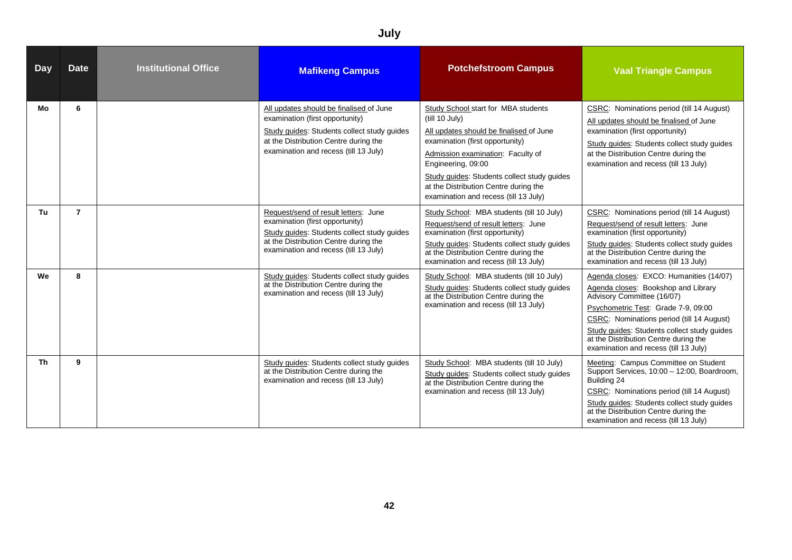#### **Day** Date Institutional Office Marikeng Campus **Potchefstroom Campus** Vaal Triangle Campus **Mo 6** All updates should be finalised of June examination (first opportunity) Study guides: Students collect study guides at the Distribution Centre during the examination and recess (till 13 July) Study School start for MBA students (till 10 July) All updates should be finalised of June examination (first opportunity) Admission examination: Faculty of Engineering, 09:00 Study guides: Students collect study guides at the Distribution Centre during the examination and recess (till 13 July) CSRC: Nominations period (till 14 August) All updates should be finalised of June examination (first opportunity) Study guides: Students collect study guides at the Distribution Centre during the examination and recess (till 13 July) **Tu 7 1 Request/send of result letters: June** examination (first opportunity) Study guides: Students collect study guides at the Distribution Centre during the examination and recess (till 13 July) Study School: MBA students (till 10 July) Request/send of result letters: June examination (first opportunity) Study guides: Students collect study guides at the Distribution Centre during the examination and recess (till 13 July) CSRC: Nominations period (till 14 August) Request/send of result letters: June examination (first opportunity) Study guides: Students collect study guides at the Distribution Centre during the examination and recess (till 13 July) **We 8** Study guides: Students collect study guides at the Distribution Centre during the examination and recess (till 13 July) Study School: MBA students (till 10 July) Study guides: Students collect study guides at the Distribution Centre during the examination and recess (till 13 July) Agenda closes: EXCO: Humanities (14/07) Agenda closes: Bookshop and Library Advisory Committee (16/07) Psychometric Test: Grade 7-9, 09:00 CSRC: Nominations period (till 14 August) Study guides: Students collect study guides at the Distribution Centre during the examination and recess (till 13 July) **Th 9 9** Study guides: Students collect study guides: Students collect study guides at the Distribution Centre during the examination and recess (till 13 July) Study School: MBA students (till 10 July) Study guides: Students collect study guides at the Distribution Centre during the examination and recess (till 13 July) Meeting: Campus Committee on Student Support Services, 10:00 – 12:00, Boardroom, Building 24 CSRC: Nominations period (till 14 August) Study guides: Students collect study guides at the Distribution Centre during the examination and recess (till 13 July)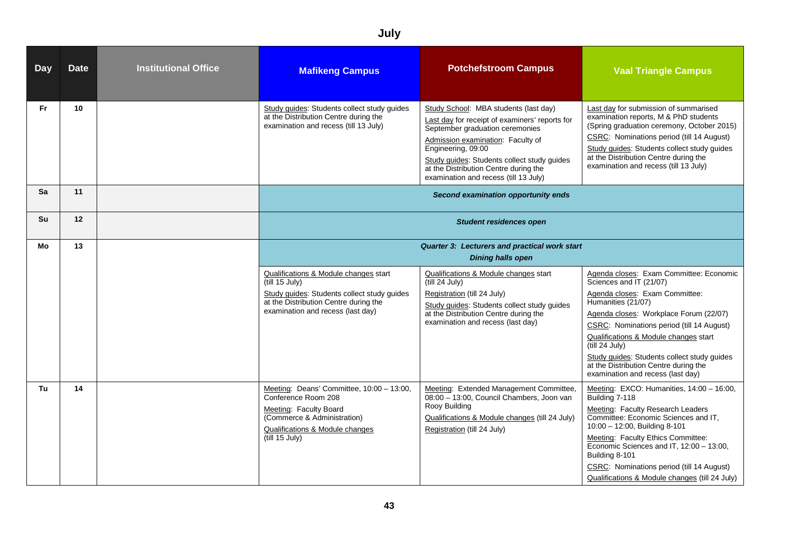| <b>Day</b> | <b>Date</b> | <b>Institutional Office</b> | <b>Mafikeng Campus</b>                                                                                                                                                                    | <b>Potchefstroom Campus</b>                                                                                                                                                                                                                                                                                            | <b>Vaal Triangle Campus</b>                                                                                                                                                                                                                                                                                                                                                                               |  |
|------------|-------------|-----------------------------|-------------------------------------------------------------------------------------------------------------------------------------------------------------------------------------------|------------------------------------------------------------------------------------------------------------------------------------------------------------------------------------------------------------------------------------------------------------------------------------------------------------------------|-----------------------------------------------------------------------------------------------------------------------------------------------------------------------------------------------------------------------------------------------------------------------------------------------------------------------------------------------------------------------------------------------------------|--|
| Fr.        | 10          |                             | Study guides: Students collect study guides<br>at the Distribution Centre during the<br>examination and recess (till 13 July)                                                             | Study School: MBA students (last day)<br>Last day for receipt of examiners' reports for<br>September graduation ceremonies<br>Admission examination: Faculty of<br>Engineering, 09:00<br>Study guides: Students collect study guides<br>at the Distribution Centre during the<br>examination and recess (till 13 July) | Last day for submission of summarised<br>examination reports, M & PhD students<br>(Spring graduation ceremony, October 2015)<br>CSRC: Nominations period (till 14 August)<br>Study quides: Students collect study quides<br>at the Distribution Centre during the<br>examination and recess (till 13 July)                                                                                                |  |
| Sa         | 11          |                             | Second examination opportunity ends                                                                                                                                                       |                                                                                                                                                                                                                                                                                                                        |                                                                                                                                                                                                                                                                                                                                                                                                           |  |
| <b>Su</b>  | 12          |                             | <b>Student residences open</b>                                                                                                                                                            |                                                                                                                                                                                                                                                                                                                        |                                                                                                                                                                                                                                                                                                                                                                                                           |  |
| Мo         | 13          |                             |                                                                                                                                                                                           | Quarter 3: Lecturers and practical work start<br><b>Dining halls open</b>                                                                                                                                                                                                                                              |                                                                                                                                                                                                                                                                                                                                                                                                           |  |
|            |             |                             | Qualifications & Module changes start<br>(till 15 July)<br>Study guides: Students collect study guides<br>at the Distribution Centre during the<br>examination and recess (last day)      | Qualifications & Module changes start<br>(till 24 July)<br>Registration (till 24 July)<br>Study guides: Students collect study guides<br>at the Distribution Centre during the<br>examination and recess (last day)                                                                                                    | Agenda closes: Exam Committee: Economic<br>Sciences and IT (21/07)<br>Agenda closes: Exam Committee:<br>Humanities (21/07)<br>Agenda closes: Workplace Forum (22/07)<br>CSRC: Nominations period (till 14 August)<br>Qualifications & Module changes start<br>(till 24 July)<br>Study guides: Students collect study guides<br>at the Distribution Centre during the<br>examination and recess (last day) |  |
| Tu         | 14          |                             | Meeting: Deans' Committee, 10:00 - 13:00,<br>Conference Room 208<br>Meeting: Faculty Board<br>(Commerce & Administration)<br><b>Qualifications &amp; Module changes</b><br>(till 15 July) | Meeting: Extended Management Committee<br>08:00 - 13:00, Council Chambers, Joon van<br>Rooy Building<br>Qualifications & Module changes (till 24 July)<br>Registration (till 24 July)                                                                                                                                  | Meeting: EXCO: Humanities, 14:00 - 16:00,<br>Building 7-118<br>Meeting: Faculty Research Leaders<br>Committee: Economic Sciences and IT,<br>10:00 - 12:00, Building 8-101<br>Meeting: Faculty Ethics Committee:<br>Economic Sciences and IT, 12:00 - 13:00,<br>Building 8-101<br>CSRC: Nominations period (till 14 August)<br>Qualifications & Module changes (till 24 July)                              |  |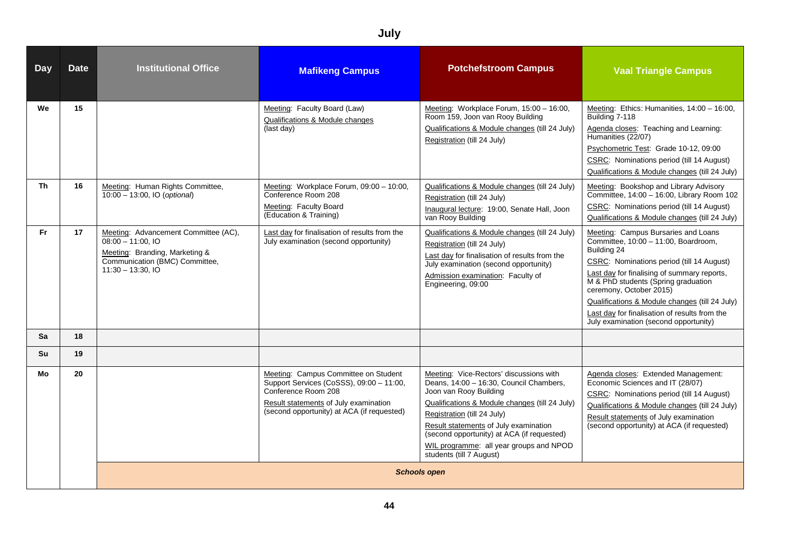| <b>Day</b> | <b>Date</b> | <b>Institutional Office</b>                                                                                                                           | <b>Mafikeng Campus</b>                                                                                                                                                                         | <b>Potchefstroom Campus</b>                                                                                                                                                                                                                                                                                                                                 | <b>Vaal Triangle Campus</b>                                                                                                                                                                                                                                                                                                                                                                          |
|------------|-------------|-------------------------------------------------------------------------------------------------------------------------------------------------------|------------------------------------------------------------------------------------------------------------------------------------------------------------------------------------------------|-------------------------------------------------------------------------------------------------------------------------------------------------------------------------------------------------------------------------------------------------------------------------------------------------------------------------------------------------------------|------------------------------------------------------------------------------------------------------------------------------------------------------------------------------------------------------------------------------------------------------------------------------------------------------------------------------------------------------------------------------------------------------|
| We         | 15          |                                                                                                                                                       | Meeting: Faculty Board (Law)<br>Qualifications & Module changes<br>(last day)                                                                                                                  | Meeting: Workplace Forum, 15:00 - 16:00,<br>Room 159, Joon van Rooy Building<br>Qualifications & Module changes (till 24 July)<br>Registration (till 24 July)                                                                                                                                                                                               | Meeting: Ethics: Humanities, 14:00 - 16:00,<br>Building 7-118<br>Agenda closes: Teaching and Learning:<br>Humanities (22/07)<br>Psychometric Test: Grade 10-12, 09:00<br>CSRC: Nominations period (till 14 August)<br>Qualifications & Module changes (till 24 July)                                                                                                                                 |
| Th         | 16          | Meeting: Human Rights Committee,<br>10:00 - 13:00, IO (optional)                                                                                      | Meeting: Workplace Forum, 09:00 - 10:00,<br>Conference Room 208<br>Meeting: Faculty Board<br>(Education & Training)                                                                            | Qualifications & Module changes (till 24 July)<br>Registration (till 24 July)<br>Inaugural lecture: 19:00, Senate Hall, Joon<br>van Rooy Building                                                                                                                                                                                                           | Meeting: Bookshop and Library Advisory<br>Committee, 14:00 - 16:00, Library Room 102<br>CSRC: Nominations period (till 14 August)<br>Qualifications & Module changes (till 24 July)                                                                                                                                                                                                                  |
| <b>Fr</b>  | 17          | Meeting: Advancement Committee (AC),<br>$08:00 - 11:00.$ IO<br>Meeting: Branding, Marketing &<br>Communication (BMC) Committee,<br>$11:30 - 13:30.10$ | Last day for finalisation of results from the<br>July examination (second opportunity)                                                                                                         | Qualifications & Module changes (till 24 July)<br>Registration (till 24 July)<br>Last day for finalisation of results from the<br>July examination (second opportunity)<br>Admission examination: Faculty of<br>Engineering, 09:00                                                                                                                          | Meeting: Campus Bursaries and Loans<br>Committee, 10:00 - 11:00, Boardroom,<br>Building 24<br>CSRC: Nominations period (till 14 August)<br>Last day for finalising of summary reports,<br>M & PhD students (Spring graduation<br>ceremony, October 2015)<br>Qualifications & Module changes (till 24 July)<br>Last day for finalisation of results from the<br>July examination (second opportunity) |
| <b>Sa</b>  | 18          |                                                                                                                                                       |                                                                                                                                                                                                |                                                                                                                                                                                                                                                                                                                                                             |                                                                                                                                                                                                                                                                                                                                                                                                      |
| <b>Su</b>  | 19          |                                                                                                                                                       |                                                                                                                                                                                                |                                                                                                                                                                                                                                                                                                                                                             |                                                                                                                                                                                                                                                                                                                                                                                                      |
| Mo         | 20          |                                                                                                                                                       | Meeting: Campus Committee on Student<br>Support Services (CoSSS), 09:00 - 11:00,<br>Conference Room 208<br>Result statements of July examination<br>(second opportunity) at ACA (if requested) | Meeting: Vice-Rectors' discussions with<br>Deans, 14:00 - 16:30, Council Chambers,<br>Joon van Rooy Building<br>Qualifications & Module changes (till 24 July)<br>Registration (till 24 July)<br>Result statements of July examination<br>(second opportunity) at ACA (if requested)<br>WIL programme: all year groups and NPOD<br>students (till 7 August) | Agenda closes: Extended Management:<br>Economic Sciences and IT (28/07)<br>CSRC: Nominations period (till 14 August)<br>Qualifications & Module changes (till 24 July)<br>Result statements of July examination<br>(second opportunity) at ACA (if requested)                                                                                                                                        |
|            |             |                                                                                                                                                       |                                                                                                                                                                                                | <b>Schools open</b>                                                                                                                                                                                                                                                                                                                                         |                                                                                                                                                                                                                                                                                                                                                                                                      |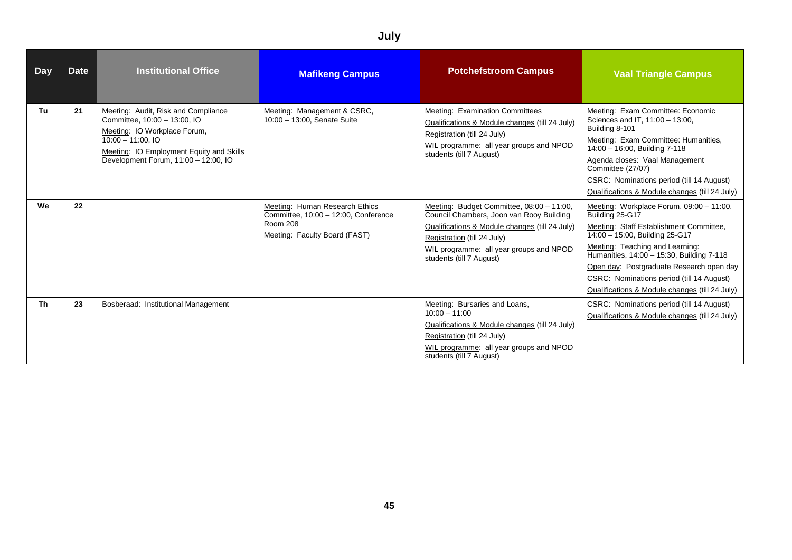|           | July        |                                                                                                                                                                                                                 |                                                                                                                            |                                                                                                                                                                                                                                               |                                                                                                                                                                                                                                                                                                                                                                     |  |  |
|-----------|-------------|-----------------------------------------------------------------------------------------------------------------------------------------------------------------------------------------------------------------|----------------------------------------------------------------------------------------------------------------------------|-----------------------------------------------------------------------------------------------------------------------------------------------------------------------------------------------------------------------------------------------|---------------------------------------------------------------------------------------------------------------------------------------------------------------------------------------------------------------------------------------------------------------------------------------------------------------------------------------------------------------------|--|--|
| Day       | <b>Date</b> | <b>Institutional Office</b>                                                                                                                                                                                     | <b>Mafikeng Campus</b>                                                                                                     | <b>Potchefstroom Campus</b>                                                                                                                                                                                                                   | <b>Vaal Triangle Campus</b>                                                                                                                                                                                                                                                                                                                                         |  |  |
| Tu        | 21          | Meeting: Audit, Risk and Compliance<br>Committee, 10:00 - 13:00, IO<br>Meeting: IO Workplace Forum,<br>$10:00 - 11:00$ , IO<br>Meeting: IO Employment Equity and Skills<br>Development Forum, 11:00 - 12:00, IO | Meeting: Management & CSRC,<br>10:00 - 13:00, Senate Suite                                                                 | Meeting: Examination Committees<br>Qualifications & Module changes (till 24 July)<br>Registration (till 24 July)<br>WIL programme: all year groups and NPOD<br>students (till 7 August)                                                       | Meeting: Exam Committee: Economic<br>Sciences and IT, 11:00 - 13:00,<br>Building 8-101<br>Meeting: Exam Committee: Humanities,<br>14:00 - 16:00, Building 7-118<br>Agenda closes: Vaal Management<br>Committee (27/07)<br>CSRC: Nominations period (till 14 August)<br>Qualifications & Module changes (till 24 July)                                               |  |  |
| We        | 22          |                                                                                                                                                                                                                 | Meeting: Human Research Ethics<br>Committee, 10:00 - 12:00, Conference<br><b>Room 208</b><br>Meeting: Faculty Board (FAST) | Meeting: Budget Committee, 08:00 - 11:00,<br>Council Chambers, Joon van Rooy Building<br>Qualifications & Module changes (till 24 July)<br>Registration (till 24 July)<br>WIL programme: all year groups and NPOD<br>students (till 7 August) | Meeting: Workplace Forum, 09:00 - 11:00,<br>Building 25-G17<br>Meeting: Staff Establishment Committee,<br>14:00 - 15:00, Building 25-G17<br>Meeting: Teaching and Learning:<br>Humanities, 14:00 - 15:30, Building 7-118<br>Open day: Postgraduate Research open day<br>CSRC: Nominations period (till 14 August)<br>Qualifications & Module changes (till 24 July) |  |  |
| <b>Th</b> | 23          | Bosberaad: Institutional Management                                                                                                                                                                             |                                                                                                                            | Meeting: Bursaries and Loans,<br>$10:00 - 11:00$<br>Qualifications & Module changes (till 24 July)<br>Registration (till 24 July)<br>WIL programme: all year groups and NPOD<br>students (till 7 August)                                      | CSRC: Nominations period (till 14 August)<br>Qualifications & Module changes (till 24 July)                                                                                                                                                                                                                                                                         |  |  |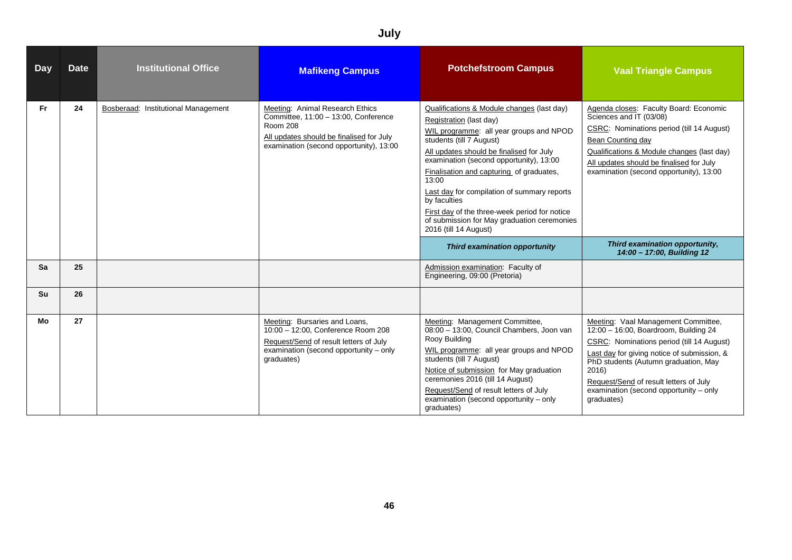#### **Day** Date Institutional Office Marikeng Campus **Potchefstroom Campus** Vaal Triangle Campus **Fr 24** Bosberaad: Institutional Management Meeting: Animal Research Ethics Committee, 11:00 – 13:00, Conference Room 208 All updates should be finalised for July examination (second opportunity), 13:00 Qualifications & Module changes (last day) Registration (last day) WIL programme: all year groups and NPOD students (till 7 August) All updates should be finalised for July examination (second opportunity), 13:00 Finalisation and capturing of graduates, 13:00 Last day for compilation of summary reports by faculties First day of the three-week period for notice of submission for May graduation ceremonies 2016 (till 14 August) Agenda closes: Faculty Board: Economic Sciences and IT (03/08) CSRC: Nominations period (till 14 August) Bean Counting day Qualifications & Module changes (last day) All updates should be finalised for July examination (second opportunity), 13:00 *Third examination opportunity Third examination opportunity, 14:00 – 17:00, Building 12* **Sa 25 25 Admission examination: Faculty of**  $\blacksquare$ Engineering, 09:00 (Pretoria) **Su 26 Mo 27** Meeting: Bursaries and Loans, 10:00 – 12:00, Conference Room 208 Request/Send of result letters of July examination (second opportunity – only graduates) Meeting: Management Committee, 08:00 – 13:00, Council Chambers, Joon van Rooy Building WIL programme: all year groups and NPOD students (till 7 August) Notice of submission for May graduation ceremonies 2016 (till 14 August) Request/Send of result letters of July examination (second opportunity – only graduates) Meeting: Vaal Management Committee, 12:00 – 16:00, Boardroom, Building 24 CSRC: Nominations period (till 14 August) Last day for giving notice of submission, & **PhD students (Autumn graduation, May** 2016) Request/Send of result letters of July examination (second opportunity – only graduates)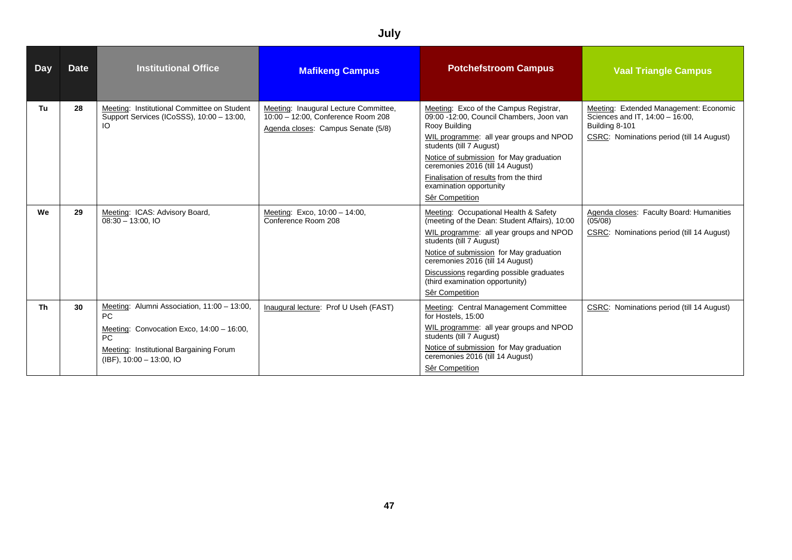| <b>Day</b> | <b>Date</b> | <b>Institutional Office</b>                                                                                                                                                    | <b>Mafikeng Campus</b>                                                                                            | <b>Potchefstroom Campus</b>                                                                                                                                                                                                                                                                                                                       | <b>Vaal Triangle Campus</b>                                                                                                              |
|------------|-------------|--------------------------------------------------------------------------------------------------------------------------------------------------------------------------------|-------------------------------------------------------------------------------------------------------------------|---------------------------------------------------------------------------------------------------------------------------------------------------------------------------------------------------------------------------------------------------------------------------------------------------------------------------------------------------|------------------------------------------------------------------------------------------------------------------------------------------|
| Tu         | 28          | Meeting: Institutional Committee on Student<br>Support Services (ICoSSS), 10:00 - 13:00,<br>IO                                                                                 | Meeting: Inaugural Lecture Committee,<br>10:00 - 12:00, Conference Room 208<br>Agenda closes: Campus Senate (5/8) | Meeting: Exco of the Campus Registrar,<br>09:00 -12:00, Council Chambers, Joon van<br>Rooy Building<br>WIL programme: all year groups and NPOD<br>students (till 7 August)<br>Notice of submission for May graduation<br>ceremonies 2016 (till 14 August)<br>Finalisation of results from the third<br>examination opportunity<br>Sêr Competition | Meeting: Extended Management: Economic<br>Sciences and IT, 14:00 - 16:00,<br>Building 8-101<br>CSRC: Nominations period (till 14 August) |
| We         | 29          | Meeting: ICAS: Advisory Board,<br>$08:30 - 13:00$ , IO                                                                                                                         | Meeting: Exco, 10:00 - 14:00,<br>Conference Room 208                                                              | Meeting: Occupational Health & Safety<br>(meeting of the Dean: Student Affairs), 10:00<br>WIL programme: all year groups and NPOD<br>students (till 7 August)<br>Notice of submission for May graduation<br>ceremonies 2016 (till 14 August)<br>Discussions regarding possible graduates<br>(third examination opportunity)<br>Sêr Competition    | Agenda closes: Faculty Board: Humanities<br>(05/08)<br>CSRC: Nominations period (till 14 August)                                         |
| Th         | 30          | Meeting: Alumni Association, 11:00 - 13:00,<br>PC<br>Meeting: Convocation Exco, 14:00 - 16:00,<br>PC<br>Meeting: Institutional Bargaining Forum<br>$(IBF)$ , 10:00 - 13:00, IO | Inaugural lecture: Prof U Useh (FAST)                                                                             | Meeting: Central Management Committee<br>for Hostels, 15:00<br>WIL programme: all year groups and NPOD<br>students (till 7 August)<br>Notice of submission for May graduation<br>ceremonies 2016 (till 14 August)<br>Sêr Competition                                                                                                              | CSRC: Nominations period (till 14 August)                                                                                                |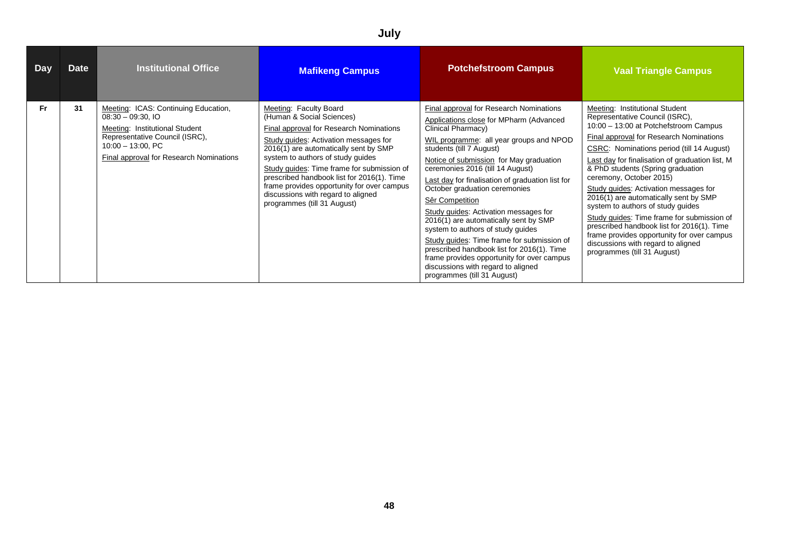| <b>Day</b> | <b>Date</b> | <b>Institutional Office</b>                                                                                                                                                                                | <b>Mafikeng Campus</b>                                                                                                                                                                                                                                                                                                                                                                                                               | <b>Potchefstroom Campus</b>                                                                                                                                                                                                                                                                                                                                                                                                                                                                                                                                                                                                                                                                                  | <b>Vaal Triangle Campus</b>                                                                                                                                                                                                                                                                                                                                                                                                                                                                                                                                                                                                                                |
|------------|-------------|------------------------------------------------------------------------------------------------------------------------------------------------------------------------------------------------------------|--------------------------------------------------------------------------------------------------------------------------------------------------------------------------------------------------------------------------------------------------------------------------------------------------------------------------------------------------------------------------------------------------------------------------------------|--------------------------------------------------------------------------------------------------------------------------------------------------------------------------------------------------------------------------------------------------------------------------------------------------------------------------------------------------------------------------------------------------------------------------------------------------------------------------------------------------------------------------------------------------------------------------------------------------------------------------------------------------------------------------------------------------------------|------------------------------------------------------------------------------------------------------------------------------------------------------------------------------------------------------------------------------------------------------------------------------------------------------------------------------------------------------------------------------------------------------------------------------------------------------------------------------------------------------------------------------------------------------------------------------------------------------------------------------------------------------------|
| Fr         | 31          | Meeting: ICAS: Continuing Education,<br>$08:30 - 09:30$ , IO<br>Meeting: Institutional Student<br>Representative Council (ISRC),<br>$10:00 - 13:00$ , PC<br><b>Final approval for Research Nominations</b> | Meeting: Faculty Board<br>(Human & Social Sciences)<br>Final approval for Research Nominations<br>Study guides: Activation messages for<br>2016(1) are automatically sent by SMP<br>system to authors of study guides<br>Study guides: Time frame for submission of<br>prescribed handbook list for 2016(1). Time<br>frame provides opportunity for over campus<br>discussions with regard to aligned<br>programmes (till 31 August) | Final approval for Research Nominations<br>Applications close for MPharm (Advanced<br>Clinical Pharmacy)<br>WIL programme: all year groups and NPOD<br>students (till 7 August)<br>Notice of submission for May graduation<br>ceremonies 2016 (till 14 August)<br>Last day for finalisation of graduation list for<br>October graduation ceremonies<br>Sêr Competition<br>Study guides: Activation messages for<br>2016(1) are automatically sent by SMP<br>system to authors of study guides<br>Study quides: Time frame for submission of<br>prescribed handbook list for 2016(1). Time<br>frame provides opportunity for over campus<br>discussions with regard to aligned<br>programmes (till 31 August) | Meeting: Institutional Student<br>Representative Council (ISRC),<br>10:00 - 13:00 at Potchefstroom Campus<br>Final approval for Research Nominations<br>CSRC: Nominations period (till 14 August)<br>Last day for finalisation of graduation list, M<br>& PhD students (Spring graduation<br>ceremony, October 2015)<br>Study guides: Activation messages for<br>2016(1) are automatically sent by SMP<br>system to authors of study guides<br>Study guides: Time frame for submission of<br>prescribed handbook list for 2016(1). Time<br>frame provides opportunity for over campus<br>discussions with regard to aligned<br>programmes (till 31 August) |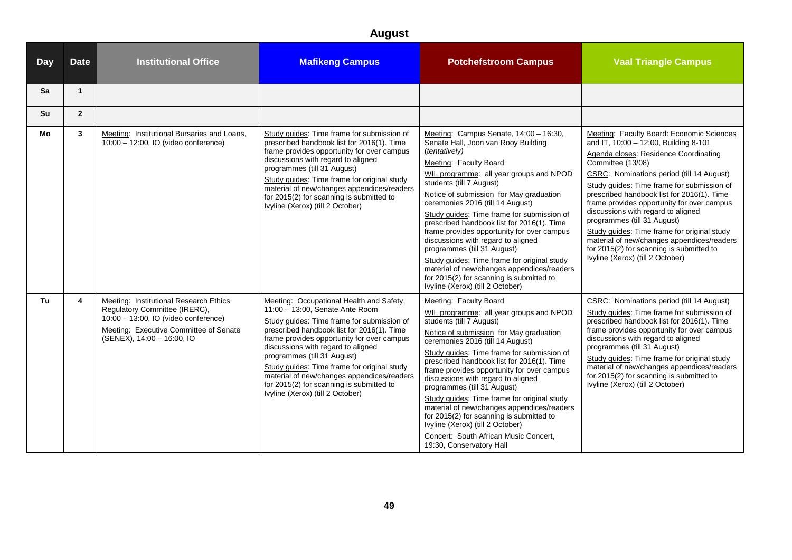| <b>Day</b> | <b>Date</b>             | <b>Institutional Office</b>                                                                                                                                                             | <b>Mafikeng Campus</b>                                                                                                                                                                                                                                                                                                                                                                                                                                                  | <b>Potchefstroom Campus</b>                                                                                                                                                                                                                                                                                                                                                                                                                                                                                                                                                                                                                                                | <b>Vaal Triangle Campus</b>                                                                                                                                                                                                                                                                                                                                                                                                                                                                                                                                                               |
|------------|-------------------------|-----------------------------------------------------------------------------------------------------------------------------------------------------------------------------------------|-------------------------------------------------------------------------------------------------------------------------------------------------------------------------------------------------------------------------------------------------------------------------------------------------------------------------------------------------------------------------------------------------------------------------------------------------------------------------|----------------------------------------------------------------------------------------------------------------------------------------------------------------------------------------------------------------------------------------------------------------------------------------------------------------------------------------------------------------------------------------------------------------------------------------------------------------------------------------------------------------------------------------------------------------------------------------------------------------------------------------------------------------------------|-------------------------------------------------------------------------------------------------------------------------------------------------------------------------------------------------------------------------------------------------------------------------------------------------------------------------------------------------------------------------------------------------------------------------------------------------------------------------------------------------------------------------------------------------------------------------------------------|
| Sa         | $\mathbf{1}$            |                                                                                                                                                                                         |                                                                                                                                                                                                                                                                                                                                                                                                                                                                         |                                                                                                                                                                                                                                                                                                                                                                                                                                                                                                                                                                                                                                                                            |                                                                                                                                                                                                                                                                                                                                                                                                                                                                                                                                                                                           |
| Su         | $\overline{2}$          |                                                                                                                                                                                         |                                                                                                                                                                                                                                                                                                                                                                                                                                                                         |                                                                                                                                                                                                                                                                                                                                                                                                                                                                                                                                                                                                                                                                            |                                                                                                                                                                                                                                                                                                                                                                                                                                                                                                                                                                                           |
| Mo         | $\mathbf{3}$            | Meeting: Institutional Bursaries and Loans,<br>10:00 - 12:00, IO (video conference)                                                                                                     | Study guides: Time frame for submission of<br>prescribed handbook list for 2016(1). Time<br>frame provides opportunity for over campus<br>discussions with regard to aligned<br>programmes (till 31 August)<br>Study guides: Time frame for original study<br>material of new/changes appendices/readers<br>for 2015(2) for scanning is submitted to<br>Ivyline (Xerox) (till 2 October)                                                                                | Meeting: Campus Senate, 14:00 - 16:30,<br>Senate Hall, Joon van Rooy Building<br>(tentatively)<br>Meeting: Faculty Board<br>WIL programme: all year groups and NPOD<br>students (till 7 August)<br>Notice of submission for May graduation<br>ceremonies 2016 (till 14 August)<br>Study guides: Time frame for submission of<br>prescribed handbook list for 2016(1). Time<br>frame provides opportunity for over campus<br>discussions with regard to aligned<br>programmes (till 31 August)<br>Study guides: Time frame for original study<br>material of new/changes appendices/readers<br>for 2015(2) for scanning is submitted to<br>Ivyline (Xerox) (till 2 October) | Meeting: Faculty Board: Economic Sciences<br>and IT, 10:00 - 12:00, Building 8-101<br>Agenda closes: Residence Coordinating<br>Committee (13/08)<br>CSRC: Nominations period (till 14 August)<br>Study guides: Time frame for submission of<br>prescribed handbook list for 2016(1). Time<br>frame provides opportunity for over campus<br>discussions with regard to aligned<br>programmes (till 31 August)<br>Study guides: Time frame for original study<br>material of new/changes appendices/readers<br>for 2015(2) for scanning is submitted to<br>Ivyline (Xerox) (till 2 October) |
| Tu         | $\overline{\mathbf{4}}$ | Meeting: Institutional Research Ethics<br>Regulatory Committee (IRERC),<br>10:00 - 13:00, IO (video conference)<br>Meeting: Executive Committee of Senate<br>(SENEX), 14:00 - 16:00, IO | Meeting: Occupational Health and Safety,<br>11:00 - 13:00, Senate Ante Room<br>Study guides: Time frame for submission of<br>prescribed handbook list for 2016(1). Time<br>frame provides opportunity for over campus<br>discussions with regard to aligned<br>programmes (till 31 August)<br>Study guides: Time frame for original study<br>material of new/changes appendices/readers<br>for 2015(2) for scanning is submitted to<br>Ivyline (Xerox) (till 2 October) | Meeting: Faculty Board<br>WIL programme: all year groups and NPOD<br>students (till 7 August)<br>Notice of submission for May graduation<br>ceremonies 2016 (till 14 August)<br>Study guides: Time frame for submission of<br>prescribed handbook list for 2016(1). Time<br>frame provides opportunity for over campus<br>discussions with regard to aligned<br>programmes (till 31 August)<br>Study guides: Time frame for original study<br>material of new/changes appendices/readers<br>for 2015(2) for scanning is submitted to<br>Ivyline (Xerox) (till 2 October)<br>Concert: South African Music Concert,<br>19:30, Conservatory Hall                              | CSRC: Nominations period (till 14 August)<br>Study guides: Time frame for submission of<br>prescribed handbook list for 2016(1). Time<br>frame provides opportunity for over campus<br>discussions with regard to aligned<br>programmes (till 31 August)<br>Study guides: Time frame for original study<br>material of new/changes appendices/readers<br>for 2015(2) for scanning is submitted to<br>Ivyline (Xerox) (till 2 October)                                                                                                                                                     |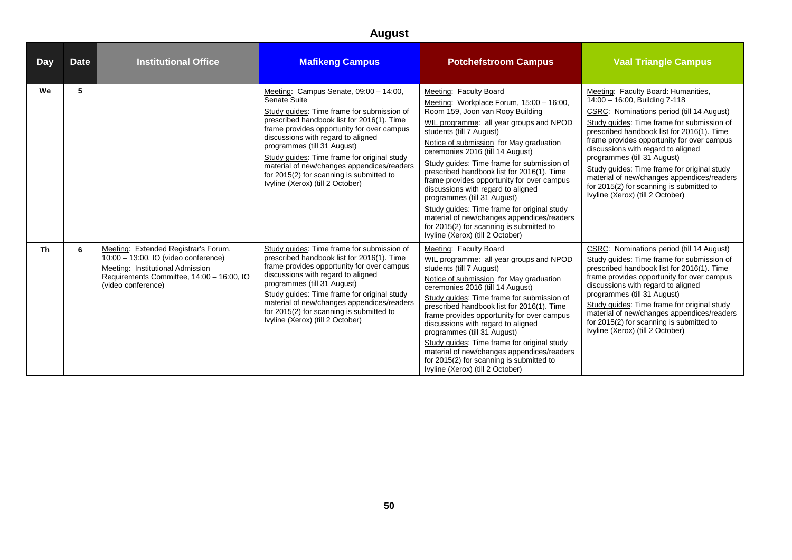| <b>Day</b> | <b>Date</b> | <b>Institutional Office</b>                                                                                                                                                         | <b>Mafikeng Campus</b>                                                                                                                                                                                                                                                                                                                                                                                                                             | <b>Potchefstroom Campus</b>                                                                                                                                                                                                                                                                                                                                                                                                                                                                                                                                                                                                                              | <b>Vaal Triangle Campus</b>                                                                                                                                                                                                                                                                                                                                                                                                                                                                                   |
|------------|-------------|-------------------------------------------------------------------------------------------------------------------------------------------------------------------------------------|----------------------------------------------------------------------------------------------------------------------------------------------------------------------------------------------------------------------------------------------------------------------------------------------------------------------------------------------------------------------------------------------------------------------------------------------------|----------------------------------------------------------------------------------------------------------------------------------------------------------------------------------------------------------------------------------------------------------------------------------------------------------------------------------------------------------------------------------------------------------------------------------------------------------------------------------------------------------------------------------------------------------------------------------------------------------------------------------------------------------|---------------------------------------------------------------------------------------------------------------------------------------------------------------------------------------------------------------------------------------------------------------------------------------------------------------------------------------------------------------------------------------------------------------------------------------------------------------------------------------------------------------|
| We         | 5           |                                                                                                                                                                                     | Meeting: Campus Senate, 09:00 - 14:00,<br>Senate Suite<br>Study guides: Time frame for submission of<br>prescribed handbook list for 2016(1). Time<br>frame provides opportunity for over campus<br>discussions with regard to aligned<br>programmes (till 31 August)<br>Study quides: Time frame for original study<br>material of new/changes appendices/readers<br>for 2015(2) for scanning is submitted to<br>Ivyline (Xerox) (till 2 October) | Meeting: Faculty Board<br>Meeting: Workplace Forum, 15:00 - 16:00,<br>Room 159, Joon van Rooy Building<br>WIL programme: all year groups and NPOD<br>students (till 7 August)<br>Notice of submission for May graduation<br>ceremonies 2016 (till 14 August)<br>Study guides: Time frame for submission of<br>prescribed handbook list for 2016(1). Time<br>frame provides opportunity for over campus<br>discussions with regard to aligned<br>programmes (till 31 August)<br>Study guides: Time frame for original study<br>material of new/changes appendices/readers<br>for 2015(2) for scanning is submitted to<br>Ivvline (Xerox) (till 2 October) | Meeting: Faculty Board: Humanities,<br>14:00 - 16:00, Building 7-118<br>CSRC: Nominations period (till 14 August)<br>Study guides: Time frame for submission of<br>prescribed handbook list for 2016(1). Time<br>frame provides opportunity for over campus<br>discussions with regard to aligned<br>programmes (till 31 August)<br>Study quides: Time frame for original study<br>material of new/changes appendices/readers<br>for 2015(2) for scanning is submitted to<br>Ivyline (Xerox) (till 2 October) |
| Th         | 6           | Meeting: Extended Registrar's Forum,<br>10:00 - 13:00, IO (video conference)<br>Meeting: Institutional Admission<br>Requirements Committee, 14:00 - 16:00, IO<br>(video conference) | Study guides: Time frame for submission of<br>prescribed handbook list for 2016(1). Time<br>frame provides opportunity for over campus<br>discussions with regard to aligned<br>programmes (till 31 August)<br>Study guides: Time frame for original study<br>material of new/changes appendices/readers<br>for 2015(2) for scanning is submitted to<br>Ivyline (Xerox) (till 2 October)                                                           | Meeting: Faculty Board<br>WIL programme: all year groups and NPOD<br>students (till 7 August)<br>Notice of submission for May graduation<br>ceremonies 2016 (till 14 August)<br>Study quides: Time frame for submission of<br>prescribed handbook list for 2016(1). Time<br>frame provides opportunity for over campus<br>discussions with regard to aligned<br>programmes (till 31 August)<br>Study quides: Time frame for original study<br>material of new/changes appendices/readers<br>for 2015(2) for scanning is submitted to<br>Ivyline (Xerox) (till 2 October)                                                                                 | CSRC: Nominations period (till 14 August)<br>Study quides: Time frame for submission of<br>prescribed handbook list for 2016(1). Time<br>frame provides opportunity for over campus<br>discussions with regard to aligned<br>programmes (till 31 August)<br>Study guides: Time frame for original study<br>material of new/changes appendices/readers<br>for 2015(2) for scanning is submitted to<br>Ivyline (Xerox) (till 2 October)                                                                         |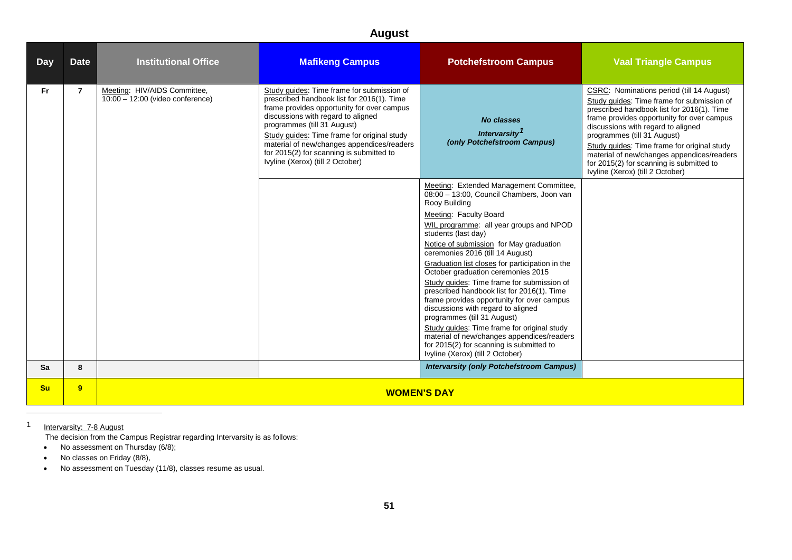<span id="page-50-0"></span>

| <b>Day</b> | <b>Date</b>    | <b>Institutional Office</b>                                      | <b>Mafikeng Campus</b>                                                                                                                                                                                                                                                                                                                                                                   | <b>Potchefstroom Campus</b>                                                                                                                                                                                                                                                                                                                                                                                                                                                                                                                                                                                                                                                                                                                                           | <b>Vaal Triangle Campus</b>                                                                                                                                                                                                                                                                                                                                                                                                           |  |
|------------|----------------|------------------------------------------------------------------|------------------------------------------------------------------------------------------------------------------------------------------------------------------------------------------------------------------------------------------------------------------------------------------------------------------------------------------------------------------------------------------|-----------------------------------------------------------------------------------------------------------------------------------------------------------------------------------------------------------------------------------------------------------------------------------------------------------------------------------------------------------------------------------------------------------------------------------------------------------------------------------------------------------------------------------------------------------------------------------------------------------------------------------------------------------------------------------------------------------------------------------------------------------------------|---------------------------------------------------------------------------------------------------------------------------------------------------------------------------------------------------------------------------------------------------------------------------------------------------------------------------------------------------------------------------------------------------------------------------------------|--|
| <b>Fr</b>  | $\overline{7}$ | Meeting: HIV/AIDS Committee,<br>10:00 - 12:00 (video conference) | Study guides: Time frame for submission of<br>prescribed handbook list for 2016(1). Time<br>frame provides opportunity for over campus<br>discussions with regard to aligned<br>programmes (till 31 August)<br>Study guides: Time frame for original study<br>material of new/changes appendices/readers<br>for 2015(2) for scanning is submitted to<br>Ivyline (Xerox) (till 2 October) | <b>No classes</b><br>Intervarsity <sup>1</sup><br>(only Potchefstroom Campus)                                                                                                                                                                                                                                                                                                                                                                                                                                                                                                                                                                                                                                                                                         | CSRC: Nominations period (till 14 August)<br>Study guides: Time frame for submission of<br>prescribed handbook list for 2016(1). Time<br>frame provides opportunity for over campus<br>discussions with regard to aligned<br>programmes (till 31 August)<br>Study quides: Time frame for original study<br>material of new/changes appendices/readers<br>for 2015(2) for scanning is submitted to<br>Ivyline (Xerox) (till 2 October) |  |
|            |                |                                                                  |                                                                                                                                                                                                                                                                                                                                                                                          | Meeting: Extended Management Committee,<br>08:00 - 13:00, Council Chambers, Joon van<br>Rooy Building<br>Meeting: Faculty Board<br>WIL programme: all year groups and NPOD<br>students (last day)<br>Notice of submission for May graduation<br>ceremonies 2016 (till 14 August)<br>Graduation list closes for participation in the<br>October graduation ceremonies 2015<br>Study quides: Time frame for submission of<br>prescribed handbook list for 2016(1). Time<br>frame provides opportunity for over campus<br>discussions with regard to aligned<br>programmes (till 31 August)<br>Study quides: Time frame for original study<br>material of new/changes appendices/readers<br>for 2015(2) for scanning is submitted to<br>Ivyline (Xerox) (till 2 October) |                                                                                                                                                                                                                                                                                                                                                                                                                                       |  |
| Sa         | 8              |                                                                  |                                                                                                                                                                                                                                                                                                                                                                                          | <b>Intervarsity (only Potchefstroom Campus)</b>                                                                                                                                                                                                                                                                                                                                                                                                                                                                                                                                                                                                                                                                                                                       |                                                                                                                                                                                                                                                                                                                                                                                                                                       |  |
| <b>Su</b>  | 9              | <b>WOMEN'S DAY</b>                                               |                                                                                                                                                                                                                                                                                                                                                                                          |                                                                                                                                                                                                                                                                                                                                                                                                                                                                                                                                                                                                                                                                                                                                                                       |                                                                                                                                                                                                                                                                                                                                                                                                                                       |  |

1 Intervarsity: 7-8 August

 $\overline{a}$ 

The decision from the Campus Registrar regarding Intervarsity is as follows:

- No assessment on Thursday (6/8);
- No classes on Friday (8/8),
- No assessment on Tuesday (11/8), classes resume as usual.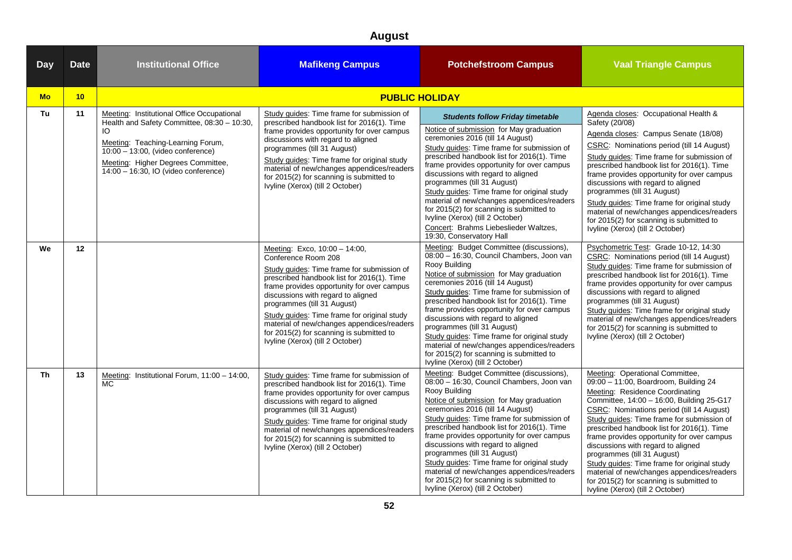#### **August Day** Date **Institutional Office Matikeng Campus Potchefstroom Campus Vaal Triangle Campus Mo 10 PUBLIC HOLIDAY Tu 11** Meeting: Institutional Office Occupational Health and Safety Committee, 08:30 – 10:30, IO Meeting: Teaching-Learning Forum, 10:00 – 13:00, (video conference) Meeting: Higher Degrees Committee, 14:00 – 16:30, IO (video conference) Study guides: Time frame for submission of prescribed handbook list for 2016(1). Time frame provides opportunity for over campus discussions with regard to aligned programmes (till 31 August) Study guides: Time frame for original study material of new/changes appendices/readers for 2015(2) for scanning is submitted to Ivyline (Xerox) (till 2 October) **Students follow Friday timetable Agenda closes: Occupational Health &** Safety (20/08) Agenda closes: Campus Senate (18/08) CSRC: Nominations period (till 14 August) Study guides: Time frame for submission of prescribed handbook list for 2016(1). Time frame provides opportunity for over campus discussions with regard to aligned programmes (till 31 August) Study guides: Time frame for original study material of new/changes appendices/readers for 2015(2) for scanning is submitted to Ivyline (Xerox) (till 2 October) Notice of submission for May graduation ceremonies 2016 (till 14 August) Study guides: Time frame for submission of prescribed handbook list for 2016(1). Time frame provides opportunity for over campus discussions with regard to aligned programmes (till 31 August) Study guides: Time frame for original study material of new/changes appendices/readers for 2015(2) for scanning is submitted to Ivyline (Xerox) (till 2 October) Concert: Brahms Liebeslieder Waltzes, 19:30, Conservatory Hall **We 12** Meeting: Exco, 10:00 – 14:00, Conference Room 208 Study guides: Time frame for submission of prescribed handbook list for 2016(1). Time frame provides opportunity for over campus discussions with regard to aligned programmes (till 31 August) Study guides: Time frame for original study material of new/changes appendices/readers for 2015(2) for scanning is submitted to Ivyline (Xerox) (till 2 October) Meeting: Budget Committee (discussions), 08:00 – 16:30, Council Chambers, Joon van Rooy Building Notice of submission for May graduation ceremonies 2016 (till 14 August) Study guides: Time frame for submission of prescribed handbook list for 2016(1). Time frame provides opportunity for over campus discussions with regard to aligned programmes (till 31 August) Study guides: Time frame for original study material of new/changes appendices/readers for 2015(2) for scanning is submitted to Ivyline (Xerox) (till 2 October) Psychometric Test: Grade 10-12, 14:30 CSRC: Nominations period (till 14 August) Study guides: Time frame for submission of prescribed handbook list for 2016(1). Time frame provides opportunity for over campus discussions with regard to aligned programmes (till 31 August) Study guides: Time frame for original study material of new/changes appendices/readers for 2015(2) for scanning is submitted to Ivyline (Xerox) (till 2 October) **Th 13** Meeting: Institutional Forum, 11:00 – 14:00,  $MC$ Study guides: Time frame for submission of prescribed handbook list for 2016(1). Time frame provides opportunity for over campus discussions with regard to aligned programmes (till 31 August) Study guides: Time frame for original study material of new/changes appendices/readers for 2015(2) for scanning is submitted to Ivyline (Xerox) (till 2 October) Meeting: Budget Committee (discussions), 08:00 – 16:30, Council Chambers, Joon van Rooy Building Notice of submission for May graduation ceremonies 2016 (till 14 August) Study guides: Time frame for submission of prescribed handbook list for 2016(1). Time frame provides opportunity for over campus discussions with regard to aligned programmes (till 31 August) Study guides: Time frame for original study material of new/changes appendices/readers for 2015(2) for scanning is submitted to Ivyline (Xerox) (till 2 October) Meeting: Operational Committee, 09:00 – 11:00, Boardroom, Building 24 Meeting: Residence Coordinating Committee, 14:00 – 16:00, Building 25-G17 CSRC: Nominations period (till 14 August) Study guides: Time frame for submission of prescribed handbook list for 2016(1). Time frame provides opportunity for over campus discussions with regard to aligned programmes (till 31 August) Study guides: Time frame for original study material of new/changes appendices/readers for 2015(2) for scanning is submitted to Ivyline (Xerox) (till 2 October)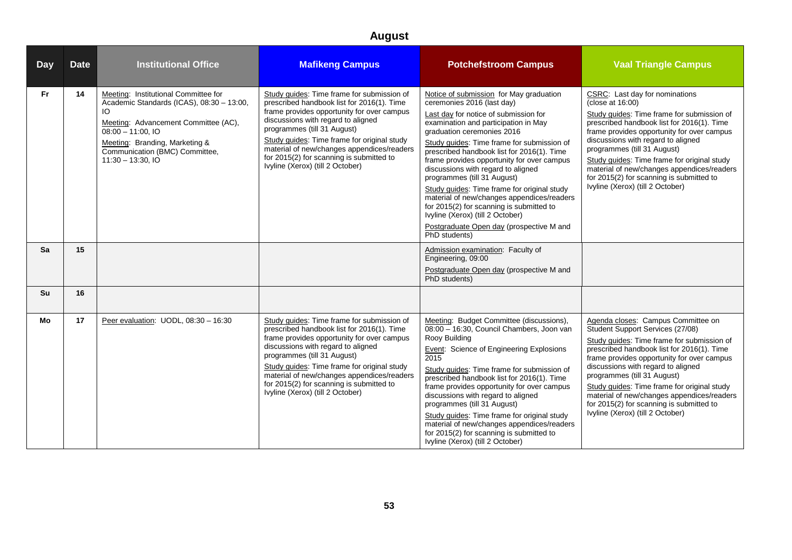| <b>Day</b> | <b>Date</b> | <b>Institutional Office</b>                                                                                                                                                                                                                        | <b>Mafikeng Campus</b>                                                                                                                                                                                                                                                                                                                                                                   | <b>Potchefstroom Campus</b>                                                                                                                                                                                                                                                                                                                                                                                                                                                                                                                                                                                                                   | <b>Vaal Triangle Campus</b>                                                                                                                                                                                                                                                                                                                                                                                                                                        |
|------------|-------------|----------------------------------------------------------------------------------------------------------------------------------------------------------------------------------------------------------------------------------------------------|------------------------------------------------------------------------------------------------------------------------------------------------------------------------------------------------------------------------------------------------------------------------------------------------------------------------------------------------------------------------------------------|-----------------------------------------------------------------------------------------------------------------------------------------------------------------------------------------------------------------------------------------------------------------------------------------------------------------------------------------------------------------------------------------------------------------------------------------------------------------------------------------------------------------------------------------------------------------------------------------------------------------------------------------------|--------------------------------------------------------------------------------------------------------------------------------------------------------------------------------------------------------------------------------------------------------------------------------------------------------------------------------------------------------------------------------------------------------------------------------------------------------------------|
| <b>Fr</b>  | 14          | Meeting: Institutional Committee for<br>Academic Standards (ICAS), 08:30 - 13:00,<br>IO.<br>Meeting: Advancement Committee (AC),<br>$08:00 - 11:00.$ IO<br>Meeting: Branding, Marketing &<br>Communication (BMC) Committee,<br>$11:30 - 13:30, 10$ | Study quides: Time frame for submission of<br>prescribed handbook list for 2016(1). Time<br>frame provides opportunity for over campus<br>discussions with regard to aligned<br>programmes (till 31 August)<br>Study guides: Time frame for original study<br>material of new/changes appendices/readers<br>for 2015(2) for scanning is submitted to<br>Ivyline (Xerox) (till 2 October) | Notice of submission for May graduation<br>ceremonies 2016 (last day)<br>Last day for notice of submission for<br>examination and participation in May<br>graduation ceremonies 2016<br>Study guides: Time frame for submission of<br>prescribed handbook list for 2016(1). Time<br>frame provides opportunity for over campus<br>discussions with regard to aligned<br>programmes (till 31 August)<br>Study guides: Time frame for original study<br>material of new/changes appendices/readers<br>for 2015(2) for scanning is submitted to<br>Ivyline (Xerox) (till 2 October)<br>Postgraduate Open day (prospective M and<br>PhD students) | CSRC: Last day for nominations<br>(close at 16:00)<br>Study quides: Time frame for submission of<br>prescribed handbook list for 2016(1). Time<br>frame provides opportunity for over campus<br>discussions with regard to aligned<br>programmes (till 31 August)<br>Study guides: Time frame for original study<br>material of new/changes appendices/readers<br>for 2015(2) for scanning is submitted to<br>Ivyline (Xerox) (till 2 October)                     |
| Sa         | 15          |                                                                                                                                                                                                                                                    |                                                                                                                                                                                                                                                                                                                                                                                          | Admission examination: Faculty of<br>Engineering, 09:00<br>Postgraduate Open day (prospective M and<br>PhD students)                                                                                                                                                                                                                                                                                                                                                                                                                                                                                                                          |                                                                                                                                                                                                                                                                                                                                                                                                                                                                    |
| Su         | 16          |                                                                                                                                                                                                                                                    |                                                                                                                                                                                                                                                                                                                                                                                          |                                                                                                                                                                                                                                                                                                                                                                                                                                                                                                                                                                                                                                               |                                                                                                                                                                                                                                                                                                                                                                                                                                                                    |
| Mo         | 17          | Peer evaluation: UODL, 08:30 - 16:30                                                                                                                                                                                                               | Study quides: Time frame for submission of<br>prescribed handbook list for 2016(1). Time<br>frame provides opportunity for over campus<br>discussions with regard to aligned<br>programmes (till 31 August)<br>Study guides: Time frame for original study<br>material of new/changes appendices/readers<br>for 2015(2) for scanning is submitted to<br>Ivyline (Xerox) (till 2 October) | Meeting: Budget Committee (discussions),<br>08:00 - 16:30, Council Chambers, Joon van<br>Rooy Building<br><b>Event:</b> Science of Engineering Explosions<br>2015<br>Study quides: Time frame for submission of<br>prescribed handbook list for 2016(1). Time<br>frame provides opportunity for over campus<br>discussions with regard to aligned<br>programmes (till 31 August)<br>Study guides: Time frame for original study<br>material of new/changes appendices/readers<br>for 2015(2) for scanning is submitted to<br>Ivyline (Xerox) (till 2 October)                                                                                 | Agenda closes: Campus Committee on<br>Student Support Services (27/08)<br>Study quides: Time frame for submission of<br>prescribed handbook list for 2016(1). Time<br>frame provides opportunity for over campus<br>discussions with regard to aligned<br>programmes (till 31 August)<br>Study guides: Time frame for original study<br>material of new/changes appendices/readers<br>for 2015(2) for scanning is submitted to<br>Ivyline (Xerox) (till 2 October) |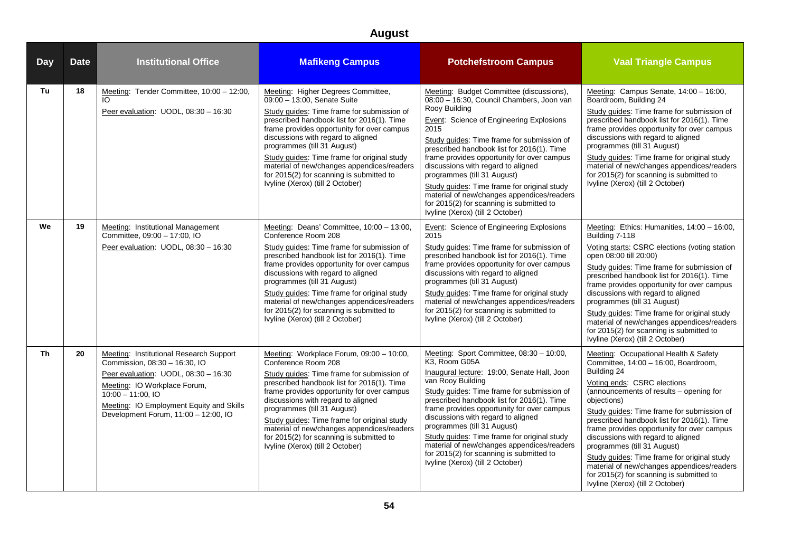| <b>Day</b> | <b>Date</b> | <b>Institutional Office</b>                                                                                                                                                                                                                                | <b>Mafikeng Campus</b>                                                                                                                                                                                                                                                                                                                                                                                                                                        | <b>Potchefstroom Campus</b>                                                                                                                                                                                                                                                                                                                                                                                                                                                                                                                                   | <b>Vaal Triangle Campus</b>                                                                                                                                                                                                                                                                                                                                                                                                                                                                                                                                                       |
|------------|-------------|------------------------------------------------------------------------------------------------------------------------------------------------------------------------------------------------------------------------------------------------------------|---------------------------------------------------------------------------------------------------------------------------------------------------------------------------------------------------------------------------------------------------------------------------------------------------------------------------------------------------------------------------------------------------------------------------------------------------------------|---------------------------------------------------------------------------------------------------------------------------------------------------------------------------------------------------------------------------------------------------------------------------------------------------------------------------------------------------------------------------------------------------------------------------------------------------------------------------------------------------------------------------------------------------------------|-----------------------------------------------------------------------------------------------------------------------------------------------------------------------------------------------------------------------------------------------------------------------------------------------------------------------------------------------------------------------------------------------------------------------------------------------------------------------------------------------------------------------------------------------------------------------------------|
| Tu         | 18          | Meeting: Tender Committee, 10:00 - 12:00,<br>IO.<br>Peer evaluation: UODL, 08:30 - 16:30                                                                                                                                                                   | Meeting: Higher Degrees Committee,<br>09:00 - 13:00, Senate Suite<br>Study guides: Time frame for submission of<br>prescribed handbook list for 2016(1). Time<br>frame provides opportunity for over campus<br>discussions with regard to aligned<br>programmes (till 31 August)<br>Study guides: Time frame for original study<br>material of new/changes appendices/readers<br>for 2015(2) for scanning is submitted to<br>Ivyline (Xerox) (till 2 October) | Meeting: Budget Committee (discussions),<br>08:00 - 16:30, Council Chambers, Joon van<br>Rooy Building<br><b>Event:</b> Science of Engineering Explosions<br>2015<br>Study guides: Time frame for submission of<br>prescribed handbook list for 2016(1). Time<br>frame provides opportunity for over campus<br>discussions with regard to aligned<br>programmes (till 31 August)<br>Study guides: Time frame for original study<br>material of new/changes appendices/readers<br>for 2015(2) for scanning is submitted to<br>Ivyline (Xerox) (till 2 October) | Meeting: Campus Senate, 14:00 - 16:00,<br>Boardroom, Building 24<br>Study guides: Time frame for submission of<br>prescribed handbook list for 2016(1). Time<br>frame provides opportunity for over campus<br>discussions with regard to aligned<br>programmes (till 31 August)<br>Study guides: Time frame for original study<br>material of new/changes appendices/readers<br>for 2015(2) for scanning is submitted to<br>Ivyline (Xerox) (till 2 October)                                                                                                                      |
| We         | 19          | Meeting: Institutional Management<br>Committee, 09:00 - 17:00, IO<br>Peer evaluation: UODL, 08:30 - 16:30                                                                                                                                                  | Meeting: Deans' Committee, 10:00 - 13:00,<br>Conference Room 208<br>Study guides: Time frame for submission of<br>prescribed handbook list for 2016(1). Time<br>frame provides opportunity for over campus<br>discussions with regard to aligned<br>programmes (till 31 August)<br>Study guides: Time frame for original study<br>material of new/changes appendices/readers<br>for 2015(2) for scanning is submitted to<br>Ivyline (Xerox) (till 2 October)  | <b>Event:</b> Science of Engineering Explosions<br>2015<br>Study guides: Time frame for submission of<br>prescribed handbook list for 2016(1). Time<br>frame provides opportunity for over campus<br>discussions with regard to aligned<br>programmes (till 31 August)<br>Study guides: Time frame for original study<br>material of new/changes appendices/readers<br>for 2015(2) for scanning is submitted to<br>Ivyline (Xerox) (till 2 October)                                                                                                           | Meeting: Ethics: Humanities, 14:00 - 16:00,<br>Building 7-118<br>Voting starts: CSRC elections (voting station<br>open 08:00 till 20:00)<br>Study guides: Time frame for submission of<br>prescribed handbook list for 2016(1). Time<br>frame provides opportunity for over campus<br>discussions with regard to aligned<br>programmes (till 31 August)<br>Study guides: Time frame for original study<br>material of new/changes appendices/readers<br>for 2015(2) for scanning is submitted to<br>Ivyline (Xerox) (till 2 October)                                              |
| <b>Th</b>  | 20          | Meeting: Institutional Research Support<br>Commission, 08:30 - 16:30, IO<br>Peer evaluation: UODL, 08:30 - 16:30<br>Meeting: IO Workplace Forum,<br>$10:00 - 11:00.10$<br>Meeting: IO Employment Equity and Skills<br>Development Forum, 11:00 - 12:00, IO | Meeting: Workplace Forum, 09:00 - 10:00,<br>Conference Room 208<br>Study guides: Time frame for submission of<br>prescribed handbook list for 2016(1). Time<br>frame provides opportunity for over campus<br>discussions with regard to aligned<br>programmes (till 31 August)<br>Study guides: Time frame for original study<br>material of new/changes appendices/readers<br>for 2015(2) for scanning is submitted to<br>Ivyline (Xerox) (till 2 October)   | Meeting: Sport Committee, 08:30 - 10:00,<br>K3, Room G05A<br>Inaugural lecture: 19:00, Senate Hall, Joon<br>van Rooy Building<br>Study guides: Time frame for submission of<br>prescribed handbook list for 2016(1). Time<br>frame provides opportunity for over campus<br>discussions with regard to aligned<br>programmes (till 31 August)<br>Study guides: Time frame for original study<br>material of new/changes appendices/readers<br>for 2015(2) for scanning is submitted to<br>Ivyline (Xerox) (till 2 October)                                     | Meeting: Occupational Health & Safety<br>Committee, 14:00 - 16:00, Boardroom,<br>Building 24<br>Voting ends: CSRC elections<br>(announcements of results - opening for<br>objections)<br>Study guides: Time frame for submission of<br>prescribed handbook list for 2016(1). Time<br>frame provides opportunity for over campus<br>discussions with regard to aligned<br>programmes (till 31 August)<br>Study guides: Time frame for original study<br>material of new/changes appendices/readers<br>for 2015(2) for scanning is submitted to<br>Ivyline (Xerox) (till 2 October) |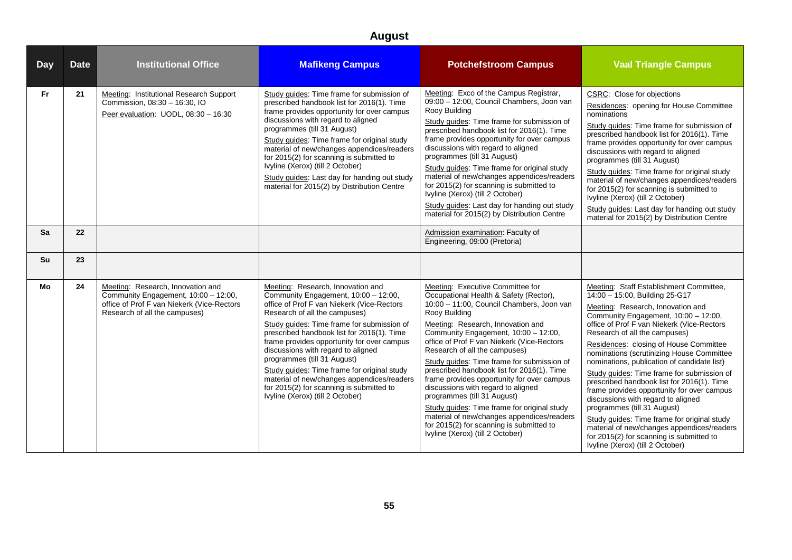| <b>Day</b> | <b>Date</b> | <b>Institutional Office</b>                                                                                                                              | <b>Mafikeng Campus</b>                                                                                                                                                                                                                                                                                                                                                                                                                                                                                                                               | <b>Potchefstroom Campus</b>                                                                                                                                                                                                                                                                                                                                                                                                                                                                                                                                                                                                                                                                      | <b>Vaal Triangle Campus</b>                                                                                                                                                                                                                                                                                                                                                                                                                                                                                                                                                                                                                                                                                                                                             |
|------------|-------------|----------------------------------------------------------------------------------------------------------------------------------------------------------|------------------------------------------------------------------------------------------------------------------------------------------------------------------------------------------------------------------------------------------------------------------------------------------------------------------------------------------------------------------------------------------------------------------------------------------------------------------------------------------------------------------------------------------------------|--------------------------------------------------------------------------------------------------------------------------------------------------------------------------------------------------------------------------------------------------------------------------------------------------------------------------------------------------------------------------------------------------------------------------------------------------------------------------------------------------------------------------------------------------------------------------------------------------------------------------------------------------------------------------------------------------|-------------------------------------------------------------------------------------------------------------------------------------------------------------------------------------------------------------------------------------------------------------------------------------------------------------------------------------------------------------------------------------------------------------------------------------------------------------------------------------------------------------------------------------------------------------------------------------------------------------------------------------------------------------------------------------------------------------------------------------------------------------------------|
| <b>Fr</b>  | 21          | Meeting: Institutional Research Support<br>Commission, 08:30 - 16:30, IO<br>Peer evaluation: UODL, 08:30 - 16:30                                         | Study guides: Time frame for submission of<br>prescribed handbook list for 2016(1). Time<br>frame provides opportunity for over campus<br>discussions with regard to aligned<br>programmes (till 31 August)<br>Study guides: Time frame for original study<br>material of new/changes appendices/readers<br>for 2015(2) for scanning is submitted to<br>Ivyline (Xerox) (till 2 October)<br>Study guides: Last day for handing out study<br>material for 2015(2) by Distribution Centre                                                              | Meeting: Exco of the Campus Registrar,<br>09:00 - 12:00, Council Chambers, Joon van<br>Rooy Building<br>Study guides: Time frame for submission of<br>prescribed handbook list for 2016(1). Time<br>frame provides opportunity for over campus<br>discussions with regard to aligned<br>programmes (till 31 August)<br>Study guides: Time frame for original study<br>material of new/changes appendices/readers<br>for 2015(2) for scanning is submitted to<br>Ivyline (Xerox) (till 2 October)<br>Study guides: Last day for handing out study<br>material for 2015(2) by Distribution Centre                                                                                                  | CSRC: Close for objections<br>Residences: opening for House Committee<br>nominations<br>Study quides: Time frame for submission of<br>prescribed handbook list for 2016(1). Time<br>frame provides opportunity for over campus<br>discussions with regard to aligned<br>programmes (till 31 August)<br>Study guides: Time frame for original study<br>material of new/changes appendices/readers<br>for 2015(2) for scanning is submitted to<br>Ivyline (Xerox) (till 2 October)<br>Study guides: Last day for handing out study<br>material for 2015(2) by Distribution Centre                                                                                                                                                                                         |
| Sa         | 22          |                                                                                                                                                          |                                                                                                                                                                                                                                                                                                                                                                                                                                                                                                                                                      | Admission examination: Faculty of<br>Engineering, 09:00 (Pretoria)                                                                                                                                                                                                                                                                                                                                                                                                                                                                                                                                                                                                                               |                                                                                                                                                                                                                                                                                                                                                                                                                                                                                                                                                                                                                                                                                                                                                                         |
| Su         | 23          |                                                                                                                                                          |                                                                                                                                                                                                                                                                                                                                                                                                                                                                                                                                                      |                                                                                                                                                                                                                                                                                                                                                                                                                                                                                                                                                                                                                                                                                                  |                                                                                                                                                                                                                                                                                                                                                                                                                                                                                                                                                                                                                                                                                                                                                                         |
| Mo         | 24          | Meeting: Research, Innovation and<br>Community Engagement, 10:00 - 12:00,<br>office of Prof F van Niekerk (Vice-Rectors<br>Research of all the campuses) | Meeting: Research, Innovation and<br>Community Engagement, 10:00 - 12:00,<br>office of Prof F van Niekerk (Vice-Rectors<br>Research of all the campuses)<br>Study guides: Time frame for submission of<br>prescribed handbook list for 2016(1). Time<br>frame provides opportunity for over campus<br>discussions with regard to aligned<br>programmes (till 31 August)<br>Study guides: Time frame for original study<br>material of new/changes appendices/readers<br>for 2015(2) for scanning is submitted to<br>Ivyline (Xerox) (till 2 October) | Meeting: Executive Committee for<br>Occupational Health & Safety (Rector),<br>10:00 - 11:00, Council Chambers, Joon van<br>Rooy Building<br>Meeting: Research, Innovation and<br>Community Engagement, 10:00 - 12:00,<br>office of Prof F van Niekerk (Vice-Rectors<br>Research of all the campuses)<br>Study quides: Time frame for submission of<br>prescribed handbook list for 2016(1). Time<br>frame provides opportunity for over campus<br>discussions with regard to aligned<br>programmes (till 31 August)<br>Study guides: Time frame for original study<br>material of new/changes appendices/readers<br>for 2015(2) for scanning is submitted to<br>Ivyline (Xerox) (till 2 October) | Meeting: Staff Establishment Committee,<br>14:00 - 15:00, Building 25-G17<br>Meeting: Research, Innovation and<br>Community Engagement, 10:00 - 12:00,<br>office of Prof F van Niekerk (Vice-Rectors<br>Research of all the campuses)<br>Residences: closing of House Committee<br>nominations (scrutinizing House Committee<br>nominations, publication of candidate list)<br>Study guides: Time frame for submission of<br>prescribed handbook list for 2016(1). Time<br>frame provides opportunity for over campus<br>discussions with regard to aligned<br>programmes (till 31 August)<br>Study guides: Time frame for original study<br>material of new/changes appendices/readers<br>for 2015(2) for scanning is submitted to<br>Ivyline (Xerox) (till 2 October) |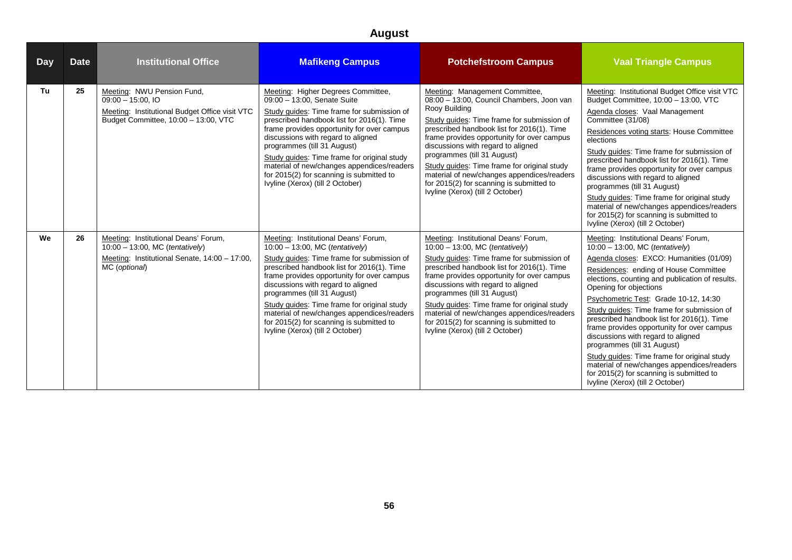| <b>Day</b> | <b>Date</b> | <b>Institutional Office</b>                                                                                                                  | <b>Mafikeng Campus</b>                                                                                                                                                                                                                                                                                                                                                                                                                                              | <b>Potchefstroom Campus</b>                                                                                                                                                                                                                                                                                                                                                                                                                                                              | <b>Vaal Triangle Campus</b>                                                                                                                                                                                                                                                                                                                                                                                                                                                                                                                                                                                                                                                      |
|------------|-------------|----------------------------------------------------------------------------------------------------------------------------------------------|---------------------------------------------------------------------------------------------------------------------------------------------------------------------------------------------------------------------------------------------------------------------------------------------------------------------------------------------------------------------------------------------------------------------------------------------------------------------|------------------------------------------------------------------------------------------------------------------------------------------------------------------------------------------------------------------------------------------------------------------------------------------------------------------------------------------------------------------------------------------------------------------------------------------------------------------------------------------|----------------------------------------------------------------------------------------------------------------------------------------------------------------------------------------------------------------------------------------------------------------------------------------------------------------------------------------------------------------------------------------------------------------------------------------------------------------------------------------------------------------------------------------------------------------------------------------------------------------------------------------------------------------------------------|
| Tu         | 25          | Meeting: NWU Pension Fund,<br>$09:00 - 15:00$ , IO<br>Meeting: Institutional Budget Office visit VTC<br>Budget Committee, 10:00 - 13:00, VTC | Meeting: Higher Degrees Committee,<br>09:00 - 13:00. Senate Suite<br>Study guides: Time frame for submission of<br>prescribed handbook list for 2016(1). Time<br>frame provides opportunity for over campus<br>discussions with regard to aligned<br>programmes (till 31 August)<br>Study guides: Time frame for original study<br>material of new/changes appendices/readers<br>for 2015(2) for scanning is submitted to<br>Ivyline (Xerox) (till 2 October)       | Meeting: Management Committee,<br>08:00 - 13:00, Council Chambers, Joon van<br>Rooy Building<br>Study quides: Time frame for submission of<br>prescribed handbook list for 2016(1). Time<br>frame provides opportunity for over campus<br>discussions with regard to aligned<br>programmes (till 31 August)<br>Study quides: Time frame for original study<br>material of new/changes appendices/readers<br>for 2015(2) for scanning is submitted to<br>Ivyline (Xerox) (till 2 October) | Meeting: Institutional Budget Office visit VTC<br>Budget Committee, 10:00 - 13:00, VTC<br>Agenda closes: Vaal Management<br>Committee (31/08)<br>Residences voting starts: House Committee<br>elections<br>Study guides: Time frame for submission of<br>prescribed handbook list for 2016(1). Time<br>frame provides opportunity for over campus<br>discussions with regard to aligned<br>programmes (till 31 August)<br>Study guides: Time frame for original study<br>material of new/changes appendices/readers<br>for 2015(2) for scanning is submitted to<br>Ivyline (Xerox) (till 2 October)                                                                              |
| We         | 26          | Meeting: Institutional Deans' Forum,<br>$10:00 - 13:00$ , MC (tentatively)<br>Meeting: Institutional Senate, 14:00 - 17:00,<br>MC (optional) | Meeting: Institutional Deans' Forum,<br>10:00 - 13:00, MC (tentatively)<br>Study guides: Time frame for submission of<br>prescribed handbook list for 2016(1). Time<br>frame provides opportunity for over campus<br>discussions with regard to aligned<br>programmes (till 31 August)<br>Study quides: Time frame for original study<br>material of new/changes appendices/readers<br>for 2015(2) for scanning is submitted to<br>Ivyline (Xerox) (till 2 October) | Meeting: Institutional Deans' Forum,<br>$10:00 - 13:00$ , MC (tentatively)<br>Study quides: Time frame for submission of<br>prescribed handbook list for 2016(1). Time<br>frame provides opportunity for over campus<br>discussions with regard to aligned<br>programmes (till 31 August)<br>Study quides: Time frame for original study<br>material of new/changes appendices/readers<br>for 2015(2) for scanning is submitted to<br>Ivyline (Xerox) (till 2 October)                   | Meeting: Institutional Deans' Forum,<br>$10:00 - 13:00$ , MC (tentatively)<br>Agenda closes: EXCO: Humanities (01/09)<br>Residences: ending of House Committee<br>elections, counting and publication of results.<br>Opening for objections<br>Psychometric Test: Grade 10-12, 14:30<br>Study guides: Time frame for submission of<br>prescribed handbook list for 2016(1). Time<br>frame provides opportunity for over campus<br>discussions with regard to aligned<br>programmes (till 31 August)<br>Study guides: Time frame for original study<br>material of new/changes appendices/readers<br>for 2015(2) for scanning is submitted to<br>Ivyline (Xerox) (till 2 October) |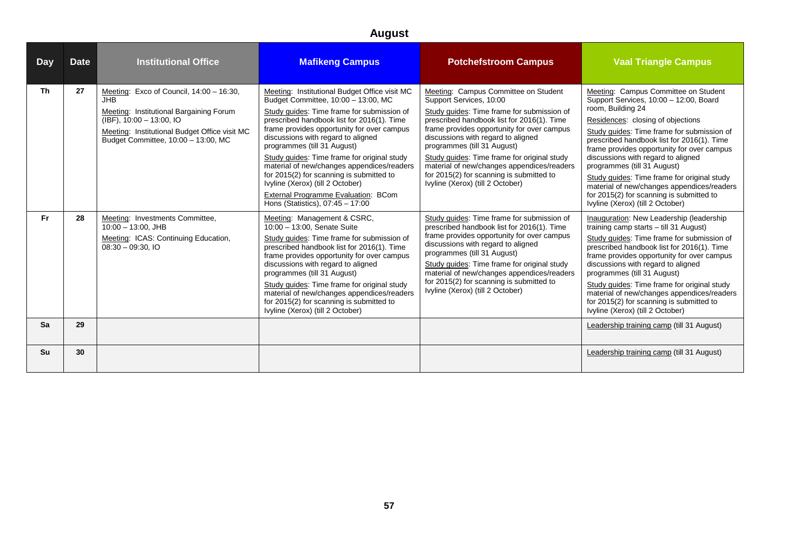| Day       | <b>Date</b> | <b>Institutional Office</b>                                                                                                                                                                                              | <b>Mafikeng Campus</b>                                                                                                                                                                                                                                                                                                                                                                                                                                                                                                                                      | <b>Potchefstroom Campus</b>                                                                                                                                                                                                                                                                                                                                                                                                                                 | <b>Vaal Triangle Campus</b>                                                                                                                                                                                                                                                                                                                                                                                                                                                                                                          |
|-----------|-------------|--------------------------------------------------------------------------------------------------------------------------------------------------------------------------------------------------------------------------|-------------------------------------------------------------------------------------------------------------------------------------------------------------------------------------------------------------------------------------------------------------------------------------------------------------------------------------------------------------------------------------------------------------------------------------------------------------------------------------------------------------------------------------------------------------|-------------------------------------------------------------------------------------------------------------------------------------------------------------------------------------------------------------------------------------------------------------------------------------------------------------------------------------------------------------------------------------------------------------------------------------------------------------|--------------------------------------------------------------------------------------------------------------------------------------------------------------------------------------------------------------------------------------------------------------------------------------------------------------------------------------------------------------------------------------------------------------------------------------------------------------------------------------------------------------------------------------|
| <b>Th</b> | 27          | Meeting: Exco of Council, 14:00 - 16:30,<br><b>JHB</b><br>Meeting: Institutional Bargaining Forum<br>$(IBF)$ , 10:00 - 13:00, IO<br>Meeting: Institutional Budget Office visit MC<br>Budget Committee, 10:00 - 13:00, MC | Meeting: Institutional Budget Office visit MC<br>Budget Committee, 10:00 - 13:00, MC<br>Study quides: Time frame for submission of<br>prescribed handbook list for 2016(1). Time<br>frame provides opportunity for over campus<br>discussions with regard to aligned<br>programmes (till 31 August)<br>Study guides: Time frame for original study<br>material of new/changes appendices/readers<br>for 2015(2) for scanning is submitted to<br>Ivyline (Xerox) (till 2 October)<br>External Programme Evaluation: BCom<br>Hons (Statistics), 07:45 - 17:00 | Meeting: Campus Committee on Student<br>Support Services, 10:00<br>Study quides: Time frame for submission of<br>prescribed handbook list for 2016(1). Time<br>frame provides opportunity for over campus<br>discussions with regard to aligned<br>programmes (till 31 August)<br>Study quides: Time frame for original study<br>material of new/changes appendices/readers<br>for 2015(2) for scanning is submitted to<br>Ivyline (Xerox) (till 2 October) | Meeting: Campus Committee on Student<br>Support Services, 10:00 - 12:00, Board<br>room, Building 24<br>Residences: closing of objections<br>Study quides: Time frame for submission of<br>prescribed handbook list for 2016(1). Time<br>frame provides opportunity for over campus<br>discussions with regard to aligned<br>programmes (till 31 August)<br>Study quides: Time frame for original study<br>material of new/changes appendices/readers<br>for 2015(2) for scanning is submitted to<br>Ivyline (Xerox) (till 2 October) |
| Fr.       | 28          | Meeting: Investments Committee,<br>$10:00 - 13:00$ , JHB<br>Meeting: ICAS: Continuing Education,<br>$08:30 - 09:30$ , IO                                                                                                 | Meeting: Management & CSRC,<br>10:00 - 13:00. Senate Suite<br>Study guides: Time frame for submission of<br>prescribed handbook list for 2016(1). Time<br>frame provides opportunity for over campus<br>discussions with regard to aligned<br>programmes (till 31 August)<br>Study quides: Time frame for original study<br>material of new/changes appendices/readers<br>for 2015(2) for scanning is submitted to<br>Ivyline (Xerox) (till 2 October)                                                                                                      | Study quides: Time frame for submission of<br>prescribed handbook list for 2016(1). Time<br>frame provides opportunity for over campus<br>discussions with regard to aligned<br>programmes (till 31 August)<br>Study guides: Time frame for original study<br>material of new/changes appendices/readers<br>for 2015(2) for scanning is submitted to<br>Ivyline (Xerox) (till 2 October)                                                                    | Inauguration: New Leadership (leadership<br>training camp starts - till 31 August)<br>Study quides: Time frame for submission of<br>prescribed handbook list for 2016(1). Time<br>frame provides opportunity for over campus<br>discussions with regard to aligned<br>programmes (till 31 August)<br>Study guides: Time frame for original study<br>material of new/changes appendices/readers<br>for 2015(2) for scanning is submitted to<br>Ivyline (Xerox) (till 2 October)                                                       |
| Sa        | 29          |                                                                                                                                                                                                                          |                                                                                                                                                                                                                                                                                                                                                                                                                                                                                                                                                             |                                                                                                                                                                                                                                                                                                                                                                                                                                                             | Leadership training camp (till 31 August)                                                                                                                                                                                                                                                                                                                                                                                                                                                                                            |
| Su        | 30          |                                                                                                                                                                                                                          |                                                                                                                                                                                                                                                                                                                                                                                                                                                                                                                                                             |                                                                                                                                                                                                                                                                                                                                                                                                                                                             | Leadership training camp (till 31 August)                                                                                                                                                                                                                                                                                                                                                                                                                                                                                            |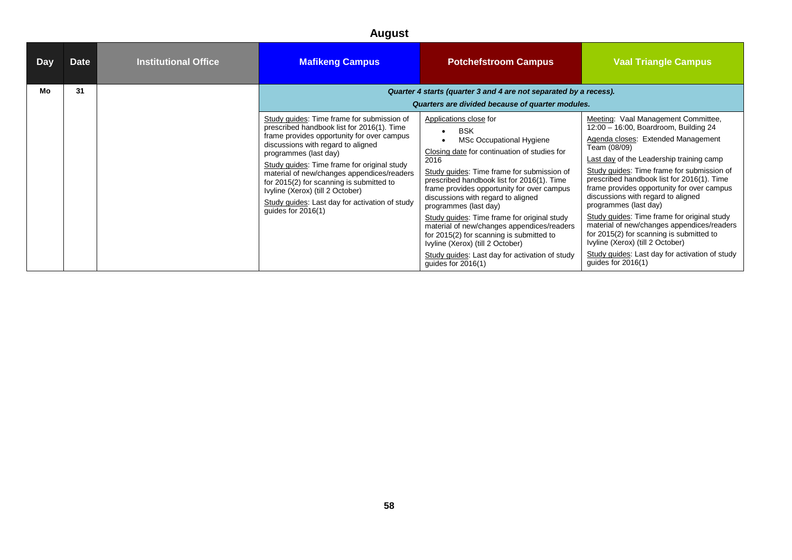| Day | Date | <b>Institutional Office</b> | <b>Mafikeng Campus</b>                                                                                                                                                                                                                                                                                                                                                                                                                                       | <b>Potchefstroom Campus</b>                                                                                                                                                                                                                                                                                                                                                                                                                                                                                                                                                              | <b>Vaal Triangle Campus</b>                                                                                                                                                                                                                                                                                                                                                                                                                                                                                                                                                                                                                    |
|-----|------|-----------------------------|--------------------------------------------------------------------------------------------------------------------------------------------------------------------------------------------------------------------------------------------------------------------------------------------------------------------------------------------------------------------------------------------------------------------------------------------------------------|------------------------------------------------------------------------------------------------------------------------------------------------------------------------------------------------------------------------------------------------------------------------------------------------------------------------------------------------------------------------------------------------------------------------------------------------------------------------------------------------------------------------------------------------------------------------------------------|------------------------------------------------------------------------------------------------------------------------------------------------------------------------------------------------------------------------------------------------------------------------------------------------------------------------------------------------------------------------------------------------------------------------------------------------------------------------------------------------------------------------------------------------------------------------------------------------------------------------------------------------|
| Mo  | 31   |                             |                                                                                                                                                                                                                                                                                                                                                                                                                                                              | Quarter 4 starts (quarter 3 and 4 are not separated by a recess).<br>Quarters are divided because of quarter modules.                                                                                                                                                                                                                                                                                                                                                                                                                                                                    |                                                                                                                                                                                                                                                                                                                                                                                                                                                                                                                                                                                                                                                |
|     |      |                             | Study quides: Time frame for submission of<br>prescribed handbook list for 2016(1). Time<br>frame provides opportunity for over campus<br>discussions with regard to aligned<br>programmes (last day)<br>Study guides: Time frame for original study<br>material of new/changes appendices/readers<br>for 2015(2) for scanning is submitted to<br>Ivyline (Xerox) (till 2 October)<br>Study guides: Last day for activation of study<br>quides for $2016(1)$ | Applications close for<br><b>BSK</b><br>MSc Occupational Hygiene<br>Closing date for continuation of studies for<br>2016<br>Study quides: Time frame for submission of<br>prescribed handbook list for 2016(1). Time<br>frame provides opportunity for over campus<br>discussions with regard to aligned<br>programmes (last day)<br>Study guides: Time frame for original study<br>material of new/changes appendices/readers<br>for 2015(2) for scanning is submitted to<br>Ivyline (Xerox) (till 2 October)<br>Study guides: Last day for activation of study<br>guides for $2016(1)$ | Meeting: Vaal Management Committee,<br>12:00 - 16:00, Boardroom, Building 24<br>Agenda closes: Extended Management<br>Team (08/09)<br>Last day of the Leadership training camp<br>Study guides: Time frame for submission of<br>prescribed handbook list for 2016(1). Time<br>frame provides opportunity for over campus<br>discussions with regard to aligned<br>programmes (last day)<br>Study guides: Time frame for original study<br>material of new/changes appendices/readers<br>for 2015(2) for scanning is submitted to<br>Ivyline (Xerox) (till 2 October)<br>Study guides: Last day for activation of study<br>guides for $2016(1)$ |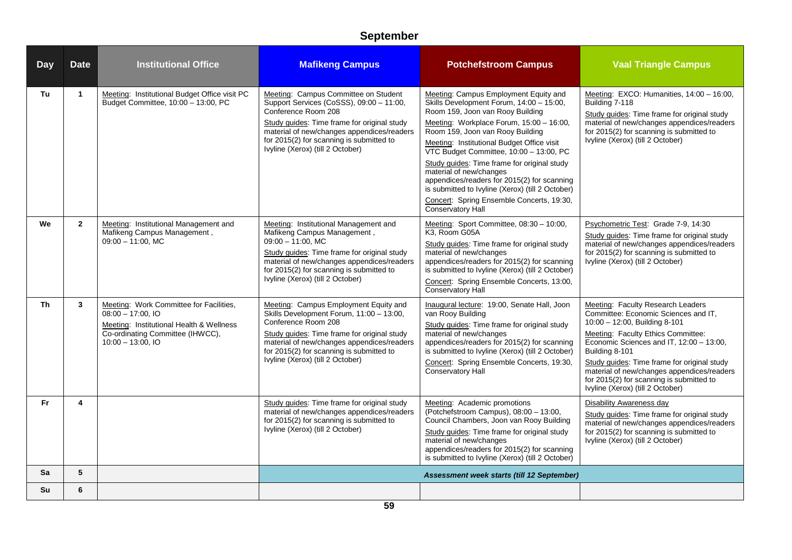| <b>Day</b> | <b>Date</b>    | <b>Institutional Office</b>                                                                                                                                            | <b>Mafikeng Campus</b>                                                                                                                                                                                                                                                                | <b>Potchefstroom Campus</b>                                                                                                                                                                                                                                                                                                                                                                                                                                                                                                                          | <b>Vaal Triangle Campus</b>                                                                                                                                                                                                                                                                                                                                                                 |
|------------|----------------|------------------------------------------------------------------------------------------------------------------------------------------------------------------------|---------------------------------------------------------------------------------------------------------------------------------------------------------------------------------------------------------------------------------------------------------------------------------------|------------------------------------------------------------------------------------------------------------------------------------------------------------------------------------------------------------------------------------------------------------------------------------------------------------------------------------------------------------------------------------------------------------------------------------------------------------------------------------------------------------------------------------------------------|---------------------------------------------------------------------------------------------------------------------------------------------------------------------------------------------------------------------------------------------------------------------------------------------------------------------------------------------------------------------------------------------|
| Tu         | $\mathbf{1}$   | Meeting: Institutional Budget Office visit PC<br>Budget Committee, 10:00 - 13:00, PC                                                                                   | Meeting: Campus Committee on Student<br>Support Services (CoSSS), 09:00 - 11:00,<br>Conference Room 208<br>Study quides: Time frame for original study<br>material of new/changes appendices/readers<br>for 2015(2) for scanning is submitted to<br>Ivyline (Xerox) (till 2 October)  | Meeting: Campus Employment Equity and<br>Skills Development Forum, 14:00 - 15:00,<br>Room 159, Joon van Rooy Building<br>Meeting: Workplace Forum, 15:00 - 16:00,<br>Room 159, Joon van Rooy Building<br>Meeting: Institutional Budget Office visit<br>VTC Budget Committee, 10:00 - 13:00, PC<br>Study guides: Time frame for original study<br>material of new/changes<br>appendices/readers for 2015(2) for scanning<br>is submitted to Ivyline (Xerox) (till 2 October)<br>Concert: Spring Ensemble Concerts, 19:30,<br><b>Conservatory Hall</b> | Meeting: EXCO: Humanities, 14:00 - 16:00,<br>Building 7-118<br>Study guides: Time frame for original study<br>material of new/changes appendices/readers<br>for 2015(2) for scanning is submitted to<br>Ivyline (Xerox) (till 2 October)                                                                                                                                                    |
| We         | $\overline{2}$ | Meeting: Institutional Management and<br>Mafikeng Campus Management,<br>$09:00 - 11:00$ . MC                                                                           | Meeting: Institutional Management and<br>Mafikeng Campus Management,<br>$09:00 - 11:00$ . MC<br>Study quides: Time frame for original study<br>material of new/changes appendices/readers<br>for 2015(2) for scanning is submitted to<br>Ivyline (Xerox) (till 2 October)             | Meeting: Sport Committee, 08:30 - 10:00,<br>K3. Room G05A<br>Study guides: Time frame for original study<br>material of new/changes<br>appendices/readers for 2015(2) for scanning<br>is submitted to Ivyline (Xerox) (till 2 October)<br>Concert: Spring Ensemble Concerts, 13:00,<br>Conservatory Hall                                                                                                                                                                                                                                             | Psychometric Test: Grade 7-9, 14:30<br>Study guides: Time frame for original study<br>material of new/changes appendices/readers<br>for 2015(2) for scanning is submitted to<br>Ivyline (Xerox) (till 2 October)                                                                                                                                                                            |
| <b>Th</b>  | 3              | Meeting: Work Committee for Facilities,<br>$08:00 - 17:00$ , IO<br>Meeting: Institutional Health & Wellness<br>Co-ordinating Committee (IHWCC),<br>$10:00 - 13:00.$ IO | Meeting: Campus Employment Equity and<br>Skills Development Forum, 11:00 - 13:00,<br>Conference Room 208<br>Study guides: Time frame for original study<br>material of new/changes appendices/readers<br>for 2015(2) for scanning is submitted to<br>Ivyline (Xerox) (till 2 October) | Inaugural lecture: 19:00, Senate Hall, Joon<br>van Rooy Building<br>Study guides: Time frame for original study<br>material of new/changes<br>appendices/readers for 2015(2) for scanning<br>is submitted to Ivyline (Xerox) (till 2 October)<br>Concert: Spring Ensemble Concerts, 19:30,<br><b>Conservatory Hall</b>                                                                                                                                                                                                                               | Meeting: Faculty Research Leaders<br>Committee: Economic Sciences and IT,<br>10:00 - 12:00, Building 8-101<br>Meeting: Faculty Ethics Committee:<br>Economic Sciences and IT, 12:00 - 13:00,<br>Building 8-101<br>Study guides: Time frame for original study<br>material of new/changes appendices/readers<br>for 2015(2) for scanning is submitted to<br>Ivyline (Xerox) (till 2 October) |
| Fr.        | 4              |                                                                                                                                                                        | Study guides: Time frame for original study<br>material of new/changes appendices/readers<br>for 2015(2) for scanning is submitted to<br>Ivyline (Xerox) (till 2 October)                                                                                                             | Meeting: Academic promotions<br>(Potchefstroom Campus), 08:00 - 13:00,<br>Council Chambers, Joon van Rooy Building<br>Study guides: Time frame for original study<br>material of new/changes<br>appendices/readers for 2015(2) for scanning<br>is submitted to Ivyline (Xerox) (till 2 October)                                                                                                                                                                                                                                                      | Disability Awareness day<br>Study guides: Time frame for original study<br>material of new/changes appendices/readers<br>for 2015(2) for scanning is submitted to<br>Ivyline (Xerox) (till 2 October)                                                                                                                                                                                       |
| Sa         | 5              |                                                                                                                                                                        |                                                                                                                                                                                                                                                                                       | Assessment week starts (till 12 September)                                                                                                                                                                                                                                                                                                                                                                                                                                                                                                           |                                                                                                                                                                                                                                                                                                                                                                                             |
| <b>Su</b>  | 6              |                                                                                                                                                                        |                                                                                                                                                                                                                                                                                       |                                                                                                                                                                                                                                                                                                                                                                                                                                                                                                                                                      |                                                                                                                                                                                                                                                                                                                                                                                             |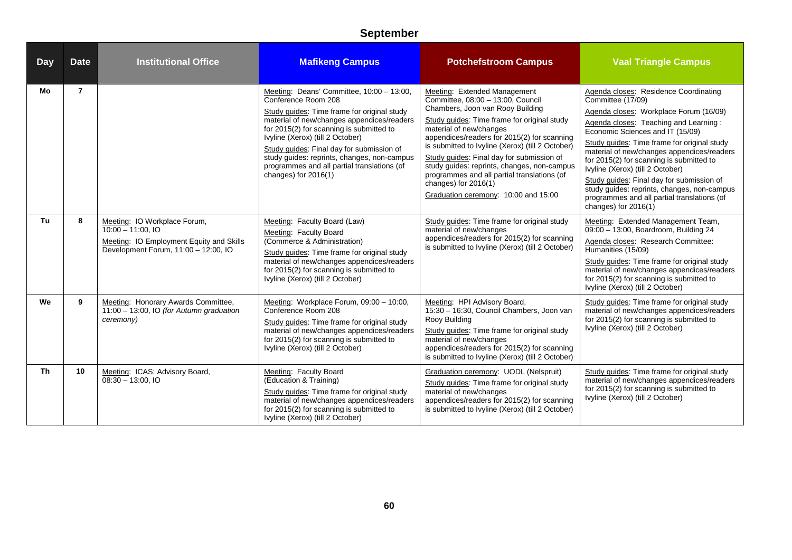| <b>Day</b> | <b>Date</b>    | <b>Institutional Office</b>                                                                                                            | <b>Mafikeng Campus</b>                                                                                                                                                                                                                                                                                                                                                                                           | <b>Potchefstroom Campus</b>                                                                                                                                                                                                                                                                                                                                                                                                                                                                     | <b>Vaal Triangle Campus</b>                                                                                                                                                                                                                                                                                                                                                                                                                                                                                                         |
|------------|----------------|----------------------------------------------------------------------------------------------------------------------------------------|------------------------------------------------------------------------------------------------------------------------------------------------------------------------------------------------------------------------------------------------------------------------------------------------------------------------------------------------------------------------------------------------------------------|-------------------------------------------------------------------------------------------------------------------------------------------------------------------------------------------------------------------------------------------------------------------------------------------------------------------------------------------------------------------------------------------------------------------------------------------------------------------------------------------------|-------------------------------------------------------------------------------------------------------------------------------------------------------------------------------------------------------------------------------------------------------------------------------------------------------------------------------------------------------------------------------------------------------------------------------------------------------------------------------------------------------------------------------------|
| Mo         | $\overline{7}$ |                                                                                                                                        | Meeting: Deans' Committee, 10:00 - 13:00,<br>Conference Room 208<br>Study guides: Time frame for original study<br>material of new/changes appendices/readers<br>for 2015(2) for scanning is submitted to<br>Ivyline (Xerox) (till 2 October)<br>Study guides: Final day for submission of<br>study quides: reprints, changes, non-campus<br>programmes and all partial translations (of<br>changes) for 2016(1) | Meeting: Extended Management<br>Committee, 08:00 - 13:00, Council<br>Chambers, Joon van Rooy Building<br>Study guides: Time frame for original study<br>material of new/changes<br>appendices/readers for 2015(2) for scanning<br>is submitted to Ivyline (Xerox) (till 2 October)<br>Study guides: Final day for submission of<br>study guides: reprints, changes, non-campus<br>programmes and all partial translations (of<br>changes) for $2016(1)$<br>Graduation ceremony: 10:00 and 15:00 | Agenda closes: Residence Coordinating<br>Committee (17/09)<br>Agenda closes: Workplace Forum (16/09)<br>Agenda closes: Teaching and Learning:<br>Economic Sciences and IT (15/09)<br>Study quides: Time frame for original study<br>material of new/changes appendices/readers<br>for 2015(2) for scanning is submitted to<br>Ivyline (Xerox) (till 2 October)<br>Study guides: Final day for submission of<br>study guides: reprints, changes, non-campus<br>programmes and all partial translations (of<br>changes) for $2016(1)$ |
| Tu         | 8              | Meeting: IO Workplace Forum,<br>$10:00 - 11:00.10$<br>Meeting: IO Employment Equity and Skills<br>Development Forum, 11:00 - 12:00, IO | Meeting: Faculty Board (Law)<br>Meeting: Faculty Board<br>(Commerce & Administration)<br>Study guides: Time frame for original study<br>material of new/changes appendices/readers<br>for 2015(2) for scanning is submitted to<br>Ivyline (Xerox) (till 2 October)                                                                                                                                               | Study guides: Time frame for original study<br>material of new/changes<br>appendices/readers for 2015(2) for scanning<br>is submitted to Ivyline (Xerox) (till 2 October)                                                                                                                                                                                                                                                                                                                       | Meeting: Extended Management Team,<br>09:00 - 13:00, Boardroom, Building 24<br>Agenda closes: Research Committee:<br>Humanities (15/09)<br>Study guides: Time frame for original study<br>material of new/changes appendices/readers<br>for 2015(2) for scanning is submitted to<br>Ivyline (Xerox) (till 2 October)                                                                                                                                                                                                                |
| We         | 9              | Meeting: Honorary Awards Committee,<br>11:00 - 13:00, IO (for Autumn graduation<br>ceremony)                                           | Meeting: Workplace Forum, 09:00 - 10:00,<br>Conference Room 208<br>Study guides: Time frame for original study<br>material of new/changes appendices/readers<br>for 2015(2) for scanning is submitted to<br>Ivyline (Xerox) (till 2 October)                                                                                                                                                                     | Meeting: HPI Advisory Board,<br>15:30 - 16:30, Council Chambers, Joon van<br>Rooy Building<br>Study guides: Time frame for original study<br>material of new/changes<br>appendices/readers for 2015(2) for scanning<br>is submitted to Ivyline (Xerox) (till 2 October)                                                                                                                                                                                                                         | Study guides: Time frame for original study<br>material of new/changes appendices/readers<br>for 2015(2) for scanning is submitted to<br>Ivyline (Xerox) (till 2 October)                                                                                                                                                                                                                                                                                                                                                           |
| <b>Th</b>  | 10             | Meeting: ICAS: Advisory Board,<br>$08:30 - 13:00$ , IO                                                                                 | Meeting: Faculty Board<br>(Education & Training)<br>Study guides: Time frame for original study<br>material of new/changes appendices/readers<br>for 2015(2) for scanning is submitted to<br>Ivyline (Xerox) (till 2 October)                                                                                                                                                                                    | Graduation ceremony: UODL (Nelspruit)<br>Study guides: Time frame for original study<br>material of new/changes<br>appendices/readers for 2015(2) for scanning<br>is submitted to Ivyline (Xerox) (till 2 October)                                                                                                                                                                                                                                                                              | Study guides: Time frame for original study<br>material of new/changes appendices/readers<br>for 2015(2) for scanning is submitted to<br>Ivyline (Xerox) (till 2 October)                                                                                                                                                                                                                                                                                                                                                           |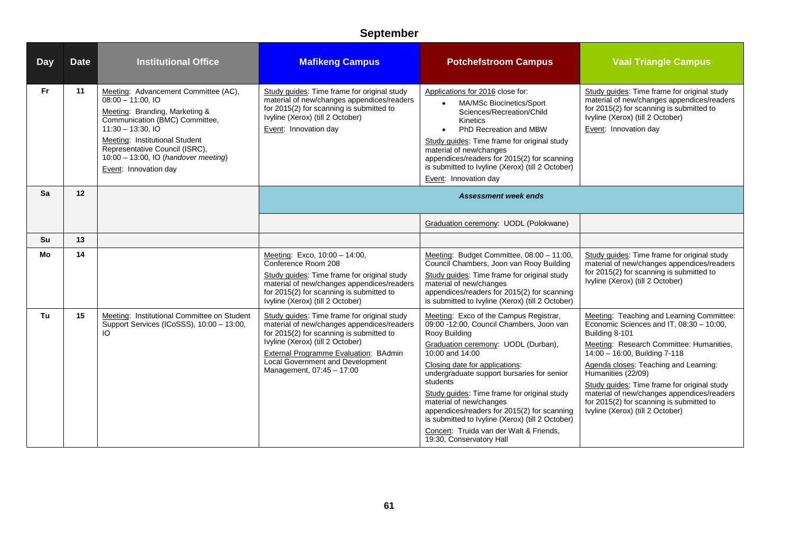| <b>Day</b> | <b>Date</b> | <b>Institutional Office</b>                                                                                                                                                                                                                                                                  | <b>Mafikeng Campus</b>                                                                                                                                                                                                                                                                     | <b>Potchefstroom Campus</b>                                                                                                                                                                                                                                                                                                                                                                                                                                                                                   | <b>Vaal Triangle Campus</b>                                                                                                                                                                                                                                                                                                                                                                                                      |
|------------|-------------|----------------------------------------------------------------------------------------------------------------------------------------------------------------------------------------------------------------------------------------------------------------------------------------------|--------------------------------------------------------------------------------------------------------------------------------------------------------------------------------------------------------------------------------------------------------------------------------------------|---------------------------------------------------------------------------------------------------------------------------------------------------------------------------------------------------------------------------------------------------------------------------------------------------------------------------------------------------------------------------------------------------------------------------------------------------------------------------------------------------------------|----------------------------------------------------------------------------------------------------------------------------------------------------------------------------------------------------------------------------------------------------------------------------------------------------------------------------------------------------------------------------------------------------------------------------------|
| Fr.        | 11          | Meeting: Advancement Committee (AC),<br>$08:00 - 11:00$ , IO<br>Meeting: Branding, Marketing &<br>Communication (BMC) Committee,<br>$11:30 - 13:30, 10$<br>Meeting: Institutional Student<br>Representative Council (ISRC),<br>10:00 - 13:00, IO (handover meeting)<br>Event: Innovation day | Study guides: Time frame for original study<br>material of new/changes appendices/readers<br>for 2015(2) for scanning is submitted to<br>Ivyline (Xerox) (till 2 October)<br>Event: Innovation day                                                                                         | Applications for 2016 close for:<br>MA/MSc Biocinetics/Sport<br>$\bullet$<br>Sciences/Recreation/Child<br><b>Kinetics</b><br>PhD Recreation and MBW<br>$\bullet$<br>Study guides: Time frame for original study<br>material of new/changes<br>appendices/readers for 2015(2) for scanning<br>is submitted to Ivyline (Xerox) (till 2 October)<br>Event: Innovation day                                                                                                                                        | Study guides: Time frame for original study<br>material of new/changes appendices/readers<br>for 2015(2) for scanning is submitted to<br>Ivyline (Xerox) (till 2 October)<br>Event: Innovation day                                                                                                                                                                                                                               |
| Sa         | 12          |                                                                                                                                                                                                                                                                                              |                                                                                                                                                                                                                                                                                            | <b>Assessment week ends</b>                                                                                                                                                                                                                                                                                                                                                                                                                                                                                   |                                                                                                                                                                                                                                                                                                                                                                                                                                  |
|            |             |                                                                                                                                                                                                                                                                                              |                                                                                                                                                                                                                                                                                            | Graduation ceremony: UODL (Polokwane)                                                                                                                                                                                                                                                                                                                                                                                                                                                                         |                                                                                                                                                                                                                                                                                                                                                                                                                                  |
| Su         | 13          |                                                                                                                                                                                                                                                                                              |                                                                                                                                                                                                                                                                                            |                                                                                                                                                                                                                                                                                                                                                                                                                                                                                                               |                                                                                                                                                                                                                                                                                                                                                                                                                                  |
| Mo         | 14          |                                                                                                                                                                                                                                                                                              | Meeting: Exco, 10:00 - 14:00,<br>Conference Room 208<br>Study quides: Time frame for original study<br>material of new/changes appendices/readers<br>for 2015(2) for scanning is submitted to<br>Ivyline (Xerox) (till 2 October)                                                          | Meeting: Budget Committee, 08:00 - 11:00.<br>Council Chambers, Joon van Rooy Building<br>Study quides: Time frame for original study<br>material of new/changes<br>appendices/readers for 2015(2) for scanning<br>is submitted to Ivyline (Xerox) (till 2 October)                                                                                                                                                                                                                                            | Study guides: Time frame for original study<br>material of new/changes appendices/readers<br>for 2015(2) for scanning is submitted to<br>Ivyline (Xerox) (till 2 October)                                                                                                                                                                                                                                                        |
| Tu         | 15          | Meeting: Institutional Committee on Student<br>Support Services (ICoSSS), 10:00 - 13:00,<br>IO.                                                                                                                                                                                              | Study guides: Time frame for original study<br>material of new/changes appendices/readers<br>for 2015(2) for scanning is submitted to<br>Ivyline (Xerox) (till 2 October)<br><b>External Programme Evaluation: BAdmin</b><br>Local Government and Development<br>Management, 07:45 - 17:00 | Meeting: Exco of the Campus Registrar,<br>09:00 -12:00, Council Chambers, Joon van<br>Rooy Building<br>Graduation ceremony: UODL (Durban),<br>10:00 and 14:00<br>Closing date for applications:<br>undergraduate support bursaries for senior<br>students<br>Study guides: Time frame for original study<br>material of new/changes<br>appendices/readers for 2015(2) for scanning<br>is submitted to Ivyline (Xerox) (till 2 October)<br>Concert: Truida van der Walt & Friends,<br>19:30, Conservatory Hall | Meeting: Teaching and Learning Committee:<br>Economic Sciences and IT, 08:30 - 10:00,<br>Building 8-101<br>Meeting: Research Committee: Humanities,<br>14:00 - 16:00, Building 7-118<br>Agenda closes: Teaching and Learning:<br>Humanities (22/09)<br>Study quides: Time frame for original study<br>material of new/changes appendices/readers<br>for 2015(2) for scanning is submitted to<br>Ivyline (Xerox) (till 2 October) |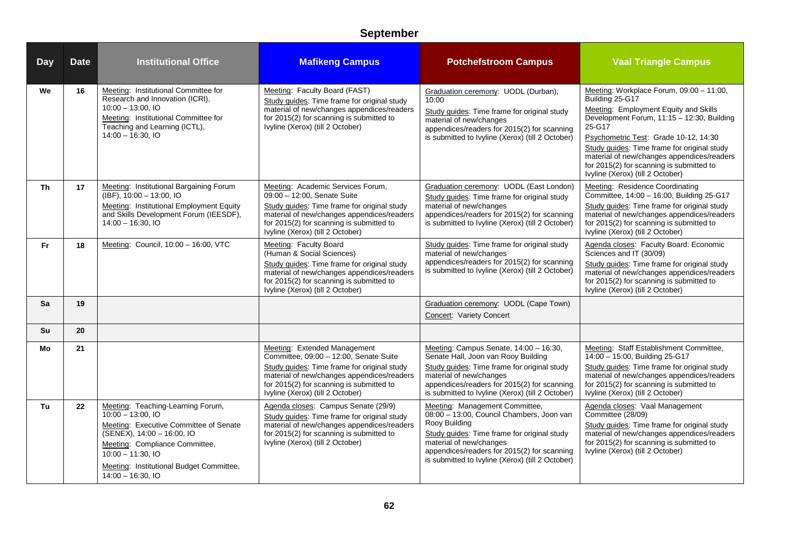| <b>Day</b> | <b>Date</b> | <b>Institutional Office</b>                                                                                                                                                                                                                                       | <b>Mafikeng Campus</b>                                                                                                                                                                                                                              | <b>Potchefstroom Campus</b>                                                                                                                                                                                                                                               | <b>Vaal Triangle Campus</b>                                                                                                                                                                                                                                                                                                                                                        |
|------------|-------------|-------------------------------------------------------------------------------------------------------------------------------------------------------------------------------------------------------------------------------------------------------------------|-----------------------------------------------------------------------------------------------------------------------------------------------------------------------------------------------------------------------------------------------------|---------------------------------------------------------------------------------------------------------------------------------------------------------------------------------------------------------------------------------------------------------------------------|------------------------------------------------------------------------------------------------------------------------------------------------------------------------------------------------------------------------------------------------------------------------------------------------------------------------------------------------------------------------------------|
| We         | 16          | Meeting: Institutional Committee for<br>Research and Innovation (ICRI),<br>$10:00 - 13:00.$ IO<br>Meeting: Institutional Committee for<br>Teaching and Learning (ICTL),<br>$14:00 - 16:30, 10$                                                                    | Meeting: Faculty Board (FAST)<br>Study guides: Time frame for original study<br>material of new/changes appendices/readers<br>for 2015(2) for scanning is submitted to<br>Ivyline (Xerox) (till 2 October)                                          | Graduation ceremony: UODL (Durban),<br>10:00<br>Study guides: Time frame for original study<br>material of new/changes<br>appendices/readers for 2015(2) for scanning<br>is submitted to Ivyline (Xerox) (till 2 October)                                                 | Meeting: Workplace Forum, 09:00 - 11:00,<br>Building 25-G17<br>Meeting: Employment Equity and Skills<br>Development Forum, 11:15 - 12:30, Building<br>25-G17<br>Psychometric Test: Grade 10-12, 14:30<br>Study guides: Time frame for original study<br>material of new/changes appendices/readers<br>for 2015(2) for scanning is submitted to<br>Ivyline (Xerox) (till 2 October) |
| Th         | 17          | Meeting: Institutional Bargaining Forum<br>(IBF), 10:00 - 13:00, IO<br>Meeting: Institutional Employment Equity<br>and Skills Development Forum (IEESDF),<br>$14:00 - 16:30$ , IO                                                                                 | Meeting: Academic Services Forum,<br>09:00 - 12:00, Senate Suite<br>Study guides: Time frame for original study<br>material of new/changes appendices/readers<br>for 2015(2) for scanning is submitted to<br>Ivyline (Xerox) (till 2 October)       | Graduation ceremony: UODL (East London)<br>Study guides: Time frame for original study<br>material of new/changes<br>appendices/readers for 2015(2) for scanning<br>is submitted to Ivyline (Xerox) (till 2 October)                                                      | <b>Meeting: Residence Coordinating</b><br>Committee, 14:00 - 16:00, Building 25-G17<br>Study guides: Time frame for original study<br>material of new/changes appendices/readers<br>for 2015(2) for scanning is submitted to<br>Ivyline (Xerox) (till 2 October)                                                                                                                   |
| <b>Fr</b>  | 18          | Meeting: Council, 10:00 - 16:00, VTC                                                                                                                                                                                                                              | Meeting: Faculty Board<br>(Human & Social Sciences)<br>Study guides: Time frame for original study<br>material of new/changes appendices/readers<br>for 2015(2) for scanning is submitted to<br>Ivyline (Xerox) (till 2 October)                    | Study quides: Time frame for original study<br>material of new/changes<br>appendices/readers for 2015(2) for scanning<br>is submitted to Ivyline (Xerox) (till 2 October)                                                                                                 | Agenda closes: Faculty Board: Economic<br>Sciences and IT (30/09)<br>Study guides: Time frame for original study<br>material of new/changes appendices/readers<br>for 2015(2) for scanning is submitted to<br>Ivyline (Xerox) (till 2 October)                                                                                                                                     |
| Sa         | 19          |                                                                                                                                                                                                                                                                   |                                                                                                                                                                                                                                                     | Graduation ceremony: UODL (Cape Town)<br>Concert: Variety Concert                                                                                                                                                                                                         |                                                                                                                                                                                                                                                                                                                                                                                    |
| <b>Su</b>  | 20          |                                                                                                                                                                                                                                                                   |                                                                                                                                                                                                                                                     |                                                                                                                                                                                                                                                                           |                                                                                                                                                                                                                                                                                                                                                                                    |
| Mo         | 21          |                                                                                                                                                                                                                                                                   | Meeting: Extended Management<br>Committee, 09:00 - 12:00, Senate Suite<br>Study guides: Time frame for original study<br>material of new/changes appendices/readers<br>for 2015(2) for scanning is submitted to<br>Ivyline (Xerox) (till 2 October) | Meeting: Campus Senate, 14:00 - 16:30,<br>Senate Hall, Joon van Rooy Building<br>Study quides: Time frame for original study<br>material of new/changes<br>appendices/readers for 2015(2) for scanning<br>is submitted to Ivyline (Xerox) (till 2 October)                | Meeting: Staff Establishment Committee,<br>14:00 - 15:00, Building 25-G17<br>Study quides: Time frame for original study<br>material of new/changes appendices/readers<br>for 2015(2) for scanning is submitted to<br>Ivyline (Xerox) (till 2 October)                                                                                                                             |
| Tu         | 22          | Meeting: Teaching-Learning Forum,<br>$10:00 - 13:00$ , IO<br>Meeting: Executive Committee of Senate<br>$(SENEX)$ , 14:00 - 16:00, IO<br>Meeting: Compliance Committee,<br>$10:00 - 11:30$ , IO<br>Meeting: Institutional Budget Committee,<br>$14:00 - 16:30, 10$ | Agenda closes: Campus Senate (29/9)<br>Study guides: Time frame for original study<br>material of new/changes appendices/readers<br>for 2015(2) for scanning is submitted to<br>Ivyline (Xerox) (till 2 October)                                    | Meeting: Management Committee,<br>08:00 - 13:00, Council Chambers, Joon van<br>Rooy Building<br>Study guides: Time frame for original study<br>material of new/changes<br>appendices/readers for 2015(2) for scanning<br>is submitted to Ivyline (Xerox) (till 2 October) | Agenda closes: Vaal Management<br>Committee (28/09)<br>Study guides: Time frame for original study<br>material of new/changes appendices/readers<br>for 2015(2) for scanning is submitted to<br>Ivyline (Xerox) (till 2 October)                                                                                                                                                   |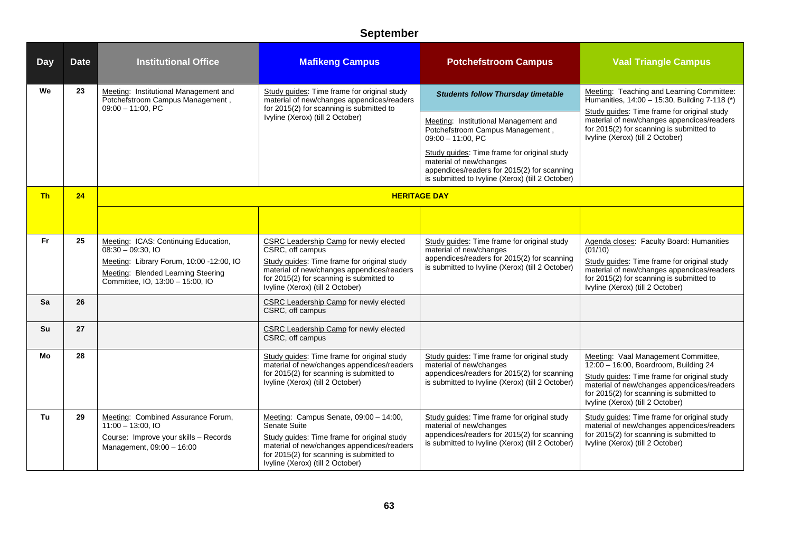| <b>Day</b> | <b>Date</b> | <b>Institutional Office</b>                                                                                        | <b>Mafikeng Campus</b>                                                                                                                                                    | <b>Potchefstroom Campus</b>                                                                                                                                               | <b>Vaal Triangle Campus</b>                                                                                                                                               |
|------------|-------------|--------------------------------------------------------------------------------------------------------------------|---------------------------------------------------------------------------------------------------------------------------------------------------------------------------|---------------------------------------------------------------------------------------------------------------------------------------------------------------------------|---------------------------------------------------------------------------------------------------------------------------------------------------------------------------|
| We         | 23          | Meeting: Institutional Management and<br>Potchefstroom Campus Management,<br>$09:00 - 11:00$ , PC                  | Study guides: Time frame for original study<br>material of new/changes appendices/readers<br>for 2015(2) for scanning is submitted to                                     | <b>Students follow Thursday timetable</b>                                                                                                                                 | Meeting: Teaching and Learning Committee:<br>Humanities, 14:00 - 15:30, Building 7-118 (*)                                                                                |
|            |             |                                                                                                                    | Ivyline (Xerox) (till 2 October)                                                                                                                                          | Meeting: Institutional Management and<br>Potchefstroom Campus Management,<br>$09:00 - 11:00$ , PC                                                                         | Study guides: Time frame for original study<br>material of new/changes appendices/readers<br>for 2015(2) for scanning is submitted to<br>Ivyline (Xerox) (till 2 October) |
|            |             |                                                                                                                    |                                                                                                                                                                           | Study guides: Time frame for original study<br>material of new/changes<br>appendices/readers for 2015(2) for scanning<br>is submitted to Ivyline (Xerox) (till 2 October) |                                                                                                                                                                           |
| <b>Th</b>  | 24          |                                                                                                                    |                                                                                                                                                                           | <b>HERITAGE DAY</b>                                                                                                                                                       |                                                                                                                                                                           |
|            |             |                                                                                                                    |                                                                                                                                                                           |                                                                                                                                                                           |                                                                                                                                                                           |
| <b>Fr</b>  | 25          | Meeting: ICAS: Continuing Education,<br>$08:30 - 09:30,10$                                                         | <b>CSRC Leadership Camp for newly elected</b><br>CSRC, off campus                                                                                                         | Study guides: Time frame for original study<br>material of new/changes                                                                                                    | Agenda closes: Faculty Board: Humanities<br>(01/10)                                                                                                                       |
|            |             | Meeting: Library Forum, 10:00 -12:00, IO<br>Meeting: Blended Learning Steering<br>Committee, IO, 13:00 - 15:00, IO | Study guides: Time frame for original study<br>material of new/changes appendices/readers<br>for 2015(2) for scanning is submitted to<br>Ivyline (Xerox) (till 2 October) | appendices/readers for 2015(2) for scanning<br>is submitted to Ivyline (Xerox) (till 2 October)                                                                           | Study guides: Time frame for original study<br>material of new/changes appendices/readers<br>for 2015(2) for scanning is submitted to<br>Ivyline (Xerox) (till 2 October) |
| Sa         | 26          |                                                                                                                    | <b>CSRC Leadership Camp for newly elected</b><br>CSRC, off campus                                                                                                         |                                                                                                                                                                           |                                                                                                                                                                           |
| Su         | 27          |                                                                                                                    | <b>CSRC Leadership Camp for newly elected</b><br>CSRC, off campus                                                                                                         |                                                                                                                                                                           |                                                                                                                                                                           |
| Mo         | 28          |                                                                                                                    | Study guides: Time frame for original study<br>material of new/changes appendices/readers                                                                                 | Study guides: Time frame for original study<br>material of new/changes                                                                                                    | Meeting: Vaal Management Committee,<br>12:00 - 16:00, Boardroom, Building 24                                                                                              |
|            |             |                                                                                                                    | for 2015(2) for scanning is submitted to<br>Ivyline (Xerox) (till 2 October)                                                                                              | appendices/readers for 2015(2) for scanning<br>is submitted to Ivyline (Xerox) (till 2 October)                                                                           | Study guides: Time frame for original study<br>material of new/changes appendices/readers<br>for 2015(2) for scanning is submitted to<br>Ivyline (Xerox) (till 2 October) |
| Tu         | 29          | Meeting: Combined Assurance Forum,<br>$11:00 - 13:00$ , IO                                                         | Meeting: Campus Senate, 09:00 - 14:00,<br>Senate Suite                                                                                                                    | Study guides: Time frame for original study<br>material of new/changes                                                                                                    | Study guides: Time frame for original study<br>material of new/changes appendices/readers                                                                                 |
|            |             | Course: Improve your skills - Records<br>Management, 09:00 - 16:00                                                 | Study guides: Time frame for original study<br>material of new/changes appendices/readers<br>for 2015(2) for scanning is submitted to<br>Ivyline (Xerox) (till 2 October) | appendices/readers for 2015(2) for scanning<br>is submitted to Ivyline (Xerox) (till 2 October)                                                                           | for 2015(2) for scanning is submitted to<br>Ivyline (Xerox) (till 2 October)                                                                                              |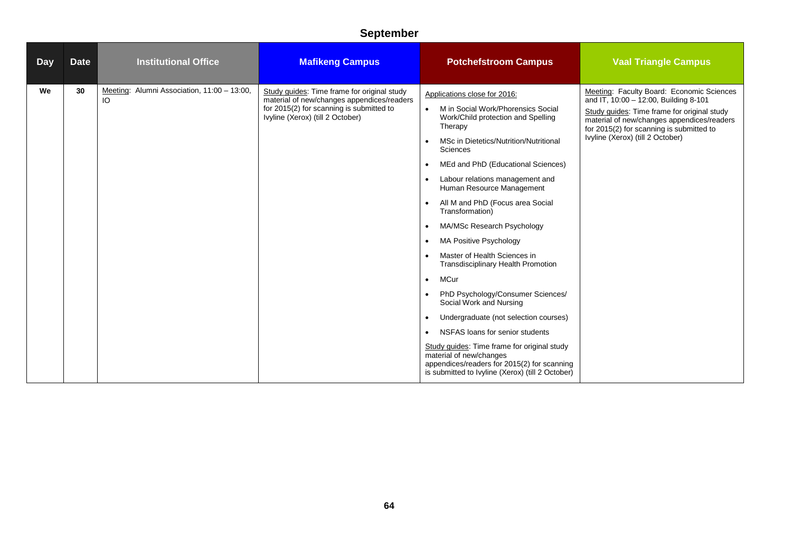| <b>Day</b> | <b>Date</b> | <b>Institutional Office</b>                       | <b>Mafikeng Campus</b>                                                                                                                                                    | <b>Potchefstroom Campus</b>                                                                                                                                                                                                                                                                                                                                                                                                                                                                                                                                                                                                                                                                                                                                                                                                                                                                                                                                        | <b>Vaal Triangle Campus</b>                                                                                                                                                                                                                                     |
|------------|-------------|---------------------------------------------------|---------------------------------------------------------------------------------------------------------------------------------------------------------------------------|--------------------------------------------------------------------------------------------------------------------------------------------------------------------------------------------------------------------------------------------------------------------------------------------------------------------------------------------------------------------------------------------------------------------------------------------------------------------------------------------------------------------------------------------------------------------------------------------------------------------------------------------------------------------------------------------------------------------------------------------------------------------------------------------------------------------------------------------------------------------------------------------------------------------------------------------------------------------|-----------------------------------------------------------------------------------------------------------------------------------------------------------------------------------------------------------------------------------------------------------------|
| We         | 30          | Meeting: Alumni Association, 11:00 - 13:00,<br>IO | Study guides: Time frame for original study<br>material of new/changes appendices/readers<br>for 2015(2) for scanning is submitted to<br>Ivyline (Xerox) (till 2 October) | Applications close for 2016:<br>M in Social Work/Phorensics Social<br>$\bullet$<br>Work/Child protection and Spelling<br>Therapy<br>MSc in Dietetics/Nutrition/Nutritional<br>Sciences<br>MEd and PhD (Educational Sciences)<br>$\bullet$<br>Labour relations management and<br>$\bullet$<br>Human Resource Management<br>All M and PhD (Focus area Social<br>$\bullet$<br>Transformation)<br>MA/MSc Research Psychology<br>$\bullet$<br><b>MA Positive Psychology</b><br>$\bullet$<br>Master of Health Sciences in<br>$\bullet$<br><b>Transdisciplinary Health Promotion</b><br>MCur<br>$\bullet$<br>PhD Psychology/Consumer Sciences/<br>$\bullet$<br>Social Work and Nursing<br>Undergraduate (not selection courses)<br>$\bullet$<br>NSFAS loans for senior students<br>$\bullet$<br>Study guides: Time frame for original study<br>material of new/changes<br>appendices/readers for 2015(2) for scanning<br>is submitted to Ivyline (Xerox) (till 2 October) | Meeting: Faculty Board: Economic Sciences<br>and IT, 10:00 - 12:00, Building 8-101<br>Study guides: Time frame for original study<br>material of new/changes appendices/readers<br>for 2015(2) for scanning is submitted to<br>Ivyline (Xerox) (till 2 October) |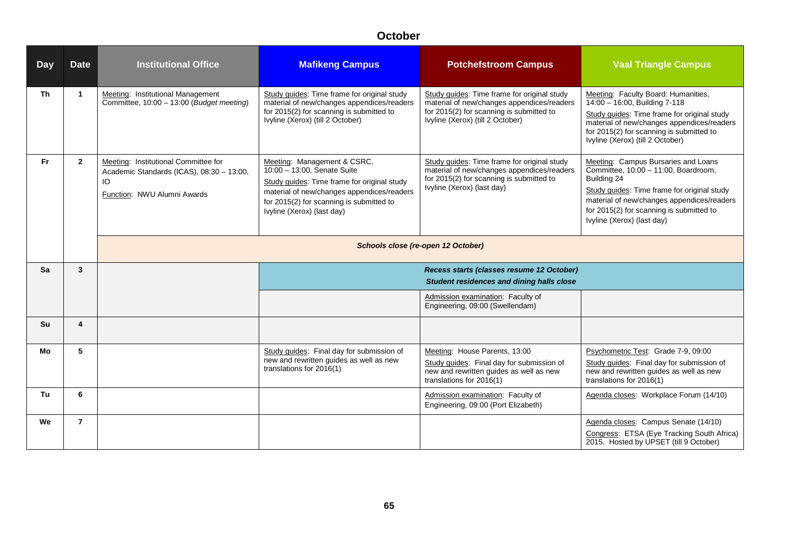| <b>Day</b> | <b>Date</b>             | <b>Institutional Office</b>                                                                                            | <b>Mafikeng Campus</b>                                                                                                                                                                                                            | <b>Potchefstroom Campus</b>                                                                                                                                               | <b>Vaal Triangle Campus</b>                                                                                                                                                                                                                                       |
|------------|-------------------------|------------------------------------------------------------------------------------------------------------------------|-----------------------------------------------------------------------------------------------------------------------------------------------------------------------------------------------------------------------------------|---------------------------------------------------------------------------------------------------------------------------------------------------------------------------|-------------------------------------------------------------------------------------------------------------------------------------------------------------------------------------------------------------------------------------------------------------------|
| <b>Th</b>  | $\mathbf{1}$            | Meeting: Institutional Management<br>Committee, 10:00 - 13:00 (Budget meeting)                                         | Study guides: Time frame for original study<br>material of new/changes appendices/readers<br>for 2015(2) for scanning is submitted to<br>Ivyline (Xerox) (till 2 October)                                                         | Study guides: Time frame for original study<br>material of new/changes appendices/readers<br>for 2015(2) for scanning is submitted to<br>Ivyline (Xerox) (till 2 October) | Meeting: Faculty Board: Humanities,<br>14:00 - 16:00, Building 7-118<br>Study guides: Time frame for original study<br>material of new/changes appendices/readers<br>for 2015(2) for scanning is submitted to<br>Ivyline (Xerox) (till 2 October)                 |
| <b>Fr</b>  | $\overline{2}$          | Meeting: Institutional Committee for<br>Academic Standards (ICAS), 08:30 - 13:00,<br>IO<br>Function: NWU Alumni Awards | Meeting: Management & CSRC,<br>10:00 - 13:00, Senate Suite<br>Study guides: Time frame for original study<br>material of new/changes appendices/readers<br>for 2015(2) for scanning is submitted to<br>Ivyline (Xerox) (last day) | Study guides: Time frame for original study<br>material of new/changes appendices/readers<br>for 2015(2) for scanning is submitted to<br>Ivyline (Xerox) (last day)       | Meeting: Campus Bursaries and Loans<br>Committee, 10:00 - 11:00, Boardroom,<br>Building 24<br>Study guides: Time frame for original study<br>material of new/changes appendices/readers<br>for 2015(2) for scanning is submitted to<br>Ivyline (Xerox) (last day) |
|            |                         |                                                                                                                        |                                                                                                                                                                                                                                   | Schools close (re-open 12 October)                                                                                                                                        |                                                                                                                                                                                                                                                                   |
| Sa         | $\mathbf{3}$            |                                                                                                                        |                                                                                                                                                                                                                                   | Recess starts (classes resume 12 October)<br>Student residences and dining halls close                                                                                    |                                                                                                                                                                                                                                                                   |
|            |                         |                                                                                                                        |                                                                                                                                                                                                                                   | Admission examination: Faculty of<br>Engineering, 09:00 (Swellendam)                                                                                                      |                                                                                                                                                                                                                                                                   |
| Su         | $\overline{\mathbf{4}}$ |                                                                                                                        |                                                                                                                                                                                                                                   |                                                                                                                                                                           |                                                                                                                                                                                                                                                                   |
| Mo         | 5                       |                                                                                                                        | Study guides: Final day for submission of<br>new and rewritten guides as well as new<br>translations for 2016(1)                                                                                                                  | Meeting: House Parents, 13:00<br>Study guides: Final day for submission of<br>new and rewritten guides as well as new<br>translations for 2016(1)                         | Psychometric Test: Grade 7-9, 09:00<br>Study guides: Final day for submission of<br>new and rewritten guides as well as new<br>translations for 2016(1)                                                                                                           |
| Tu         | 6                       |                                                                                                                        |                                                                                                                                                                                                                                   | Admission examination: Faculty of<br>Engineering, 09:00 (Port Elizabeth)                                                                                                  | Agenda closes: Workplace Forum (14/10)                                                                                                                                                                                                                            |
| We         | $\overline{7}$          |                                                                                                                        |                                                                                                                                                                                                                                   |                                                                                                                                                                           | Agenda closes: Campus Senate (14/10)<br>Congress: ETSA (Eye Tracking South Africa)<br>2015. Hosted by UPSET (till 9 October)                                                                                                                                      |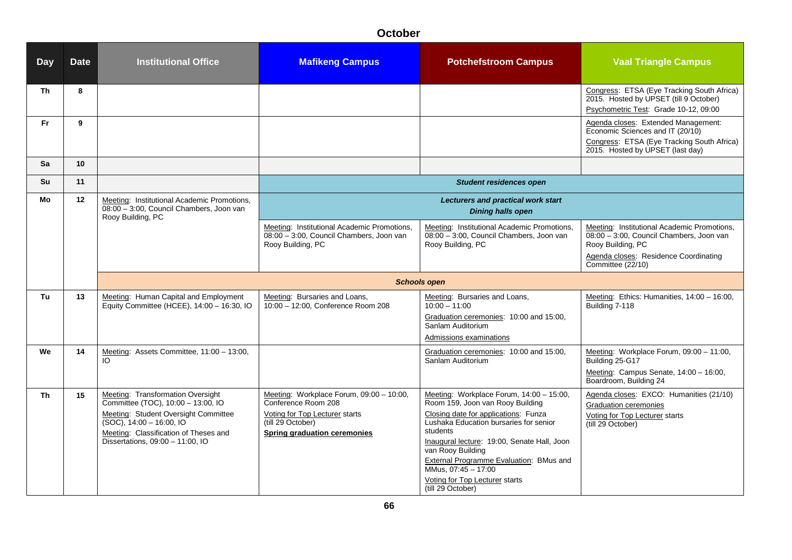| <b>Day</b> | <b>Date</b> | <b>Institutional Office</b>                                                                                                                                                                                                 | <b>Mafikeng Campus</b>                                                                                                                                 | <b>Potchefstroom Campus</b>                                                                                                                                                                                                                                                                                                                                             | <b>Vaal Triangle Campus</b>                                                                                                                                                |
|------------|-------------|-----------------------------------------------------------------------------------------------------------------------------------------------------------------------------------------------------------------------------|--------------------------------------------------------------------------------------------------------------------------------------------------------|-------------------------------------------------------------------------------------------------------------------------------------------------------------------------------------------------------------------------------------------------------------------------------------------------------------------------------------------------------------------------|----------------------------------------------------------------------------------------------------------------------------------------------------------------------------|
| <b>Th</b>  | 8           |                                                                                                                                                                                                                             |                                                                                                                                                        |                                                                                                                                                                                                                                                                                                                                                                         | Congress: ETSA (Eye Tracking South Africa)<br>2015. Hosted by UPSET (till 9 October)<br>Psychometric Test: Grade 10-12, 09:00                                              |
| Fr         | 9           |                                                                                                                                                                                                                             |                                                                                                                                                        |                                                                                                                                                                                                                                                                                                                                                                         | Agenda closes: Extended Management:<br>Economic Sciences and IT (20/10)<br>Congress: ETSA (Eye Tracking South Africa)<br>2015. Hosted by UPSET (last day)                  |
| Sa         | 10          |                                                                                                                                                                                                                             |                                                                                                                                                        |                                                                                                                                                                                                                                                                                                                                                                         |                                                                                                                                                                            |
| Su         | 11          |                                                                                                                                                                                                                             |                                                                                                                                                        | <b>Student residences open</b>                                                                                                                                                                                                                                                                                                                                          |                                                                                                                                                                            |
| Mo         | 12          | Meeting: Institutional Academic Promotions,<br>08:00 - 3:00, Council Chambers, Joon van<br>Rooy Building, PC                                                                                                                |                                                                                                                                                        | <b>Lecturers and practical work start</b><br><b>Dining halls open</b>                                                                                                                                                                                                                                                                                                   |                                                                                                                                                                            |
|            |             |                                                                                                                                                                                                                             | Meeting: Institutional Academic Promotions,<br>08:00 - 3:00, Council Chambers, Joon van<br>Rooy Building, PC                                           | Meeting: Institutional Academic Promotions,<br>08:00 - 3:00, Council Chambers, Joon van<br>Rooy Building, PC                                                                                                                                                                                                                                                            | Meeting: Institutional Academic Promotions,<br>08:00 - 3:00, Council Chambers, Joon van<br>Rooy Building, PC<br>Agenda closes: Residence Coordinating<br>Committee (22/10) |
|            |             |                                                                                                                                                                                                                             |                                                                                                                                                        | <b>Schools open</b>                                                                                                                                                                                                                                                                                                                                                     |                                                                                                                                                                            |
| Tu         | 13          | Meeting: Human Capital and Employment<br>Equity Committee (HCEE), 14:00 - 16:30, IO                                                                                                                                         | Meeting: Bursaries and Loans,<br>10:00 - 12:00, Conference Room 208                                                                                    | Meeting: Bursaries and Loans,<br>$10:00 - 11:00$<br>Graduation ceremonies: 10:00 and 15:00,<br>Sanlam Auditorium<br>Admissions examinations                                                                                                                                                                                                                             | Meeting: Ethics: Humanities, 14:00 - 16:00,<br>Building 7-118                                                                                                              |
| We         | 14          | Meeting: Assets Committee, 11:00 - 13:00,<br>IO                                                                                                                                                                             |                                                                                                                                                        | Graduation ceremonies: 10:00 and 15:00,<br>Sanlam Auditorium                                                                                                                                                                                                                                                                                                            | Meeting: Workplace Forum, 09:00 - 11:00,<br>Building 25-G17<br>Meeting: Campus Senate, 14:00 - 16:00,<br>Boardroom, Building 24                                            |
| <b>Th</b>  | 15          | Meeting: Transformation Oversight<br>Committee (TOC), 10:00 - 13:00, IO<br>Meeting: Student Oversight Committee<br>$(SOC)$ , 14:00 - 16:00, IO<br>Meeting: Classification of Theses and<br>Dissertations, 09:00 - 11:00, IO | Meeting: Workplace Forum, 09:00 - 10:00,<br>Conference Room 208<br>Voting for Top Lecturer starts<br>(till 29 October)<br>Spring graduation ceremonies | Meeting: Workplace Forum, 14:00 - 15:00,<br>Room 159, Joon van Rooy Building<br>Closing date for applications: Funza<br>Lushaka Education bursaries for senior<br>students<br>Inaugural lecture: 19:00, Senate Hall, Joon<br>van Rooy Building<br>External Programme Evaluation: BMus and<br>MMus, 07:45 - 17:00<br>Voting for Top Lecturer starts<br>(till 29 October) | Agenda closes: EXCO: Humanities (21/10)<br>Graduation ceremonies<br>Voting for Top Lecturer starts<br>(till 29 October)                                                    |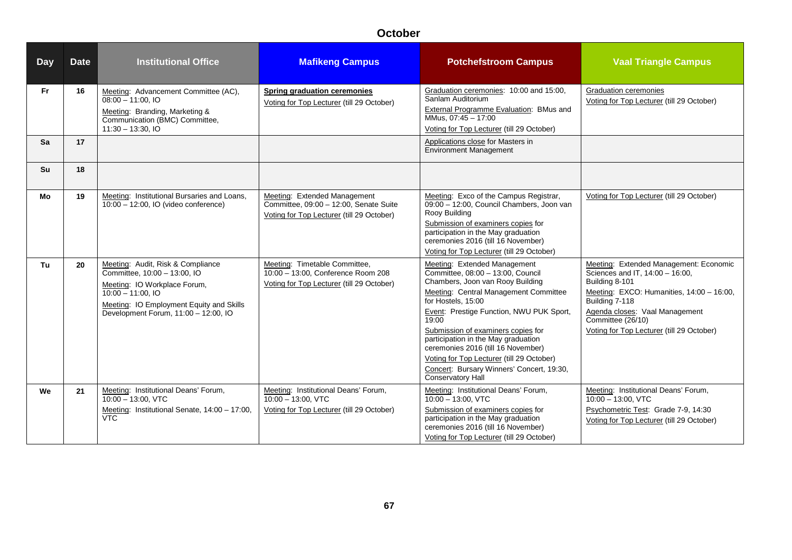| Day       | <b>Date</b> | <b>Institutional Office</b>                                                                                                                                                                                   | <b>Mafikeng Campus</b>                                                                                              | <b>Potchefstroom Campus</b>                                                                                                                                                                                                                                                                                                                                                                                                                                 | <b>Vaal Triangle Campus</b>                                                                                                                                                                                                                                    |
|-----------|-------------|---------------------------------------------------------------------------------------------------------------------------------------------------------------------------------------------------------------|---------------------------------------------------------------------------------------------------------------------|-------------------------------------------------------------------------------------------------------------------------------------------------------------------------------------------------------------------------------------------------------------------------------------------------------------------------------------------------------------------------------------------------------------------------------------------------------------|----------------------------------------------------------------------------------------------------------------------------------------------------------------------------------------------------------------------------------------------------------------|
| <b>Fr</b> | 16          | Meeting: Advancement Committee (AC),<br>$08:00 - 11:00.$ IO<br>Meeting: Branding, Marketing &<br>Communication (BMC) Committee,<br>$11:30 - 13:30,10$                                                         | <b>Spring graduation ceremonies</b><br>Voting for Top Lecturer (till 29 October)                                    | Graduation ceremonies: 10:00 and 15:00,<br>Sanlam Auditorium<br>External Programme Evaluation: BMus and<br>MMus, 07:45 - 17:00<br>Voting for Top Lecturer (till 29 October)                                                                                                                                                                                                                                                                                 | Graduation ceremonies<br>Voting for Top Lecturer (till 29 October)                                                                                                                                                                                             |
| Sa        | 17          |                                                                                                                                                                                                               |                                                                                                                     | Applications close for Masters in<br><b>Environment Management</b>                                                                                                                                                                                                                                                                                                                                                                                          |                                                                                                                                                                                                                                                                |
| Su        | 18          |                                                                                                                                                                                                               |                                                                                                                     |                                                                                                                                                                                                                                                                                                                                                                                                                                                             |                                                                                                                                                                                                                                                                |
| Mo        | 19          | Meeting: Institutional Bursaries and Loans.<br>10:00 - 12:00, IO (video conference)                                                                                                                           | Meeting: Extended Management<br>Committee, 09:00 - 12:00, Senate Suite<br>Voting for Top Lecturer (till 29 October) | Meeting: Exco of the Campus Registrar,<br>09:00 - 12:00, Council Chambers, Joon van<br>Rooy Building<br>Submission of examiners copies for<br>participation in the May graduation<br>ceremonies 2016 (till 16 November)<br>Voting for Top Lecturer (till 29 October)                                                                                                                                                                                        | Voting for Top Lecturer (till 29 October)                                                                                                                                                                                                                      |
| Tu        | 20          | Meeting: Audit, Risk & Compliance<br>Committee, 10:00 - 13:00, IO<br>Meeting: IO Workplace Forum,<br>$10.00 - 11.00$ , IO<br>Meeting: IO Employment Equity and Skills<br>Development Forum, 11:00 - 12:00, IO | Meeting: Timetable Committee,<br>10:00 - 13:00, Conference Room 208<br>Voting for Top Lecturer (till 29 October)    | Meeting: Extended Management<br>Committee, 08:00 - 13:00, Council<br>Chambers, Joon van Rooy Building<br>Meeting: Central Management Committee<br>for Hostels, 15:00<br>Event: Prestige Function, NWU PUK Sport,<br>19:00<br>Submission of examiners copies for<br>participation in the May graduation<br>ceremonies 2016 (till 16 November)<br>Voting for Top Lecturer (till 29 October)<br>Concert: Bursary Winners' Concert, 19:30,<br>Conservatory Hall | Meeting: Extended Management: Economic<br>Sciences and IT, 14:00 - 16:00,<br>Building 8-101<br>Meeting: EXCO: Humanities, 14:00 - 16:00,<br>Building 7-118<br>Agenda closes: Vaal Management<br>Committee (26/10)<br>Voting for Top Lecturer (till 29 October) |
| We        | 21          | Meeting: Institutional Deans' Forum,<br>$10:00 - 13:00$ . VTC<br>Meeting: Institutional Senate, 14:00 - 17:00,<br><b>VTC</b>                                                                                  | Meeting: Institutional Deans' Forum,<br>$10:00 - 13:00$ . VTC<br>Voting for Top Lecturer (till 29 October)          | Meeting: Institutional Deans' Forum,<br>$10:00 - 13:00$ . VTC<br>Submission of examiners copies for<br>participation in the May graduation<br>ceremonies 2016 (till 16 November)<br>Voting for Top Lecturer (till 29 October)                                                                                                                                                                                                                               | Meeting: Institutional Deans' Forum,<br>$10:00 - 13:00$ , VTC<br>Psychometric Test: Grade 7-9, 14:30<br>Voting for Top Lecturer (till 29 October)                                                                                                              |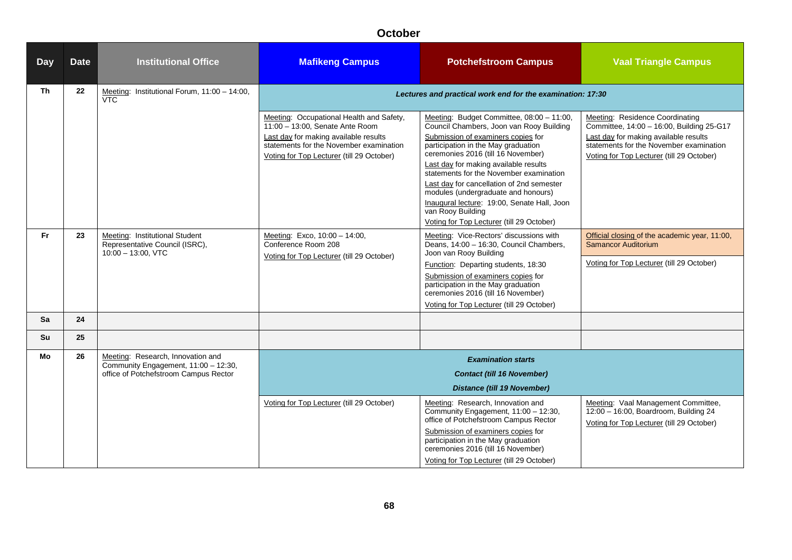| <b>Day</b> | <b>Date</b> | <b>Institutional Office</b>                                                               | <b>Mafikeng Campus</b>                                                                                                                                                                                       | <b>Potchefstroom Campus</b>                                                                                                                                                                                                                                                                                                                                                                                                                                                                       | <b>Vaal Triangle Campus</b>                                                                                                                                                                                          |
|------------|-------------|-------------------------------------------------------------------------------------------|--------------------------------------------------------------------------------------------------------------------------------------------------------------------------------------------------------------|---------------------------------------------------------------------------------------------------------------------------------------------------------------------------------------------------------------------------------------------------------------------------------------------------------------------------------------------------------------------------------------------------------------------------------------------------------------------------------------------------|----------------------------------------------------------------------------------------------------------------------------------------------------------------------------------------------------------------------|
| Th         | 22          | Meeting: Institutional Forum, 11:00 - 14:00,<br><b>VTC</b>                                |                                                                                                                                                                                                              | Lectures and practical work end for the examination: 17:30                                                                                                                                                                                                                                                                                                                                                                                                                                        |                                                                                                                                                                                                                      |
|            |             |                                                                                           | Meeting: Occupational Health and Safety,<br>11:00 - 13:00, Senate Ante Room<br>Last day for making available results<br>statements for the November examination<br>Voting for Top Lecturer (till 29 October) | Meeting: Budget Committee, 08:00 - 11:00,<br>Council Chambers, Joon van Rooy Building<br>Submission of examiners copies for<br>participation in the May graduation<br>ceremonies 2016 (till 16 November)<br>Last day for making available results<br>statements for the November examination<br>Last day for cancellation of 2nd semester<br>modules (undergraduate and honours)<br>Inaugural lecture: 19:00, Senate Hall, Joon<br>van Rooy Building<br>Voting for Top Lecturer (till 29 October) | <b>Meeting: Residence Coordinating</b><br>Committee, 14:00 - 16:00, Building 25-G17<br>Last day for making available results<br>statements for the November examination<br>Voting for Top Lecturer (till 29 October) |
| <b>Fr</b>  | 23          | Meeting: Institutional Student<br>Representative Council (ISRC),<br>$10:00 - 13:00$ , VTC | Meeting: Exco, 10:00 - 14:00,<br>Conference Room 208                                                                                                                                                         | Meeting: Vice-Rectors' discussions with<br>Deans, 14:00 - 16:30, Council Chambers,<br>Joon van Rooy Building                                                                                                                                                                                                                                                                                                                                                                                      | Official closing of the academic year, 11:00,<br>Samancor Auditorium                                                                                                                                                 |
|            |             |                                                                                           | Voting for Top Lecturer (till 29 October)                                                                                                                                                                    | Function: Departing students, 18:30                                                                                                                                                                                                                                                                                                                                                                                                                                                               | Voting for Top Lecturer (till 29 October)                                                                                                                                                                            |
|            |             |                                                                                           |                                                                                                                                                                                                              | Submission of examiners copies for<br>participation in the May graduation<br>ceremonies 2016 (till 16 November)                                                                                                                                                                                                                                                                                                                                                                                   |                                                                                                                                                                                                                      |
| Sa         | 24          |                                                                                           |                                                                                                                                                                                                              | Voting for Top Lecturer (till 29 October)                                                                                                                                                                                                                                                                                                                                                                                                                                                         |                                                                                                                                                                                                                      |
| Su         | 25          |                                                                                           |                                                                                                                                                                                                              |                                                                                                                                                                                                                                                                                                                                                                                                                                                                                                   |                                                                                                                                                                                                                      |
| Mo         | 26          | Meeting: Research, Innovation and                                                         |                                                                                                                                                                                                              | <b>Examination starts</b>                                                                                                                                                                                                                                                                                                                                                                                                                                                                         |                                                                                                                                                                                                                      |
|            |             | Community Engagement, 11:00 - 12:30,<br>office of Potchefstroom Campus Rector             |                                                                                                                                                                                                              | <b>Contact (till 16 November)</b>                                                                                                                                                                                                                                                                                                                                                                                                                                                                 |                                                                                                                                                                                                                      |
|            |             |                                                                                           |                                                                                                                                                                                                              | <b>Distance (till 19 November)</b>                                                                                                                                                                                                                                                                                                                                                                                                                                                                |                                                                                                                                                                                                                      |
|            |             |                                                                                           | Voting for Top Lecturer (till 29 October)                                                                                                                                                                    | Meeting: Research, Innovation and<br>Community Engagement, 11:00 - 12:30,<br>office of Potchefstroom Campus Rector<br>Submission of examiners copies for<br>participation in the May graduation<br>ceremonies 2016 (till 16 November)<br>Voting for Top Lecturer (till 29 October)                                                                                                                                                                                                                | Meeting: Vaal Management Committee,<br>12:00 - 16:00, Boardroom, Building 24<br>Voting for Top Lecturer (till 29 October)                                                                                            |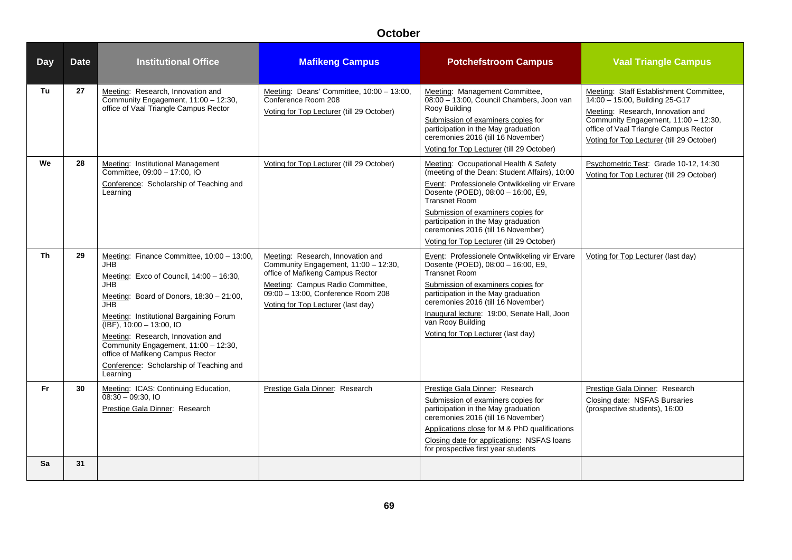| <b>Day</b> | <b>Date</b> | <b>Institutional Office</b>                                                                                                                                                                                                                                                                                                                                                                                     | <b>Mafikeng Campus</b>                                                                                                                                                                                                        | <b>Potchefstroom Campus</b>                                                                                                                                                                                                                                                                                                                                          | <b>Vaal Triangle Campus</b>                                                                                                                                                                                                                  |
|------------|-------------|-----------------------------------------------------------------------------------------------------------------------------------------------------------------------------------------------------------------------------------------------------------------------------------------------------------------------------------------------------------------------------------------------------------------|-------------------------------------------------------------------------------------------------------------------------------------------------------------------------------------------------------------------------------|----------------------------------------------------------------------------------------------------------------------------------------------------------------------------------------------------------------------------------------------------------------------------------------------------------------------------------------------------------------------|----------------------------------------------------------------------------------------------------------------------------------------------------------------------------------------------------------------------------------------------|
| Tu         | 27          | Meeting: Research, Innovation and<br>Community Engagement, 11:00 - 12:30,<br>office of Vaal Triangle Campus Rector                                                                                                                                                                                                                                                                                              | Meeting: Deans' Committee, 10:00 - 13:00,<br>Conference Room 208<br>Voting for Top Lecturer (till 29 October)                                                                                                                 | Meeting: Management Committee,<br>08:00 - 13:00, Council Chambers, Joon van<br>Rooy Building<br>Submission of examiners copies for<br>participation in the May graduation<br>ceremonies 2016 (till 16 November)<br>Voting for Top Lecturer (till 29 October)                                                                                                         | Meeting: Staff Establishment Committee,<br>14:00 - 15:00, Building 25-G17<br>Meeting: Research, Innovation and<br>Community Engagement, 11:00 - 12:30,<br>office of Vaal Triangle Campus Rector<br>Voting for Top Lecturer (till 29 October) |
| We         | 28          | Meeting: Institutional Management<br>Committee, 09:00 - 17:00, IO<br>Conference: Scholarship of Teaching and<br>Learning                                                                                                                                                                                                                                                                                        | Voting for Top Lecturer (till 29 October)                                                                                                                                                                                     | Meeting: Occupational Health & Safety<br>(meeting of the Dean: Student Affairs), 10:00<br>Event: Professionele Ontwikkeling vir Ervare<br>Dosente (POED), 08:00 - 16:00, E9,<br><b>Transnet Room</b><br>Submission of examiners copies for<br>participation in the May graduation<br>ceremonies 2016 (till 16 November)<br>Voting for Top Lecturer (till 29 October) | Psychometric Test: Grade 10-12, 14:30<br>Voting for Top Lecturer (till 29 October)                                                                                                                                                           |
| Th         | 29          | Meeting: Finance Committee, 10:00 - 13:00,<br><b>JHB</b><br>Meeting: Exco of Council, 14:00 - 16:30,<br>JHB.<br>Meeting: Board of Donors, 18:30 - 21:00,<br>JHB.<br>Meeting: Institutional Bargaining Forum<br>(IBF), 10:00 - 13:00, IO<br>Meeting: Research, Innovation and<br>Community Engagement, 11:00 - 12:30,<br>office of Mafikeng Campus Rector<br>Conference: Scholarship of Teaching and<br>Learning | Meeting: Research, Innovation and<br>Community Engagement, 11:00 - 12:30,<br>office of Mafikeng Campus Rector<br>Meeting: Campus Radio Committee,<br>09:00 - 13:00, Conference Room 208<br>Voting for Top Lecturer (last day) | Event: Professionele Ontwikkeling vir Ervare<br>Dosente (POED), 08:00 - 16:00, E9,<br><b>Transnet Room</b><br>Submission of examiners copies for<br>participation in the May graduation<br>ceremonies 2016 (till 16 November)<br>Inaugural lecture: 19:00, Senate Hall, Joon<br>van Rooy Building<br>Voting for Top Lecturer (last day)                              | Voting for Top Lecturer (last day)                                                                                                                                                                                                           |
| <b>Fr</b>  | 30          | Meeting: ICAS: Continuing Education,<br>$08:30 - 09:30.10$<br>Prestige Gala Dinner: Research                                                                                                                                                                                                                                                                                                                    | Prestige Gala Dinner: Research                                                                                                                                                                                                | Prestige Gala Dinner: Research<br>Submission of examiners copies for<br>participation in the May graduation<br>ceremonies 2016 (till 16 November)<br>Applications close for M & PhD qualifications<br>Closing date for applications: NSFAS loans<br>for prospective first year students                                                                              | Prestige Gala Dinner: Research<br>Closing date: NSFAS Bursaries<br>(prospective students), 16:00                                                                                                                                             |
| Sa         | 31          |                                                                                                                                                                                                                                                                                                                                                                                                                 |                                                                                                                                                                                                                               |                                                                                                                                                                                                                                                                                                                                                                      |                                                                                                                                                                                                                                              |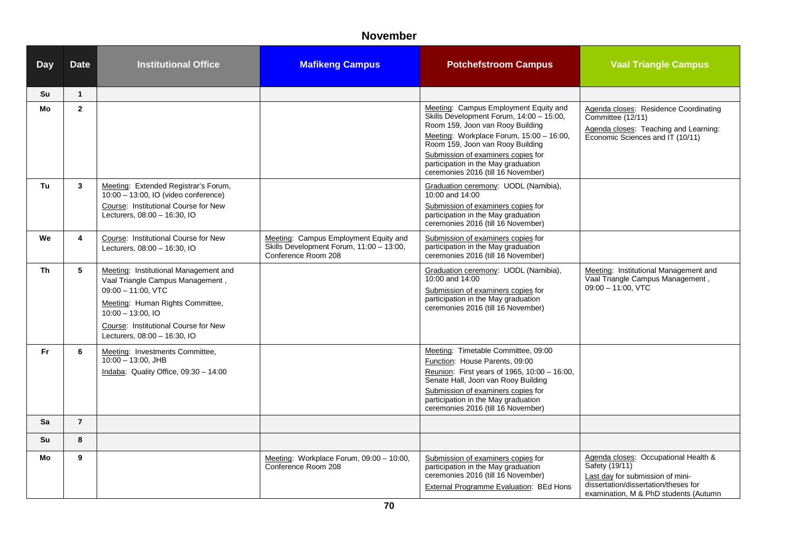#### **November**

| <b>Day</b> | <b>Date</b>    | <b>Institutional Office</b>                                                                                                                                                                                                            | <b>Mafikeng Campus</b>                                                                                   | <b>Potchefstroom Campus</b>                                                                                                                                                                                                                                                                                              | <b>Vaal Triangle Campus</b>                                                                                                                                                 |
|------------|----------------|----------------------------------------------------------------------------------------------------------------------------------------------------------------------------------------------------------------------------------------|----------------------------------------------------------------------------------------------------------|--------------------------------------------------------------------------------------------------------------------------------------------------------------------------------------------------------------------------------------------------------------------------------------------------------------------------|-----------------------------------------------------------------------------------------------------------------------------------------------------------------------------|
| Su         | $\mathbf{1}$   |                                                                                                                                                                                                                                        |                                                                                                          |                                                                                                                                                                                                                                                                                                                          |                                                                                                                                                                             |
| Mo         | $\overline{2}$ |                                                                                                                                                                                                                                        |                                                                                                          | Meeting: Campus Employment Equity and<br>Skills Development Forum, 14:00 - 15:00,<br>Room 159, Joon van Rooy Building<br>Meeting: Workplace Forum, 15:00 - 16:00,<br>Room 159, Joon van Rooy Building<br>Submission of examiners copies for<br>participation in the May graduation<br>ceremonies 2016 (till 16 November) | Agenda closes: Residence Coordinating<br>Committee (12/11)<br>Agenda closes: Teaching and Learning:<br>Economic Sciences and IT (10/11)                                     |
| Tu         | 3              | Meeting: Extended Registrar's Forum,<br>$\overline{10:00}$ - 13:00, IO (video conference)<br>Course: Institutional Course for New<br>Lecturers, 08:00 - 16:30, IO                                                                      |                                                                                                          | Graduation ceremony: UODL (Namibia),<br>10:00 and 14:00<br>Submission of examiners copies for<br>participation in the May graduation<br>ceremonies 2016 (till 16 November)                                                                                                                                               |                                                                                                                                                                             |
| We         | 4              | Course: Institutional Course for New<br>Lecturers, 08:00 - 16:30, IO                                                                                                                                                                   | Meeting: Campus Employment Equity and<br>Skills Development Forum, 11:00 - 13:00,<br>Conference Room 208 | Submission of examiners copies for<br>participation in the May graduation<br>ceremonies 2016 (till 16 November)                                                                                                                                                                                                          |                                                                                                                                                                             |
| <b>Th</b>  | 5              | Meeting: Institutional Management and<br>Vaal Triangle Campus Management,<br>$09:00 - 11:00$ . VTC<br>Meeting: Human Rights Committee,<br>$10:00 - 13:00$ , IO<br>Course: Institutional Course for New<br>Lecturers, 08:00 - 16:30, IO |                                                                                                          | Graduation ceremony: UODL (Namibia),<br>10:00 and 14:00<br>Submission of examiners copies for<br>participation in the May graduation<br>ceremonies 2016 (till 16 November)                                                                                                                                               | Meeting: Institutional Management and<br>Vaal Triangle Campus Management,<br>$09:00 - 11:00$ , VTC                                                                          |
| Fr         | 6              | Meeting: Investments Committee,<br>$10:00 - 13:00$ , JHB<br>Indaba: Quality Office, 09:30 - 14:00                                                                                                                                      |                                                                                                          | Meeting: Timetable Committee, 09:00<br>Function: House Parents, 09:00<br>Reunion: First years of 1965, 10:00 - 16:00,<br>Senate Hall, Joon van Rooy Building<br>Submission of examiners copies for<br>participation in the May graduation<br>ceremonies 2016 (till 16 November)                                          |                                                                                                                                                                             |
| Sa         | $\overline{7}$ |                                                                                                                                                                                                                                        |                                                                                                          |                                                                                                                                                                                                                                                                                                                          |                                                                                                                                                                             |
| Su         | 8              |                                                                                                                                                                                                                                        |                                                                                                          |                                                                                                                                                                                                                                                                                                                          |                                                                                                                                                                             |
| Mo         | 9              |                                                                                                                                                                                                                                        | Meeting: Workplace Forum, 09:00 - 10:00,<br>Conference Room 208                                          | Submission of examiners copies for<br>participation in the May graduation<br>ceremonies 2016 (till 16 November)<br>External Programme Evaluation: BEd Hons                                                                                                                                                               | Agenda closes: Occupational Health &<br>Safety (19/11)<br>Last day for submission of mini-<br>dissertation/dissertation/theses for<br>examination, M & PhD students (Autumn |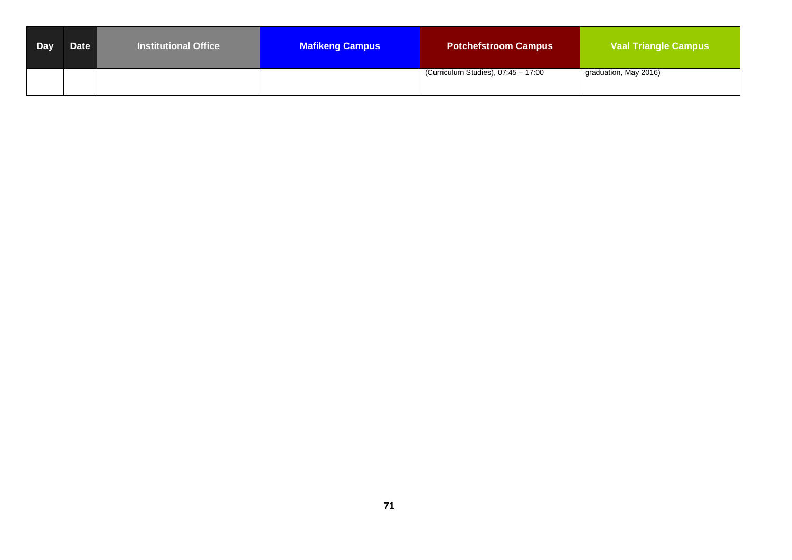| Day | Date | <b>Institutional Office</b> | <b>Mafikeng Campus</b> | <b>Potchefstroom Campus</b>         | <b>Vaal Triangle Campus</b> |
|-----|------|-----------------------------|------------------------|-------------------------------------|-----------------------------|
|     |      |                             |                        | (Curriculum Studies), 07:45 - 17:00 | graduation, May 2016)       |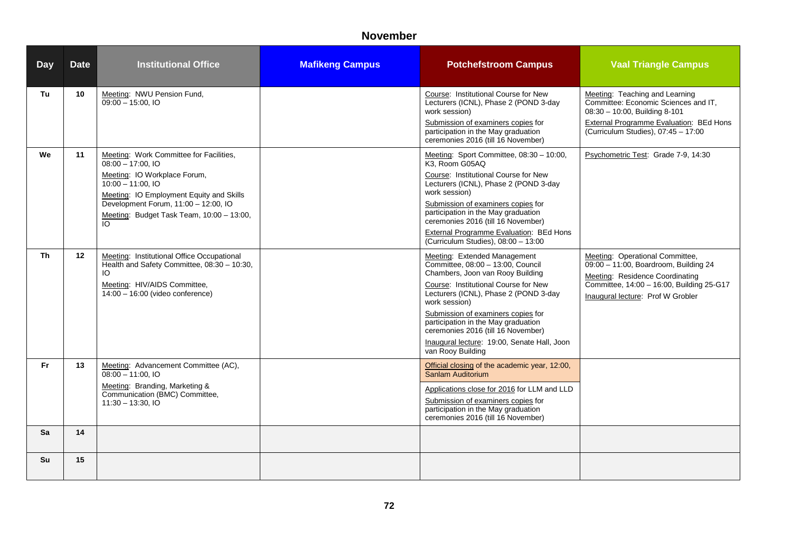#### **November**

| <b>Day</b> | <b>Date</b> | <b>Institutional Office</b>                                                                                                                                                                                                                                  | <b>Mafikeng Campus</b> | <b>Potchefstroom Campus</b>                                                                                                                                                                                                                                                                                                                                                                    | <b>Vaal Triangle Campus</b>                                                                                                                                                                                |
|------------|-------------|--------------------------------------------------------------------------------------------------------------------------------------------------------------------------------------------------------------------------------------------------------------|------------------------|------------------------------------------------------------------------------------------------------------------------------------------------------------------------------------------------------------------------------------------------------------------------------------------------------------------------------------------------------------------------------------------------|------------------------------------------------------------------------------------------------------------------------------------------------------------------------------------------------------------|
| Tu         | 10          | Meeting: NWU Pension Fund,<br>$09:00 - 15:00.$ IO                                                                                                                                                                                                            |                        | Course: Institutional Course for New<br>Lecturers (ICNL), Phase 2 (POND 3-day<br>work session)<br>Submission of examiners copies for<br>participation in the May graduation<br>ceremonies 2016 (till 16 November)                                                                                                                                                                              | Meeting: Teaching and Learning<br>Committee: Economic Sciences and IT,<br>08:30 - 10:00, Building 8-101<br><b>External Programme Evaluation: BEd Hons</b><br>(Curriculum Studies), 07:45 - 17:00           |
| We         | 11          | Meeting: Work Committee for Facilities,<br>$08:00 - 17:00.$ IO<br>Meeting: IO Workplace Forum,<br>$10:00 - 11:00.$ IO<br>Meeting: IO Employment Equity and Skills<br>Development Forum, 11:00 - 12:00, IO<br>Meeting: Budget Task Team, 10:00 - 13:00,<br>IO |                        | Meeting: Sport Committee, 08:30 - 10:00,<br>K3. Room G05AQ<br>Course: Institutional Course for New<br>Lecturers (ICNL), Phase 2 (POND 3-day<br>work session)<br>Submission of examiners copies for<br>participation in the May graduation<br>ceremonies 2016 (till 16 November)<br><b>External Programme Evaluation: BEd Hons</b><br>(Curriculum Studies), 08:00 - 13:00                       | Psychometric Test: Grade 7-9, 14:30                                                                                                                                                                        |
| <b>Th</b>  | 12          | Meeting: Institutional Office Occupational<br>Health and Safety Committee, 08:30 - 10:30,<br>IO.<br>Meeting: HIV/AIDS Committee,<br>14:00 - 16:00 (video conference)                                                                                         |                        | Meeting: Extended Management<br>Committee, 08:00 - 13:00, Council<br>Chambers, Joon van Rooy Building<br>Course: Institutional Course for New<br>Lecturers (ICNL), Phase 2 (POND 3-day<br>work session)<br>Submission of examiners copies for<br>participation in the May graduation<br>ceremonies 2016 (till 16 November)<br>Inaugural lecture: 19:00, Senate Hall, Joon<br>van Rooy Building | Meeting: Operational Committee,<br>$\overline{09:00}$ - 11:00, Boardroom, Building 24<br>Meeting: Residence Coordinating<br>Committee, 14:00 - 16:00, Building 25-G17<br>Inaugural lecture: Prof W Grobler |
| Fr.        | 13          | Meeting: Advancement Committee (AC),<br>$08:00 - 11:00$ , IO<br>Meeting: Branding, Marketing &<br>Communication (BMC) Committee,<br>$11:30 - 13:30, 10$                                                                                                      |                        | Official closing of the academic year, 12:00,<br>Sanlam Auditorium<br>Applications close for 2016 for LLM and LLD<br>Submission of examiners copies for<br>participation in the May graduation<br>ceremonies 2016 (till 16 November)                                                                                                                                                           |                                                                                                                                                                                                            |
| Sa         | 14          |                                                                                                                                                                                                                                                              |                        |                                                                                                                                                                                                                                                                                                                                                                                                |                                                                                                                                                                                                            |
| Su         | 15          |                                                                                                                                                                                                                                                              |                        |                                                                                                                                                                                                                                                                                                                                                                                                |                                                                                                                                                                                                            |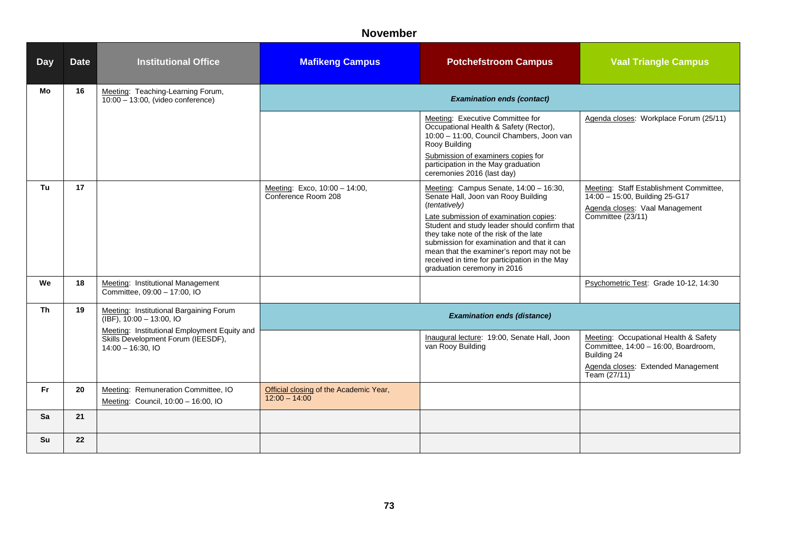# **November**

| <b>Day</b> | <b>Date</b> | <b>Institutional Office</b>                                                                              | <b>Mafikeng Campus</b>                                    | <b>Potchefstroom Campus</b>                                                                                                                                                                                                                                                                                                                                                                                    | <b>Vaal Triangle Campus</b>                                                                                                                        |  |
|------------|-------------|----------------------------------------------------------------------------------------------------------|-----------------------------------------------------------|----------------------------------------------------------------------------------------------------------------------------------------------------------------------------------------------------------------------------------------------------------------------------------------------------------------------------------------------------------------------------------------------------------------|----------------------------------------------------------------------------------------------------------------------------------------------------|--|
| Mo         | 16          | Meeting: Teaching-Learning Forum,<br>$10:00 - 13:00$ , (video conference)                                |                                                           |                                                                                                                                                                                                                                                                                                                                                                                                                |                                                                                                                                                    |  |
|            |             |                                                                                                          |                                                           | Meeting: Executive Committee for<br>Occupational Health & Safety (Rector),<br>10:00 - 11:00, Council Chambers, Joon van<br>Rooy Building<br>Submission of examiners copies for<br>participation in the May graduation<br>ceremonies 2016 (last day)                                                                                                                                                            | Agenda closes: Workplace Forum (25/11)                                                                                                             |  |
| Tu         | 17          |                                                                                                          | Meeting: Exco, 10:00 - 14:00,<br>Conference Room 208      | Meeting: Campus Senate, 14:00 - 16:30,<br>Senate Hall, Joon van Rooy Building<br>(tentatively)<br>Late submission of examination copies:<br>Student and study leader should confirm that<br>they take note of the risk of the late<br>submission for examination and that it can<br>mean that the examiner's report may not be<br>received in time for participation in the May<br>graduation ceremony in 2016 | Meeting: Staff Establishment Committee,<br>14:00 - 15:00, Building 25-G17<br>Agenda closes: Vaal Management<br>Committee (23/11)                   |  |
| We         | 18          | Meeting: Institutional Management<br>Committee, 09:00 - 17:00, IO                                        |                                                           |                                                                                                                                                                                                                                                                                                                                                                                                                | Psychometric Test: Grade 10-12, 14:30                                                                                                              |  |
| <b>Th</b>  | 19          | Meeting: Institutional Bargaining Forum<br>$(IBF)$ , 10:00 - 13:00, IO                                   | <b>Examination ends (distance)</b>                        |                                                                                                                                                                                                                                                                                                                                                                                                                |                                                                                                                                                    |  |
|            |             | Meeting: Institutional Employment Equity and<br>Skills Development Forum (IEESDF),<br>$14:00 - 16:30.10$ |                                                           | Inaugural lecture: 19:00, Senate Hall, Joon<br>van Rooy Building                                                                                                                                                                                                                                                                                                                                               | Meeting: Occupational Health & Safety<br>Committee, 14:00 - 16:00, Boardroom,<br>Building 24<br>Agenda closes: Extended Management<br>Team (27/11) |  |
| Fr.        | 20          | Meeting: Remuneration Committee, IO<br>Meeting: Council, 10:00 - 16:00, IO                               | Official closing of the Academic Year,<br>$12:00 - 14:00$ |                                                                                                                                                                                                                                                                                                                                                                                                                |                                                                                                                                                    |  |
| Sa         | 21          |                                                                                                          |                                                           |                                                                                                                                                                                                                                                                                                                                                                                                                |                                                                                                                                                    |  |
| Su         | 22          |                                                                                                          |                                                           |                                                                                                                                                                                                                                                                                                                                                                                                                |                                                                                                                                                    |  |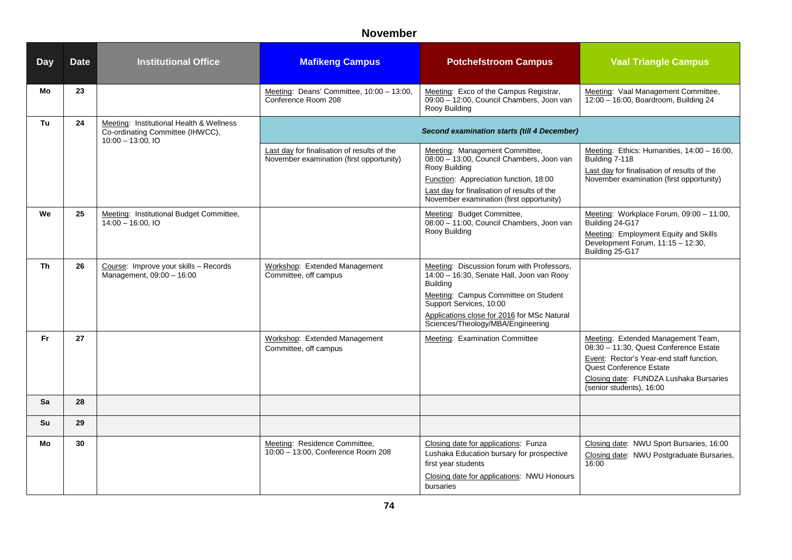# **November**

| <b>Day</b> | <b>Date</b> | <b>Institutional Office</b>                                                                          | <b>Mafikeng Campus</b>                                                                  | <b>Potchefstroom Campus</b>                                                                                                                                                                                                                                       | <b>Vaal Triangle Campus</b>                                                                                                                                                                                               |
|------------|-------------|------------------------------------------------------------------------------------------------------|-----------------------------------------------------------------------------------------|-------------------------------------------------------------------------------------------------------------------------------------------------------------------------------------------------------------------------------------------------------------------|---------------------------------------------------------------------------------------------------------------------------------------------------------------------------------------------------------------------------|
| Mo         | 23          |                                                                                                      | Meeting: Deans' Committee, 10:00 - 13:00,<br>Conference Room 208                        | Meeting: Exco of the Campus Registrar,<br>09:00 - 12:00, Council Chambers, Joon van<br>Rooy Building                                                                                                                                                              | Meeting: Vaal Management Committee,<br>12:00 - 16:00, Boardroom, Building 24                                                                                                                                              |
| Tu         | 24          | Meeting: Institutional Health & Wellness<br>Co-ordinating Committee (IHWCC),<br>$10:00 - 13:00$ , IO |                                                                                         | <b>Second examination starts (till 4 December)</b>                                                                                                                                                                                                                |                                                                                                                                                                                                                           |
|            |             |                                                                                                      | Last day for finalisation of results of the<br>November examination (first opportunity) | Meeting: Management Committee,<br>08:00 - 13:00, Council Chambers, Joon van<br>Rooy Building<br>Function: Appreciation function, 18:00<br>Last day for finalisation of results of the<br>November examination (first opportunity)                                 | Meeting: Ethics: Humanities, 14:00 - 16:00,<br>Building 7-118<br>Last day for finalisation of results of the<br>November examination (first opportunity)                                                                  |
| We         | 25          | Meeting: Institutional Budget Committee,<br>$14:00 - 16:00, 10$                                      |                                                                                         | Meeting: Budget Committee,<br>08:00 - 11:00, Council Chambers, Joon van<br>Rooy Building                                                                                                                                                                          | Meeting: Workplace Forum, 09:00 - 11:00,<br>Building 24-G17<br>Meeting: Employment Equity and Skills<br>Development Forum, 11:15 - 12:30,<br>Building 25-G17                                                              |
| Th         | 26          | Course: Improve your skills - Records<br>Management, 09:00 - 16:00                                   | Workshop: Extended Management<br>Committee, off campus                                  | Meeting: Discussion forum with Professors,<br>14:00 - 16:30, Senate Hall, Joon van Rooy<br><b>Building</b><br>Meeting: Campus Committee on Student<br>Support Services, 10:00<br>Applications close for 2016 for MSc Natural<br>Sciences/Theology/MBA/Engineering |                                                                                                                                                                                                                           |
| Fr.        | 27          |                                                                                                      | Workshop: Extended Management<br>Committee, off campus                                  | Meeting: Examination Committee                                                                                                                                                                                                                                    | Meeting: Extended Management Team,<br>08:30 - 11:30, Quest Conference Estate<br>Event: Rector's Year-end staff function,<br>Quest Conference Estate<br>Closing date: FUNDZA Lushaka Bursaries<br>(senior students), 16:00 |
| Sa         | 28          |                                                                                                      |                                                                                         |                                                                                                                                                                                                                                                                   |                                                                                                                                                                                                                           |
| <b>Su</b>  | 29          |                                                                                                      |                                                                                         |                                                                                                                                                                                                                                                                   |                                                                                                                                                                                                                           |
| Mo         | 30          |                                                                                                      | Meeting: Residence Committee,<br>10:00 - 13:00, Conference Room 208                     | Closing date for applications: Funza<br>Lushaka Education bursary for prospective<br>first year students<br>Closing date for applications: NWU Honours<br>bursaries                                                                                               | Closing date: NWU Sport Bursaries, 16:00<br>Closing date: NWU Postgraduate Bursaries,<br>16:00                                                                                                                            |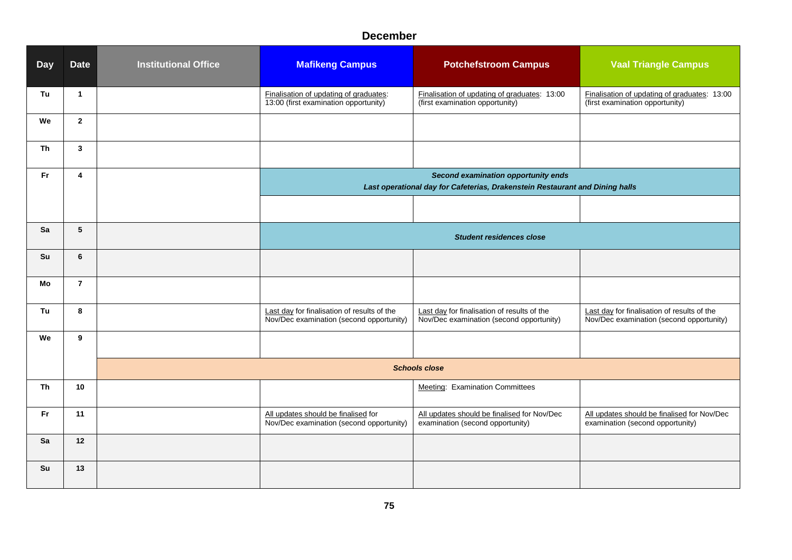#### **December**

| <b>Day</b> | <b>Date</b>             | <b>Institutional Office</b> | <b>Mafikeng Campus</b>                                                                  | <b>Potchefstroom Campus</b>                                                                                         | <b>Vaal Triangle Campus</b>                                                             |
|------------|-------------------------|-----------------------------|-----------------------------------------------------------------------------------------|---------------------------------------------------------------------------------------------------------------------|-----------------------------------------------------------------------------------------|
| Tu         | $\overline{1}$          |                             | Finalisation of updating of graduates:<br>13:00 (first examination opportunity)         | Finalisation of updating of graduates: 13:00<br>(first examination opportunity)                                     | Finalisation of updating of graduates: 13:00<br>(first examination opportunity)         |
| We         | $\overline{2}$          |                             |                                                                                         |                                                                                                                     |                                                                                         |
| <b>Th</b>  | $\overline{\mathbf{3}}$ |                             |                                                                                         |                                                                                                                     |                                                                                         |
| Fr         | $\overline{4}$          |                             |                                                                                         | Second examination opportunity ends<br>Last operational day for Cafeterias, Drakenstein Restaurant and Dining halls |                                                                                         |
|            |                         |                             |                                                                                         |                                                                                                                     |                                                                                         |
| Sa         | $\sqrt{5}$              |                             | <b>Student residences close</b>                                                         |                                                                                                                     |                                                                                         |
| Su         | 6                       |                             |                                                                                         |                                                                                                                     |                                                                                         |
| Mo         | $\overline{7}$          |                             |                                                                                         |                                                                                                                     |                                                                                         |
| Tu         | 8                       |                             | Last day for finalisation of results of the<br>Nov/Dec examination (second opportunity) | Last day for finalisation of results of the<br>Nov/Dec examination (second opportunity)                             | Last day for finalisation of results of the<br>Nov/Dec examination (second opportunity) |
| We         | 9                       |                             |                                                                                         |                                                                                                                     |                                                                                         |
|            |                         |                             | <b>Schools close</b>                                                                    |                                                                                                                     |                                                                                         |
| Th         | 10                      |                             |                                                                                         | <b>Meeting: Examination Committees</b>                                                                              |                                                                                         |
| Fr.        | 11                      |                             | All updates should be finalised for<br>Nov/Dec examination (second opportunity)         | All updates should be finalised for Nov/Dec<br>examination (second opportunity)                                     | All updates should be finalised for Nov/Dec<br>examination (second opportunity)         |
| Sa         | 12                      |                             |                                                                                         |                                                                                                                     |                                                                                         |
| Su         | 13                      |                             |                                                                                         |                                                                                                                     |                                                                                         |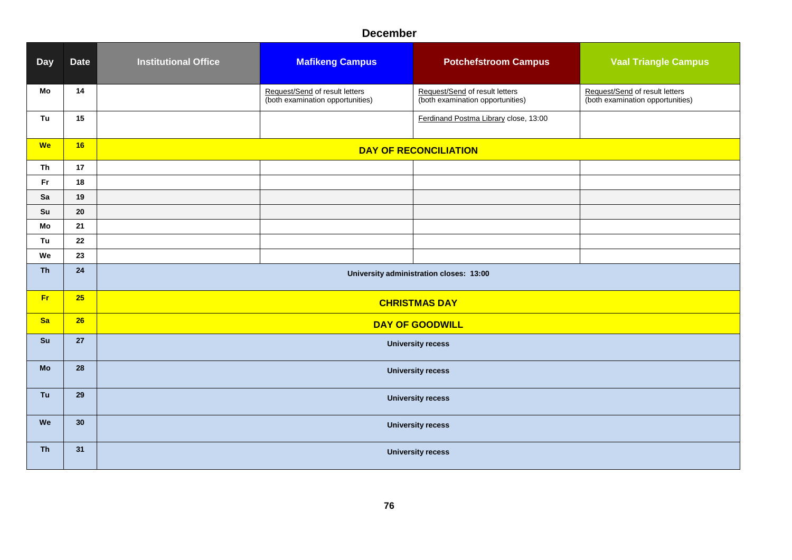### **December**

| <b>Day</b> | <b>Date</b> | <b>Institutional Office</b>             | <b>Mafikeng Campus</b>                                             | <b>Potchefstroom Campus</b>                                        | <b>Vaal Triangle Campus</b>                                        |  |  |
|------------|-------------|-----------------------------------------|--------------------------------------------------------------------|--------------------------------------------------------------------|--------------------------------------------------------------------|--|--|
| Mo         | 14          |                                         | Request/Send of result letters<br>(both examination opportunities) | Request/Send of result letters<br>(both examination opportunities) | Request/Send of result letters<br>(both examination opportunities) |  |  |
| Tu         | 15          |                                         |                                                                    | Ferdinand Postma Library close, 13:00                              |                                                                    |  |  |
| <b>We</b>  | 16          |                                         |                                                                    | <b>DAY OF RECONCILIATION</b>                                       |                                                                    |  |  |
| Th         | 17          |                                         |                                                                    |                                                                    |                                                                    |  |  |
| <b>Fr</b>  | 18          |                                         |                                                                    |                                                                    |                                                                    |  |  |
| Sa         | 19          |                                         |                                                                    |                                                                    |                                                                    |  |  |
| Su         | 20          |                                         |                                                                    |                                                                    |                                                                    |  |  |
| Mo         | 21          |                                         |                                                                    |                                                                    |                                                                    |  |  |
| Tu         | 22          |                                         |                                                                    |                                                                    |                                                                    |  |  |
| We         | 23          |                                         |                                                                    |                                                                    |                                                                    |  |  |
| <b>Th</b>  | 24          | University administration closes: 13:00 |                                                                    |                                                                    |                                                                    |  |  |
| <b>Fr</b>  | 25          | <b>CHRISTMAS DAY</b>                    |                                                                    |                                                                    |                                                                    |  |  |
| <b>Sa</b>  | 26          | <b>DAY OF GOODWILL</b>                  |                                                                    |                                                                    |                                                                    |  |  |
| Su         | 27          | <b>University recess</b>                |                                                                    |                                                                    |                                                                    |  |  |
| <b>Mo</b>  | 28          | <b>University recess</b>                |                                                                    |                                                                    |                                                                    |  |  |
| Tu         | 29          | <b>University recess</b>                |                                                                    |                                                                    |                                                                    |  |  |
| We         | 30          | <b>University recess</b>                |                                                                    |                                                                    |                                                                    |  |  |
| <b>Th</b>  | 31          | <b>University recess</b>                |                                                                    |                                                                    |                                                                    |  |  |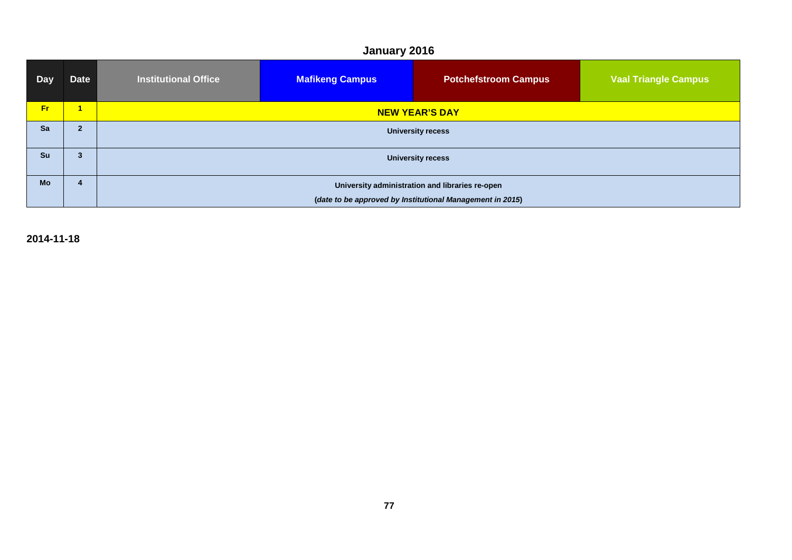# **January 2016**

| <b>Day</b> | <b>Date</b>    | <b>Institutional Office</b>                               | <b>Mafikeng Campus</b> | <b>Potchefstroom Campus</b> | <b>Vaal Triangle Campus</b> |
|------------|----------------|-----------------------------------------------------------|------------------------|-----------------------------|-----------------------------|
| Fr.        | 1              | <b>NEW YEAR'S DAY</b>                                     |                        |                             |                             |
| Sa         | $\overline{2}$ | <b>University recess</b>                                  |                        |                             |                             |
| Su         | 3              | <b>University recess</b>                                  |                        |                             |                             |
| <b>Mo</b>  | 4              | University administration and libraries re-open           |                        |                             |                             |
|            |                | (date to be approved by Institutional Management in 2015) |                        |                             |                             |

**2014-11-18**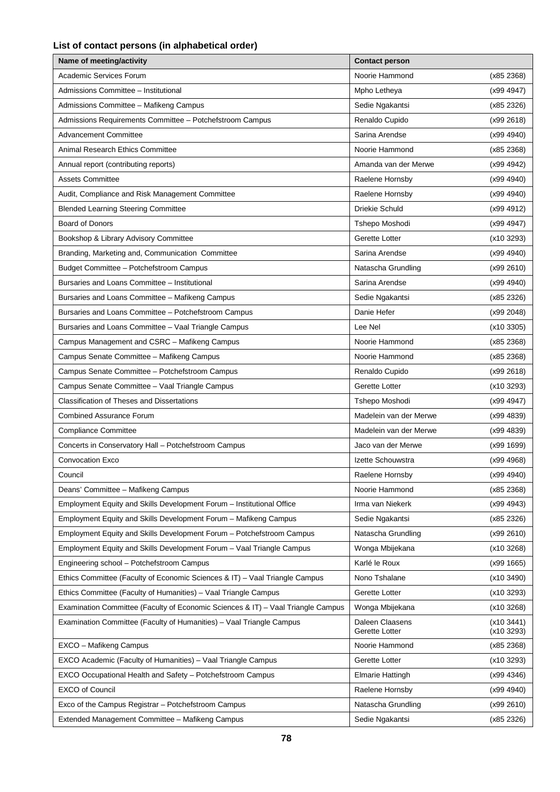#### **List of contact persons (in alphabetical order)**

| Name of meeting/activity                                                         | <b>Contact person</b>             |                        |
|----------------------------------------------------------------------------------|-----------------------------------|------------------------|
| Academic Services Forum                                                          | Noorie Hammond                    | (x852368)              |
| Admissions Committee - Institutional                                             | Mpho Letheya                      | (x99 4947)             |
| Admissions Committee - Mafikeng Campus                                           | Sedie Ngakantsi                   | (x85 2326)             |
| Admissions Requirements Committee - Potchefstroom Campus                         | Renaldo Cupido                    | (x992618)              |
| <b>Advancement Committee</b>                                                     | Sarina Arendse                    | (x99 4940)             |
| <b>Animal Research Ethics Committee</b>                                          | Noorie Hammond                    | (x852368)              |
| Annual report (contributing reports)                                             | Amanda van der Merwe              | (x99 4942)             |
| <b>Assets Committee</b>                                                          | Raelene Hornsby                   | (x99 4940)             |
| Audit, Compliance and Risk Management Committee                                  | Raelene Hornsby                   | (x99 4940)             |
| <b>Blended Learning Steering Committee</b>                                       | Driekie Schuld                    | (x99 4912)             |
| <b>Board of Donors</b>                                                           | Tshepo Moshodi                    | (x99 4947)             |
| Bookshop & Library Advisory Committee                                            | Gerette Lotter                    | (x103293)              |
| Branding, Marketing and, Communication Committee                                 | Sarina Arendse                    | (x99 4940)             |
| Budget Committee - Potchefstroom Campus                                          | Natascha Grundling                | (x992610)              |
| Bursaries and Loans Committee - Institutional                                    | Sarina Arendse                    | (x99 4940)             |
| Bursaries and Loans Committee - Mafikeng Campus                                  | Sedie Ngakantsi                   | (x85 2326)             |
| Bursaries and Loans Committee - Potchefstroom Campus                             | Danie Hefer                       | (x99 2048)             |
| Bursaries and Loans Committee - Vaal Triangle Campus                             | Lee Nel                           | (x103305)              |
| Campus Management and CSRC - Mafikeng Campus                                     | Noorie Hammond                    | (x852368)              |
| Campus Senate Committee - Mafikeng Campus                                        | Noorie Hammond                    | (x852368)              |
| Campus Senate Committee - Potchefstroom Campus                                   | Renaldo Cupido                    | (x992618)              |
| Campus Senate Committee - Vaal Triangle Campus                                   | Gerette Lotter                    | (x103293)              |
| <b>Classification of Theses and Dissertations</b>                                | Tshepo Moshodi                    | (x99 4947)             |
| <b>Combined Assurance Forum</b>                                                  | Madelein van der Merwe            | (x99 4839)             |
| <b>Compliance Committee</b>                                                      | Madelein van der Merwe            | (x99 4839)             |
| Concerts in Conservatory Hall - Potchefstroom Campus                             | Jaco van der Merwe                | (x99 1699)             |
| <b>Convocation Exco</b>                                                          | Izette Schouwstra                 | (x99 4968)             |
| Council                                                                          | Raelene Hornsby                   | (x99 4940)             |
| Deans' Committee - Mafikeng Campus                                               | Noorie Hammond                    | (x85 2368)             |
| Employment Equity and Skills Development Forum - Institutional Office            | Irma van Niekerk                  | (x99 4943)             |
| Employment Equity and Skills Development Forum - Mafikeng Campus                 | Sedie Ngakantsi                   | (x85 2326)             |
| Employment Equity and Skills Development Forum - Potchefstroom Campus            | Natascha Grundling                | (x992610)              |
| Employment Equity and Skills Development Forum - Vaal Triangle Campus            | Wonga Mbijekana                   | (x103268)              |
| Engineering school - Potchefstroom Campus                                        | Karlé le Roux                     | (x991665)              |
| Ethics Committee (Faculty of Economic Sciences & IT) - Vaal Triangle Campus      | Nono Tshalane                     | (x103490)              |
| Ethics Committee (Faculty of Humanities) - Vaal Triangle Campus                  | Gerette Lotter                    | (x103293)              |
| Examination Committee (Faculty of Economic Sciences & IT) - Vaal Triangle Campus | Wonga Mbijekana                   | (x103268)              |
| Examination Committee (Faculty of Humanities) – Vaal Triangle Campus             | Daleen Claasens<br>Gerette Lotter | (x103441)<br>(x103293) |
| EXCO – Mafikeng Campus                                                           | Noorie Hammond                    | (x852368)              |
| EXCO Academic (Faculty of Humanities) - Vaal Triangle Campus                     | Gerette Lotter                    | (x103293)              |
| EXCO Occupational Health and Safety - Potchefstroom Campus                       | <b>Elmarie Hattingh</b>           | (x99 4346)             |
| <b>EXCO</b> of Council                                                           | Raelene Hornsby                   | (x99 4940)             |
| Exco of the Campus Registrar - Potchefstroom Campus                              | Natascha Grundling                | (x992610)              |
| Extended Management Committee - Mafikeng Campus                                  | Sedie Ngakantsi                   | (x85 2326)             |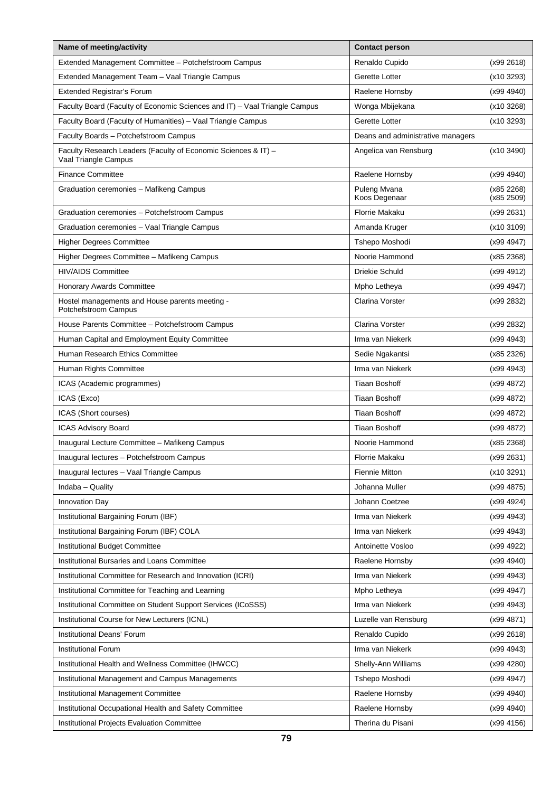| Name of meeting/activity                                                               | <b>Contact person</b>             |                          |
|----------------------------------------------------------------------------------------|-----------------------------------|--------------------------|
| Extended Management Committee - Potchefstroom Campus                                   | Renaldo Cupido                    | (x992618)                |
| Extended Management Team - Vaal Triangle Campus                                        | Gerette Lotter                    | (x103293)                |
| Extended Registrar's Forum                                                             | Raelene Hornsby                   | (x99 4940)               |
| Faculty Board (Faculty of Economic Sciences and IT) - Vaal Triangle Campus             | Wonga Mbijekana                   | (x103268)                |
| Faculty Board (Faculty of Humanities) - Vaal Triangle Campus                           | Gerette Lotter                    | (x103293)                |
| Faculty Boards - Potchefstroom Campus                                                  | Deans and administrative managers |                          |
| Faculty Research Leaders (Faculty of Economic Sciences & IT) -<br>Vaal Triangle Campus | Angelica van Rensburg             | (x103490)                |
| <b>Finance Committee</b>                                                               | Raelene Hornsby                   | (x99 4940)               |
| Graduation ceremonies - Mafikeng Campus                                                | Puleng Mvana<br>Koos Degenaar     | (x85 2268)<br>(x85 2509) |
| Graduation ceremonies - Potchefstroom Campus                                           | Florrie Makaku                    | (x99 2631)               |
| Graduation ceremonies - Vaal Triangle Campus                                           | Amanda Kruger                     | (x103109)                |
| <b>Higher Degrees Committee</b>                                                        | Tshepo Moshodi                    | (x99 4947)               |
| Higher Degrees Committee - Mafikeng Campus                                             | Noorie Hammond                    | (x85 2368)               |
| <b>HIV/AIDS Committee</b>                                                              | <b>Driekie Schuld</b>             | (x99 4912)               |
| Honorary Awards Committee                                                              | Mpho Letheya                      | (x99 4947)               |
| Hostel managements and House parents meeting -<br>Potchefstroom Campus                 | <b>Clarina Vorster</b>            | (x99 2832)               |
| House Parents Committee - Potchefstroom Campus                                         | <b>Clarina Vorster</b>            | (x99 2832)               |
| Human Capital and Employment Equity Committee                                          | Irma van Niekerk                  | (x99 4943)               |
| Human Research Ethics Committee                                                        | Sedie Ngakantsi                   | (x85 2326)               |
| Human Rights Committee                                                                 | Irma van Niekerk                  | (x99 4943)               |
| ICAS (Academic programmes)                                                             | <b>Tiaan Boshoff</b>              | (x99 4872)               |
| ICAS (Exco)                                                                            | <b>Tiaan Boshoff</b>              | (x99 4872)               |
| ICAS (Short courses)                                                                   | <b>Tiaan Boshoff</b>              | (x99 4872)               |
| <b>ICAS Advisory Board</b>                                                             | <b>Tiaan Boshoff</b>              | (x99 4872)               |
| Inaugural Lecture Committee - Mafikeng Campus                                          | Noorie Hammond                    | (x852368)                |
| Inaugural lectures - Potchefstroom Campus                                              | <b>Florrie Makaku</b>             | (x99 2631)               |
| Inaugural lectures - Vaal Triangle Campus                                              | <b>Fiennie Mitton</b>             | (x103291)                |
| Indaba - Quality                                                                       | Johanna Muller                    | (x994875)                |
| Innovation Day                                                                         | Johann Coetzee                    | (x99 4924)               |
| Institutional Bargaining Forum (IBF)                                                   | Irma van Niekerk                  | (x99 4943)               |
| Institutional Bargaining Forum (IBF) COLA                                              | Irma van Niekerk                  | (x99 4943)               |
| Institutional Budget Committee                                                         | Antoinette Vosloo                 | (x99 4922)               |
| Institutional Bursaries and Loans Committee                                            | Raelene Hornsby                   | (x99 4940)               |
| Institutional Committee for Research and Innovation (ICRI)                             | Irma van Niekerk                  | (x99 4943)               |
| Institutional Committee for Teaching and Learning                                      | Mpho Letheya                      | (x99 4947)               |
| Institutional Committee on Student Support Services (ICoSSS)                           | Irma van Niekerk                  | (x99 4943)               |
| Institutional Course for New Lecturers (ICNL)                                          | Luzelle van Rensburg              | (x99 4871)               |
| Institutional Deans' Forum                                                             | Renaldo Cupido                    | (x99 2618)               |
| Institutional Forum                                                                    | Irma van Niekerk                  | (x99 4943)               |
| Institutional Health and Wellness Committee (IHWCC)                                    | Shelly-Ann Williams               | (x99 4280)               |
| Institutional Management and Campus Managements                                        | Tshepo Moshodi                    | (x99 4947)               |
| Institutional Management Committee                                                     | Raelene Hornsby                   | (x99 4940)               |
| Institutional Occupational Health and Safety Committee                                 | Raelene Hornsby                   | (x99 4940)               |
| Institutional Projects Evaluation Committee                                            | Therina du Pisani                 | (x99 4156)               |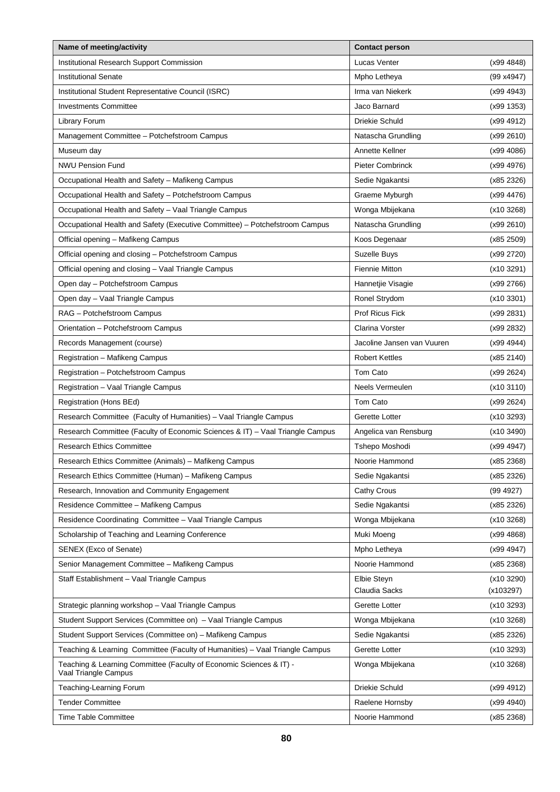| Name of meeting/activity                                                                    | <b>Contact person</b>      |            |
|---------------------------------------------------------------------------------------------|----------------------------|------------|
| Institutional Research Support Commission                                                   | Lucas Venter               | (x99 4848) |
| <b>Institutional Senate</b>                                                                 | Mpho Letheya               | (99 x4947) |
| Institutional Student Representative Council (ISRC)                                         | Irma van Niekerk           | (x99 4943) |
| <b>Investments Committee</b>                                                                | Jaco Barnard               | (x991353)  |
| Library Forum                                                                               | <b>Driekie Schuld</b>      | (x99 4912) |
| Management Committee - Potchefstroom Campus                                                 | Natascha Grundling         | (x99 2610) |
| Museum day                                                                                  | Annette Kellner            | (x99 4086) |
| <b>NWU Pension Fund</b>                                                                     | <b>Pieter Combrinck</b>    | (x99 4976) |
| Occupational Health and Safety - Mafikeng Campus                                            | Sedie Ngakantsi            | (x85 2326) |
| Occupational Health and Safety - Potchefstroom Campus                                       | Graeme Myburgh             | (x994476)  |
| Occupational Health and Safety - Vaal Triangle Campus                                       | Wonga Mbijekana            | (x10 3268) |
| Occupational Health and Safety (Executive Committee) - Potchefstroom Campus                 | Natascha Grundling         | (x99 2610) |
| Official opening - Mafikeng Campus                                                          | Koos Degenaar              | (x85 2509) |
| Official opening and closing - Potchefstroom Campus                                         | Suzelle Buys               | (x99 2720) |
| Official opening and closing - Vaal Triangle Campus                                         | <b>Fiennie Mitton</b>      | (x103291)  |
| Open day - Potchefstroom Campus                                                             | Hannetjie Visagie          | (x99 2766) |
| Open day - Vaal Triangle Campus                                                             | Ronel Strydom              | (x103301)  |
| RAG - Potchefstroom Campus                                                                  | Prof Ricus Fick            | (x99 2831) |
| Orientation - Potchefstroom Campus                                                          | <b>Clarina Vorster</b>     | (x99 2832) |
| Records Management (course)                                                                 | Jacoline Jansen van Vuuren | (x99 4944) |
| Registration - Mafikeng Campus                                                              | <b>Robert Kettles</b>      | (x852140)  |
| Registration - Potchefstroom Campus                                                         | Tom Cato                   | (x99 2624) |
| Registration - Vaal Triangle Campus                                                         | Neels Vermeulen            | (x103110)  |
| Registration (Hons BEd)                                                                     | Tom Cato                   | (x99 2624) |
| Research Committee (Faculty of Humanities) - Vaal Triangle Campus                           | Gerette Lotter             | (x103293)  |
| Research Committee (Faculty of Economic Sciences & IT) - Vaal Triangle Campus               | Angelica van Rensburg      | (x103490)  |
| <b>Research Ethics Committee</b>                                                            | Tshepo Moshodi             | (x99 4947) |
| Research Ethics Committee (Animals) - Mafikeng Campus                                       | Noorie Hammond             | (x85 2368) |
| Research Ethics Committee (Human) - Mafikeng Campus                                         | Sedie Ngakantsi            | (x85 2326) |
| Research, Innovation and Community Engagement                                               | Cathy Crous                | (99 4927)  |
| Residence Committee - Mafikeng Campus                                                       | Sedie Ngakantsi            | (x85 2326) |
| Residence Coordinating Committee - Vaal Triangle Campus                                     | Wonga Mbijekana            | (x103268)  |
| Scholarship of Teaching and Learning Conference                                             | Muki Moeng                 | (x99 4868) |
| SENEX (Exco of Senate)                                                                      | Mpho Letheya               | (x99 4947) |
| Senior Management Committee - Mafikeng Campus                                               | Noorie Hammond             | (x85 2368) |
| Staff Establishment - Vaal Triangle Campus                                                  | Elbie Steyn                | (x103290)  |
|                                                                                             | Claudia Sacks              | (x103297)  |
| Strategic planning workshop - Vaal Triangle Campus                                          | Gerette Lotter             | (x103293)  |
| Student Support Services (Committee on) - Vaal Triangle Campus                              | Wonga Mbijekana            | (x103268)  |
| Student Support Services (Committee on) - Mafikeng Campus                                   | Sedie Ngakantsi            | (x85 2326) |
| Teaching & Learning Committee (Faculty of Humanities) – Vaal Triangle Campus                | Gerette Lotter             | (x10 3293) |
| Teaching & Learning Committee (Faculty of Economic Sciences & IT) -<br>Vaal Triangle Campus | Wonga Mbijekana            | (x103268)  |
| Teaching-Learning Forum                                                                     | Driekie Schuld             | (x99 4912) |
| <b>Tender Committee</b>                                                                     | Raelene Hornsby            | (x99 4940) |
| <b>Time Table Committee</b>                                                                 | Noorie Hammond             | (x85 2368) |